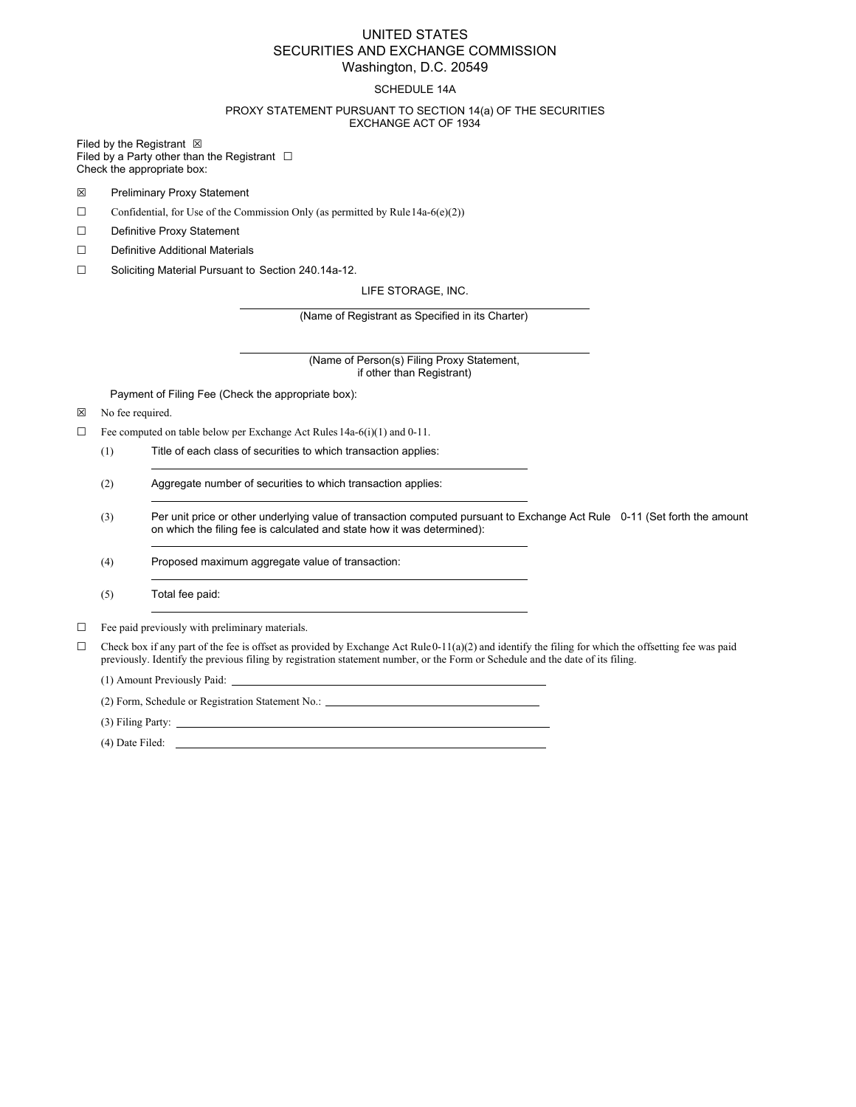## UNITED STATES SECURITIES AND EXCHANGE COMMISSION Washington, D.C. 20549

### SCHEDULE 14A

### PROXY STATEMENT PURSUANT TO SECTION 14(a) OF THE SECURITIES EXCHANGE ACT OF 1934

Filed by the Registrant  $\boxtimes$ 

Filed by a Party other than the Registrant  $□$ Check the appropriate box:

- ☒ Preliminary Proxy Statement
- $\Box$  Confidential, for Use of the Commission Only (as permitted by Rule 14a-6(e)(2))
- ☐ Definitive Proxy Statement
- ☐ Definitive Additional Materials
- ☐ Soliciting Material Pursuant to Section 240.14a-12.

LIFE STORAGE, INC.

(Name of Registrant as Specified in its Charter)

(Name of Person(s) Filing Proxy Statement, if other than Registrant)

Payment of Filing Fee (Check the appropriate box):

☒ No fee required.

- ☐ Fee computed on table below per Exchange Act Rules 14a-6(i)(1) and 0-11.
	- (1) Title of each class of securities to which transaction applies:
	- (2) Aggregate number of securities to which transaction applies:

the control of the control of the control of the control of the control of

- (3) Per unit price or other underlying value of transaction computed pursuant to Exchange Act Rule 0-11 (Set forth the amount on which the filing fee is calculated and state how it was determined):
- (4) Proposed maximum aggregate value of transaction:

(5) Total fee paid:

 $\Box$  Fee paid previously with preliminary materials.

 $\Box$  Check box if any part of the fee is offset as provided by Exchange Act Rule 0-11(a)(2) and identify the filing for which the offsetting fee was paid previously. Identify the previous filing by registration statement number, or the Form or Schedule and the date of its filing.

(1) Amount Previously Paid:

(2) Form, Schedule or Registration Statement No.:

(3) Filing Party:

(4) Date Filed: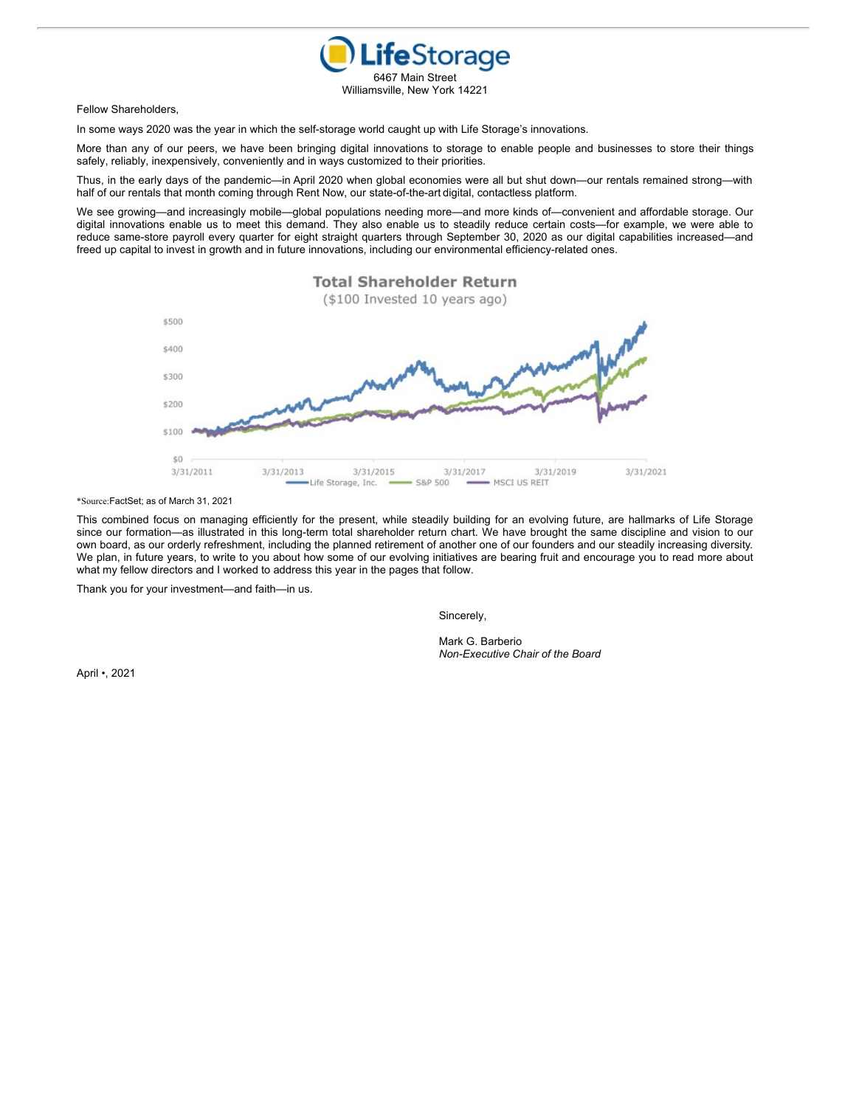

Fellow Shareholders,

In some ways 2020 was the year in which the self-storage world caught up with Life Storage's innovations.

More than any of our peers, we have been bringing digital innovations to storage to enable people and businesses to store their things safely, reliably, inexpensively, conveniently and in ways customized to their priorities.

Thus, in the early days of the pandemic—in April 2020 when global economies were all but shut down—our rentals remained strong—with half of our rentals that month coming through Rent Now, our state-of-the-art digital, contactless platform.

We see growing—and increasingly mobile—global populations needing more—and more kinds of—convenient and affordable storage. Our digital innovations enable us to meet this demand. They also enable us to steadily reduce certain costs—for example, we were able to reduce same-store payroll every quarter for eight straight quarters through September 30, 2020 as our digital capabilities increased—and freed up capital to invest in growth and in future innovations, including our environmental efficiency-related ones.



\*Source:FactSet; as of March 31, 2021

This combined focus on managing efficiently for the present, while steadily building for an evolving future, are hallmarks of Life Storage since our formation—as illustrated in this long-term total shareholder return chart. We have brought the same discipline and vision to our own board, as our orderly refreshment, including the planned retirement of another one of our founders and our steadily increasing diversity. We plan, in future years, to write to you about how some of our evolving initiatives are bearing fruit and encourage you to read more about what my fellow directors and I worked to address this year in the pages that follow.

Thank you for your investment—and faith—in us.

Sincerely,

Mark G. Barberio *Non-Executive Chair of the Board*

April •, 2021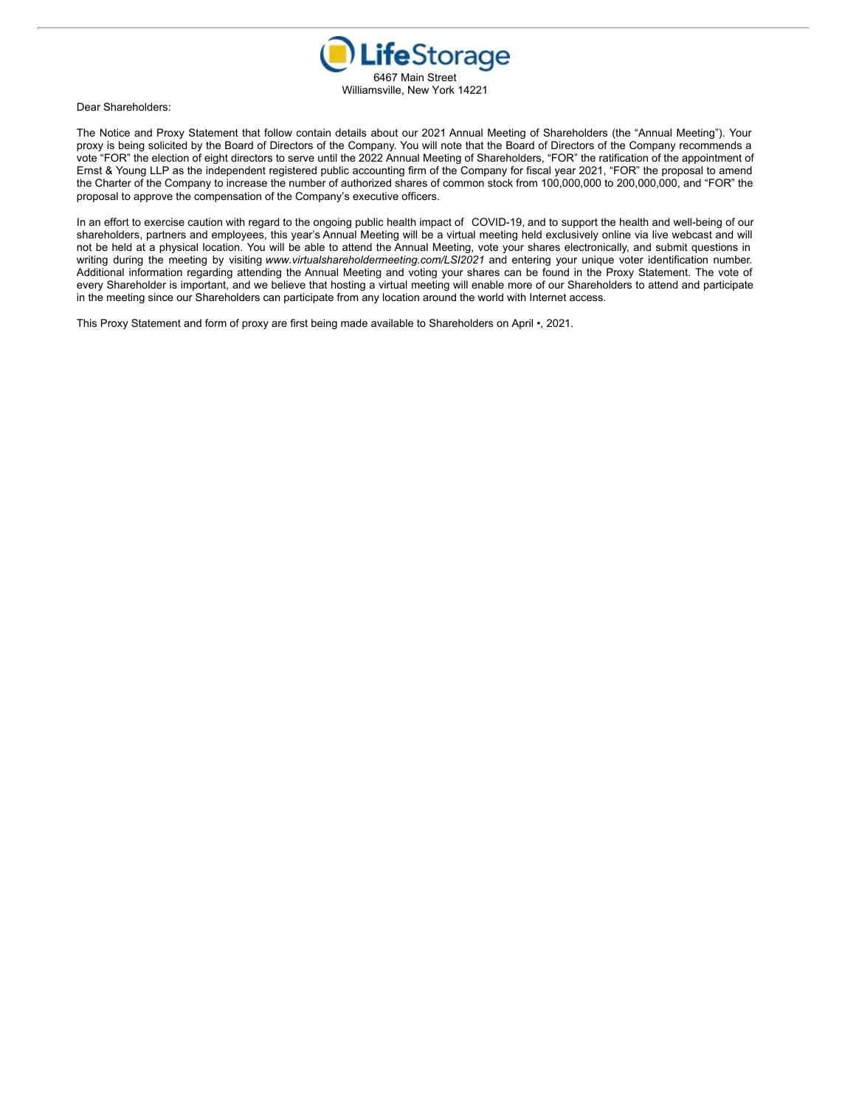

Dear Shareholders:

The Notice and Proxy Statement that follow contain details about our 2021 Annual Meeting of Shareholders (the "Annual Meeting"). Your proxy is being solicited by the Board of Directors of the Company. You will note that the Board of Directors of the Company recommends a vote "FOR" the election of eight directors to serve until the 2022 Annual Meeting of Shareholders, "FOR" the ratification of the appointment of Ernst & Young LLP as the independent registered public accounting firm of the Company for fiscal year 2021, "FOR" the proposal to amend the Charter of the Company to increase the number of authorized shares of common stock from 100,000,000 to 200,000,000, and "FOR" the proposal to approve the compensation of the Company's executive officers.

In an effort to exercise caution with regard to the ongoing public health impact of COVID-19, and to support the health and well-being of our shareholders, partners and employees, this year's Annual Meeting will be a virtual meeting held exclusively online via live webcast and will not be held at a physical location. You will be able to attend the Annual Meeting, vote your shares electronically, and submit questions in writing during the meeting by visiting *www.virtualshareholdermeeting.com/LSI2021* and entering your unique voter identification number. Additional information regarding attending the Annual Meeting and voting your shares can be found in the Proxy Statement. The vote of every Shareholder is important, and we believe that hosting a virtual meeting will enable more of our Shareholders to attend and participate in the meeting since our Shareholders can participate from any location around the world with Internet access.

This Proxy Statement and form of proxy are first being made available to Shareholders on April •, 2021.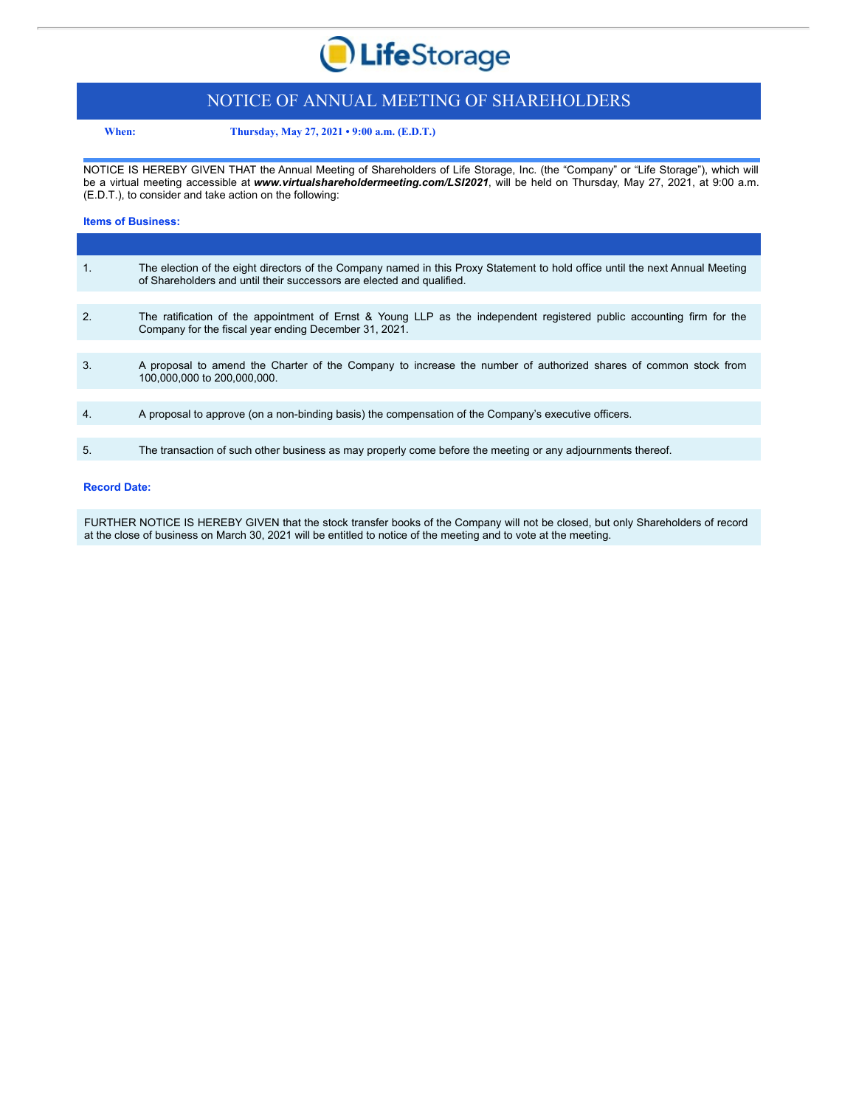

# NOTICE OF ANNUAL MEETING OF SHAREHOLDERS

**When: Thursday, May 27, 2021 • 9:00 a.m. (E.D.T.)**

NOTICE IS HEREBY GIVEN THAT the Annual Meeting of Shareholders of Life Storage, Inc. (the "Company" or "Life Storage"), which will be a virtual meeting accessible at *www.virtualshareholdermeeting.com/LSI2021*, will be held on Thursday, May 27, 2021, at 9:00 a.m. (E.D.T.), to consider and take action on the following:

### **Items of Business:**

| 1.               | The election of the eight directors of the Company named in this Proxy Statement to hold office until the next Annual Meeting<br>of Shareholders and until their successors are elected and qualified. |
|------------------|--------------------------------------------------------------------------------------------------------------------------------------------------------------------------------------------------------|
|                  |                                                                                                                                                                                                        |
| 2.               | The ratification of the appointment of Ernst & Young LLP as the independent registered public accounting firm for the<br>Company for the fiscal year ending December 31, 2021.                         |
|                  |                                                                                                                                                                                                        |
| 3.               | A proposal to amend the Charter of the Company to increase the number of authorized shares of common stock from<br>100,000,000 to 200,000,000.                                                         |
|                  |                                                                                                                                                                                                        |
| $\overline{4}$ . | A proposal to approve (on a non-binding basis) the compensation of the Company's executive officers.                                                                                                   |
|                  |                                                                                                                                                                                                        |
| 5.               | The transaction of such other business as may properly come before the meeting or any adjournments thereof.                                                                                            |

### **Record Date:**

FURTHER NOTICE IS HEREBY GIVEN that the stock transfer books of the Company will not be closed, but only Shareholders of record at the close of business on March 30, 2021 will be entitled to notice of the meeting and to vote at the meeting.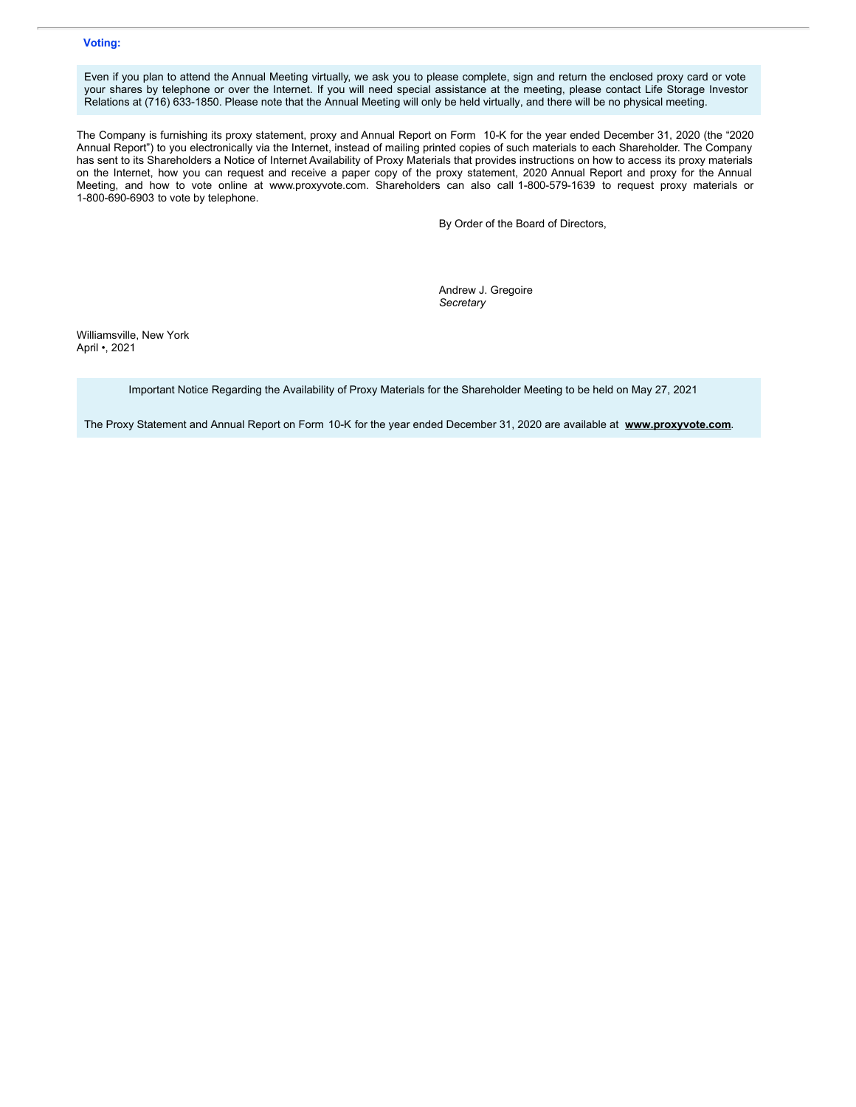## **Voting:**

Even if you plan to attend the Annual Meeting virtually, we ask you to please complete, sign and return the enclosed proxy card or vote your shares by telephone or over the Internet. If you will need special assistance at the meeting, please contact Life Storage Investor Relations at (716) 633-1850. Please note that the Annual Meeting will only be held virtually, and there will be no physical meeting.

The Company is furnishing its proxy statement, proxy and Annual Report on Form 10-K for the year ended December 31, 2020 (the "2020 Annual Report") to you electronically via the Internet, instead of mailing printed copies of such materials to each Shareholder. The Company has sent to its Shareholders a Notice of Internet Availability of Proxy Materials that provides instructions on how to access its proxy materials on the Internet, how you can request and receive a paper copy of the proxy statement, 2020 Annual Report and proxy for the Annual Meeting, and how to vote online at www.proxyvote.com. Shareholders can also call 1-800-579-1639 to request proxy materials or 1-800-690-6903 to vote by telephone.

By Order of the Board of Directors,

Andrew J. Gregoire *Secretary*

Williamsville, New York April •, 2021

Important Notice Regarding the Availability of Proxy Materials for the Shareholder Meeting to be held on May 27, 2021

The Proxy Statement and Annual Report on Form 10-K for the year ended December 31, 2020 are available at **www.proxyvote.com**.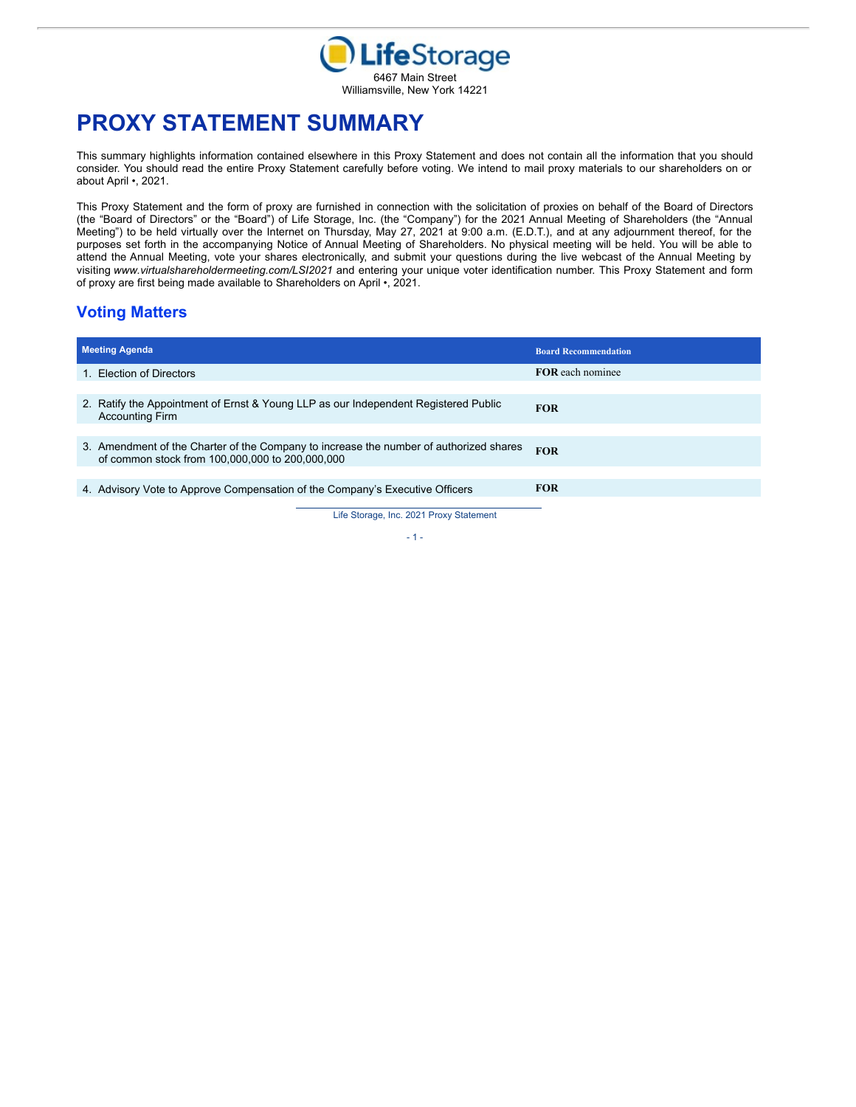

# **PROXY STATEMENT SUMMARY**

This summary highlights information contained elsewhere in this Proxy Statement and does not contain all the information that you should consider. You should read the entire Proxy Statement carefully before voting. We intend to mail proxy materials to our shareholders on or about April •, 2021.

This Proxy Statement and the form of proxy are furnished in connection with the solicitation of proxies on behalf of the Board of Directors (the "Board of Directors" or the "Board") of Life Storage, Inc. (the "Company") for the 2021 Annual Meeting of Shareholders (the "Annual Meeting") to be held virtually over the Internet on Thursday, May 27, 2021 at 9:00 a.m. (E.D.T.), and at any adjournment thereof, for the purposes set forth in the accompanying Notice of Annual Meeting of Shareholders. No physical meeting will be held. You will be able to attend the Annual Meeting, vote your shares electronically, and submit your questions during the live webcast of the Annual Meeting by visiting *www.virtualshareholdermeeting.com/LSI2021* and entering your unique voter identification number. This Proxy Statement and form of proxy are first being made available to Shareholders on April •, 2021.

# **Voting Matters**

| <b>Meeting Agenda</b>                                                                                                                     | <b>Board Recommendation</b> |
|-------------------------------------------------------------------------------------------------------------------------------------------|-----------------------------|
| 1. Election of Directors                                                                                                                  | <b>FOR</b> each nominee     |
|                                                                                                                                           |                             |
| 2. Ratify the Appointment of Ernst & Young LLP as our Independent Registered Public<br><b>Accounting Firm</b>                             | <b>FOR</b>                  |
|                                                                                                                                           |                             |
| 3. Amendment of the Charter of the Company to increase the number of authorized shares<br>of common stock from 100,000,000 to 200,000,000 | <b>FOR</b>                  |
|                                                                                                                                           |                             |
| 4. Advisory Vote to Approve Compensation of the Company's Executive Officers                                                              | <b>FOR</b>                  |

Life Storage, Inc. 2021 Proxy Statement - 1 -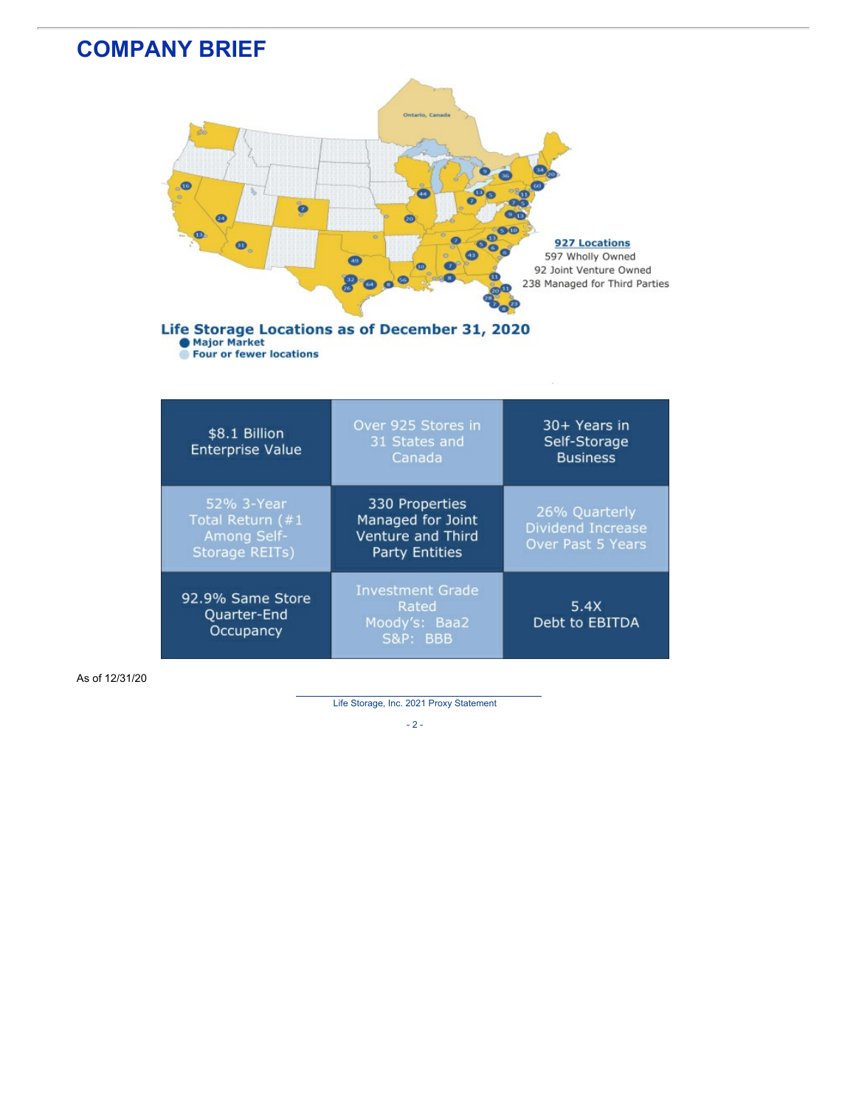

As of 12/31/20

Life Storage, Inc. 2021 Proxy Statement

 $- 2 -$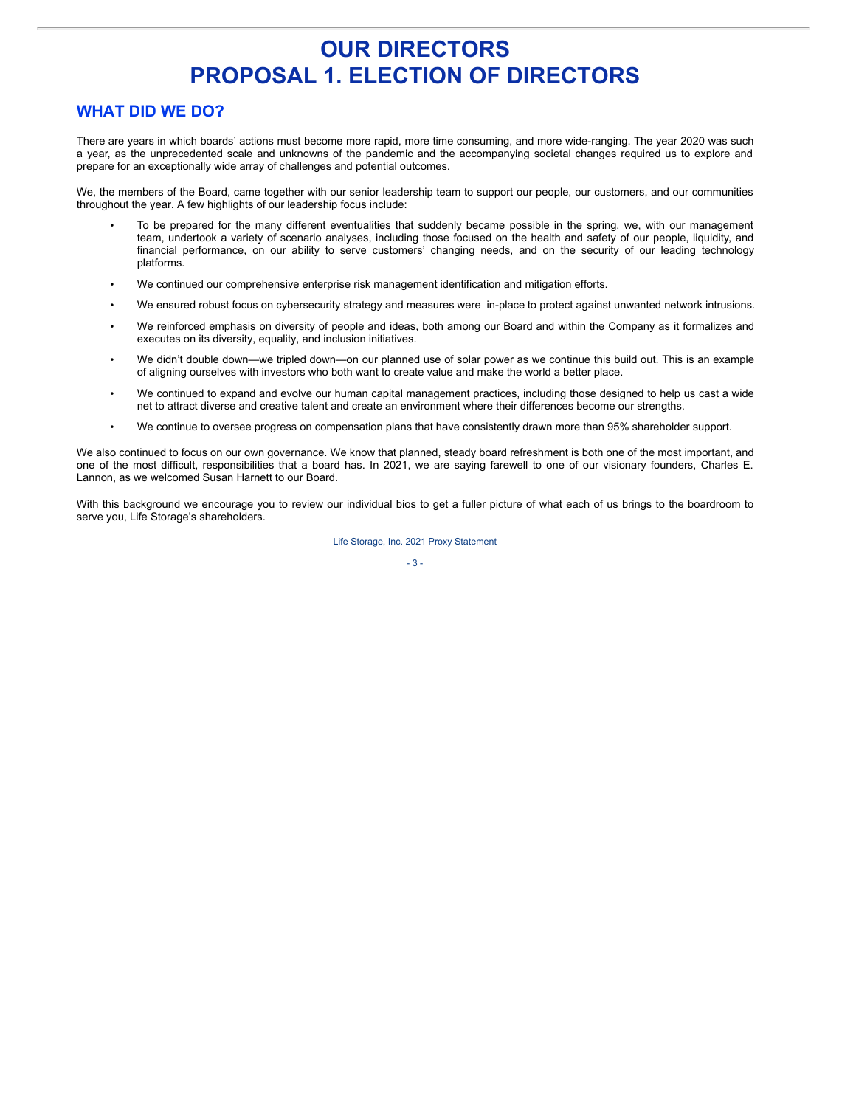# **OUR DIRECTORS PROPOSAL 1. ELECTION OF DIRECTORS**

# **WHAT DID WE DO?**

There are years in which boards' actions must become more rapid, more time consuming, and more wide-ranging. The year 2020 was such a year, as the unprecedented scale and unknowns of the pandemic and the accompanying societal changes required us to explore and prepare for an exceptionally wide array of challenges and potential outcomes.

We, the members of the Board, came together with our senior leadership team to support our people, our customers, and our communities throughout the year. A few highlights of our leadership focus include:

- To be prepared for the many different eventualities that suddenly became possible in the spring, we, with our management team, undertook a variety of scenario analyses, including those focused on the health and safety of our people, liquidity, and financial performance, on our ability to serve customers' changing needs, and on the security of our leading technology platforms.
- We continued our comprehensive enterprise risk management identification and mitigation efforts.
- We ensured robust focus on cybersecurity strategy and measures were in-place to protect against unwanted network intrusions.
- We reinforced emphasis on diversity of people and ideas, both among our Board and within the Company as it formalizes and executes on its diversity, equality, and inclusion initiatives.
- We didn't double down—we tripled down—on our planned use of solar power as we continue this build out. This is an example of aligning ourselves with investors who both want to create value and make the world a better place.
- We continued to expand and evolve our human capital management practices, including those designed to help us cast a wide net to attract diverse and creative talent and create an environment where their differences become our strengths.
- We continue to oversee progress on compensation plans that have consistently drawn more than 95% shareholder support.

We also continued to focus on our own governance. We know that planned, steady board refreshment is both one of the most important, and one of the most difficult, responsibilities that a board has. In 2021, we are saying farewell to one of our visionary founders, Charles E. Lannon, as we welcomed Susan Harnett to our Board.

With this background we encourage you to review our individual bios to get a fuller picture of what each of us brings to the boardroom to serve you, Life Storage's shareholders.

Life Storage, Inc. 2021 Proxy Statement

 $- 3 -$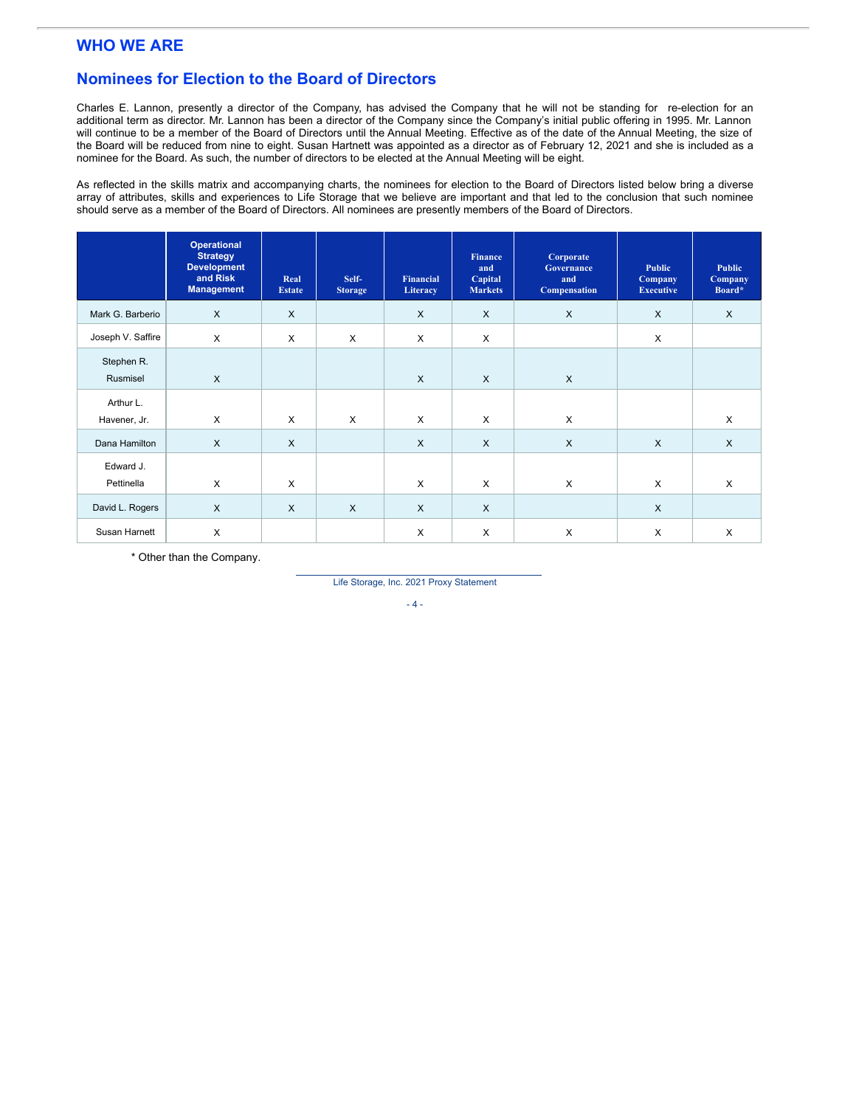# **WHO WE ARE**

# **Nominees for Election to the Board of Directors**

Charles E. Lannon, presently a director of the Company, has advised the Company that he will not be standing for re-election for an additional term as director. Mr. Lannon has been a director of the Company since the Company's initial public offering in 1995. Mr. Lannon will continue to be a member of the Board of Directors until the Annual Meeting. Effective as of the date of the Annual Meeting, the size of the Board will be reduced from nine to eight. Susan Hartnett was appointed as a director as of February 12, 2021 and she is included as a nominee for the Board. As such, the number of directors to be elected at the Annual Meeting will be eight.

As reflected in the skills matrix and accompanying charts, the nominees for election to the Board of Directors listed below bring a diverse array of attributes, skills and experiences to Life Storage that we believe are important and that led to the conclusion that such nominee should serve as a member of the Board of Directors. All nominees are presently members of the Board of Directors.

|                           | <b>Operational</b><br><b>Strategy</b><br><b>Development</b><br>and Risk<br><b>Management</b> | Real<br><b>Estate</b> | Self-<br><b>Storage</b> | Financial<br>Literacy | Finance<br>and<br>Capital<br><b>Markets</b> | Corporate<br>Governance<br>and<br><b>Compensation</b> | <b>Public</b><br>Company<br><b>Executive</b> | <b>Public</b><br>Company<br>Board* |
|---------------------------|----------------------------------------------------------------------------------------------|-----------------------|-------------------------|-----------------------|---------------------------------------------|-------------------------------------------------------|----------------------------------------------|------------------------------------|
| Mark G. Barberio          | $\mathsf{X}$                                                                                 | $\times$              |                         | $\times$              | $\times$                                    | $\mathsf{X}$                                          | $\times$                                     | X                                  |
| Joseph V. Saffire         | X                                                                                            | $\times$              | X                       | X                     | X                                           |                                                       | X                                            |                                    |
| Stephen R.<br>Rusmisel    | $\mathsf{X}$                                                                                 |                       |                         | $\times$              | $\mathsf{X}$                                | $\times$                                              |                                              |                                    |
| Arthur L.<br>Havener, Jr. | $\mathsf{X}$                                                                                 | $\sf X$               | X                       | $\sf X$               | X                                           | $\times$                                              |                                              | X                                  |
| Dana Hamilton             | $\mathsf{X}$                                                                                 | $\mathsf{X}$          |                         | $\times$              | $\times$                                    | $\pmb{\times}$                                        | $\times$                                     | $\mathsf{X}$                       |
| Edward J.<br>Pettinella   | X                                                                                            | X                     |                         | $\times$              | X                                           | X                                                     | X                                            | X                                  |
| David L. Rogers           | $\times$                                                                                     | $\times$              | $\times$                | $\times$              | $\times$                                    |                                                       | $\times$                                     |                                    |
| Susan Harnett             | X                                                                                            |                       |                         | X                     | $\times$                                    | X                                                     | X                                            | X                                  |

\* Other than the Company.

Life Storage, Inc. 2021 Proxy Statement

- 4 -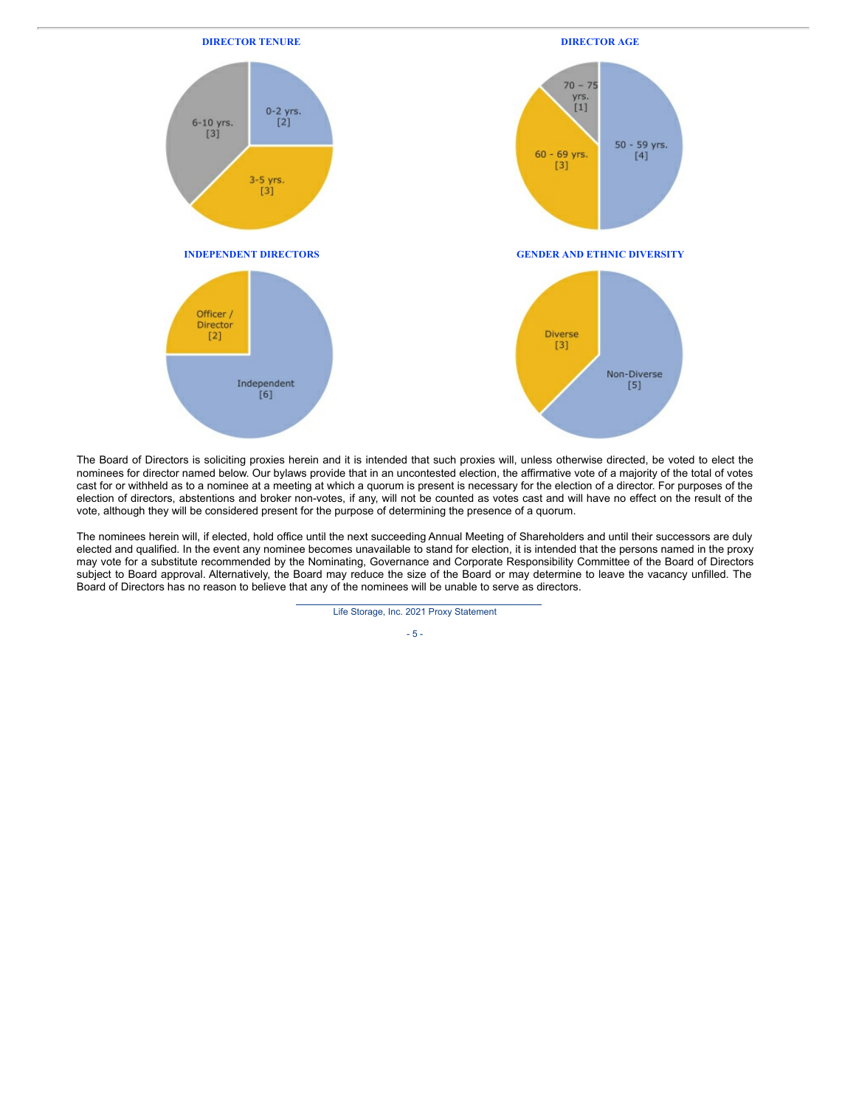

The Board of Directors is soliciting proxies herein and it is intended that such proxies will, unless otherwise directed, be voted to elect the nominees for director named below. Our bylaws provide that in an uncontested election, the affirmative vote of a majority of the total of votes cast for or withheld as to a nominee at a meeting at which a quorum is present is necessary for the election of a director. For purposes of the election of directors, abstentions and broker non-votes, if any, will not be counted as votes cast and will have no effect on the result of the vote, although they will be considered present for the purpose of determining the presence of a quorum.

The nominees herein will, if elected, hold office until the next succeeding Annual Meeting of Shareholders and until their successors are duly elected and qualified. In the event any nominee becomes unavailable to stand for election, it is intended that the persons named in the proxy may vote for a substitute recommended by the Nominating, Governance and Corporate Responsibility Committee of the Board of Directors subject to Board approval. Alternatively, the Board may reduce the size of the Board or may determine to leave the vacancy unfilled. The Board of Directors has no reason to believe that any of the nominees will be unable to serve as directors.

Life Storage, Inc. 2021 Proxy Statement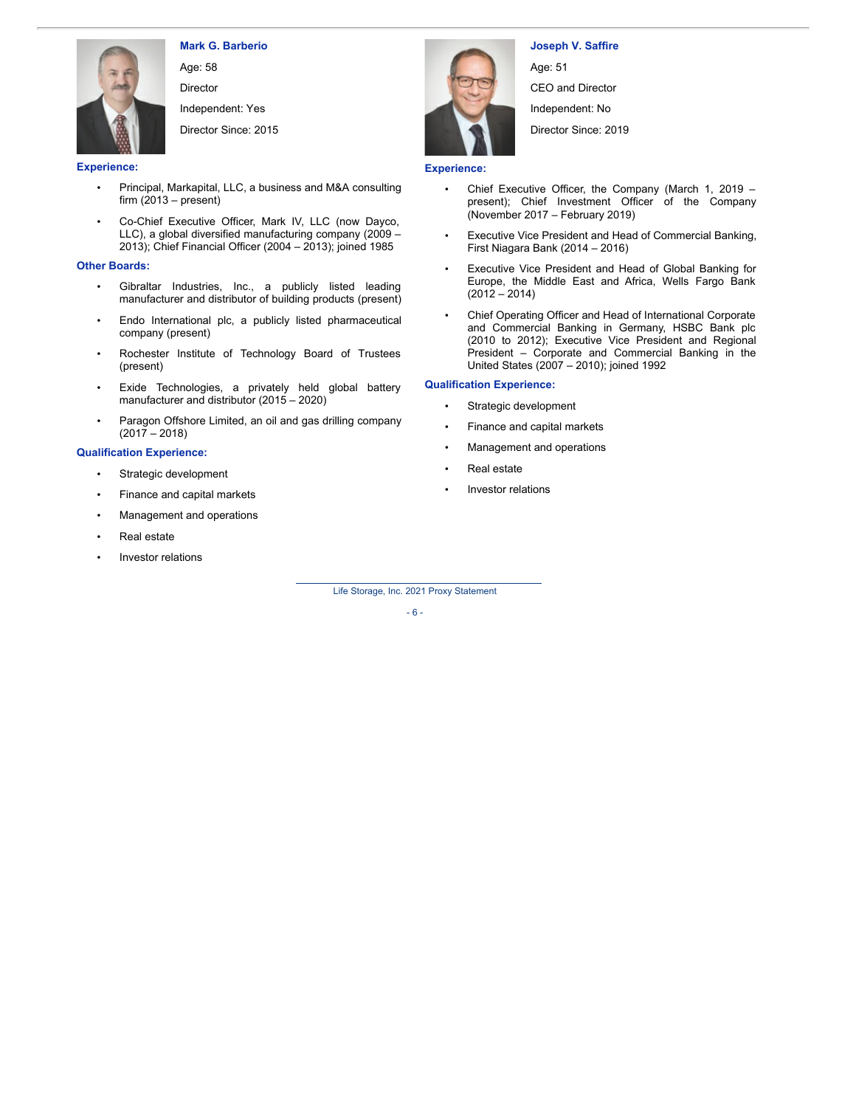

**Mark G. Barberio**

Age: 58 Director

Independent: Yes

Director Since: 2015

**Experience:**

- Principal, Markapital, LLC, a business and M&A consulting firm  $(2013 - present)$
- Co-Chief Executive Officer, Mark IV, LLC (now Dayco, LLC), a global diversified manufacturing company (2009 – 2013); Chief Financial Officer (2004 – 2013); joined 1985

### **Other Boards:**

- Gibraltar Industries, Inc., a publicly listed leading manufacturer and distributor of building products (present)
- Endo International plc, a publicly listed pharmaceutical company (present)
- Rochester Institute of Technology Board of Trustees (present)
- Exide Technologies, a privately held global battery manufacturer and distributor (2015 – 2020)
- Paragon Offshore Limited, an oil and gas drilling company  $(2017 - 2018)$

### **Qualification Experience:**

- Strategic development
- Finance and capital markets
- Management and operations
- Real estate
- Investor relations



# **Joseph V. Saffire**

Age: 51 CEO and Director Independent: No Director Since: 2019

### **Experience:**

- Chief Executive Officer, the Company (March 1, 2019 present); Chief Investment Officer of the Company (November 2017 – February 2019)
- Executive Vice President and Head of Commercial Banking, First Niagara Bank (2014 – 2016)
- Executive Vice President and Head of Global Banking for Europe, the Middle East and Africa, Wells Fargo Bank  $(2012 - 2014)$
- Chief Operating Officer and Head of International Corporate and Commercial Banking in Germany, HSBC Bank plc (2010 to 2012); Executive Vice President and Regional President – Corporate and Commercial Banking in the United States (2007 – 2010); joined 1992

### **Qualification Experience:**

- Strategic development
- Finance and capital markets
- Management and operations
- Real estate
- Investor relations

Life Storage, Inc. 2021 Proxy Statement

- 6 -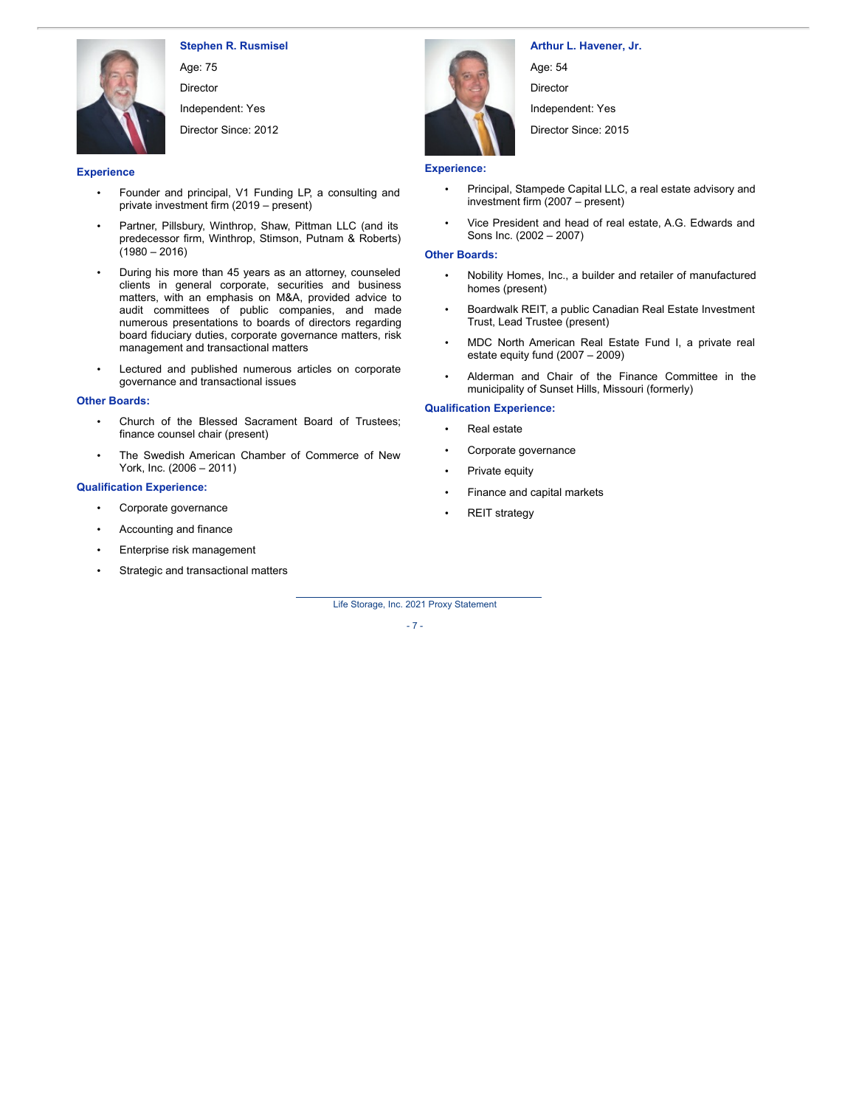

**Stephen R. Rusmisel**

Age: 75 Director Independent: Yes Director Since: 2012

#### **Experience**

- Founder and principal, V1 Funding LP, a consulting and private investment firm (2019 – present)
- Partner, Pillsbury, Winthrop, Shaw, Pittman LLC (and its predecessor firm, Winthrop, Stimson, Putnam & Roberts)  $(1980 - 2016)$
- During his more than 45 years as an attorney, counseled clients in general corporate, securities and business matters, with an emphasis on M&A, provided advice to audit committees of public companies, and made numerous presentations to boards of directors regarding board fiduciary duties, corporate governance matters, risk management and transactional matters
- Lectured and published numerous articles on corporate governance and transactional issues

### **Other Boards:**

- Church of the Blessed Sacrament Board of Trustees; finance counsel chair (present)
- The Swedish American Chamber of Commerce of New York, Inc. (2006 – 2011)

#### **Qualification Experience:**

- Corporate governance
- Accounting and finance
- Enterprise risk management
- Strategic and transactional matters



**Arthur L. Havener, Jr.**

Age: 54

Director

Independent: Yes

Director Since: 2015

### **Experience:**

- Principal, Stampede Capital LLC, a real estate advisory and investment firm (2007 – present)
- Vice President and head of real estate, A.G. Edwards and Sons Inc. (2002 – 2007)

### **Other Boards:**

- Nobility Homes, Inc., a builder and retailer of manufactured homes (present)
- Boardwalk REIT, a public Canadian Real Estate Investment Trust, Lead Trustee (present)
- MDC North American Real Estate Fund I, a private real estate equity fund (2007 – 2009)
- Alderman and Chair of the Finance Committee in the municipality of Sunset Hills, Missouri (formerly)

### **Qualification Experience:**

- Real estate
- Corporate governance
- Private equity
- Finance and capital markets
- **REIT** strategy

Life Storage, Inc. 2021 Proxy Statement

#### $-7 -$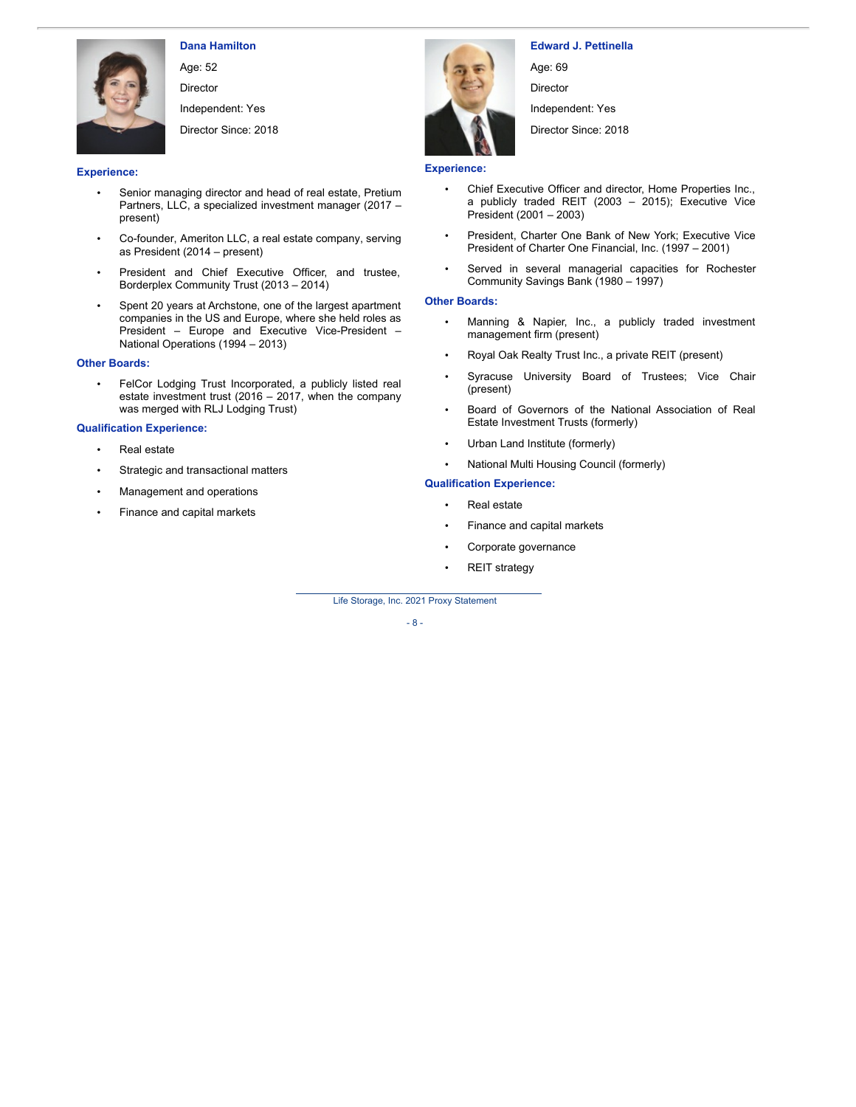

**Dana Hamilton**

Age: 52 Director

Independent: Yes

Director Since: 2018

### **Experience:**

- Senior managing director and head of real estate, Pretium Partners, LLC, a specialized investment manager (2017 – present)
- Co-founder, Ameriton LLC, a real estate company, serving as President (2014 – present)
- President and Chief Executive Officer, and trustee, Borderplex Community Trust (2013 – 2014)
- Spent 20 years at Archstone, one of the largest apartment companies in the US and Europe, where she held roles as President – Europe and Executive Vice-President – National Operations (1994 – 2013)

### **Other Boards:**

FelCor Lodging Trust Incorporated, a publicly listed real estate investment trust (2016 – 2017, when the company was merged with RLJ Lodging Trust)

### **Qualification Experience:**

- Real estate
- Strategic and transactional matters
- Management and operations
- Finance and capital markets



**Edward J. Pettinella** Age: 69 **Director** Independent: Yes Director Since: 2018

## **Experience:**

- Chief Executive Officer and director, Home Properties Inc., a publicly traded REIT (2003 – 2015); Executive Vice President (2001 – 2003)
- President, Charter One Bank of New York; Executive Vice President of Charter One Financial, Inc. (1997 – 2001)
- Served in several managerial capacities for Rochester Community Savings Bank (1980 – 1997)

### **Other Boards:**

- Manning & Napier, Inc., a publicly traded investment management firm (present)
- Royal Oak Realty Trust Inc., a private REIT (present)
- Syracuse University Board of Trustees; Vice Chair (present)
- Board of Governors of the National Association of Real Estate Investment Trusts (formerly)
- Urban Land Institute (formerly)
- National Multi Housing Council (formerly)

### **Qualification Experience:**

- Real estate
- Finance and capital markets
- Corporate governance
- **REIT** strategy

Life Storage, Inc. 2021 Proxy Statement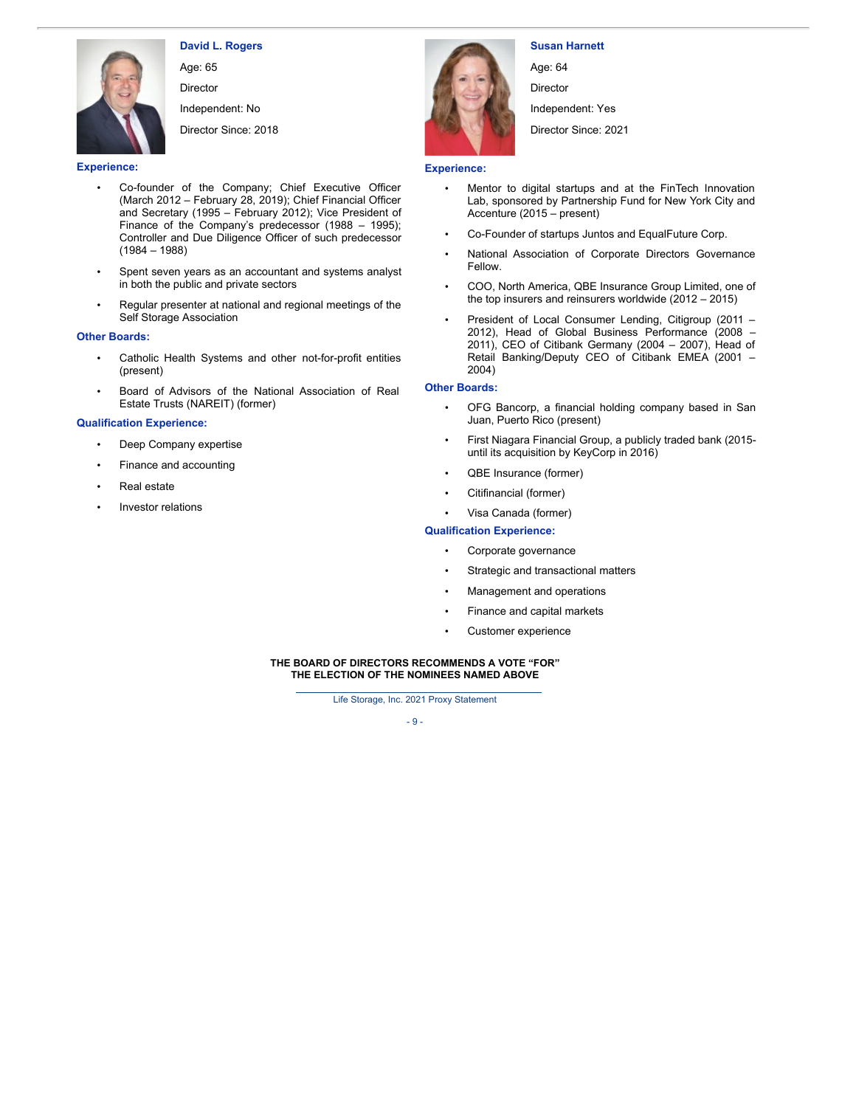

**David L. Rogers**

Age: 65 Director

Independent: No

Director Since: 2018

**Experience:**

- Co-founder of the Company; Chief Executive Officer (March 2012 – February 28, 2019); Chief Financial Officer and Secretary (1995 – February 2012); Vice President of Finance of the Company's predecessor (1988 – 1995); Controller and Due Diligence Officer of such predecessor (1984 – 1988)
- Spent seven years as an accountant and systems analyst in both the public and private sectors
- Regular presenter at national and regional meetings of the Self Storage Association

### **Other Boards:**

- Catholic Health Systems and other not-for-profit entities (present)
- Board of Advisors of the National Association of Real Estate Trusts (NAREIT) (former)

### **Qualification Experience:**

- Deep Company expertise
- Finance and accounting
- Real estate
- Investor relations



## **Susan Harnett**

Age: 64 **Director** 

Independent: Yes

Director Since: 2021

## **Experience:**

- Mentor to digital startups and at the FinTech Innovation Lab, sponsored by Partnership Fund for New York City and Accenture (2015 – present)
- Co-Founder of startups Juntos and EqualFuture Corp.
- National Association of Corporate Directors Governance Fellow.
- COO, North America, QBE Insurance Group Limited, one of the top insurers and reinsurers worldwide (2012 – 2015)
- President of Local Consumer Lending, Citigroup (2011 2012), Head of Global Business Performance (2008 – 2011), CEO of Citibank Germany (2004 - 2007), Head of Retail Banking/Deputy CEO of Citibank EMEA (2001 – 2004)

### **Other Boards:**

- OFG Bancorp, a financial holding company based in San Juan, Puerto Rico (present)
- First Niagara Financial Group, a publicly traded bank (2015 until its acquisition by KeyCorp in 2016)
- QBE Insurance (former)
- Citifinancial (former)
- Visa Canada (former)

## **Qualification Experience:**

- Corporate governance
- Strategic and transactional matters
- Management and operations
- Finance and capital markets
- Customer experience

### **THE BOARD OF DIRECTORS RECOMMENDS A VOTE "FOR" THE ELECTION OF THE NOMINEES NAMED ABOVE**

Life Storage, Inc. 2021 Proxy Statement

- 9 -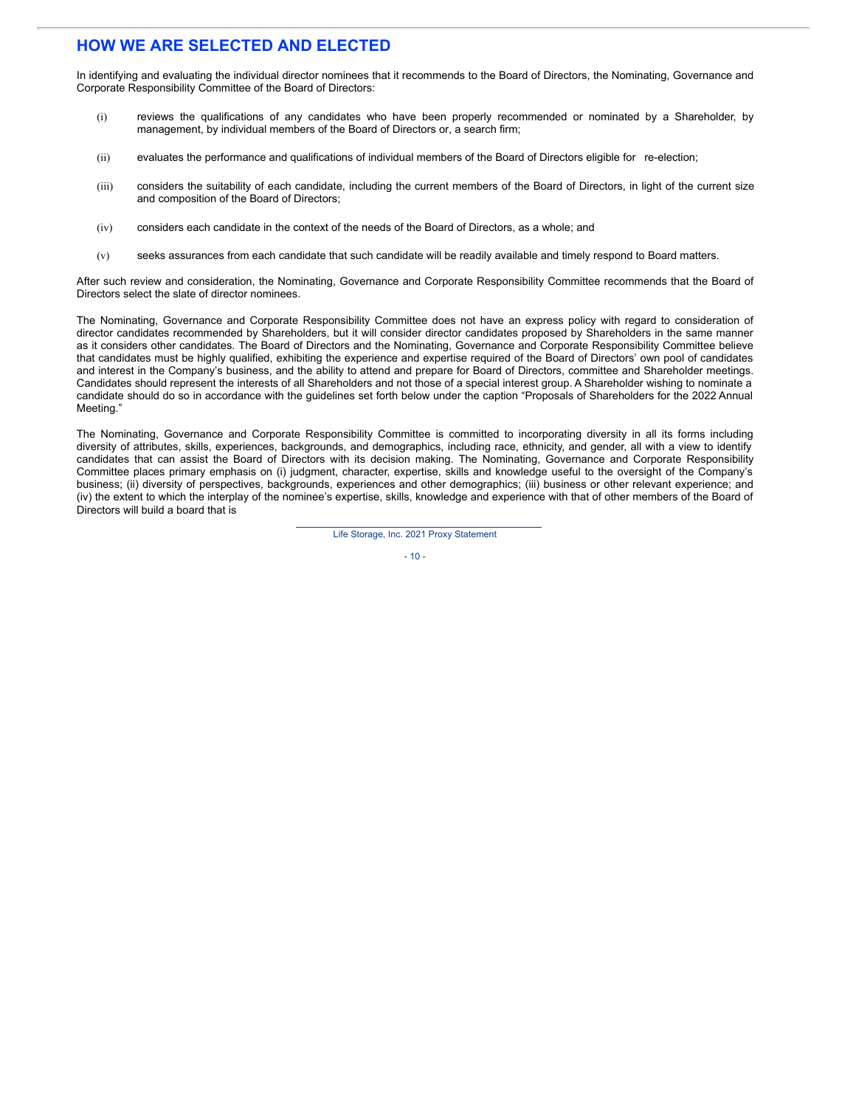# **HOW WE ARE SELECTED AND ELECTED**

In identifying and evaluating the individual director nominees that it recommends to the Board of Directors, the Nominating, Governance and Corporate Responsibility Committee of the Board of Directors:

- (i) reviews the qualifications of any candidates who have been properly recommended or nominated by a Shareholder, by management, by individual members of the Board of Directors or, a search firm;
- (ii) evaluates the performance and qualifications of individual members of the Board of Directors eligible for re-election;
- (iii) considers the suitability of each candidate, including the current members of the Board of Directors, in light of the current size and composition of the Board of Directors;
- (iv) considers each candidate in the context of the needs of the Board of Directors, as a whole; and
- (v) seeks assurances from each candidate that such candidate will be readily available and timely respond to Board matters.

After such review and consideration, the Nominating, Governance and Corporate Responsibility Committee recommends that the Board of Directors select the slate of director nominees.

The Nominating, Governance and Corporate Responsibility Committee does not have an express policy with regard to consideration of director candidates recommended by Shareholders, but it will consider director candidates proposed by Shareholders in the same manner as it considers other candidates. The Board of Directors and the Nominating, Governance and Corporate Responsibility Committee believe that candidates must be highly qualified, exhibiting the experience and expertise required of the Board of Directors' own pool of candidates and interest in the Company's business, and the ability to attend and prepare for Board of Directors, committee and Shareholder meetings. Candidates should represent the interests of all Shareholders and not those of a special interest group. A Shareholder wishing to nominate a candidate should do so in accordance with the guidelines set forth below under the caption "Proposals of Shareholders for the 2022 Annual Meeting."

The Nominating, Governance and Corporate Responsibility Committee is committed to incorporating diversity in all its forms including diversity of attributes, skills, experiences, backgrounds, and demographics, including race, ethnicity, and gender, all with a view to identify candidates that can assist the Board of Directors with its decision making. The Nominating, Governance and Corporate Responsibility Committee places primary emphasis on (i) judgment, character, expertise, skills and knowledge useful to the oversight of the Company's business; (ii) diversity of perspectives, backgrounds, experiences and other demographics; (iii) business or other relevant experience; and (iv) the extent to which the interplay of the nominee's expertise, skills, knowledge and experience with that of other members of the Board of Directors will build a board that is

Life Storage, Inc. 2021 Proxy Statement

 $-10-$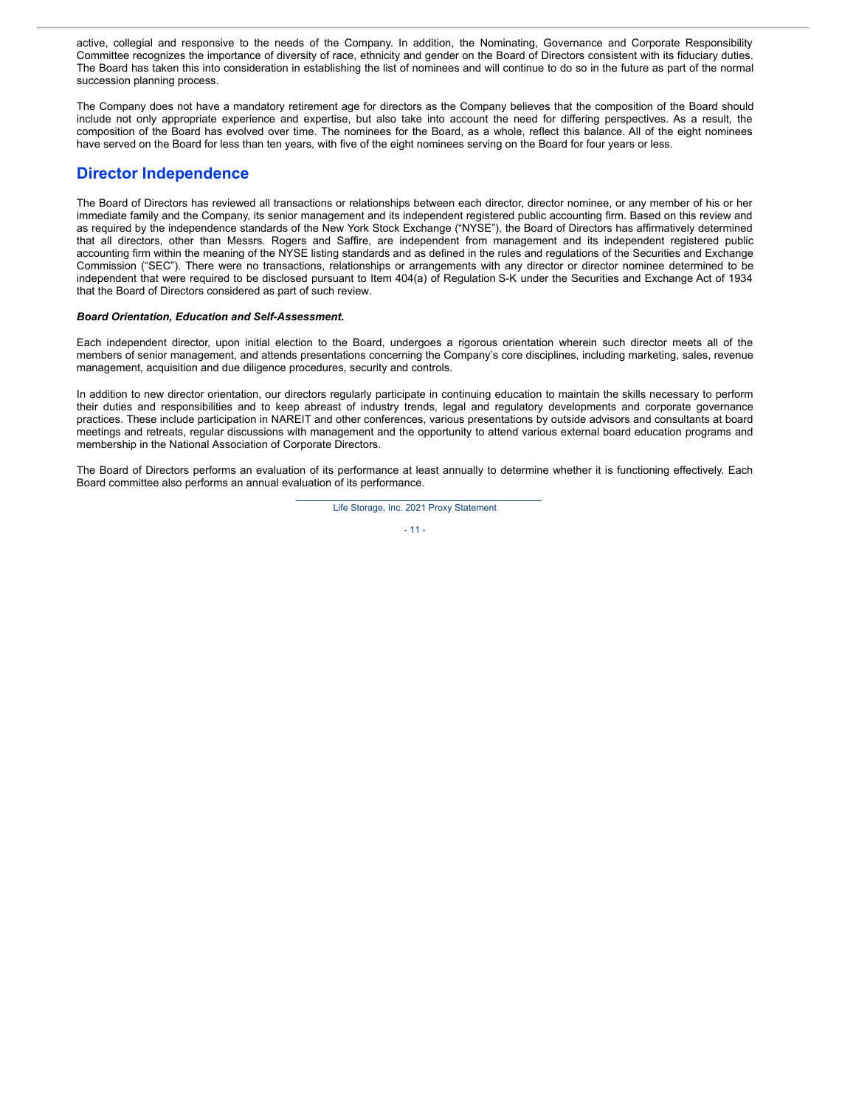active, collegial and responsive to the needs of the Company. In addition, the Nominating, Governance and Corporate Responsibility Committee recognizes the importance of diversity of race, ethnicity and gender on the Board of Directors consistent with its fiduciary duties. The Board has taken this into consideration in establishing the list of nominees and will continue to do so in the future as part of the normal succession planning process.

The Company does not have a mandatory retirement age for directors as the Company believes that the composition of the Board should include not only appropriate experience and expertise, but also take into account the need for differing perspectives. As a result, the composition of the Board has evolved over time. The nominees for the Board, as a whole, reflect this balance. All of the eight nominees have served on the Board for less than ten years, with five of the eight nominees serving on the Board for four years or less.

# **Director Independence**

The Board of Directors has reviewed all transactions or relationships between each director, director nominee, or any member of his or her immediate family and the Company, its senior management and its independent registered public accounting firm. Based on this review and as required by the independence standards of the New York Stock Exchange ("NYSE"), the Board of Directors has affirmatively determined that all directors, other than Messrs. Rogers and Saffire, are independent from management and its independent registered public accounting firm within the meaning of the NYSE listing standards and as defined in the rules and regulations of the Securities and Exchange Commission ("SEC"). There were no transactions, relationships or arrangements with any director or director nominee determined to be independent that were required to be disclosed pursuant to Item 404(a) of Regulation S-K under the Securities and Exchange Act of 1934 that the Board of Directors considered as part of such review.

### *Board Orientation, Education and Self-Assessment.*

Each independent director, upon initial election to the Board, undergoes a rigorous orientation wherein such director meets all of the members of senior management, and attends presentations concerning the Company's core disciplines, including marketing, sales, revenue management, acquisition and due diligence procedures, security and controls.

In addition to new director orientation, our directors regularly participate in continuing education to maintain the skills necessary to perform their duties and responsibilities and to keep abreast of industry trends, legal and regulatory developments and corporate governance practices. These include participation in NAREIT and other conferences, various presentations by outside advisors and consultants at board meetings and retreats, regular discussions with management and the opportunity to attend various external board education programs and membership in the National Association of Corporate Directors.

The Board of Directors performs an evaluation of its performance at least annually to determine whether it is functioning effectively. Each Board committee also performs an annual evaluation of its performance.

> Life Storage, Inc. 2021 Proxy Statement  $-11 -$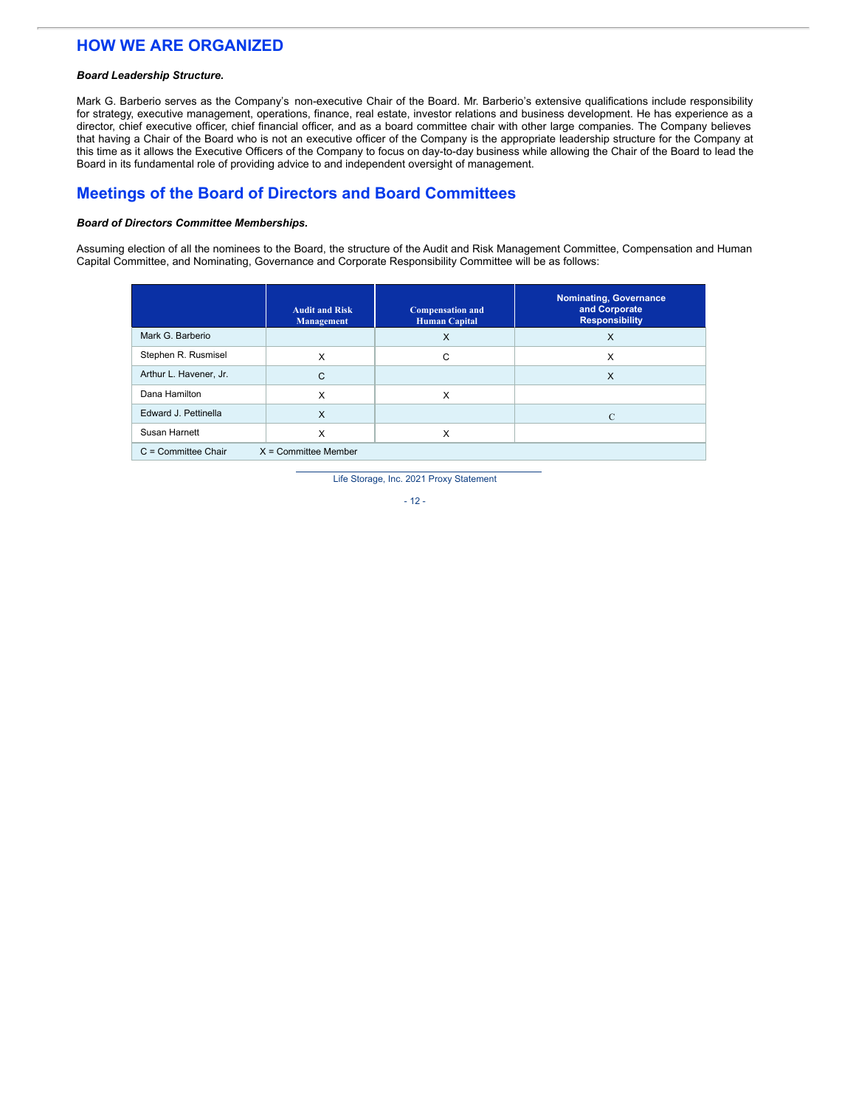# **HOW WE ARE ORGANIZED**

### *Board Leadership Structure.*

Mark G. Barberio serves as the Company's non-executive Chair of the Board. Mr. Barberio's extensive qualifications include responsibility for strategy, executive management, operations, finance, real estate, investor relations and business development. He has experience as a director, chief executive officer, chief financial officer, and as a board committee chair with other large companies. The Company believes that having a Chair of the Board who is not an executive officer of the Company is the appropriate leadership structure for the Company at this time as it allows the Executive Officers of the Company to focus on day-to-day business while allowing the Chair of the Board to lead the Board in its fundamental role of providing advice to and independent oversight of management.

# **Meetings of the Board of Directors and Board Committees**

### *Board of Directors Committee Memberships.*

Assuming election of all the nominees to the Board, the structure of the Audit and Risk Management Committee, Compensation and Human Capital Committee, and Nominating, Governance and Corporate Responsibility Committee will be as follows:

|                                                 | <b>Audit and Risk</b><br><b>Management</b> | <b>Compensation and</b><br><b>Human Capital</b> | <b>Nominating, Governance</b><br>and Corporate<br><b>Responsibility</b> |  |  |  |
|-------------------------------------------------|--------------------------------------------|-------------------------------------------------|-------------------------------------------------------------------------|--|--|--|
| Mark G. Barberio                                |                                            | X                                               | $\times$                                                                |  |  |  |
| Stephen R. Rusmisel                             | X                                          | С                                               | X                                                                       |  |  |  |
| Arthur L. Havener, Jr.                          | C                                          |                                                 | $\times$                                                                |  |  |  |
| Dana Hamilton                                   | X                                          | X                                               |                                                                         |  |  |  |
| Edward J. Pettinella                            | $\times$                                   |                                                 | $\mathcal{C}$                                                           |  |  |  |
| Susan Harnett                                   | X                                          | х                                               |                                                                         |  |  |  |
| $C =$ Committee Chair<br>$X =$ Committee Member |                                            |                                                 |                                                                         |  |  |  |

Life Storage, Inc. 2021 Proxy Statement

- 12 -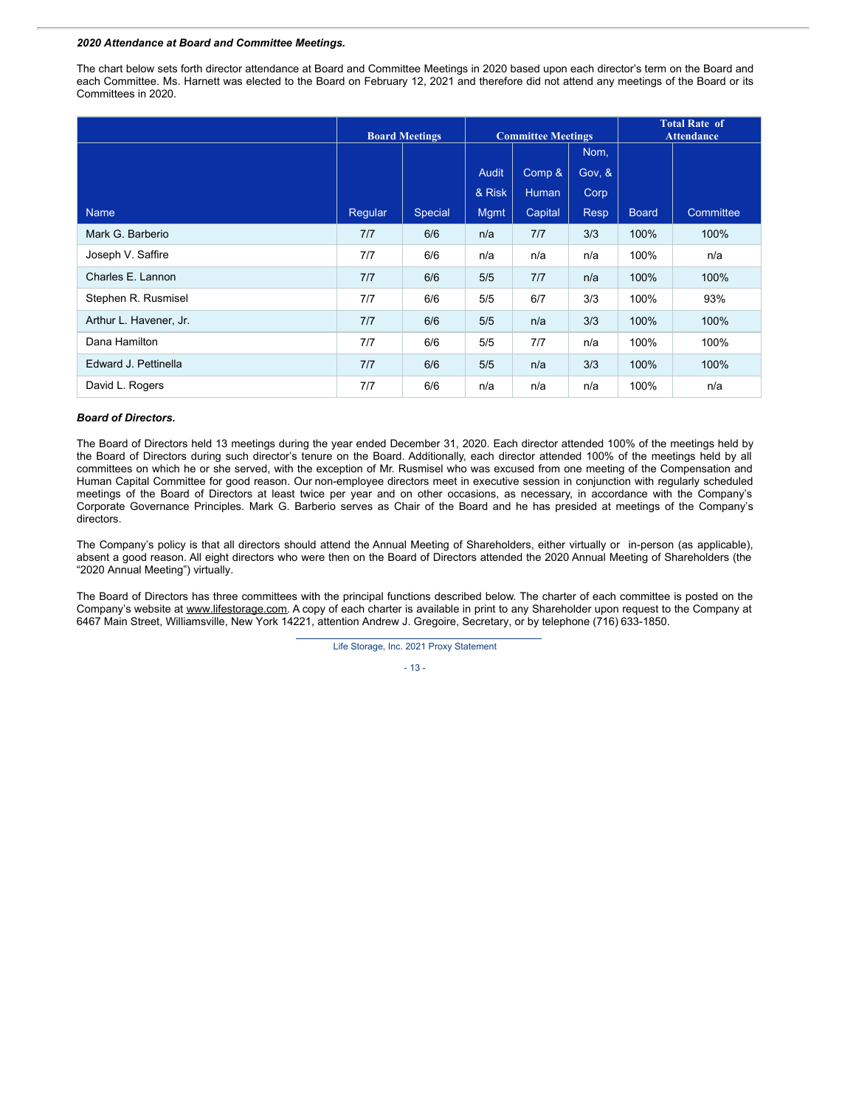#### *2020 Attendance at Board and Committee Meetings.*

The chart below sets forth director attendance at Board and Committee Meetings in 2020 based upon each director's term on the Board and each Committee. Ms. Harnett was elected to the Board on February 12, 2021 and therefore did not attend any meetings of the Board or its Committees in 2020.

|                        | <b>Board Meetings</b> |         | <b>Committee Meetings</b> |         | <b>Total Rate of</b><br><b>Attendance</b> |              |           |
|------------------------|-----------------------|---------|---------------------------|---------|-------------------------------------------|--------------|-----------|
|                        |                       |         |                           |         | Nom,                                      |              |           |
|                        |                       |         | <b>Audit</b>              | Comp &  | Gov, &                                    |              |           |
|                        |                       |         | & Risk                    | Human   | Corp                                      |              |           |
| <b>Name</b>            | Regular               | Special | <b>Mgmt</b>               | Capital | <b>Resp</b>                               | <b>Board</b> | Committee |
| Mark G. Barberio       | 7/7                   | 6/6     | n/a                       | 7/7     | 3/3                                       | 100%         | 100%      |
| Joseph V. Saffire      | 7/7                   | 6/6     | n/a                       | n/a     | n/a                                       | 100%         | n/a       |
| Charles E. Lannon      | 7/7                   | 6/6     | 5/5                       | 7/7     | n/a                                       | 100%         | 100%      |
| Stephen R. Rusmisel    | 7/7                   | 6/6     | 5/5                       | 6/7     | 3/3                                       | 100%         | 93%       |
| Arthur L. Havener, Jr. | 7/7                   | 6/6     | 5/5                       | n/a     | 3/3                                       | 100%         | 100%      |
| Dana Hamilton          | 7/7                   | 6/6     | 5/5                       | 7/7     | n/a                                       | 100%         | 100%      |
| Edward J. Pettinella   | 7/7                   | 6/6     | 5/5                       | n/a     | 3/3                                       | 100%         | 100%      |
| David L. Rogers        | 7/7                   | 6/6     | n/a                       | n/a     | n/a                                       | 100%         | n/a       |

### *Board of Directors.*

The Board of Directors held 13 meetings during the year ended December 31, 2020. Each director attended 100% of the meetings held by the Board of Directors during such director's tenure on the Board. Additionally, each director attended 100% of the meetings held by all committees on which he or she served, with the exception of Mr. Rusmisel who was excused from one meeting of the Compensation and Human Capital Committee for good reason. Our non-employee directors meet in executive session in conjunction with regularly scheduled meetings of the Board of Directors at least twice per year and on other occasions, as necessary, in accordance with the Company's Corporate Governance Principles. Mark G. Barberio serves as Chair of the Board and he has presided at meetings of the Company's directors.

The Company's policy is that all directors should attend the Annual Meeting of Shareholders, either virtually or in-person (as applicable), absent a good reason. All eight directors who were then on the Board of Directors attended the 2020 Annual Meeting of Shareholders (the "2020 Annual Meeting") virtually.

The Board of Directors has three committees with the principal functions described below. The charter of each committee is posted on the Company's website at www.lifestorage.com. A copy of each charter is available in print to any Shareholder upon request to the Company at 6467 Main Street, Williamsville, New York 14221, attention Andrew J. Gregoire, Secretary, or by telephone (716) 633-1850.

Life Storage, Inc. 2021 Proxy Statement

- 13 -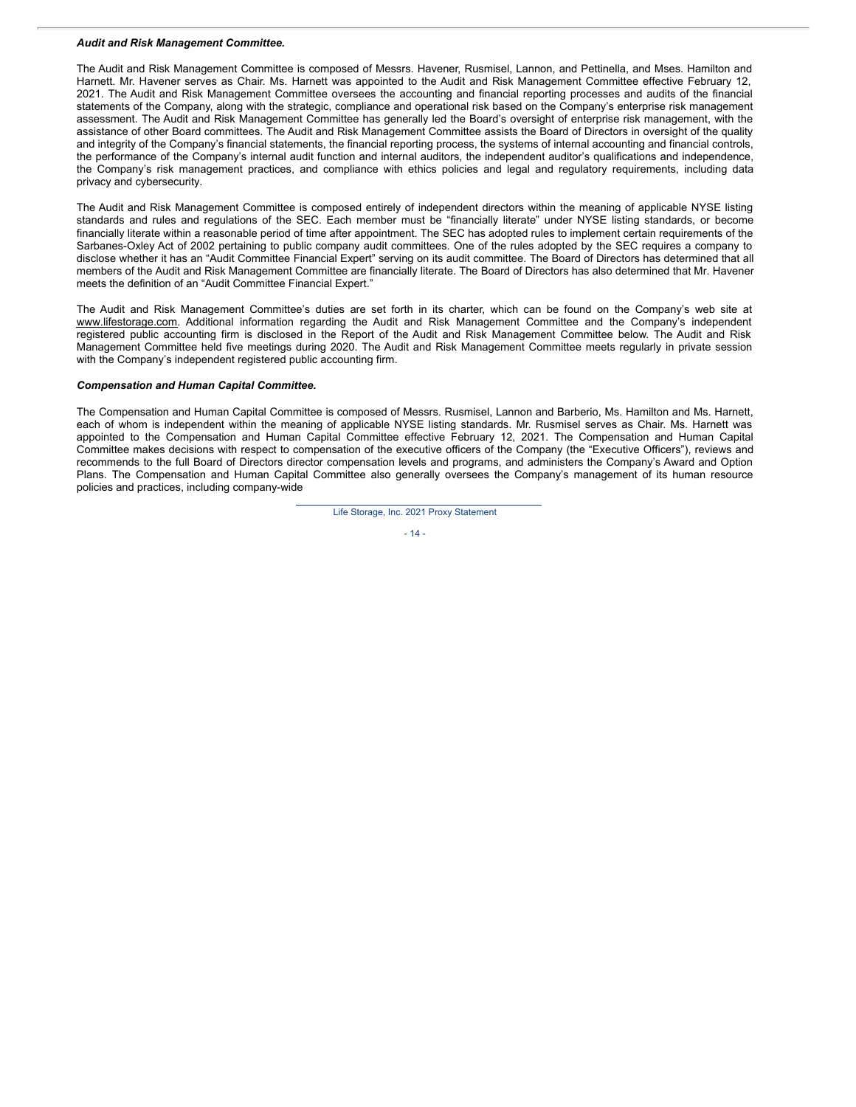#### *Audit and Risk Management Committee.*

The Audit and Risk Management Committee is composed of Messrs. Havener, Rusmisel, Lannon, and Pettinella, and Mses. Hamilton and Harnett. Mr. Havener serves as Chair. Ms. Harnett was appointed to the Audit and Risk Management Committee effective February 12, 2021. The Audit and Risk Management Committee oversees the accounting and financial reporting processes and audits of the financial statements of the Company, along with the strategic, compliance and operational risk based on the Company's enterprise risk management assessment. The Audit and Risk Management Committee has generally led the Board's oversight of enterprise risk management, with the assistance of other Board committees. The Audit and Risk Management Committee assists the Board of Directors in oversight of the quality and integrity of the Company's financial statements, the financial reporting process, the systems of internal accounting and financial controls, the performance of the Company's internal audit function and internal auditors, the independent auditor's qualifications and independence, the Company's risk management practices, and compliance with ethics policies and legal and regulatory requirements, including data privacy and cybersecurity.

The Audit and Risk Management Committee is composed entirely of independent directors within the meaning of applicable NYSE listing standards and rules and regulations of the SEC. Each member must be "financially literate" under NYSE listing standards, or become financially literate within a reasonable period of time after appointment. The SEC has adopted rules to implement certain requirements of the Sarbanes-Oxley Act of 2002 pertaining to public company audit committees. One of the rules adopted by the SEC requires a company to disclose whether it has an "Audit Committee Financial Expert" serving on its audit committee. The Board of Directors has determined that all members of the Audit and Risk Management Committee are financially literate. The Board of Directors has also determined that Mr. Havener meets the definition of an "Audit Committee Financial Expert."

The Audit and Risk Management Committee's duties are set forth in its charter, which can be found on the Company's web site at www.lifestorage.com. Additional information regarding the Audit and Risk Management Committee and the Company's independent registered public accounting firm is disclosed in the Report of the Audit and Risk Management Committee below. The Audit and Risk Management Committee held five meetings during 2020. The Audit and Risk Management Committee meets regularly in private session with the Company's independent registered public accounting firm.

#### *Compensation and Human Capital Committee.*

The Compensation and Human Capital Committee is composed of Messrs. Rusmisel, Lannon and Barberio, Ms. Hamilton and Ms. Harnett, each of whom is independent within the meaning of applicable NYSE listing standards. Mr. Rusmisel serves as Chair. Ms. Harnett was appointed to the Compensation and Human Capital Committee effective February 12, 2021. The Compensation and Human Capital Committee makes decisions with respect to compensation of the executive officers of the Company (the "Executive Officers"), reviews and recommends to the full Board of Directors director compensation levels and programs, and administers the Company's Award and Option Plans. The Compensation and Human Capital Committee also generally oversees the Company's management of its human resource policies and practices, including company-wide

Life Storage, Inc. 2021 Proxy Statement

 $-14-$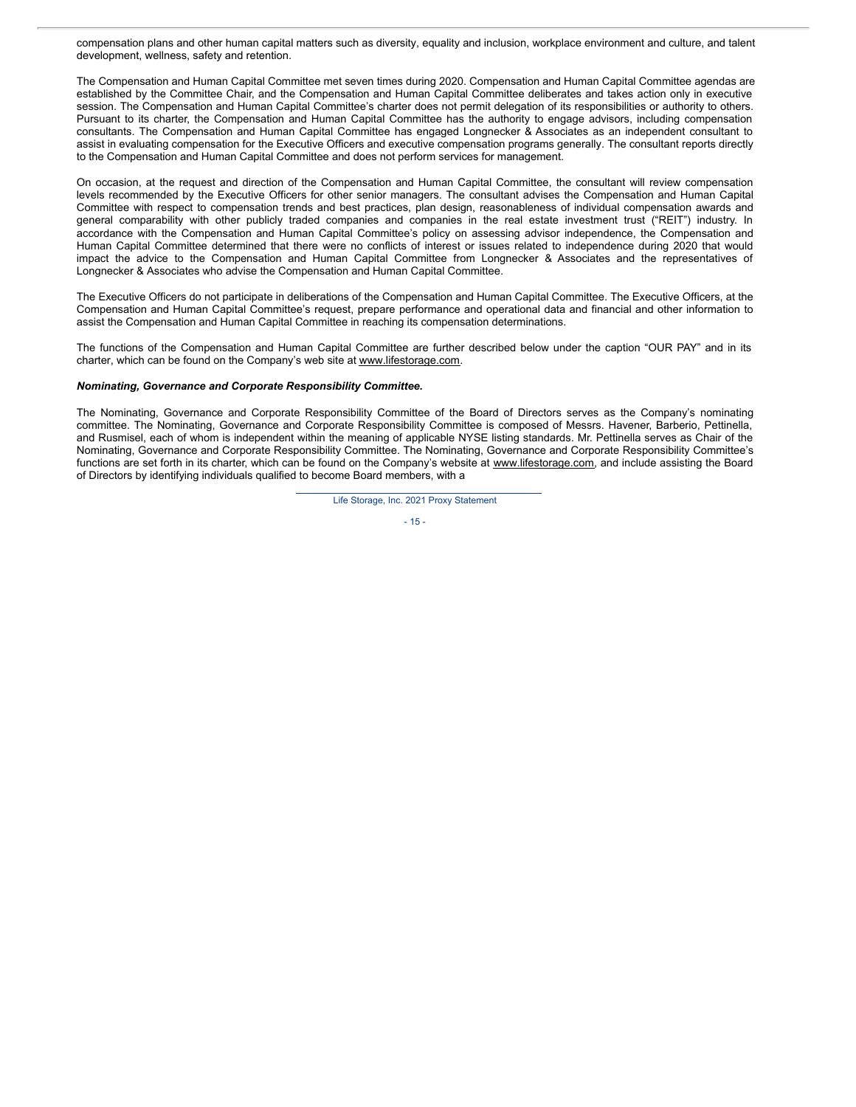compensation plans and other human capital matters such as diversity, equality and inclusion, workplace environment and culture, and talent development, wellness, safety and retention.

The Compensation and Human Capital Committee met seven times during 2020. Compensation and Human Capital Committee agendas are established by the Committee Chair, and the Compensation and Human Capital Committee deliberates and takes action only in executive session. The Compensation and Human Capital Committee's charter does not permit delegation of its responsibilities or authority to others. Pursuant to its charter, the Compensation and Human Capital Committee has the authority to engage advisors, including compensation consultants. The Compensation and Human Capital Committee has engaged Longnecker & Associates as an independent consultant to assist in evaluating compensation for the Executive Officers and executive compensation programs generally. The consultant reports directly to the Compensation and Human Capital Committee and does not perform services for management.

On occasion, at the request and direction of the Compensation and Human Capital Committee, the consultant will review compensation levels recommended by the Executive Officers for other senior managers. The consultant advises the Compensation and Human Capital Committee with respect to compensation trends and best practices, plan design, reasonableness of individual compensation awards and general comparability with other publicly traded companies and companies in the real estate investment trust ("REIT") industry. In accordance with the Compensation and Human Capital Committee's policy on assessing advisor independence, the Compensation and Human Capital Committee determined that there were no conflicts of interest or issues related to independence during 2020 that would impact the advice to the Compensation and Human Capital Committee from Longnecker & Associates and the representatives of Longnecker & Associates who advise the Compensation and Human Capital Committee.

The Executive Officers do not participate in deliberations of the Compensation and Human Capital Committee. The Executive Officers, at the Compensation and Human Capital Committee's request, prepare performance and operational data and financial and other information to assist the Compensation and Human Capital Committee in reaching its compensation determinations.

The functions of the Compensation and Human Capital Committee are further described below under the caption "OUR PAY" and in its charter, which can be found on the Company's web site at www.lifestorage.com.

### *Nominating, Governance and Corporate Responsibility Committee.*

The Nominating, Governance and Corporate Responsibility Committee of the Board of Directors serves as the Company's nominating committee. The Nominating, Governance and Corporate Responsibility Committee is composed of Messrs. Havener, Barberio, Pettinella, and Rusmisel, each of whom is independent within the meaning of applicable NYSE listing standards. Mr. Pettinella serves as Chair of the Nominating, Governance and Corporate Responsibility Committee. The Nominating, Governance and Corporate Responsibility Committee's functions are set forth in its charter, which can be found on the Company's website at www.lifestorage.com, and include assisting the Board of Directors by identifying individuals qualified to become Board members, with a

Life Storage, Inc. 2021 Proxy Statement

- 15 -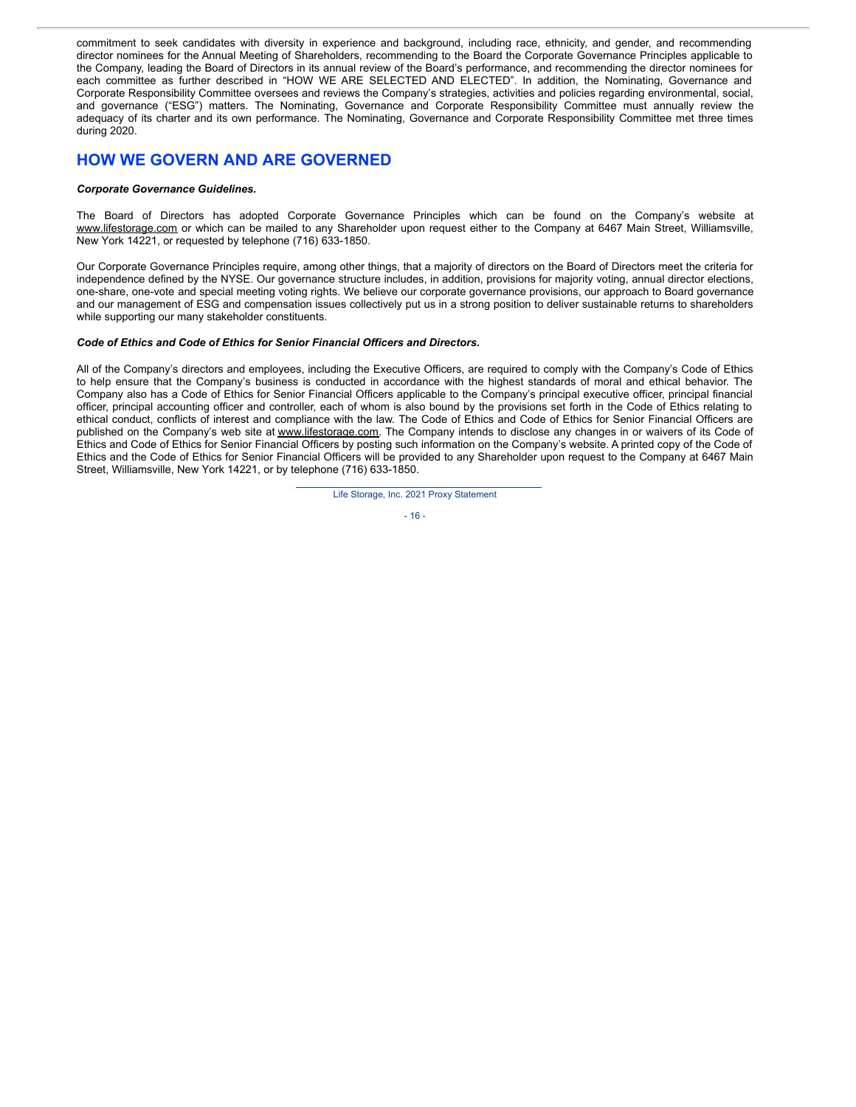commitment to seek candidates with diversity in experience and background, including race, ethnicity, and gender, and recommending director nominees for the Annual Meeting of Shareholders, recommending to the Board the Corporate Governance Principles applicable to the Company, leading the Board of Directors in its annual review of the Board's performance, and recommending the director nominees for each committee as further described in "HOW WE ARE SELECTED AND ELECTED". In addition, the Nominating, Governance and Corporate Responsibility Committee oversees and reviews the Company's strategies, activities and policies regarding environmental, social, and governance ("ESG") matters. The Nominating, Governance and Corporate Responsibility Committee must annually review the adequacy of its charter and its own performance. The Nominating, Governance and Corporate Responsibility Committee met three times during 2020.

# **HOW WE GOVERN AND ARE GOVERNED**

### *Corporate Governance Guidelines.*

The Board of Directors has adopted Corporate Governance Principles which can be found on the Company's website at www.lifestorage.com or which can be mailed to any Shareholder upon request either to the Company at 6467 Main Street, Williamsville, New York 14221, or requested by telephone (716) 633-1850.

Our Corporate Governance Principles require, among other things, that a majority of directors on the Board of Directors meet the criteria for independence defined by the NYSE. Our governance structure includes, in addition, provisions for majority voting, annual director elections, one-share, one-vote and special meeting voting rights. We believe our corporate governance provisions, our approach to Board governance and our management of ESG and compensation issues collectively put us in a strong position to deliver sustainable returns to shareholders while supporting our many stakeholder constituents.

### *Code of Ethics and Code of Ethics for Senior Financial Officers and Directors.*

All of the Company's directors and employees, including the Executive Officers, are required to comply with the Company's Code of Ethics to help ensure that the Company's business is conducted in accordance with the highest standards of moral and ethical behavior. The Company also has a Code of Ethics for Senior Financial Officers applicable to the Company's principal executive officer, principal financial officer, principal accounting officer and controller, each of whom is also bound by the provisions set forth in the Code of Ethics relating to ethical conduct, conflicts of interest and compliance with the law. The Code of Ethics and Code of Ethics for Senior Financial Officers are published on the Company's web site at www.lifestorage.com. The Company intends to disclose any changes in or waivers of its Code of Ethics and Code of Ethics for Senior Financial Officers by posting such information on the Company's website. A printed copy of the Code of Ethics and the Code of Ethics for Senior Financial Officers will be provided to any Shareholder upon request to the Company at 6467 Main Street, Williamsville, New York 14221, or by telephone (716) 633-1850.



- 16 -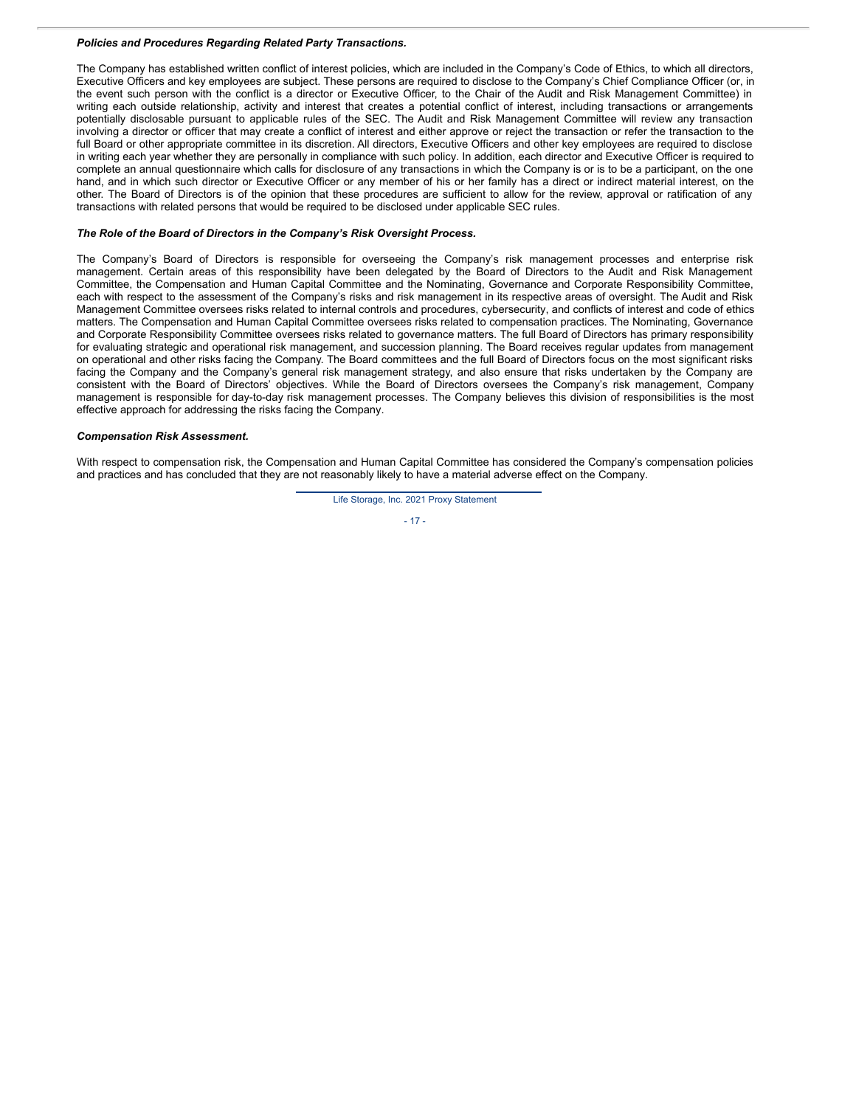### *Policies and Procedures Regarding Related Party Transactions.*

The Company has established written conflict of interest policies, which are included in the Company's Code of Ethics, to which all directors, Executive Officers and key employees are subject. These persons are required to disclose to the Company's Chief Compliance Officer (or, in the event such person with the conflict is a director or Executive Officer, to the Chair of the Audit and Risk Management Committee) in writing each outside relationship, activity and interest that creates a potential conflict of interest, including transactions or arrangements potentially disclosable pursuant to applicable rules of the SEC. The Audit and Risk Management Committee will review any transaction involving a director or officer that may create a conflict of interest and either approve or reject the transaction or refer the transaction to the full Board or other appropriate committee in its discretion. All directors, Executive Officers and other key employees are required to disclose in writing each year whether they are personally in compliance with such policy. In addition, each director and Executive Officer is required to complete an annual questionnaire which calls for disclosure of any transactions in which the Company is or is to be a participant, on the one hand, and in which such director or Executive Officer or any member of his or her family has a direct or indirect material interest, on the other. The Board of Directors is of the opinion that these procedures are sufficient to allow for the review, approval or ratification of any transactions with related persons that would be required to be disclosed under applicable SEC rules.

### *The Role of the Board of Directors in the Company's Risk Oversight Process.*

The Company's Board of Directors is responsible for overseeing the Company's risk management processes and enterprise risk management. Certain areas of this responsibility have been delegated by the Board of Directors to the Audit and Risk Management Committee, the Compensation and Human Capital Committee and the Nominating, Governance and Corporate Responsibility Committee, each with respect to the assessment of the Company's risks and risk management in its respective areas of oversight. The Audit and Risk Management Committee oversees risks related to internal controls and procedures, cybersecurity, and conflicts of interest and code of ethics matters. The Compensation and Human Capital Committee oversees risks related to compensation practices. The Nominating, Governance and Corporate Responsibility Committee oversees risks related to governance matters. The full Board of Directors has primary responsibility for evaluating strategic and operational risk management, and succession planning. The Board receives regular updates from management on operational and other risks facing the Company. The Board committees and the full Board of Directors focus on the most significant risks facing the Company and the Company's general risk management strategy, and also ensure that risks undertaken by the Company are consistent with the Board of Directors' objectives. While the Board of Directors oversees the Company's risk management, Company management is responsible for day-to-day risk management processes. The Company believes this division of responsibilities is the most effective approach for addressing the risks facing the Company.

## *Compensation Risk Assessment.*

With respect to compensation risk, the Compensation and Human Capital Committee has considered the Company's compensation policies and practices and has concluded that they are not reasonably likely to have a material adverse effect on the Company.



 $-17 -$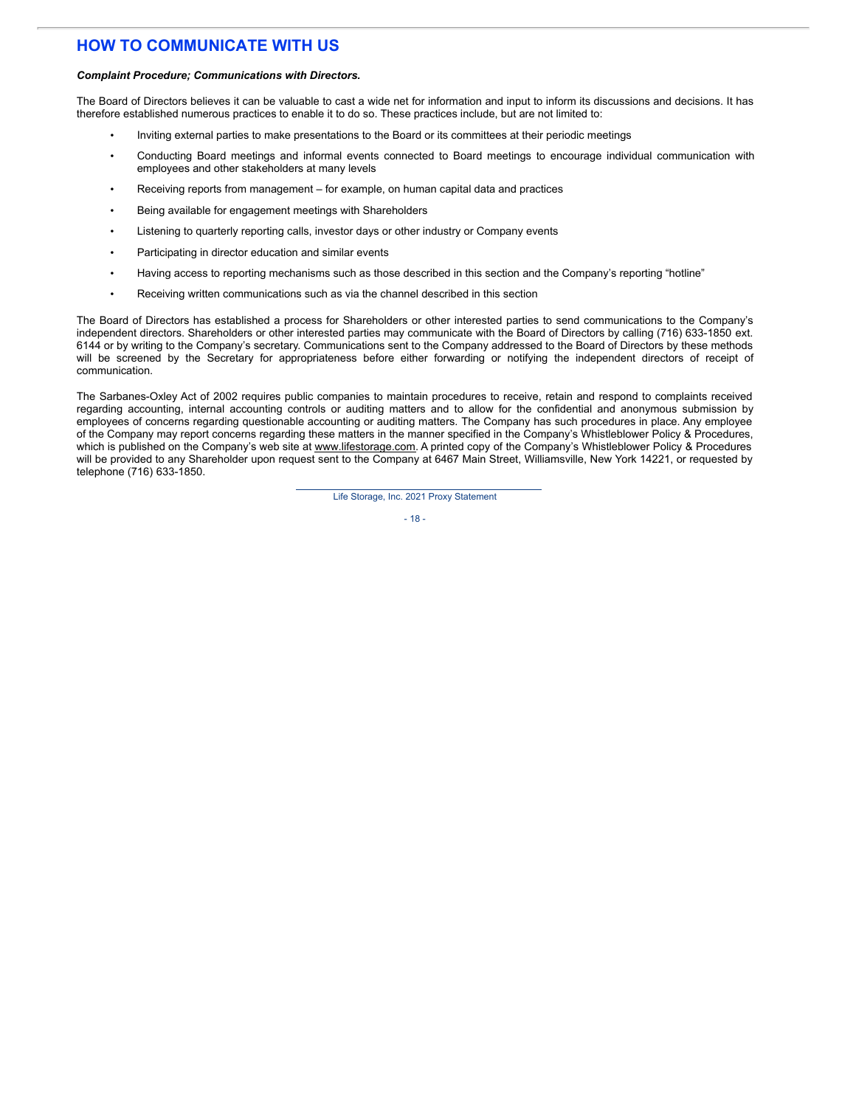# **HOW TO COMMUNICATE WITH US**

#### *Complaint Procedure; Communications with Directors.*

The Board of Directors believes it can be valuable to cast a wide net for information and input to inform its discussions and decisions. It has therefore established numerous practices to enable it to do so. These practices include, but are not limited to:

- Inviting external parties to make presentations to the Board or its committees at their periodic meetings
- Conducting Board meetings and informal events connected to Board meetings to encourage individual communication with employees and other stakeholders at many levels
- Receiving reports from management for example, on human capital data and practices
- Being available for engagement meetings with Shareholders
- Listening to quarterly reporting calls, investor days or other industry or Company events
- Participating in director education and similar events
- Having access to reporting mechanisms such as those described in this section and the Company's reporting "hotline"
- Receiving written communications such as via the channel described in this section

The Board of Directors has established a process for Shareholders or other interested parties to send communications to the Company's independent directors. Shareholders or other interested parties may communicate with the Board of Directors by calling (716) 633-1850 ext. 6144 or by writing to the Company's secretary. Communications sent to the Company addressed to the Board of Directors by these methods will be screened by the Secretary for appropriateness before either forwarding or notifying the independent directors of receipt of communication.

The Sarbanes-Oxley Act of 2002 requires public companies to maintain procedures to receive, retain and respond to complaints received regarding accounting, internal accounting controls or auditing matters and to allow for the confidential and anonymous submission by employees of concerns regarding questionable accounting or auditing matters. The Company has such procedures in place. Any employee of the Company may report concerns regarding these matters in the manner specified in the Company's Whistleblower Policy & Procedures, which is published on the Company's web site at www.lifestorage.com. A printed copy of the Company's Whistleblower Policy & Procedures will be provided to any Shareholder upon request sent to the Company at 6467 Main Street, Williamsville, New York 14221, or requested by telephone (716) 633-1850.

Life Storage, Inc. 2021 Proxy Statement

 $-18 -$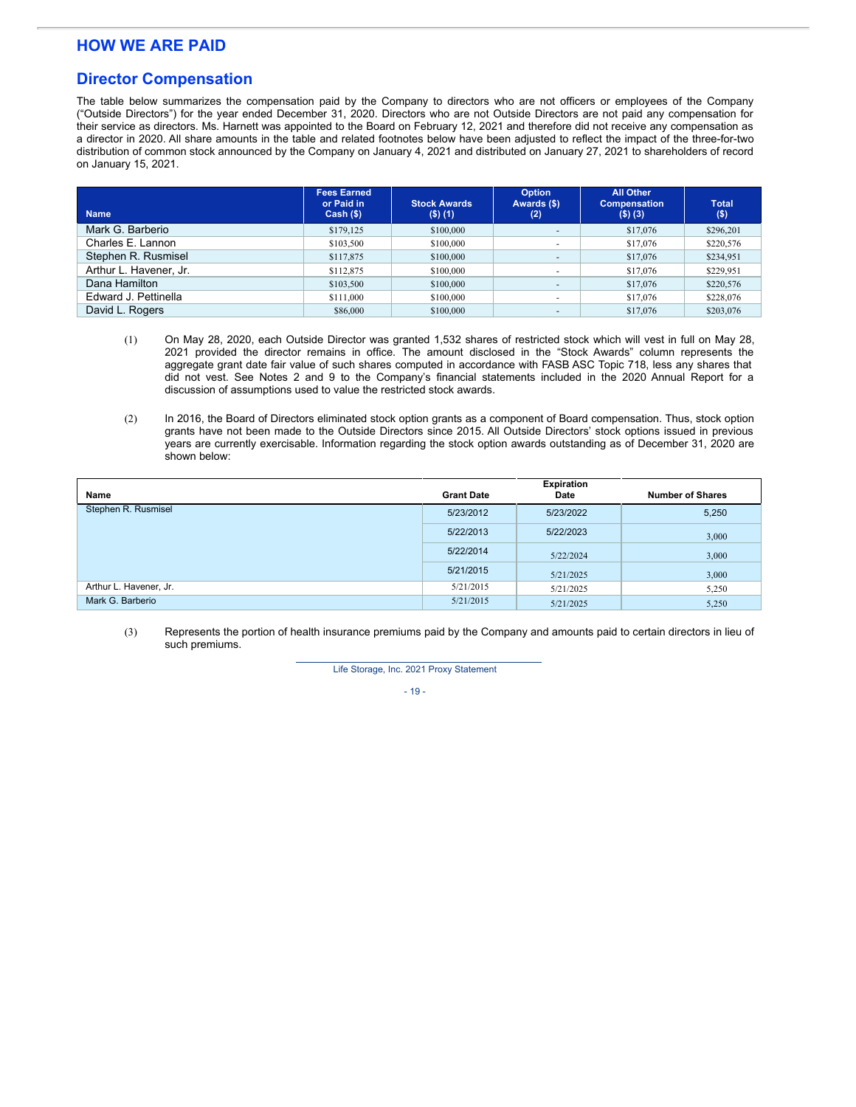# **HOW WE ARE PAID**

# **Director Compensation**

The table below summarizes the compensation paid by the Company to directors who are not officers or employees of the Company ("Outside Directors") for the year ended December 31, 2020. Directors who are not Outside Directors are not paid any compensation for their service as directors. Ms. Harnett was appointed to the Board on February 12, 2021 and therefore did not receive any compensation as a director in 2020. All share amounts in the table and related footnotes below have been adjusted to reflect the impact of the three-for-two distribution of common stock announced by the Company on January 4, 2021 and distributed on January 27, 2021 to shareholders of record on January 15, 2021.

| <b>Name</b>            | <b>Fees Earned</b><br>or Paid in<br>$Cash (\$)$ | <b>Stock Awards</b><br>$($ \$) $(1)$ | <b>Option</b><br>Awards (\$)<br>(2) | <b>All Other</b><br><b>Compensation</b><br>$($ \$) $($ 3) | <b>Total</b><br>$($ \$) |
|------------------------|-------------------------------------------------|--------------------------------------|-------------------------------------|-----------------------------------------------------------|-------------------------|
| Mark G. Barberio       | \$179,125                                       | \$100,000                            |                                     | \$17,076                                                  | \$296.201               |
| Charles E. Lannon      | \$103,500                                       | \$100,000                            |                                     | \$17,076                                                  | \$220,576               |
| Stephen R. Rusmisel    | \$117,875                                       | \$100,000                            | $\overline{\phantom{a}}$            | \$17,076                                                  | \$234,951               |
| Arthur L. Havener, Jr. | \$112,875                                       | \$100,000                            | $\sim$                              | \$17,076                                                  | \$229,951               |
| Dana Hamilton          | \$103,500                                       | \$100,000                            |                                     | \$17,076                                                  | \$220,576               |
| Edward J. Pettinella   | \$111,000                                       | \$100,000                            |                                     | \$17,076                                                  | \$228,076               |
| David L. Rogers        | \$86,000                                        | \$100,000                            |                                     | \$17,076                                                  | \$203,076               |

- (1) On May 28, 2020, each Outside Director was granted 1,532 shares of restricted stock which will vest in full on May 28, 2021 provided the director remains in office. The amount disclosed in the "Stock Awards" column represents the aggregate grant date fair value of such shares computed in accordance with FASB ASC Topic 718, less any shares that did not vest. See Notes 2 and 9 to the Company's financial statements included in the 2020 Annual Report for a discussion of assumptions used to value the restricted stock awards.
- (2) In 2016, the Board of Directors eliminated stock option grants as a component of Board compensation. Thus, stock option grants have not been made to the Outside Directors since 2015. All Outside Directors' stock options issued in previous years are currently exercisable. Information regarding the stock option awards outstanding as of December 31, 2020 are shown below:

| Name                   | <b>Grant Date</b> | <b>Expiration</b><br>Date | <b>Number of Shares</b> |
|------------------------|-------------------|---------------------------|-------------------------|
| Stephen R. Rusmisel    | 5/23/2012         | 5/23/2022                 | 5,250                   |
|                        | 5/22/2013         | 5/22/2023                 | 3,000                   |
|                        | 5/22/2014         | 5/22/2024                 | 3,000                   |
|                        | 5/21/2015         | 5/21/2025                 | 3,000                   |
| Arthur L. Havener, Jr. | 5/21/2015         | 5/21/2025                 | 5,250                   |
| Mark G. Barberio       | 5/21/2015         | 5/21/2025                 | 5,250                   |

(3) Represents the portion of health insurance premiums paid by the Company and amounts paid to certain directors in lieu of such premiums.

Life Storage, Inc. 2021 Proxy Statement

 $-19 -$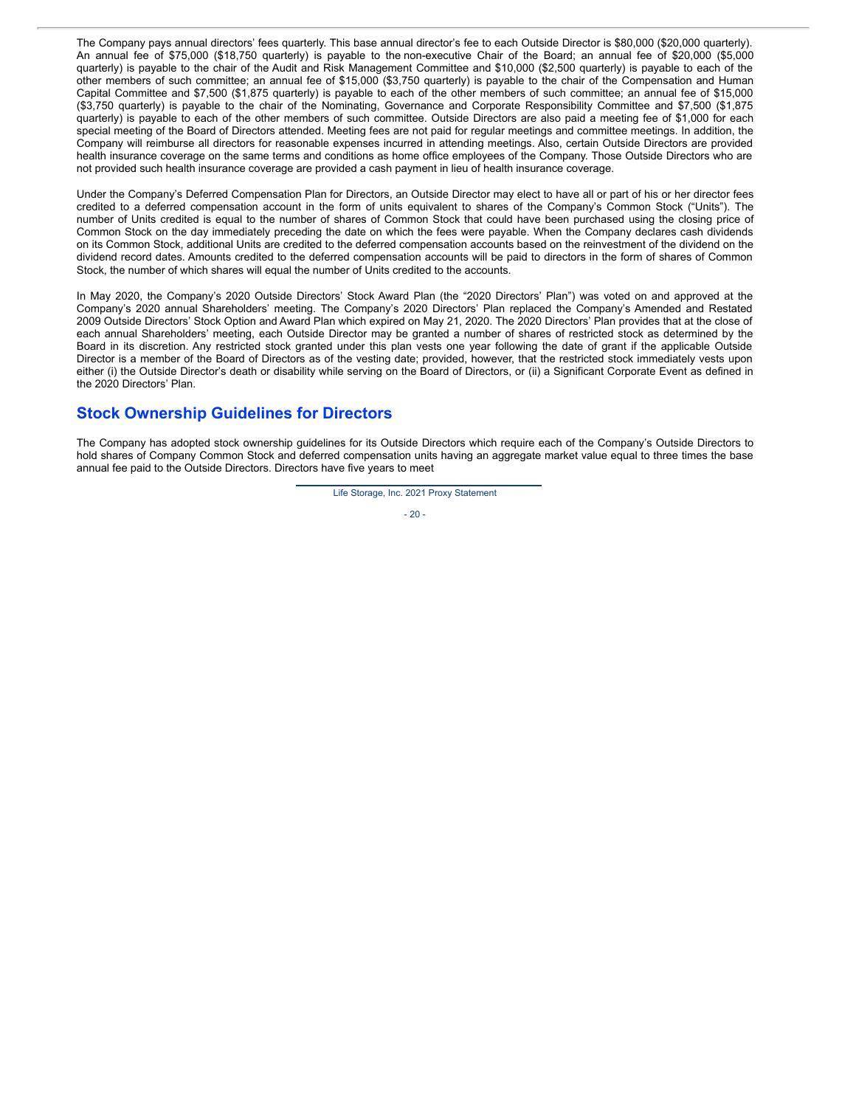The Company pays annual directors' fees quarterly. This base annual director's fee to each Outside Director is \$80,000 (\$20,000 quarterly). An annual fee of \$75,000 (\$18,750 quarterly) is payable to the non-executive Chair of the Board; an annual fee of \$20,000 (\$5,000 quarterly) is payable to the chair of the Audit and Risk Management Committee and \$10,000 (\$2,500 quarterly) is payable to each of the other members of such committee; an annual fee of \$15,000 (\$3,750 quarterly) is payable to the chair of the Compensation and Human Capital Committee and \$7,500 (\$1,875 quarterly) is payable to each of the other members of such committee; an annual fee of \$15,000 (\$3,750 quarterly) is payable to the chair of the Nominating, Governance and Corporate Responsibility Committee and \$7,500 (\$1,875 quarterly) is payable to each of the other members of such committee. Outside Directors are also paid a meeting fee of \$1,000 for each special meeting of the Board of Directors attended. Meeting fees are not paid for regular meetings and committee meetings. In addition, the Company will reimburse all directors for reasonable expenses incurred in attending meetings. Also, certain Outside Directors are provided health insurance coverage on the same terms and conditions as home office employees of the Company. Those Outside Directors who are not provided such health insurance coverage are provided a cash payment in lieu of health insurance coverage.

Under the Company's Deferred Compensation Plan for Directors, an Outside Director may elect to have all or part of his or her director fees credited to a deferred compensation account in the form of units equivalent to shares of the Company's Common Stock ("Units"). The number of Units credited is equal to the number of shares of Common Stock that could have been purchased using the closing price of Common Stock on the day immediately preceding the date on which the fees were payable. When the Company declares cash dividends on its Common Stock, additional Units are credited to the deferred compensation accounts based on the reinvestment of the dividend on the dividend record dates. Amounts credited to the deferred compensation accounts will be paid to directors in the form of shares of Common Stock, the number of which shares will equal the number of Units credited to the accounts.

In May 2020, the Company's 2020 Outside Directors' Stock Award Plan (the "2020 Directors' Plan") was voted on and approved at the Company's 2020 annual Shareholders' meeting. The Company's 2020 Directors' Plan replaced the Company's Amended and Restated 2009 Outside Directors' Stock Option and Award Plan which expired on May 21, 2020. The 2020 Directors' Plan provides that at the close of each annual Shareholders' meeting, each Outside Director may be granted a number of shares of restricted stock as determined by the Board in its discretion. Any restricted stock granted under this plan vests one year following the date of grant if the applicable Outside Director is a member of the Board of Directors as of the vesting date; provided, however, that the restricted stock immediately vests upon either (i) the Outside Director's death or disability while serving on the Board of Directors, or (ii) a Significant Corporate Event as defined in the 2020 Directors' Plan.

# **Stock Ownership Guidelines for Directors**

The Company has adopted stock ownership guidelines for its Outside Directors which require each of the Company's Outside Directors to hold shares of Company Common Stock and deferred compensation units having an aggregate market value equal to three times the base annual fee paid to the Outside Directors. Directors have five years to meet

Life Storage, Inc. 2021 Proxy Statement

 $-20 -$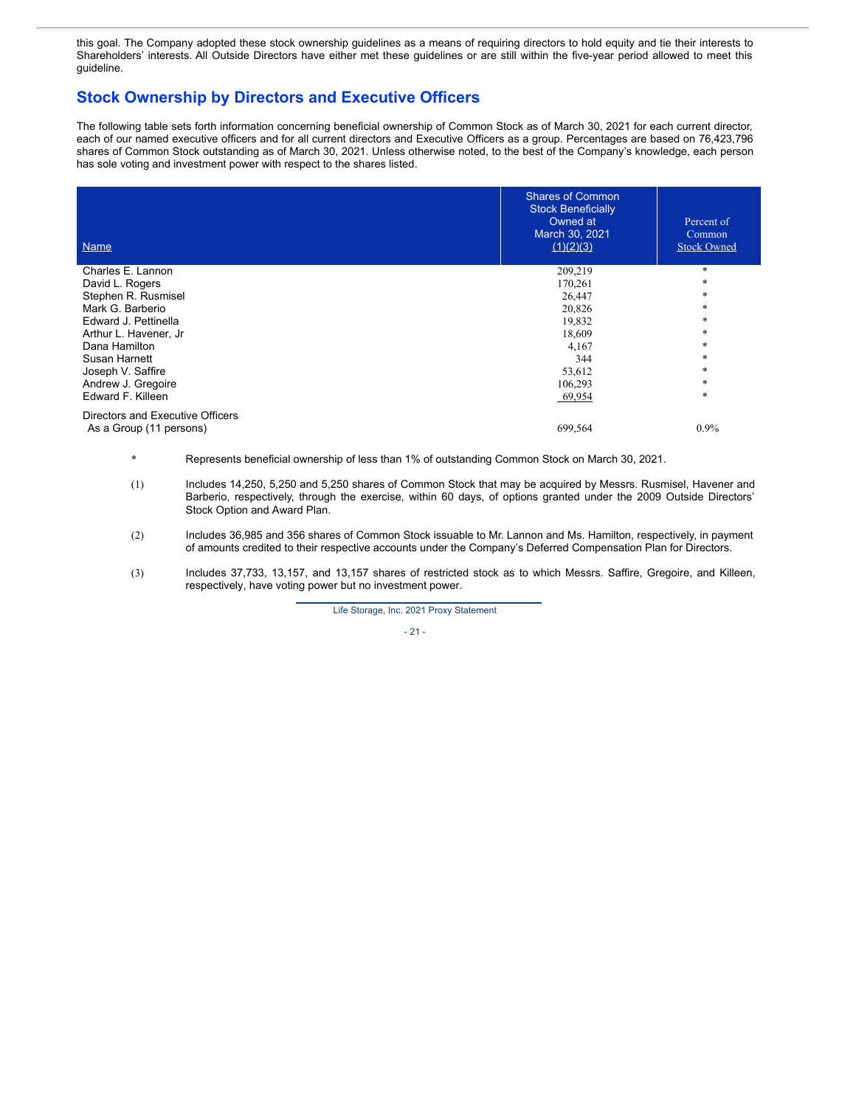this goal. The Company adopted these stock ownership guidelines as a means of requiring directors to hold equity and tie their interests to Shareholders' interests. All Outside Directors have either met these guidelines or are still within the five-year period allowed to meet this guideline.

# **Stock Ownership by Directors and Executive Officers**

The following table sets forth information concerning beneficial ownership of Common Stock as of March 30, 2021 for each current director, each of our named executive officers and for all current directors and Executive Officers as a group. Percentages are based on 76,423,796 shares of Common Stock outstanding as of March 30, 2021. Unless otherwise noted, to the best of the Company's knowledge, each person has sole voting and investment power with respect to the shares listed.

| <b>Name</b>                      | <b>Shares of Common</b><br><b>Stock Beneficially</b><br>Owned at<br>March 30, 2021<br>(1)(2)(3) | Percent of<br>Common<br><b>Stock Owned</b> |
|----------------------------------|-------------------------------------------------------------------------------------------------|--------------------------------------------|
| Charles E. Lannon                | 209,219                                                                                         | $\ast$                                     |
| David L. Rogers                  | 170,261                                                                                         | *                                          |
| Stephen R. Rusmisel              | 26,447                                                                                          | *                                          |
| Mark G. Barberio                 | 20,826                                                                                          | *                                          |
| Edward J. Pettinella             | 19,832                                                                                          | *                                          |
| Arthur L. Havener, Jr            | 18,609                                                                                          | *                                          |
| Dana Hamilton                    | 4,167                                                                                           | *                                          |
| Susan Harnett                    | 344                                                                                             | *                                          |
| Joseph V. Saffire                | 53,612                                                                                          | *                                          |
| Andrew J. Gregoire               | 106,293                                                                                         | *                                          |
| Edward F. Killeen                | 69,954                                                                                          | *                                          |
| Directors and Executive Officers |                                                                                                 |                                            |
| As a Group (11 persons)          | 699,564                                                                                         | $0.9\%$                                    |

- \* Represents beneficial ownership of less than 1% of outstanding Common Stock on March 30, 2021.
- (1) Includes 14,250, 5,250 and 5,250 shares of Common Stock that may be acquired by Messrs. Rusmisel, Havener and Barberio, respectively, through the exercise, within 60 days, of options granted under the 2009 Outside Directors' Stock Option and Award Plan.
- (2) Includes 36,985 and 356 shares of Common Stock issuable to Mr. Lannon and Ms. Hamilton, respectively, in payment of amounts credited to their respective accounts under the Company's Deferred Compensation Plan for Directors.
- (3) Includes 37,733, 13,157, and 13,157 shares of restricted stock as to which Messrs. Saffire, Gregoire, and Killeen, respectively, have voting power but no investment power.

Life Storage, Inc. 2021 Proxy Statement

$$
-21-
$$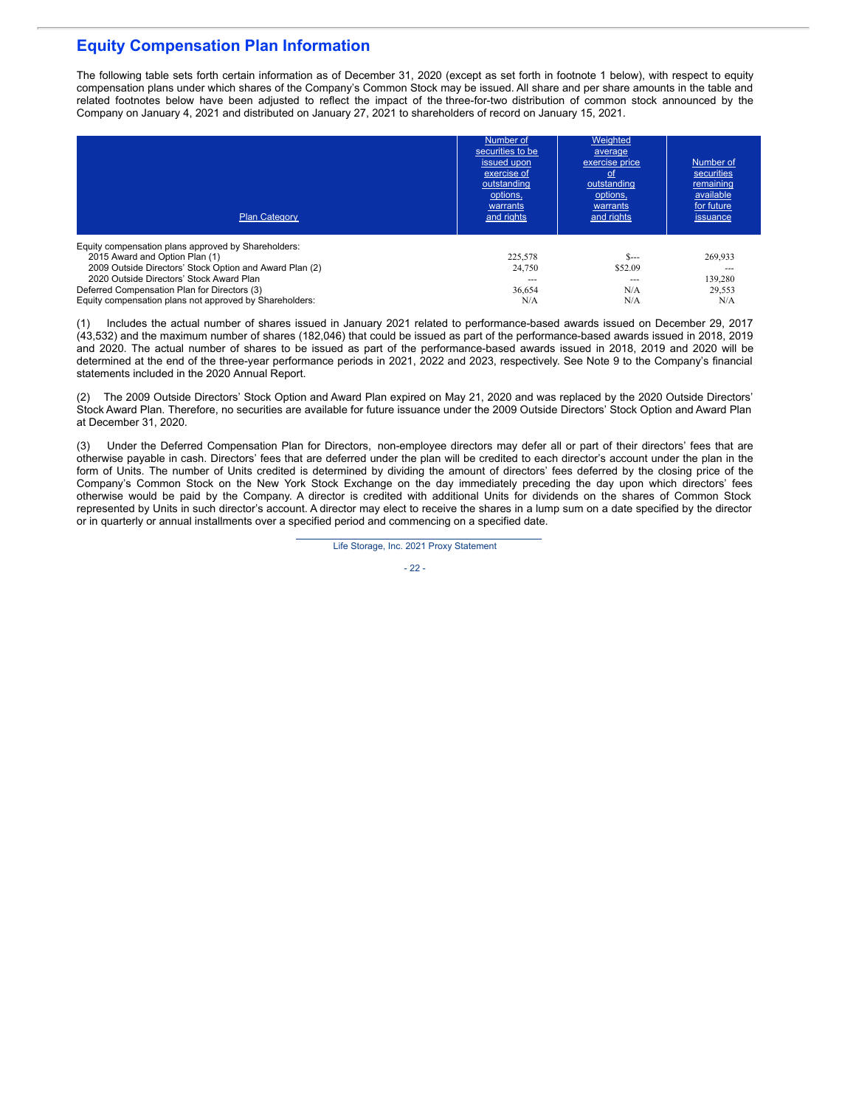# **Equity Compensation Plan Information**

The following table sets forth certain information as of December 31, 2020 (except as set forth in footnote 1 below), with respect to equity compensation plans under which shares of the Company's Common Stock may be issued. All share and per share amounts in the table and related footnotes below have been adjusted to reflect the impact of the three-for-two distribution of common stock announced by the Company on January 4, 2021 and distributed on January 27, 2021 to shareholders of record on January 15, 2021.

| <b>Plan Category</b>                                    | Number of<br>securities to be<br>issued upon<br>exercise of<br>outstanding<br>options,<br>warrants<br>and rights | Weighted<br>average<br>exercise price<br><u>ot</u><br>outstanding<br>options,<br>warrants<br>and rights | Number of<br>securities<br>remaining<br>available<br>for future<br>issuance |
|---------------------------------------------------------|------------------------------------------------------------------------------------------------------------------|---------------------------------------------------------------------------------------------------------|-----------------------------------------------------------------------------|
| Equity compensation plans approved by Shareholders:     |                                                                                                                  |                                                                                                         |                                                                             |
| 2015 Award and Option Plan (1)                          | 225,578                                                                                                          | $S$ ---                                                                                                 | 269.933                                                                     |
| 2009 Outside Directors' Stock Option and Award Plan (2) | 24,750                                                                                                           | \$52.09                                                                                                 | ---                                                                         |
| 2020 Outside Directors' Stock Award Plan                |                                                                                                                  | ---                                                                                                     | 139.280                                                                     |
| Deferred Compensation Plan for Directors (3)            | 36.654                                                                                                           | N/A                                                                                                     | 29.553                                                                      |
| Equity compensation plans not approved by Shareholders: | N/A                                                                                                              | N/A                                                                                                     | N/A                                                                         |

(1) Includes the actual number of shares issued in January 2021 related to performance-based awards issued on December 29, 2017 (43,532) and the maximum number of shares (182,046) that could be issued as part of the performance-based awards issued in 2018, 2019 and 2020. The actual number of shares to be issued as part of the performance-based awards issued in 2018, 2019 and 2020 will be determined at the end of the three-year performance periods in 2021, 2022 and 2023, respectively. See Note 9 to the Company's financial statements included in the 2020 Annual Report.

(2) The 2009 Outside Directors' Stock Option and Award Plan expired on May 21, 2020 and was replaced by the 2020 Outside Directors' Stock Award Plan. Therefore, no securities are available for future issuance under the 2009 Outside Directors' Stock Option and Award Plan at December 31, 2020.

(3) Under the Deferred Compensation Plan for Directors, non-employee directors may defer all or part of their directors' fees that are otherwise payable in cash. Directors' fees that are deferred under the plan will be credited to each director's account under the plan in the form of Units. The number of Units credited is determined by dividing the amount of directors' fees deferred by the closing price of the Company's Common Stock on the New York Stock Exchange on the day immediately preceding the day upon which directors' fees otherwise would be paid by the Company. A director is credited with additional Units for dividends on the shares of Common Stock represented by Units in such director's account. A director may elect to receive the shares in a lump sum on a date specified by the director or in quarterly or annual installments over a specified period and commencing on a specified date.

Life Storage, Inc. 2021 Proxy Statement

- 22 -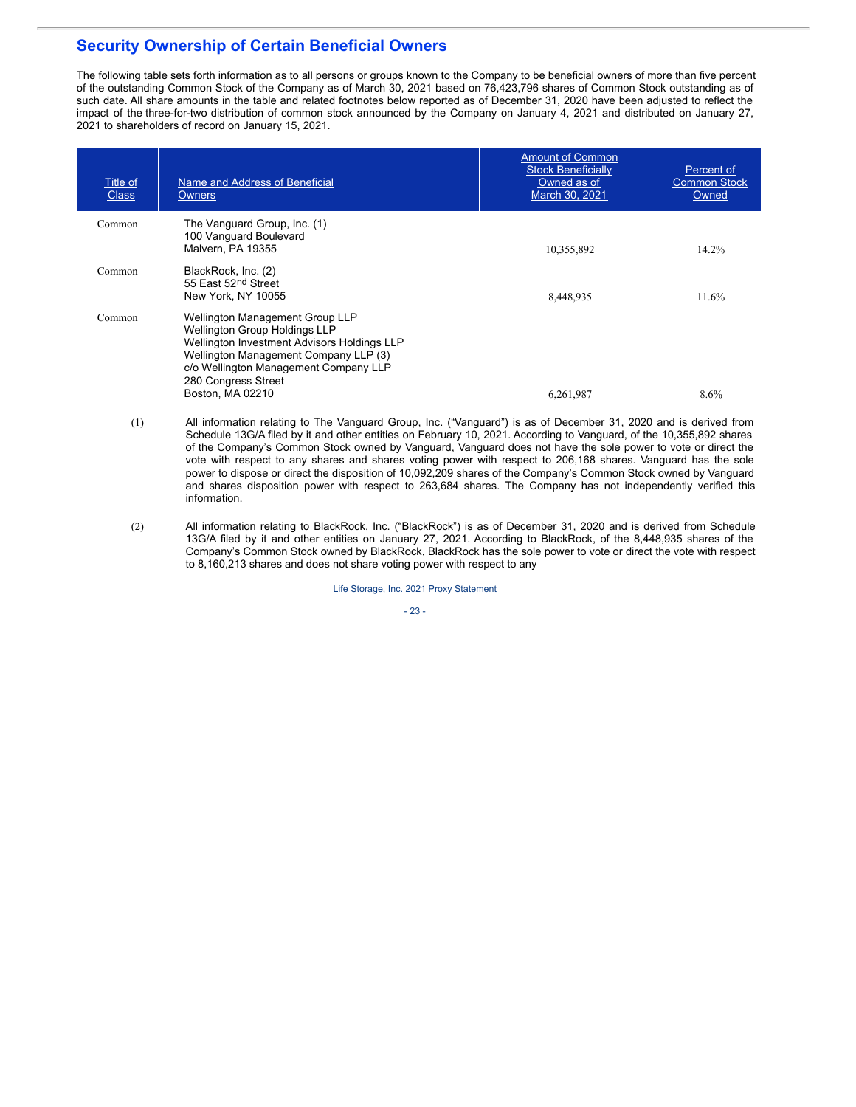# **Security Ownership of Certain Beneficial Owners**

The following table sets forth information as to all persons or groups known to the Company to be beneficial owners of more than five percent of the outstanding Common Stock of the Company as of March 30, 2021 based on 76,423,796 shares of Common Stock outstanding as of such date. All share amounts in the table and related footnotes below reported as of December 31, 2020 have been adjusted to reflect the impact of the three-for-two distribution of common stock announced by the Company on January 4, 2021 and distributed on January 27, 2021 to shareholders of record on January 15, 2021.

| Title of<br><b>Class</b> | Name and Address of Beneficial<br><b>Owners</b>                                                                                                                                                                                                     | <b>Amount of Common</b><br><b>Stock Beneficially</b><br>Owned as of<br>March 30, 2021 | Percent of<br><b>Common Stock</b><br>Owned |
|--------------------------|-----------------------------------------------------------------------------------------------------------------------------------------------------------------------------------------------------------------------------------------------------|---------------------------------------------------------------------------------------|--------------------------------------------|
| Common                   | The Vanguard Group, Inc. (1)<br>100 Vanguard Boulevard<br>Malvern, PA 19355                                                                                                                                                                         | 10,355,892                                                                            | 14.2%                                      |
| Common                   | BlackRock, Inc. (2)<br>55 East 52nd Street<br>New York, NY 10055                                                                                                                                                                                    | 8,448,935                                                                             | 11.6%                                      |
| Common                   | Wellington Management Group LLP<br><b>Wellington Group Holdings LLP</b><br>Wellington Investment Advisors Holdings LLP<br>Wellington Management Company LLP (3)<br>c/o Wellington Management Company LLP<br>280 Congress Street<br>Boston, MA 02210 | 6,261,987                                                                             | 8.6%                                       |

- (1) All information relating to The Vanguard Group, Inc. ("Vanguard") is as of December 31, 2020 and is derived from Schedule 13G/A filed by it and other entities on February 10, 2021. According to Vanguard, of the 10,355,892 shares of the Company's Common Stock owned by Vanguard, Vanguard does not have the sole power to vote or direct the vote with respect to any shares and shares voting power with respect to 206,168 shares. Vanguard has the sole power to dispose or direct the disposition of 10,092,209 shares of the Company's Common Stock owned by Vanguard and shares disposition power with respect to 263,684 shares. The Company has not independently verified this information.
- (2) All information relating to BlackRock, Inc. ("BlackRock") is as of December 31, 2020 and is derived from Schedule 13G/A filed by it and other entities on January 27, 2021. According to BlackRock, of the 8,448,935 shares of the Company's Common Stock owned by BlackRock, BlackRock has the sole power to vote or direct the vote with respect to 8,160,213 shares and does not share voting power with respect to any

Life Storage, Inc. 2021 Proxy Statement

- 23 -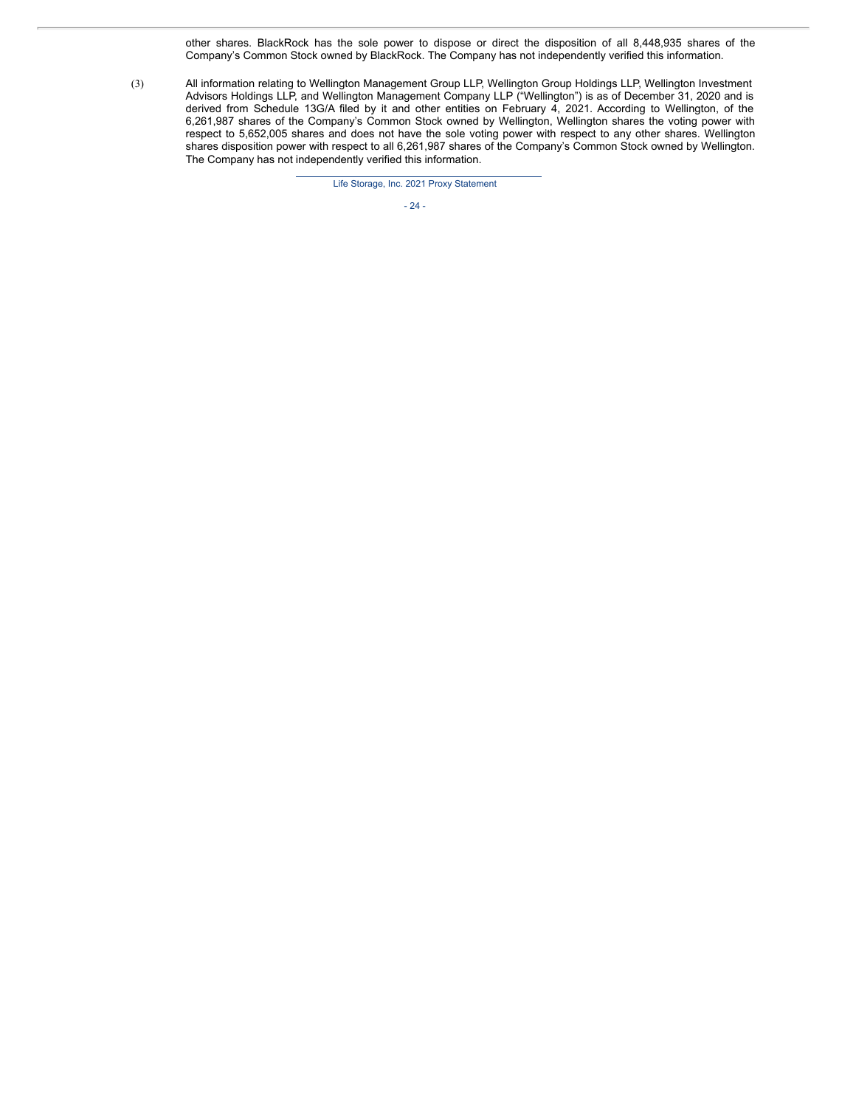other shares. BlackRock has the sole power to dispose or direct the disposition of all 8,448,935 shares of the Company's Common Stock owned by BlackRock. The Company has not independently verified this information.

(3) All information relating to Wellington Management Group LLP, Wellington Group Holdings LLP, Wellington Investment Advisors Holdings LLP, and Wellington Management Company LLP ("Wellington") is as of December 31, 2020 and is derived from Schedule 13G/A filed by it and other entities on February 4, 2021. According to Wellington, of the 6,261,987 shares of the Company's Common Stock owned by Wellington, Wellington shares the voting power with respect to 5,652,005 shares and does not have the sole voting power with respect to any other shares. Wellington shares disposition power with respect to all 6,261,987 shares of the Company's Common Stock owned by Wellington. The Company has not independently verified this information.

Life Storage, Inc. 2021 Proxy Statement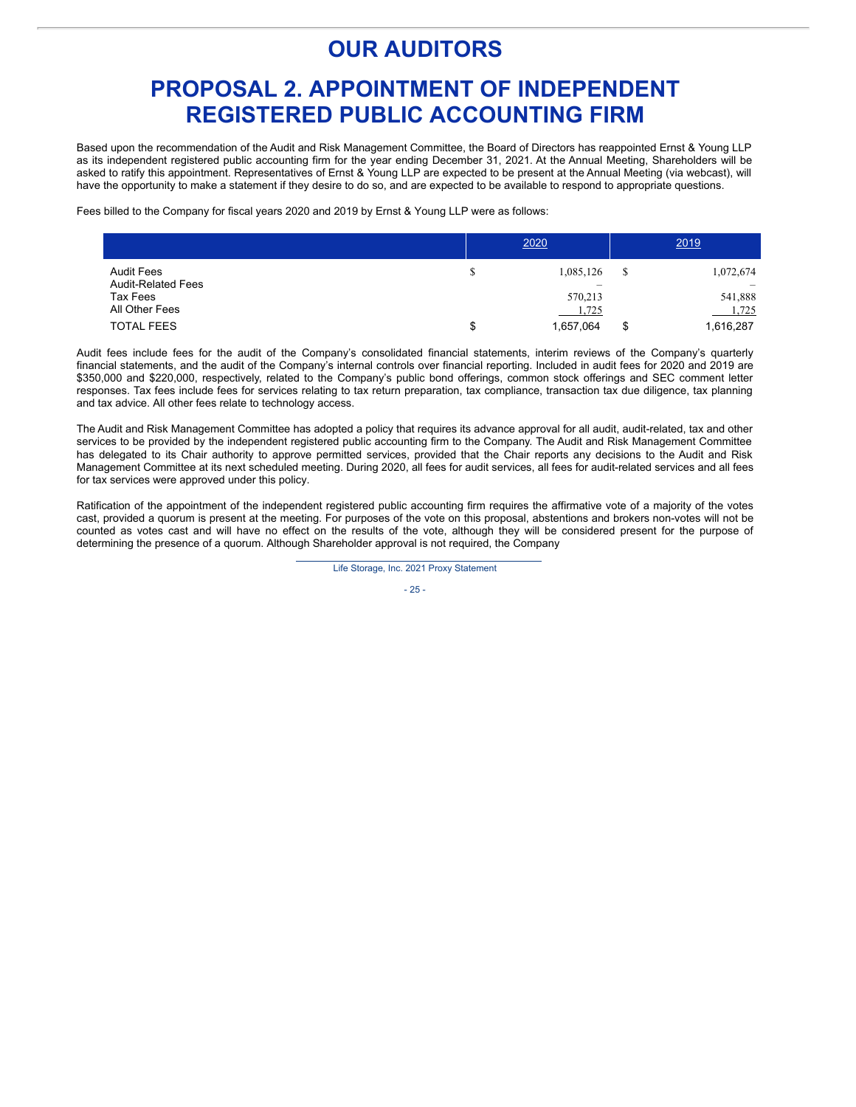# **OUR AUDITORS**

# **PROPOSAL 2. APPOINTMENT OF INDEPENDENT REGISTERED PUBLIC ACCOUNTING FIRM**

Based upon the recommendation of the Audit and Risk Management Committee, the Board of Directors has reappointed Ernst & Young LLP as its independent registered public accounting firm for the year ending December 31, 2021. At the Annual Meeting, Shareholders will be asked to ratify this appointment. Representatives of Ernst & Young LLP are expected to be present at the Annual Meeting (via webcast), will have the opportunity to make a statement if they desire to do so, and are expected to be available to respond to appropriate questions.

Fees billed to the Company for fiscal years 2020 and 2019 by Ernst & Young LLP were as follows:

|                                                | 2020 |                                                    |    | 2019             |
|------------------------------------------------|------|----------------------------------------------------|----|------------------|
| <b>Audit Fees</b><br><b>Audit-Related Fees</b> | \$   | 1,085,126<br>$\hspace{1.0cm} \rule{1.5cm}{0.15cm}$ | S  | 1,072,674        |
| Tax Fees<br>All Other Fees                     |      | 570,213<br>1,725                                   |    | 541,888<br>1,725 |
| <b>TOTAL FEES</b>                              | \$   | 1,657,064                                          | \$ | 1,616,287        |

Audit fees include fees for the audit of the Company's consolidated financial statements, interim reviews of the Company's quarterly financial statements, and the audit of the Company's internal controls over financial reporting. Included in audit fees for 2020 and 2019 are \$350,000 and \$220,000, respectively, related to the Company's public bond offerings, common stock offerings and SEC comment letter responses. Tax fees include fees for services relating to tax return preparation, tax compliance, transaction tax due diligence, tax planning and tax advice. All other fees relate to technology access.

The Audit and Risk Management Committee has adopted a policy that requires its advance approval for all audit, audit-related, tax and other services to be provided by the independent registered public accounting firm to the Company. The Audit and Risk Management Committee has delegated to its Chair authority to approve permitted services, provided that the Chair reports any decisions to the Audit and Risk Management Committee at its next scheduled meeting. During 2020, all fees for audit services, all fees for audit-related services and all fees for tax services were approved under this policy.

Ratification of the appointment of the independent registered public accounting firm requires the affirmative vote of a majority of the votes cast, provided a quorum is present at the meeting. For purposes of the vote on this proposal, abstentions and brokers non-votes will not be counted as votes cast and will have no effect on the results of the vote, although they will be considered present for the purpose of determining the presence of a quorum. Although Shareholder approval is not required, the Company

Life Storage, Inc. 2021 Proxy Statement

- 25 -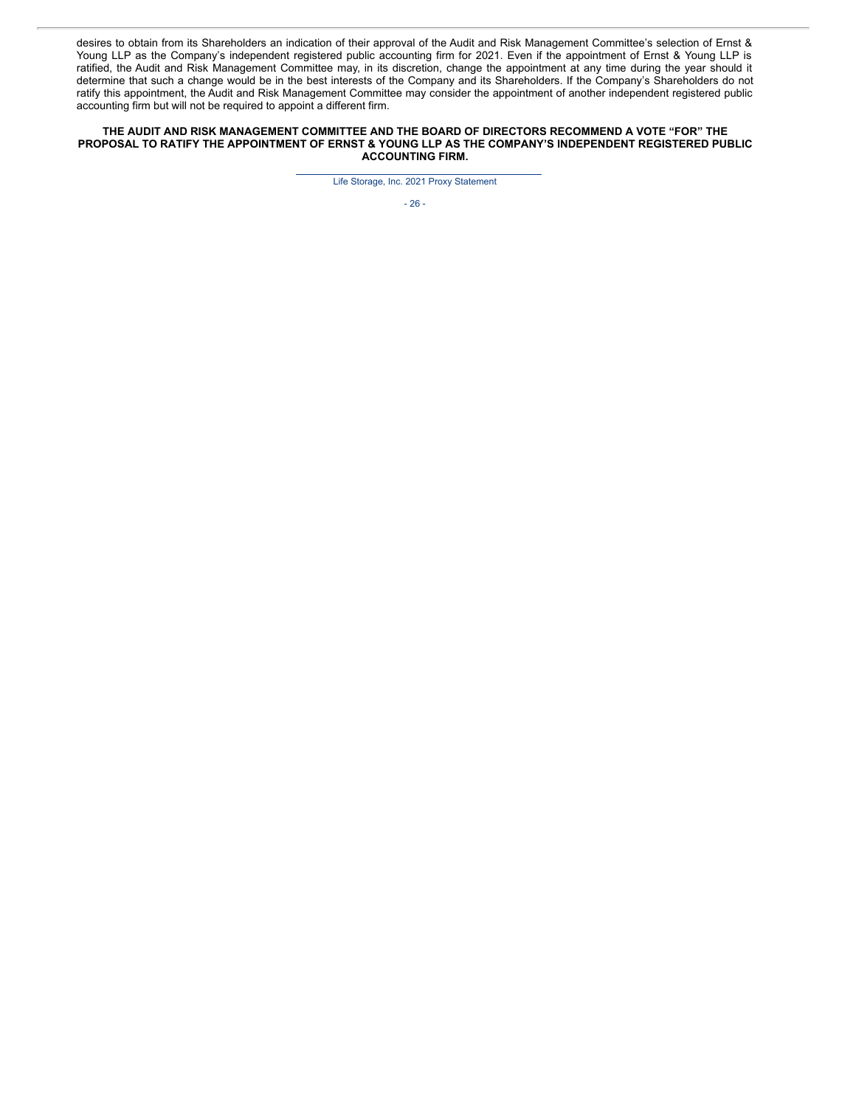desires to obtain from its Shareholders an indication of their approval of the Audit and Risk Management Committee's selection of Ernst & Young LLP as the Company's independent registered public accounting firm for 2021. Even if the appointment of Ernst & Young LLP is ratified, the Audit and Risk Management Committee may, in its discretion, change the appointment at any time during the year should it determine that such a change would be in the best interests of the Company and its Shareholders. If the Company's Shareholders do not ratify this appointment, the Audit and Risk Management Committee may consider the appointment of another independent registered public accounting firm but will not be required to appoint a different firm.

### **THE AUDIT AND RISK MANAGEMENT COMMITTEE AND THE BOARD OF DIRECTORS RECOMMEND A VOTE "FOR" THE PROPOSAL TO RATIFY THE APPOINTMENT OF ERNST & YOUNG LLP AS THE COMPANY'S INDEPENDENT REGISTERED PUBLIC ACCOUNTING FIRM.**

Life Storage, Inc. 2021 Proxy Statement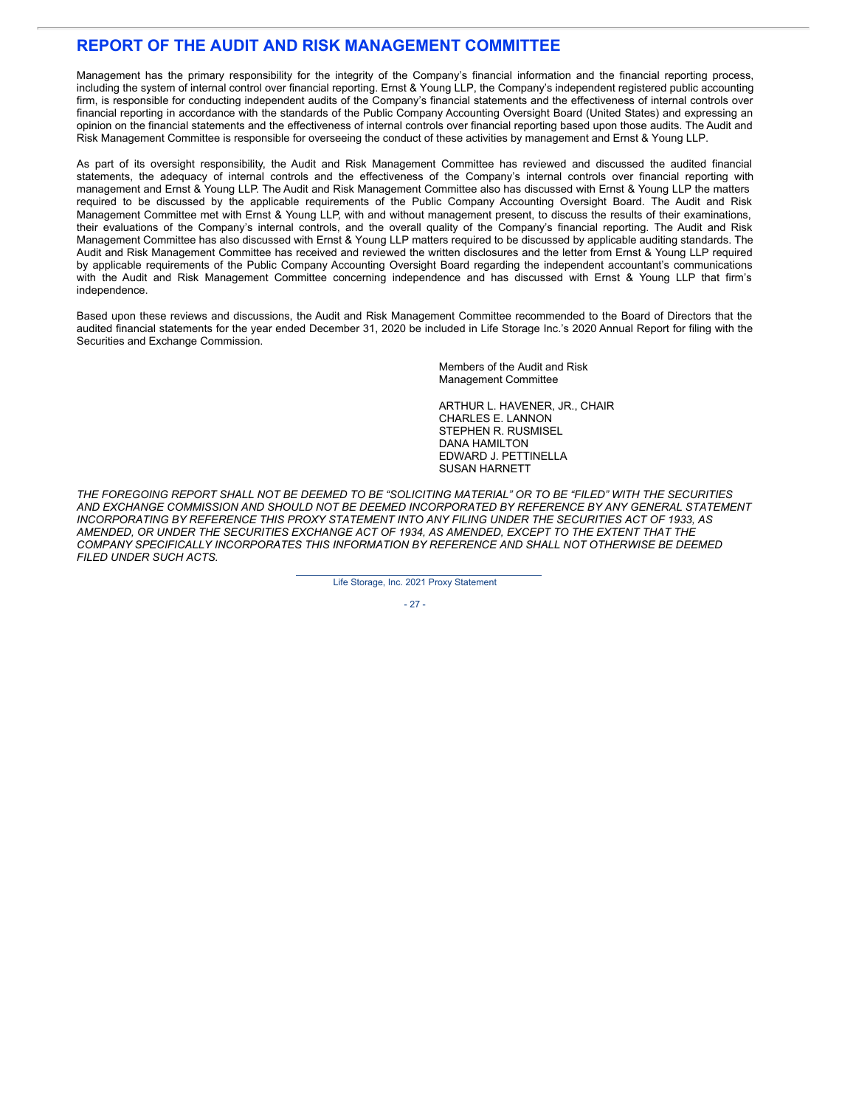# **REPORT OF THE AUDIT AND RISK MANAGEMENT COMMITTEE**

Management has the primary responsibility for the integrity of the Company's financial information and the financial reporting process, including the system of internal control over financial reporting. Ernst & Young LLP, the Company's independent registered public accounting firm, is responsible for conducting independent audits of the Company's financial statements and the effectiveness of internal controls over financial reporting in accordance with the standards of the Public Company Accounting Oversight Board (United States) and expressing an opinion on the financial statements and the effectiveness of internal controls over financial reporting based upon those audits. The Audit and Risk Management Committee is responsible for overseeing the conduct of these activities by management and Ernst & Young LLP.

As part of its oversight responsibility, the Audit and Risk Management Committee has reviewed and discussed the audited financial statements, the adequacy of internal controls and the effectiveness of the Company's internal controls over financial reporting with management and Ernst & Young LLP. The Audit and Risk Management Committee also has discussed with Ernst & Young LLP the matters required to be discussed by the applicable requirements of the Public Company Accounting Oversight Board. The Audit and Risk Management Committee met with Ernst & Young LLP, with and without management present, to discuss the results of their examinations, their evaluations of the Company's internal controls, and the overall quality of the Company's financial reporting. The Audit and Risk Management Committee has also discussed with Ernst & Young LLP matters required to be discussed by applicable auditing standards. The Audit and Risk Management Committee has received and reviewed the written disclosures and the letter from Ernst & Young LLP required by applicable requirements of the Public Company Accounting Oversight Board regarding the independent accountant's communications with the Audit and Risk Management Committee concerning independence and has discussed with Ernst & Young LLP that firm's independence.

Based upon these reviews and discussions, the Audit and Risk Management Committee recommended to the Board of Directors that the audited financial statements for the year ended December 31, 2020 be included in Life Storage Inc.'s 2020 Annual Report for filing with the Securities and Exchange Commission.

> Members of the Audit and Risk Management Committee

ARTHUR L. HAVENER, JR., CHAIR CHARLES E. LANNON STEPHEN R. RUSMISEL DANA HAMILTON EDWARD J. PETTINELLA SUSAN HARNETT

THE FOREGOING REPORT SHALL NOT BE DEEMED TO BE "SOLICITING MATERIAL" OR TO BE "FILED" WITH THE SECURITIES *AND EXCHANGE COMMISSION AND SHOULD NOT BE DEEMED INCORPORATED BY REFERENCE BY ANY GENERAL STATEMENT INCORPORATING BY REFERENCE THIS PROXY STATEMENT INTO ANY FILING UNDER THE SECURITIES ACT OF 1933, AS AMENDED, OR UNDER THE SECURITIES EXCHANGE ACT OF 1934, AS AMENDED, EXCEPT TO THE EXTENT THAT THE COMPANY SPECIFICALLY INCORPORATES THIS INFORMATION BY REFERENCE AND SHALL NOT OTHERWISE BE DEEMED FILED UNDER SUCH ACTS.*

Life Storage, Inc. 2021 Proxy Statement

- 27 -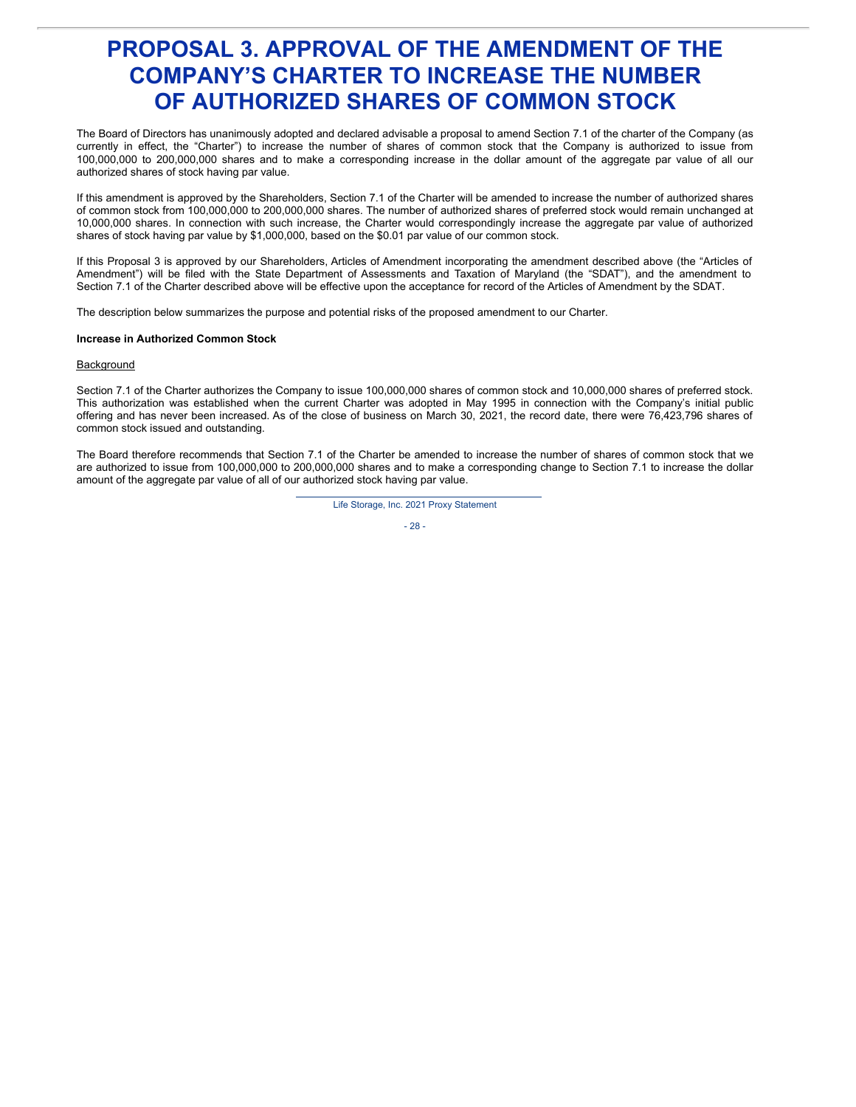# **PROPOSAL 3. APPROVAL OF THE AMENDMENT OF THE COMPANY'S CHARTER TO INCREASE THE NUMBER OF AUTHORIZED SHARES OF COMMON STOCK**

The Board of Directors has unanimously adopted and declared advisable a proposal to amend Section 7.1 of the charter of the Company (as currently in effect, the "Charter") to increase the number of shares of common stock that the Company is authorized to issue from 100,000,000 to 200,000,000 shares and to make a corresponding increase in the dollar amount of the aggregate par value of all our authorized shares of stock having par value.

If this amendment is approved by the Shareholders, Section 7.1 of the Charter will be amended to increase the number of authorized shares of common stock from 100,000,000 to 200,000,000 shares. The number of authorized shares of preferred stock would remain unchanged at 10,000,000 shares. In connection with such increase, the Charter would correspondingly increase the aggregate par value of authorized shares of stock having par value by \$1,000,000, based on the \$0.01 par value of our common stock.

If this Proposal 3 is approved by our Shareholders, Articles of Amendment incorporating the amendment described above (the "Articles of Amendment") will be filed with the State Department of Assessments and Taxation of Maryland (the "SDAT"), and the amendment to Section 7.1 of the Charter described above will be effective upon the acceptance for record of the Articles of Amendment by the SDAT.

The description below summarizes the purpose and potential risks of the proposed amendment to our Charter.

### **Increase in Authorized Common Stock**

### **Background**

Section 7.1 of the Charter authorizes the Company to issue 100,000,000 shares of common stock and 10,000,000 shares of preferred stock. This authorization was established when the current Charter was adopted in May 1995 in connection with the Company's initial public offering and has never been increased. As of the close of business on March 30, 2021, the record date, there were 76,423,796 shares of common stock issued and outstanding.

The Board therefore recommends that Section 7.1 of the Charter be amended to increase the number of shares of common stock that we are authorized to issue from 100,000,000 to 200,000,000 shares and to make a corresponding change to Section 7.1 to increase the dollar amount of the aggregate par value of all of our authorized stock having par value.

Life Storage, Inc. 2021 Proxy Statement

- 28 -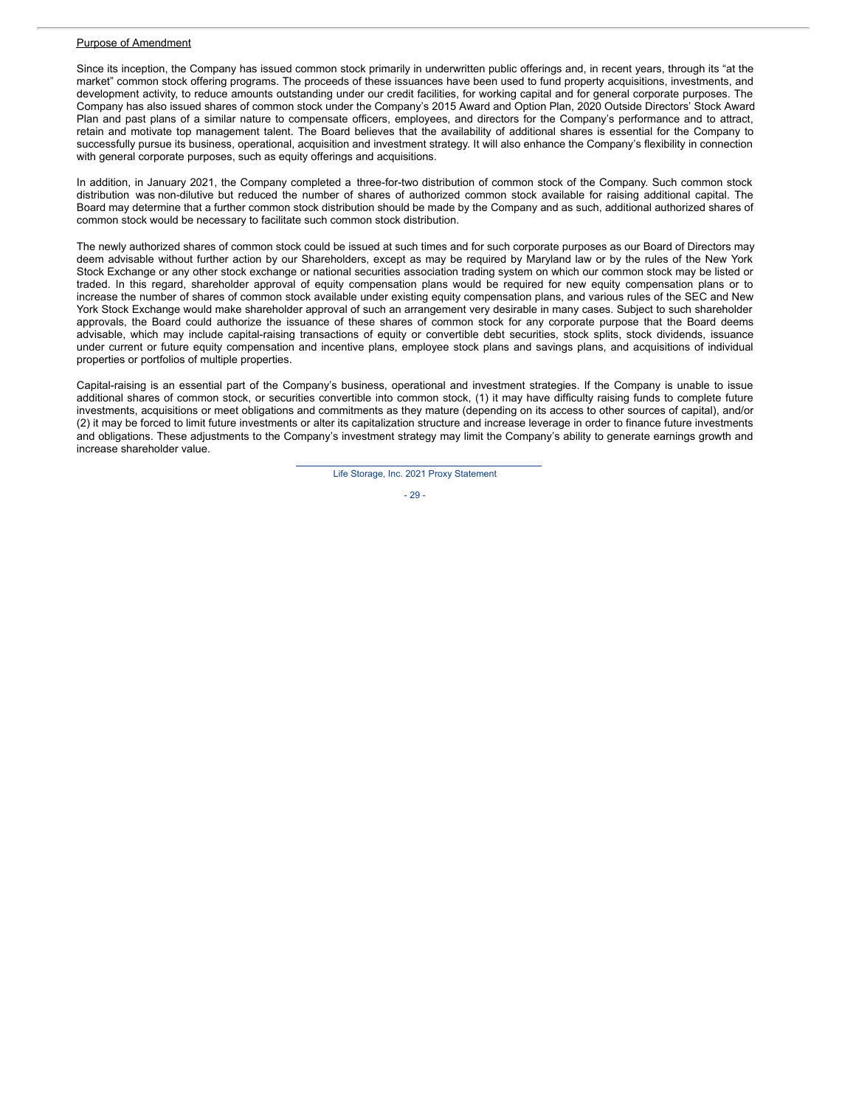#### Purpose of Amendment

Since its inception, the Company has issued common stock primarily in underwritten public offerings and, in recent years, through its "at the market" common stock offering programs. The proceeds of these issuances have been used to fund property acquisitions, investments, and development activity, to reduce amounts outstanding under our credit facilities, for working capital and for general corporate purposes. The Company has also issued shares of common stock under the Company's 2015 Award and Option Plan, 2020 Outside Directors' Stock Award Plan and past plans of a similar nature to compensate officers, employees, and directors for the Company's performance and to attract, retain and motivate top management talent. The Board believes that the availability of additional shares is essential for the Company to successfully pursue its business, operational, acquisition and investment strategy. It will also enhance the Company's flexibility in connection with general corporate purposes, such as equity offerings and acquisitions.

In addition, in January 2021, the Company completed a three-for-two distribution of common stock of the Company. Such common stock distribution was non-dilutive but reduced the number of shares of authorized common stock available for raising additional capital. The Board may determine that a further common stock distribution should be made by the Company and as such, additional authorized shares of common stock would be necessary to facilitate such common stock distribution.

The newly authorized shares of common stock could be issued at such times and for such corporate purposes as our Board of Directors may deem advisable without further action by our Shareholders, except as may be required by Maryland law or by the rules of the New York Stock Exchange or any other stock exchange or national securities association trading system on which our common stock may be listed or traded. In this regard, shareholder approval of equity compensation plans would be required for new equity compensation plans or to increase the number of shares of common stock available under existing equity compensation plans, and various rules of the SEC and New York Stock Exchange would make shareholder approval of such an arrangement very desirable in many cases. Subject to such shareholder approvals, the Board could authorize the issuance of these shares of common stock for any corporate purpose that the Board deems advisable, which may include capital-raising transactions of equity or convertible debt securities, stock splits, stock dividends, issuance under current or future equity compensation and incentive plans, employee stock plans and savings plans, and acquisitions of individual properties or portfolios of multiple properties.

Capital-raising is an essential part of the Company's business, operational and investment strategies. If the Company is unable to issue additional shares of common stock, or securities convertible into common stock, (1) it may have difficulty raising funds to complete future investments, acquisitions or meet obligations and commitments as they mature (depending on its access to other sources of capital), and/or (2) it may be forced to limit future investments or alter its capitalization structure and increase leverage in order to finance future investments and obligations. These adjustments to the Company's investment strategy may limit the Company's ability to generate earnings growth and increase shareholder value.

Life Storage, Inc. 2021 Proxy Statement

- 29 -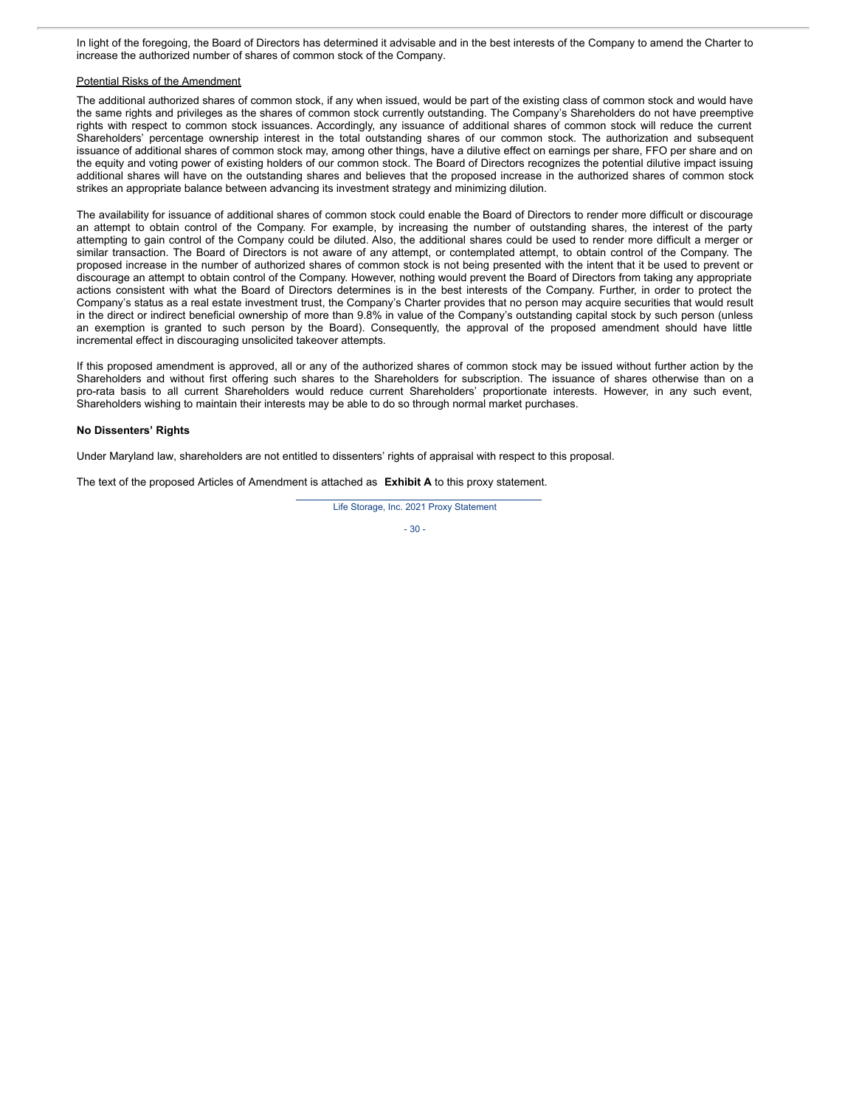In light of the foregoing, the Board of Directors has determined it advisable and in the best interests of the Company to amend the Charter to increase the authorized number of shares of common stock of the Company.

#### Potential Risks of the Amendment

The additional authorized shares of common stock, if any when issued, would be part of the existing class of common stock and would have the same rights and privileges as the shares of common stock currently outstanding. The Company's Shareholders do not have preemptive rights with respect to common stock issuances. Accordingly, any issuance of additional shares of common stock will reduce the current Shareholders' percentage ownership interest in the total outstanding shares of our common stock. The authorization and subsequent issuance of additional shares of common stock may, among other things, have a dilutive effect on earnings per share, FFO per share and on the equity and voting power of existing holders of our common stock. The Board of Directors recognizes the potential dilutive impact issuing additional shares will have on the outstanding shares and believes that the proposed increase in the authorized shares of common stock strikes an appropriate balance between advancing its investment strategy and minimizing dilution.

The availability for issuance of additional shares of common stock could enable the Board of Directors to render more difficult or discourage an attempt to obtain control of the Company. For example, by increasing the number of outstanding shares, the interest of the party attempting to gain control of the Company could be diluted. Also, the additional shares could be used to render more difficult a merger or similar transaction. The Board of Directors is not aware of any attempt, or contemplated attempt, to obtain control of the Company. The proposed increase in the number of authorized shares of common stock is not being presented with the intent that it be used to prevent or discourage an attempt to obtain control of the Company. However, nothing would prevent the Board of Directors from taking any appropriate actions consistent with what the Board of Directors determines is in the best interests of the Company. Further, in order to protect the Company's status as a real estate investment trust, the Company's Charter provides that no person may acquire securities that would result in the direct or indirect beneficial ownership of more than 9.8% in value of the Company's outstanding capital stock by such person (unless an exemption is granted to such person by the Board). Consequently, the approval of the proposed amendment should have little incremental effect in discouraging unsolicited takeover attempts.

If this proposed amendment is approved, all or any of the authorized shares of common stock may be issued without further action by the Shareholders and without first offering such shares to the Shareholders for subscription. The issuance of shares otherwise than on a pro-rata basis to all current Shareholders would reduce current Shareholders' proportionate interests. However, in any such event, Shareholders wishing to maintain their interests may be able to do so through normal market purchases.

#### **No Dissenters' Rights**

Under Maryland law, shareholders are not entitled to dissenters' rights of appraisal with respect to this proposal.

The text of the proposed Articles of Amendment is attached as **Exhibit A** to this proxy statement.

Life Storage, Inc. 2021 Proxy Statement

- 30 -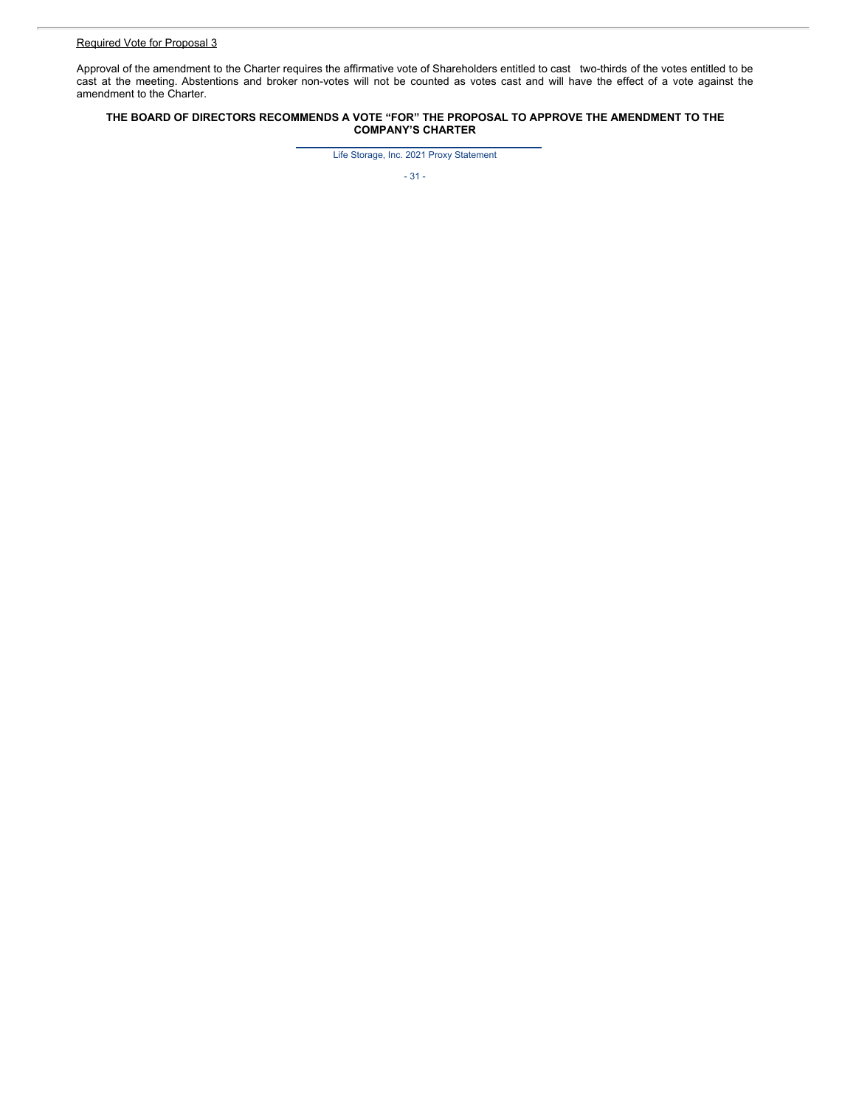Approval of the amendment to the Charter requires the affirmative vote of Shareholders entitled to cast two-thirds of the votes entitled to be cast at the meeting. Abstentions and broker non-votes will not be counted as votes cast and will have the effect of a vote against the amendment to the Charter.

### **THE BOARD OF DIRECTORS RECOMMENDS A VOTE "FOR" THE PROPOSAL TO APPROVE THE AMENDMENT TO THE COMPANY'S CHARTER**

Life Storage, Inc. 2021 Proxy Statement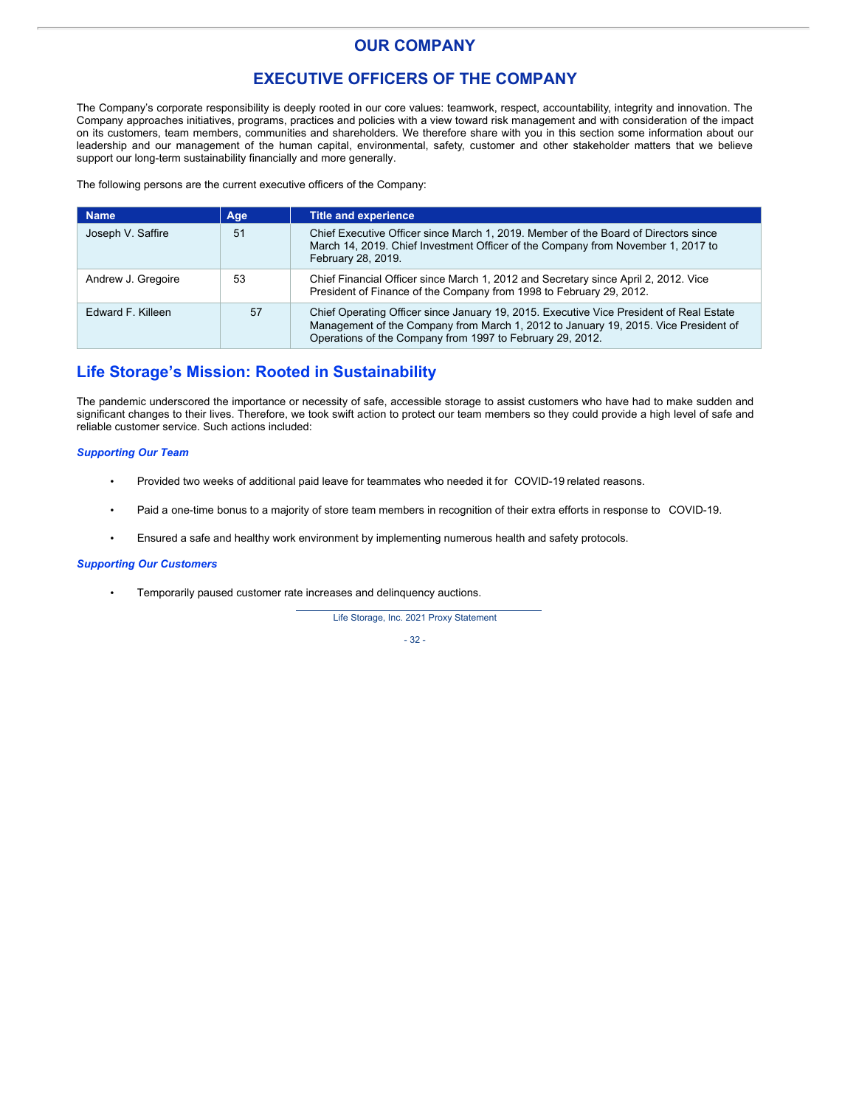# **OUR COMPANY**

# **EXECUTIVE OFFICERS OF THE COMPANY**

The Company's corporate responsibility is deeply rooted in our core values: teamwork, respect, accountability, integrity and innovation. The Company approaches initiatives, programs, practices and policies with a view toward risk management and with consideration of the impact on its customers, team members, communities and shareholders. We therefore share with you in this section some information about our leadership and our management of the human capital, environmental, safety, customer and other stakeholder matters that we believe support our long-term sustainability financially and more generally.

The following persons are the current executive officers of the Company:

| <b>Name</b>        | Age | <b>Title and experience</b>                                                                                                                                                                                                                 |
|--------------------|-----|---------------------------------------------------------------------------------------------------------------------------------------------------------------------------------------------------------------------------------------------|
| Joseph V. Saffire  | 51  | Chief Executive Officer since March 1, 2019. Member of the Board of Directors since<br>March 14, 2019. Chief Investment Officer of the Company from November 1, 2017 to<br>February 28, 2019.                                               |
| Andrew J. Gregoire | 53  | Chief Financial Officer since March 1, 2012 and Secretary since April 2, 2012. Vice<br>President of Finance of the Company from 1998 to February 29, 2012.                                                                                  |
| Edward F. Killeen  | 57  | Chief Operating Officer since January 19, 2015. Executive Vice President of Real Estate<br>Management of the Company from March 1, 2012 to January 19, 2015. Vice President of<br>Operations of the Company from 1997 to February 29, 2012. |

# **Life Storage's Mission: Rooted in Sustainability**

The pandemic underscored the importance or necessity of safe, accessible storage to assist customers who have had to make sudden and significant changes to their lives. Therefore, we took swift action to protect our team members so they could provide a high level of safe and reliable customer service. Such actions included:

## *Supporting Our Team*

- Provided two weeks of additional paid leave for teammates who needed it for COVID-19 related reasons.
- Paid a one-time bonus to a majority of store team members in recognition of their extra efforts in response to COVID-19.
- Ensured a safe and healthy work environment by implementing numerous health and safety protocols.

### *Supporting Our Customers*

• Temporarily paused customer rate increases and delinquency auctions.

Life Storage, Inc. 2021 Proxy Statement

- 32 -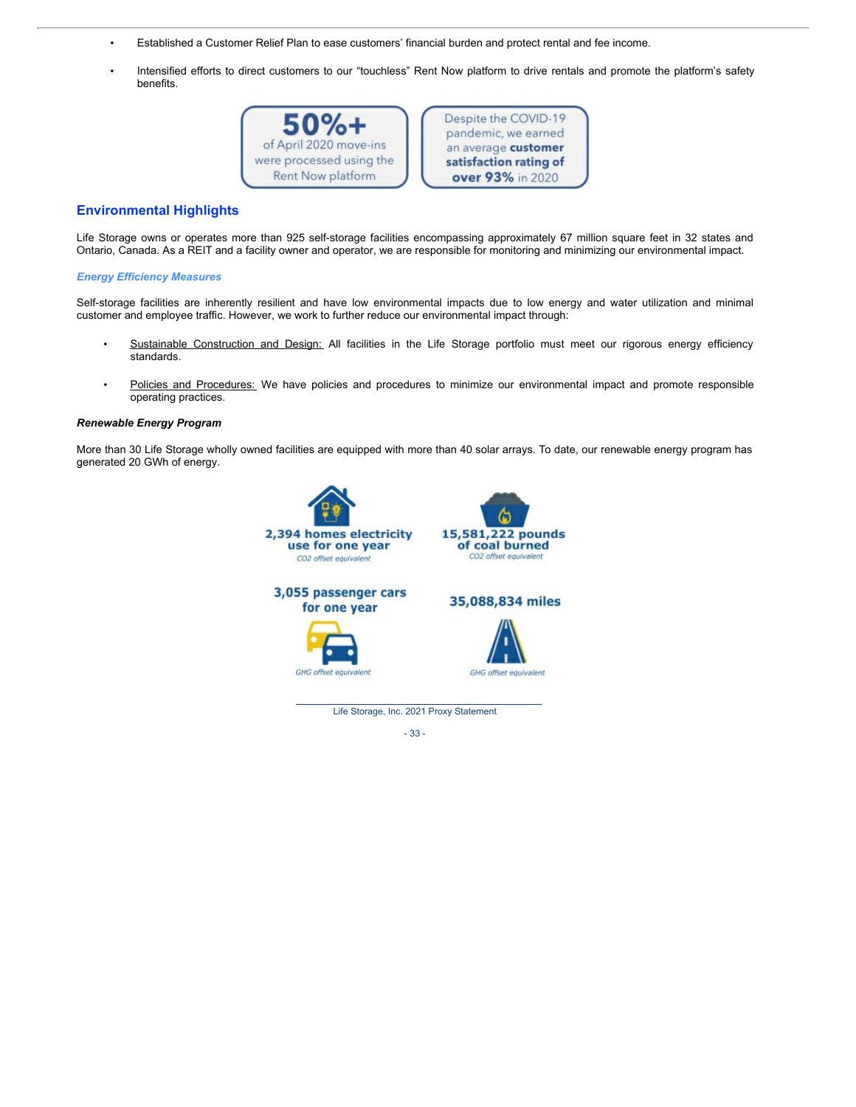- Established a Customer Relief Plan to ease customers' financial burden and protect rental and fee income.
- Intensified efforts to direct customers to our "touchless" Rent Now platform to drive rentals and promote the platform's safety benefits.



Despite the COVID-19 pandemic, we earned an average customer satisfaction rating of over 93% in 2020

## **Environmental Highlights**

Life Storage owns or operates more than 925 self-storage facilities encompassing approximately 67 million square feet in 32 states and Ontario, Canada. As a REIT and a facility owner and operator, we are responsible for monitoring and minimizing our environmental impact.

## *Energy Efficiency Measures*

Self-storage facilities are inherently resilient and have low environmental impacts due to low energy and water utilization and minimal customer and employee traffic. However, we work to further reduce our environmental impact through:

- Sustainable Construction and Design: All facilities in the Life Storage portfolio must meet our rigorous energy efficiency standards.
- Policies and Procedures: We have policies and procedures to minimize our environmental impact and promote responsible operating practices.

## *Renewable Energy Program*

More than 30 Life Storage wholly owned facilities are equipped with more than 40 solar arrays. To date, our renewable energy program has generated 20 GWh of energy.



- 33 -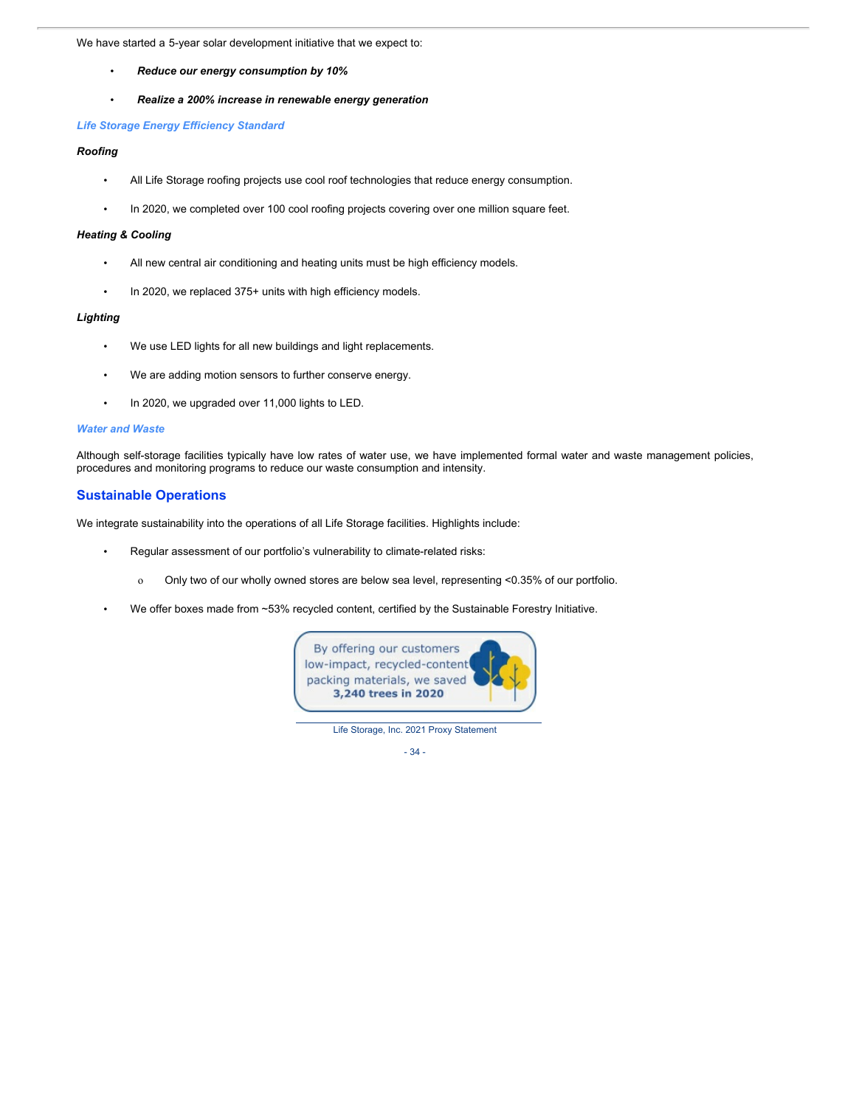We have started a 5-year solar development initiative that we expect to:

- *Reduce our energy consumption by 10%*
- *Realize a 200% increase in renewable energy generation*

## *Life Storage Energy Efficiency Standard*

## *Roofing*

- All Life Storage roofing projects use cool roof technologies that reduce energy consumption.
- In 2020, we completed over 100 cool roofing projects covering over one million square feet.

## *Heating & Cooling*

- All new central air conditioning and heating units must be high efficiency models.
- In 2020, we replaced 375+ units with high efficiency models.

## *Lighting*

- We use LED lights for all new buildings and light replacements.
- We are adding motion sensors to further conserve energy.
- In 2020, we upgraded over 11,000 lights to LED.

## *Water and Waste*

Although self-storage facilities typically have low rates of water use, we have implemented formal water and waste management policies, procedures and monitoring programs to reduce our waste consumption and intensity.

## **Sustainable Operations**

We integrate sustainability into the operations of all Life Storage facilities. Highlights include:

- Regular assessment of our portfolio's vulnerability to climate-related risks:
	- o Only two of our wholly owned stores are below sea level, representing <0.35% of our portfolio.
	- We offer boxes made from ~53% recycled content, certified by the Sustainable Forestry Initiative.



Life Storage, Inc. 2021 Proxy Statement

- 34 -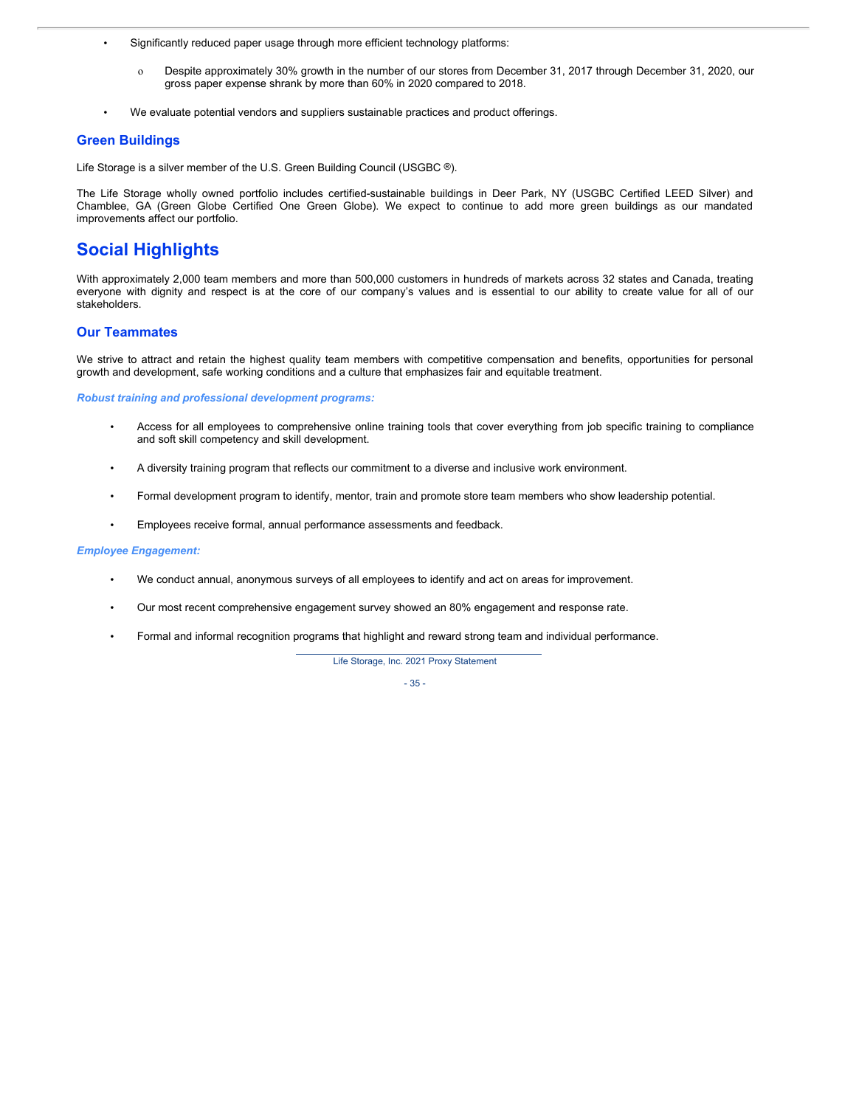• Significantly reduced paper usage through more efficient technology platforms:

- o Despite approximately 30% growth in the number of our stores from December 31, 2017 through December 31, 2020, our gross paper expense shrank by more than 60% in 2020 compared to 2018.
- We evaluate potential vendors and suppliers sustainable practices and product offerings.

## **Green Buildings**

Life Storage is a silver member of the U.S. Green Building Council (USGBC ®).

The Life Storage wholly owned portfolio includes certified-sustainable buildings in Deer Park, NY (USGBC Certified LEED Silver) and Chamblee, GA (Green Globe Certified One Green Globe). We expect to continue to add more green buildings as our mandated improvements affect our portfolio.

# **Social Highlights**

With approximately 2,000 team members and more than 500,000 customers in hundreds of markets across 32 states and Canada, treating everyone with dignity and respect is at the core of our company's values and is essential to our ability to create value for all of our stakeholders.

## **Our Teammates**

We strive to attract and retain the highest quality team members with competitive compensation and benefits, opportunities for personal growth and development, safe working conditions and a culture that emphasizes fair and equitable treatment.

*Robust training and professional development programs:*

- Access for all employees to comprehensive online training tools that cover everything from job specific training to compliance and soft skill competency and skill development.
- A diversity training program that reflects our commitment to a diverse and inclusive work environment.
- Formal development program to identify, mentor, train and promote store team members who show leadership potential.
- Employees receive formal, annual performance assessments and feedback.

### *Employee Engagement:*

- We conduct annual, anonymous surveys of all employees to identify and act on areas for improvement.
- Our most recent comprehensive engagement survey showed an 80% engagement and response rate.
- Formal and informal recognition programs that highlight and reward strong team and individual performance.

Life Storage, Inc. 2021 Proxy Statement

- 35 -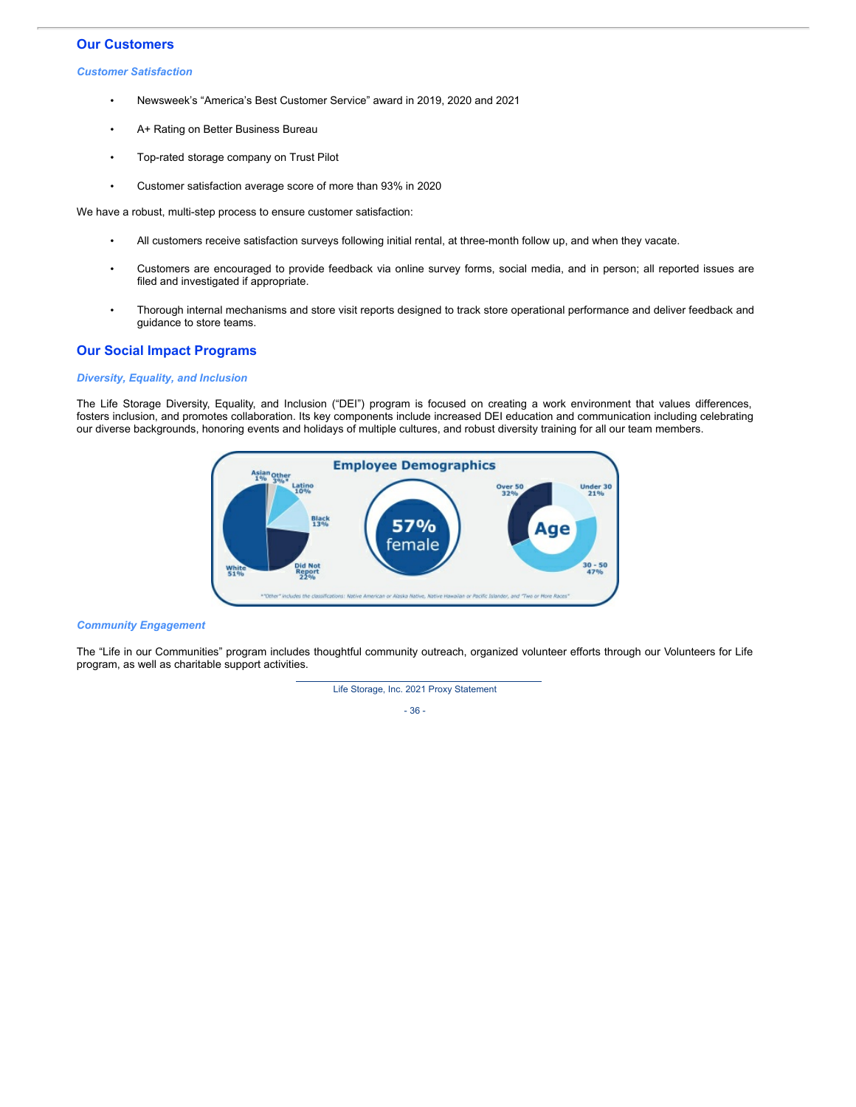## **Our Customers**

*Customer Satisfaction*

- Newsweek's "America's Best Customer Service" award in 2019, 2020 and 2021
- A+ Rating on Better Business Bureau
- Top-rated storage company on Trust Pilot
- Customer satisfaction average score of more than 93% in 2020

We have a robust, multi-step process to ensure customer satisfaction:

- All customers receive satisfaction surveys following initial rental, at three-month follow up, and when they vacate.
- Customers are encouraged to provide feedback via online survey forms, social media, and in person; all reported issues are filed and investigated if appropriate.
- Thorough internal mechanisms and store visit reports designed to track store operational performance and deliver feedback and guidance to store teams.

## **Our Social Impact Programs**

## *Diversity, Equality, and Inclusion*

The Life Storage Diversity, Equality, and Inclusion ("DEI") program is focused on creating a work environment that values differences, fosters inclusion, and promotes collaboration. Its key components include increased DEI education and communication including celebrating our diverse backgrounds, honoring events and holidays of multiple cultures, and robust diversity training for all our team members.



### *Community Engagement*

The "Life in our Communities" program includes thoughtful community outreach, organized volunteer efforts through our Volunteers for Life program, as well as charitable support activities.



- 36 -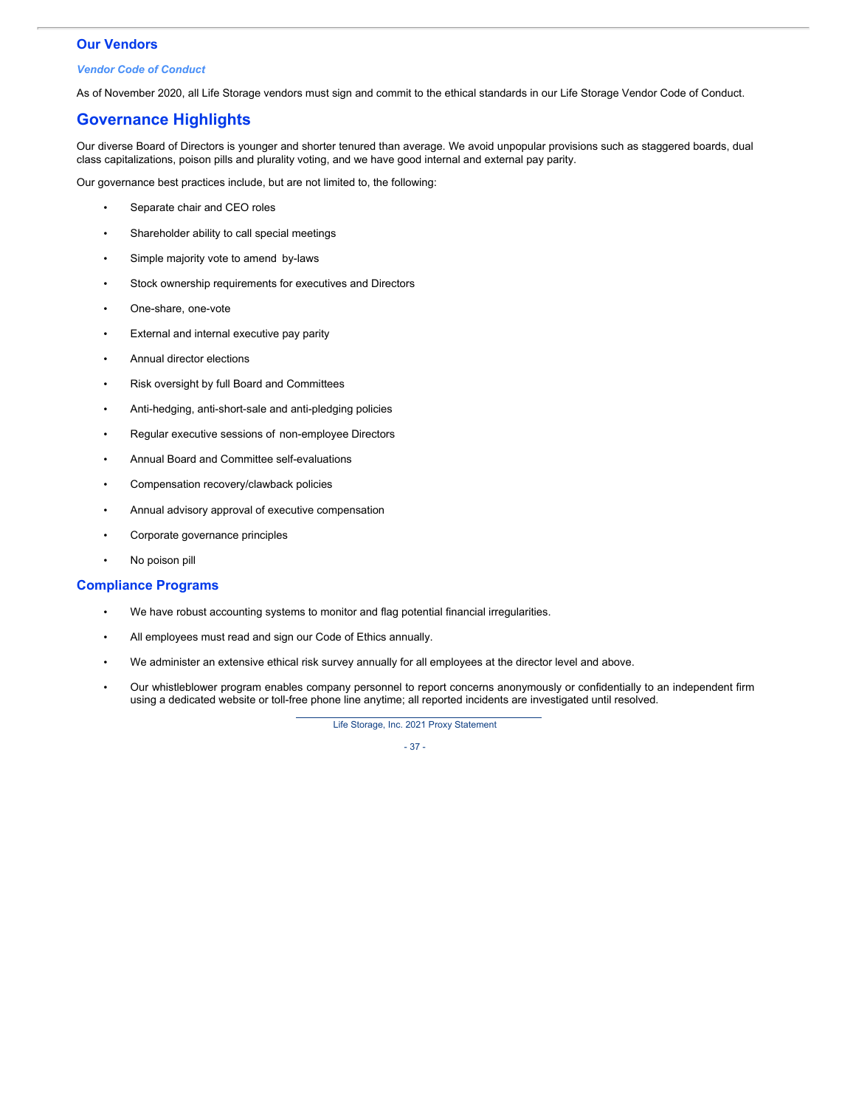## **Our Vendors**

### *Vendor Code of Conduct*

As of November 2020, all Life Storage vendors must sign and commit to the ethical standards in our Life Storage Vendor Code of Conduct.

# **Governance Highlights**

Our diverse Board of Directors is younger and shorter tenured than average. We avoid unpopular provisions such as staggered boards, dual class capitalizations, poison pills and plurality voting, and we have good internal and external pay parity.

Our governance best practices include, but are not limited to, the following:

- Separate chair and CEO roles
- Shareholder ability to call special meetings
- Simple majority vote to amend by-laws
- Stock ownership requirements for executives and Directors
- One-share, one-vote
- External and internal executive pay parity
- Annual director elections
- Risk oversight by full Board and Committees
- Anti-hedging, anti-short-sale and anti-pledging policies
- Regular executive sessions of non-employee Directors
- Annual Board and Committee self-evaluations
- Compensation recovery/clawback policies
- Annual advisory approval of executive compensation
- Corporate governance principles
- No poison pill

## **Compliance Programs**

- We have robust accounting systems to monitor and flag potential financial irregularities.
- All employees must read and sign our Code of Ethics annually.
- We administer an extensive ethical risk survey annually for all employees at the director level and above.
- Our whistleblower program enables company personnel to report concerns anonymously or confidentially to an independent firm using a dedicated website or toll-free phone line anytime; all reported incidents are investigated until resolved.

Life Storage, Inc. 2021 Proxy Statement

- 37 -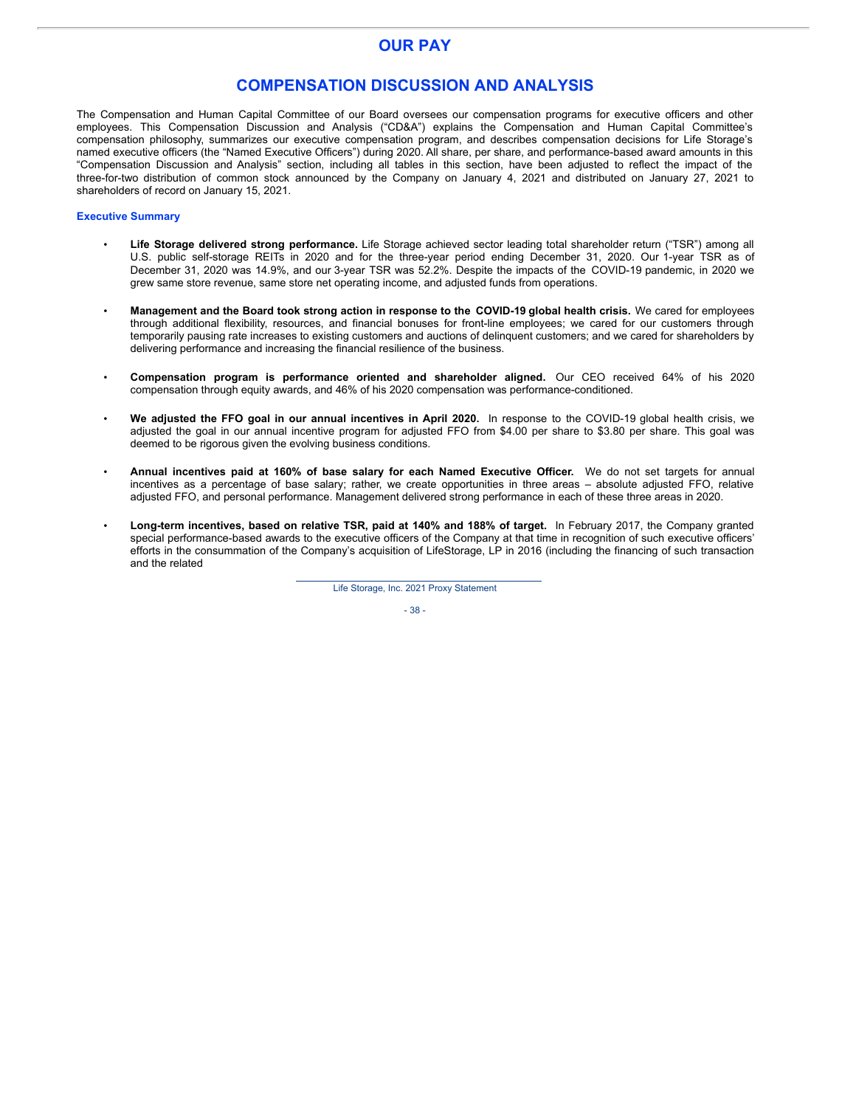# **OUR PAY**

## **COMPENSATION DISCUSSION AND ANALYSIS**

The Compensation and Human Capital Committee of our Board oversees our compensation programs for executive officers and other employees. This Compensation Discussion and Analysis ("CD&A") explains the Compensation and Human Capital Committee's compensation philosophy, summarizes our executive compensation program, and describes compensation decisions for Life Storage's named executive officers (the "Named Executive Officers") during 2020. All share, per share, and performance-based award amounts in this "Compensation Discussion and Analysis" section, including all tables in this section, have been adjusted to reflect the impact of the three-for-two distribution of common stock announced by the Company on January 4, 2021 and distributed on January 27, 2021 to shareholders of record on January 15, 2021.

### **Executive Summary**

- **Life Storage delivered strong performance.** Life Storage achieved sector leading total shareholder return ("TSR") among all U.S. public self-storage REITs in 2020 and for the three-year period ending December 31, 2020. Our 1-year TSR as of December 31, 2020 was 14.9%, and our 3-year TSR was 52.2%. Despite the impacts of the COVID-19 pandemic, in 2020 we grew same store revenue, same store net operating income, and adjusted funds from operations.
- **Management and the Board took strong action in response to the COVID-19 global health crisis.** We cared for employees through additional flexibility, resources, and financial bonuses for front-line employees; we cared for our customers through temporarily pausing rate increases to existing customers and auctions of delinquent customers; and we cared for shareholders by delivering performance and increasing the financial resilience of the business.
- **Compensation program is performance oriented and shareholder aligned.** Our CEO received 64% of his 2020 compensation through equity awards, and 46% of his 2020 compensation was performance-conditioned.
- **We adjusted the FFO goal in our annual incentives in April 2020.** In response to the COVID-19 global health crisis, we adjusted the goal in our annual incentive program for adjusted FFO from \$4.00 per share to \$3.80 per share. This goal was deemed to be rigorous given the evolving business conditions.
- **Annual incentives paid at 160% of base salary for each Named Executive Officer.** We do not set targets for annual incentives as a percentage of base salary; rather, we create opportunities in three areas – absolute adjusted FFO, relative adjusted FFO, and personal performance. Management delivered strong performance in each of these three areas in 2020.
- **Long-term incentives, based on relative TSR, paid at 140% and 188% of target.** In February 2017, the Company granted special performance-based awards to the executive officers of the Company at that time in recognition of such executive officers' efforts in the consummation of the Company's acquisition of LifeStorage, LP in 2016 (including the financing of such transaction and the related

Life Storage, Inc. 2021 Proxy Statement

- 38 -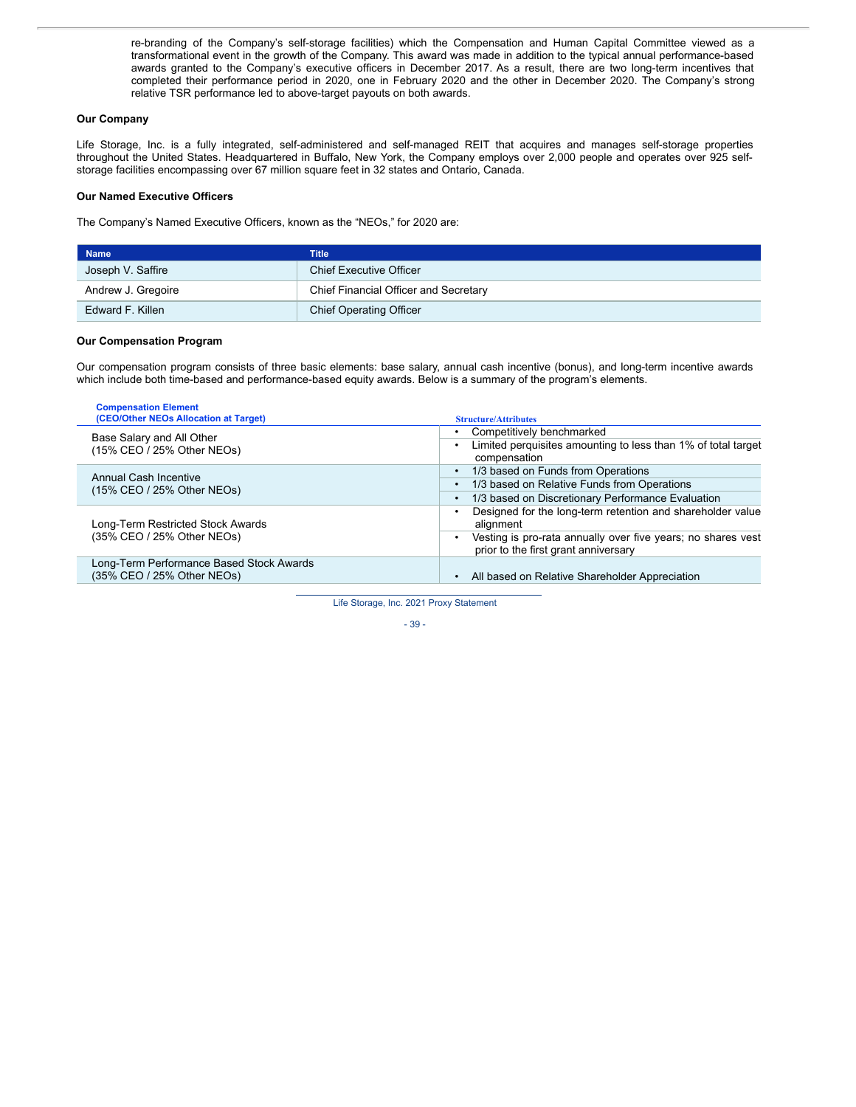re-branding of the Company's self-storage facilities) which the Compensation and Human Capital Committee viewed as a transformational event in the growth of the Company. This award was made in addition to the typical annual performance-based awards granted to the Company's executive officers in December 2017. As a result, there are two long-term incentives that completed their performance period in 2020, one in February 2020 and the other in December 2020. The Company's strong relative TSR performance led to above-target payouts on both awards.

### **Our Company**

Life Storage, Inc. is a fully integrated, self-administered and self-managed REIT that acquires and manages self-storage properties throughout the United States. Headquartered in Buffalo, New York, the Company employs over 2,000 people and operates over 925 selfstorage facilities encompassing over 67 million square feet in 32 states and Ontario, Canada.

### **Our Named Executive Officers**

The Company's Named Executive Officers, known as the "NEOs," for 2020 are:

| <b>Name</b>        | <b>Title</b>                          |
|--------------------|---------------------------------------|
| Joseph V. Saffire  | <b>Chief Executive Officer</b>        |
| Andrew J. Gregoire | Chief Financial Officer and Secretary |
| Edward F. Killen   | <b>Chief Operating Officer</b>        |

### **Our Compensation Program**

Our compensation program consists of three basic elements: base salary, annual cash incentive (bonus), and long-term incentive awards which include both time-based and performance-based equity awards. Below is a summary of the program's elements.

| <b>Compensation Element</b><br>(CEO/Other NEOs Allocation at Target)   | <b>Structure/Attributes</b>                                                                                                                                                     |
|------------------------------------------------------------------------|---------------------------------------------------------------------------------------------------------------------------------------------------------------------------------|
| Base Salary and All Other<br>(15% CEO / 25% Other NEOs)                | Competitively benchmarked<br>Limited perquisites amounting to less than 1% of total target<br>compensation                                                                      |
| Annual Cash Incentive<br>(15% CEO / 25% Other NEOs)                    | 1/3 based on Funds from Operations<br>1/3 based on Relative Funds from Operations<br>1/3 based on Discretionary Performance Evaluation                                          |
| Long-Term Restricted Stock Awards<br>(35% CEO / 25% Other NEOs)        | Designed for the long-term retention and shareholder value<br>alignment<br>Vesting is pro-rata annually over five years; no shares vest<br>prior to the first grant anniversary |
| Long-Term Performance Based Stock Awards<br>(35% CEO / 25% Other NEOs) | All based on Relative Shareholder Appreciation                                                                                                                                  |

Life Storage, Inc. 2021 Proxy Statement

$$
-39-
$$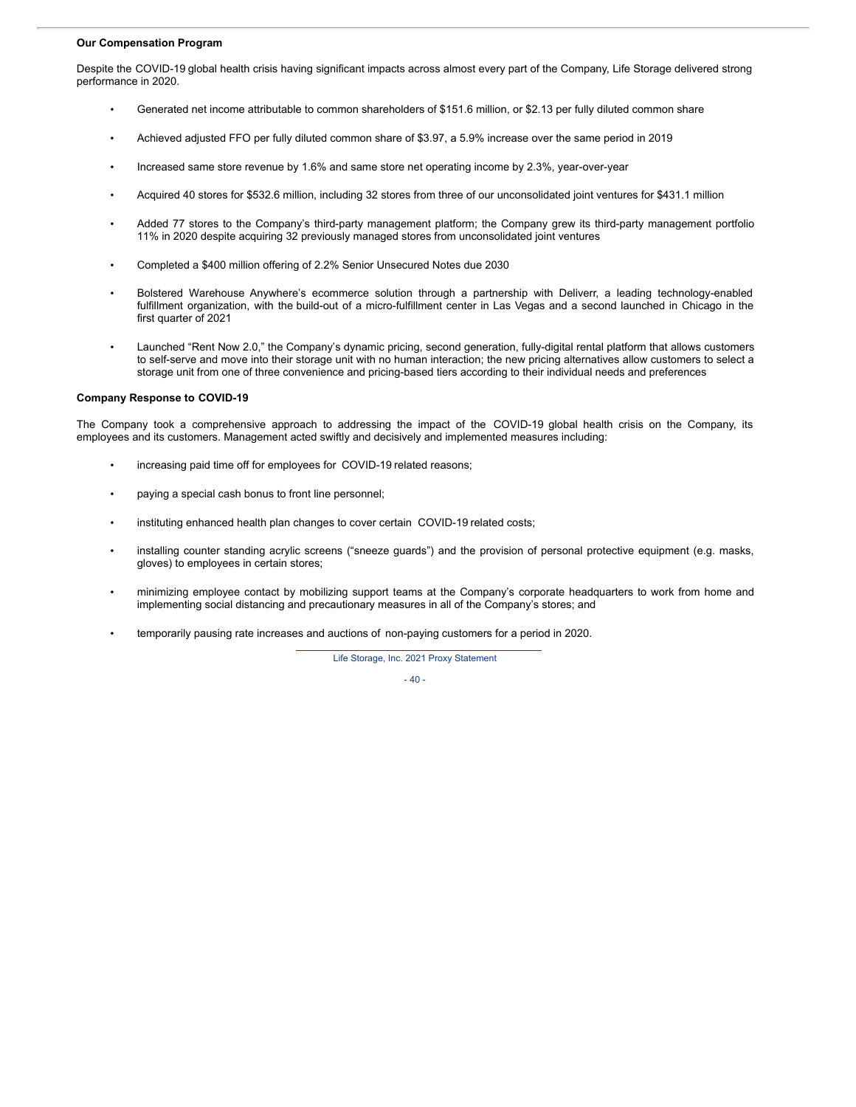### **Our Compensation Program**

Despite the COVID-19 global health crisis having significant impacts across almost every part of the Company, Life Storage delivered strong performance in 2020.

- Generated net income attributable to common shareholders of \$151.6 million, or \$2.13 per fully diluted common share
- Achieved adjusted FFO per fully diluted common share of \$3.97, a 5.9% increase over the same period in 2019
- Increased same store revenue by 1.6% and same store net operating income by 2.3%, year-over-year
- Acquired 40 stores for \$532.6 million, including 32 stores from three of our unconsolidated joint ventures for \$431.1 million
- Added 77 stores to the Company's third-party management platform; the Company grew its third-party management portfolio 11% in 2020 despite acquiring 32 previously managed stores from unconsolidated joint ventures
- Completed a \$400 million offering of 2.2% Senior Unsecured Notes due 2030
- Bolstered Warehouse Anywhere's ecommerce solution through a partnership with Deliverr, a leading technology-enabled fulfillment organization, with the build-out of a micro-fulfillment center in Las Vegas and a second launched in Chicago in the first quarter of 2021
- Launched "Rent Now 2.0," the Company's dynamic pricing, second generation, fully-digital rental platform that allows customers to self-serve and move into their storage unit with no human interaction; the new pricing alternatives allow customers to select a storage unit from one of three convenience and pricing-based tiers according to their individual needs and preferences

#### **Company Response to COVID-19**

The Company took a comprehensive approach to addressing the impact of the COVID-19 global health crisis on the Company, its employees and its customers. Management acted swiftly and decisively and implemented measures including:

- increasing paid time off for employees for COVID-19 related reasons;
- paying a special cash bonus to front line personnel;
- instituting enhanced health plan changes to cover certain COVID-19 related costs;
- installing counter standing acrylic screens ("sneeze guards") and the provision of personal protective equipment (e.g. masks, gloves) to employees in certain stores;
- minimizing employee contact by mobilizing support teams at the Company's corporate headquarters to work from home and implementing social distancing and precautionary measures in all of the Company's stores; and
- temporarily pausing rate increases and auctions of non-paying customers for a period in 2020.

Life Storage, Inc. 2021 Proxy Statement

- 40 -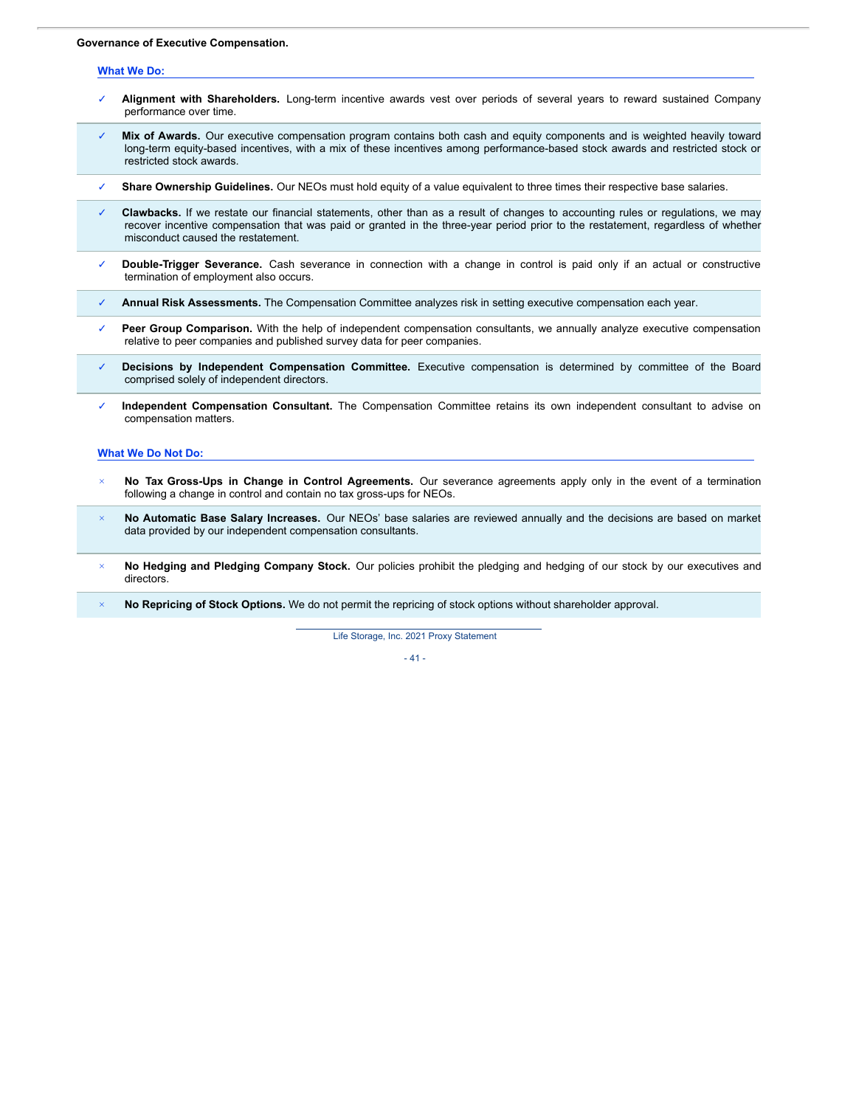## **Governance of Executive Compensation.**

#### **What We Do:**

- ✓ **Alignment with Shareholders.** Long-term incentive awards vest over periods of several years to reward sustained Company performance over time.
- Mix of Awards. Our executive compensation program contains both cash and equity components and is weighted heavily toward long-term equity-based incentives, with a mix of these incentives among performance-based stock awards and restricted stock or restricted stock awards.
- ✓ **Share Ownership Guidelines.** Our NEOs must hold equity of a value equivalent to three times their respective base salaries.
- Clawbacks. If we restate our financial statements, other than as a result of changes to accounting rules or regulations, we may recover incentive compensation that was paid or granted in the three-year period prior to the restatement, regardless of whether misconduct caused the restatement.
- ✓ **Double-Trigger Severance.** Cash severance in connection with a change in control is paid only if an actual or constructive termination of employment also occurs.
- ✓ **Annual Risk Assessments.** The Compensation Committee analyzes risk in setting executive compensation each year.
- Peer Group Comparison. With the help of independent compensation consultants, we annually analyze executive compensation relative to peer companies and published survey data for peer companies.
- ✓ **Decisions by Independent Compensation Committee.** Executive compensation is determined by committee of the Board comprised solely of independent directors.
- ✓ **Independent Compensation Consultant.** The Compensation Committee retains its own independent consultant to advise on compensation matters.

#### **What We Do Not Do:**

- *×* **No Tax Gross-Ups in Change in Control Agreements.** Our severance agreements apply only in the event of a termination following a change in control and contain no tax gross-ups for NEOs.
- *×* **No Automatic Base Salary Increases.** Our NEOs' base salaries are reviewed annually and the decisions are based on market data provided by our independent compensation consultants.
- *×* **No Hedging and Pledging Company Stock.** Our policies prohibit the pledging and hedging of our stock by our executives and directors.
- *×* **No Repricing of Stock Options.** We do not permit the repricing of stock options without shareholder approval.

Life Storage, Inc. 2021 Proxy Statement

 $-41 -$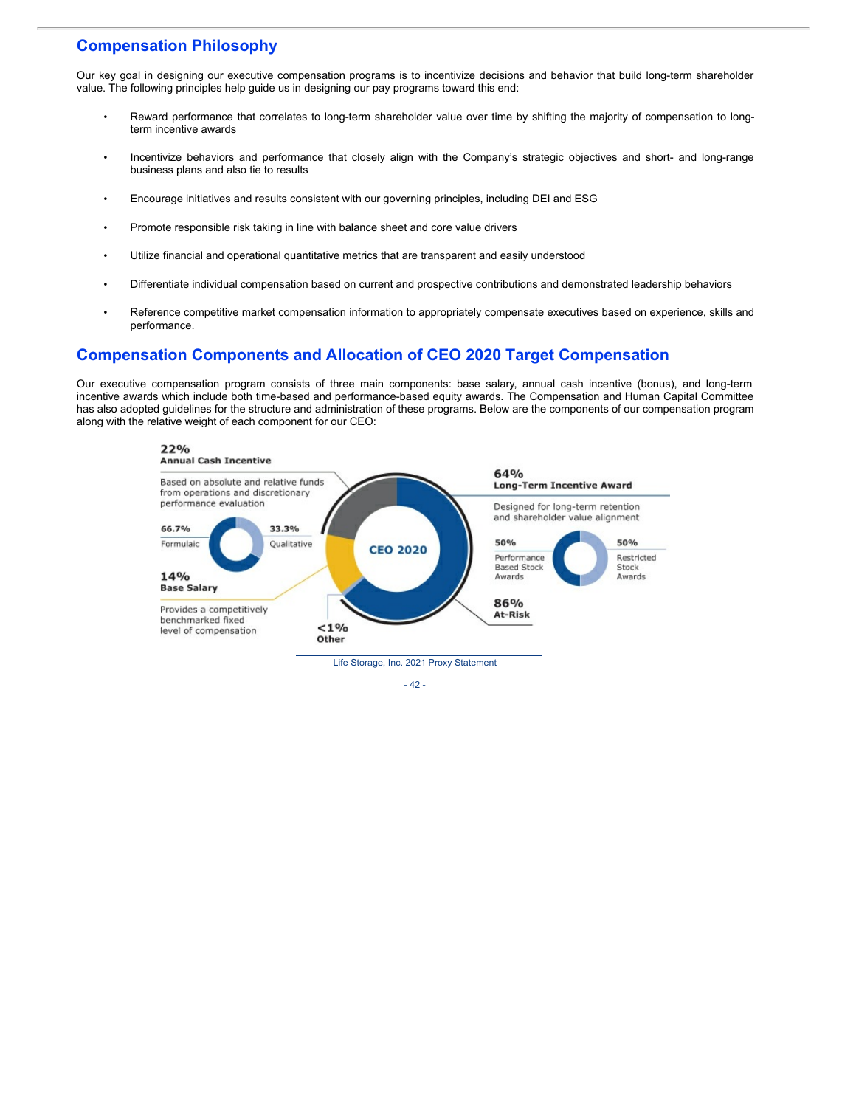# **Compensation Philosophy**

Our key goal in designing our executive compensation programs is to incentivize decisions and behavior that build long-term shareholder value. The following principles help guide us in designing our pay programs toward this end:

- Reward performance that correlates to long-term shareholder value over time by shifting the majority of compensation to longterm incentive awards
- Incentivize behaviors and performance that closely align with the Company's strategic objectives and short- and long-range business plans and also tie to results
- Encourage initiatives and results consistent with our governing principles, including DEI and ESG
- Promote responsible risk taking in line with balance sheet and core value drivers
- Utilize financial and operational quantitative metrics that are transparent and easily understood
- Differentiate individual compensation based on current and prospective contributions and demonstrated leadership behaviors
- Reference competitive market compensation information to appropriately compensate executives based on experience, skills and performance.

## **Compensation Components and Allocation of CEO 2020 Target Compensation**

Our executive compensation program consists of three main components: base salary, annual cash incentive (bonus), and long-term incentive awards which include both time-based and performance-based equity awards. The Compensation and Human Capital Committee has also adopted guidelines for the structure and administration of these programs. Below are the components of our compensation program along with the relative weight of each component for our CEO:



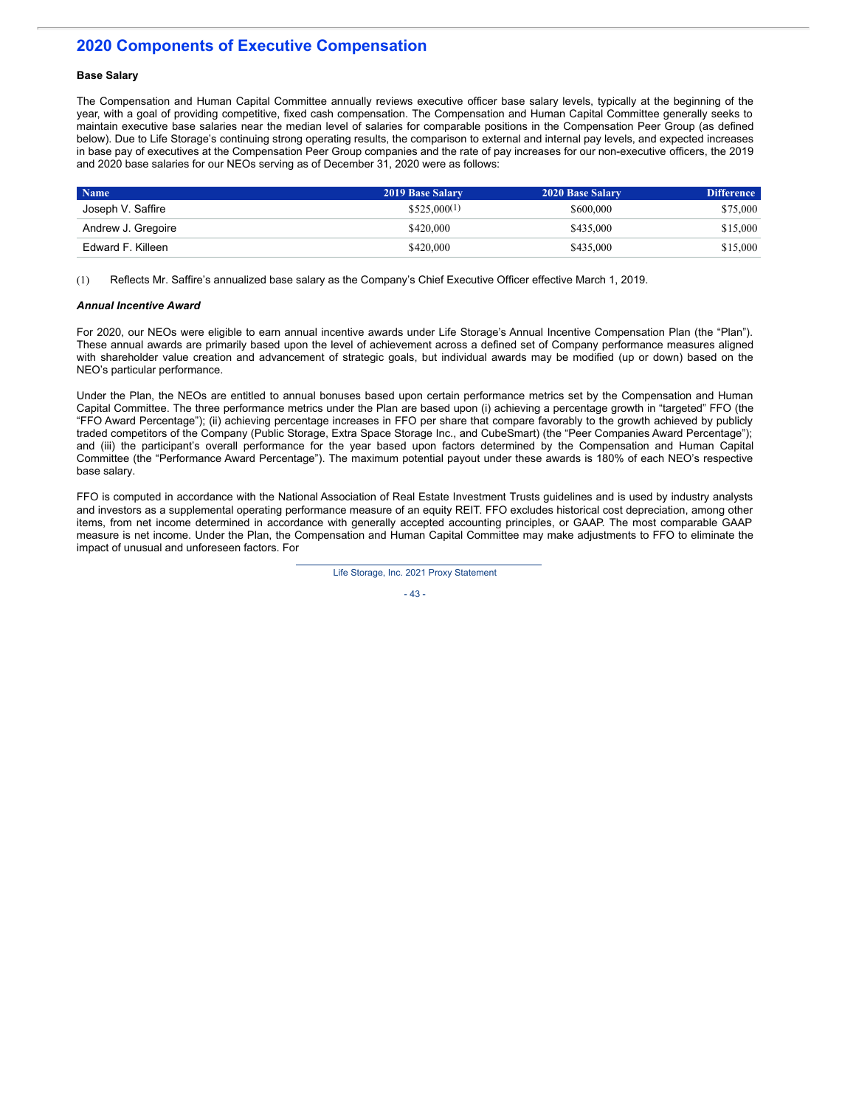# **2020 Components of Executive Compensation**

## **Base Salary**

The Compensation and Human Capital Committee annually reviews executive officer base salary levels, typically at the beginning of the year, with a goal of providing competitive, fixed cash compensation. The Compensation and Human Capital Committee generally seeks to maintain executive base salaries near the median level of salaries for comparable positions in the Compensation Peer Group (as defined below). Due to Life Storage's continuing strong operating results, the comparison to external and internal pay levels, and expected increases in base pay of executives at the Compensation Peer Group companies and the rate of pay increases for our non-executive officers, the 2019 and 2020 base salaries for our NEOs serving as of December 31, 2020 were as follows:

| <b>Name</b>        | 2019 Base Salary | 2020 Base Salary | <b>Difference</b> |
|--------------------|------------------|------------------|-------------------|
| Joseph V. Saffire  | \$525.000(1)     | \$600,000        | \$75,000          |
| Andrew J. Gregoire | \$420,000        | \$435,000        | \$15,000          |
| Edward F. Killeen  | \$420,000        | \$435,000        | \$15,000          |

(1) Reflects Mr. Saffire's annualized base salary as the Company's Chief Executive Officer effective March 1, 2019.

## *Annual Incentive Award*

For 2020, our NEOs were eligible to earn annual incentive awards under Life Storage's Annual Incentive Compensation Plan (the "Plan"). These annual awards are primarily based upon the level of achievement across a defined set of Company performance measures aligned with shareholder value creation and advancement of strategic goals, but individual awards may be modified (up or down) based on the NEO's particular performance.

Under the Plan, the NEOs are entitled to annual bonuses based upon certain performance metrics set by the Compensation and Human Capital Committee. The three performance metrics under the Plan are based upon (i) achieving a percentage growth in "targeted" FFO (the "FFO Award Percentage"); (ii) achieving percentage increases in FFO per share that compare favorably to the growth achieved by publicly traded competitors of the Company (Public Storage, Extra Space Storage Inc., and CubeSmart) (the "Peer Companies Award Percentage"); and (iii) the participant's overall performance for the year based upon factors determined by the Compensation and Human Capital Committee (the "Performance Award Percentage"). The maximum potential payout under these awards is 180% of each NEO's respective base salary.

FFO is computed in accordance with the National Association of Real Estate Investment Trusts guidelines and is used by industry analysts and investors as a supplemental operating performance measure of an equity REIT. FFO excludes historical cost depreciation, among other items, from net income determined in accordance with generally accepted accounting principles, or GAAP. The most comparable GAAP measure is net income. Under the Plan, the Compensation and Human Capital Committee may make adjustments to FFO to eliminate the impact of unusual and unforeseen factors. For

Life Storage, Inc. 2021 Proxy Statement

- 43 -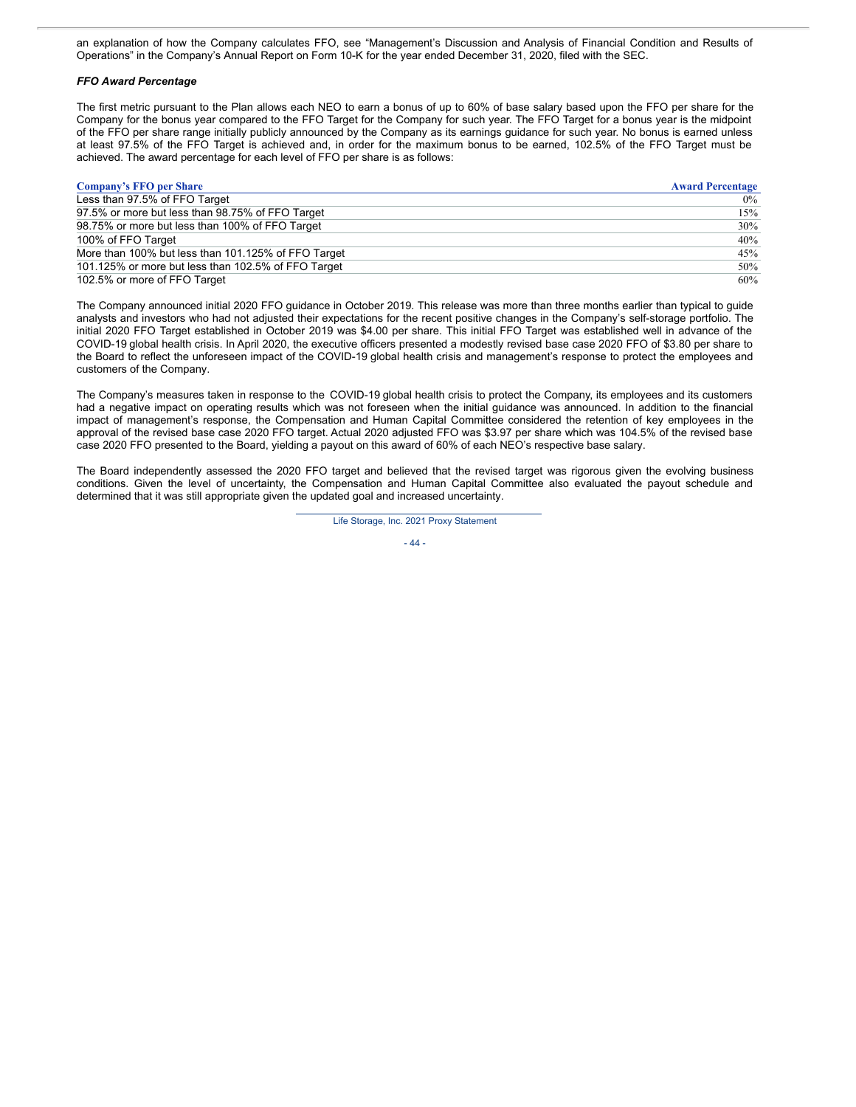an explanation of how the Company calculates FFO, see "Management's Discussion and Analysis of Financial Condition and Results of Operations" in the Company's Annual Report on Form 10-K for the year ended December 31, 2020, filed with the SEC.

### *FFO Award Percentage*

The first metric pursuant to the Plan allows each NEO to earn a bonus of up to 60% of base salary based upon the FFO per share for the Company for the bonus year compared to the FFO Target for the Company for such year. The FFO Target for a bonus year is the midpoint of the FFO per share range initially publicly announced by the Company as its earnings guidance for such year. No bonus is earned unless at least 97.5% of the FFO Target is achieved and, in order for the maximum bonus to be earned, 102.5% of the FFO Target must be achieved. The award percentage for each level of FFO per share is as follows:

| <b>Company's FFO per Share</b>                      | <b>Award Percentage</b> |
|-----------------------------------------------------|-------------------------|
| Less than 97.5% of FFO Target                       | $0\%$                   |
| 97.5% or more but less than 98.75% of FFO Target    | $15\%$                  |
| 98.75% or more but less than 100% of FFO Target     | 30%                     |
| 100% of FFO Target                                  | 40%                     |
| More than 100% but less than 101.125% of FFO Target | 45%                     |
| 101.125% or more but less than 102.5% of FFO Target | 50%                     |
| 102.5% or more of FFO Target                        | 60%                     |

The Company announced initial 2020 FFO guidance in October 2019. This release was more than three months earlier than typical to guide analysts and investors who had not adjusted their expectations for the recent positive changes in the Company's self-storage portfolio. The initial 2020 FFO Target established in October 2019 was \$4.00 per share. This initial FFO Target was established well in advance of the COVID-19 global health crisis. In April 2020, the executive officers presented a modestly revised base case 2020 FFO of \$3.80 per share to the Board to reflect the unforeseen impact of the COVID-19 global health crisis and management's response to protect the employees and customers of the Company.

The Company's measures taken in response to the COVID-19 global health crisis to protect the Company, its employees and its customers had a negative impact on operating results which was not foreseen when the initial guidance was announced. In addition to the financial impact of management's response, the Compensation and Human Capital Committee considered the retention of key employees in the approval of the revised base case 2020 FFO target. Actual 2020 adjusted FFO was \$3.97 per share which was 104.5% of the revised base case 2020 FFO presented to the Board, yielding a payout on this award of 60% of each NEO's respective base salary.

The Board independently assessed the 2020 FFO target and believed that the revised target was rigorous given the evolving business conditions. Given the level of uncertainty, the Compensation and Human Capital Committee also evaluated the payout schedule and determined that it was still appropriate given the updated goal and increased uncertainty.

Life Storage, Inc. 2021 Proxy Statement

 $-44-$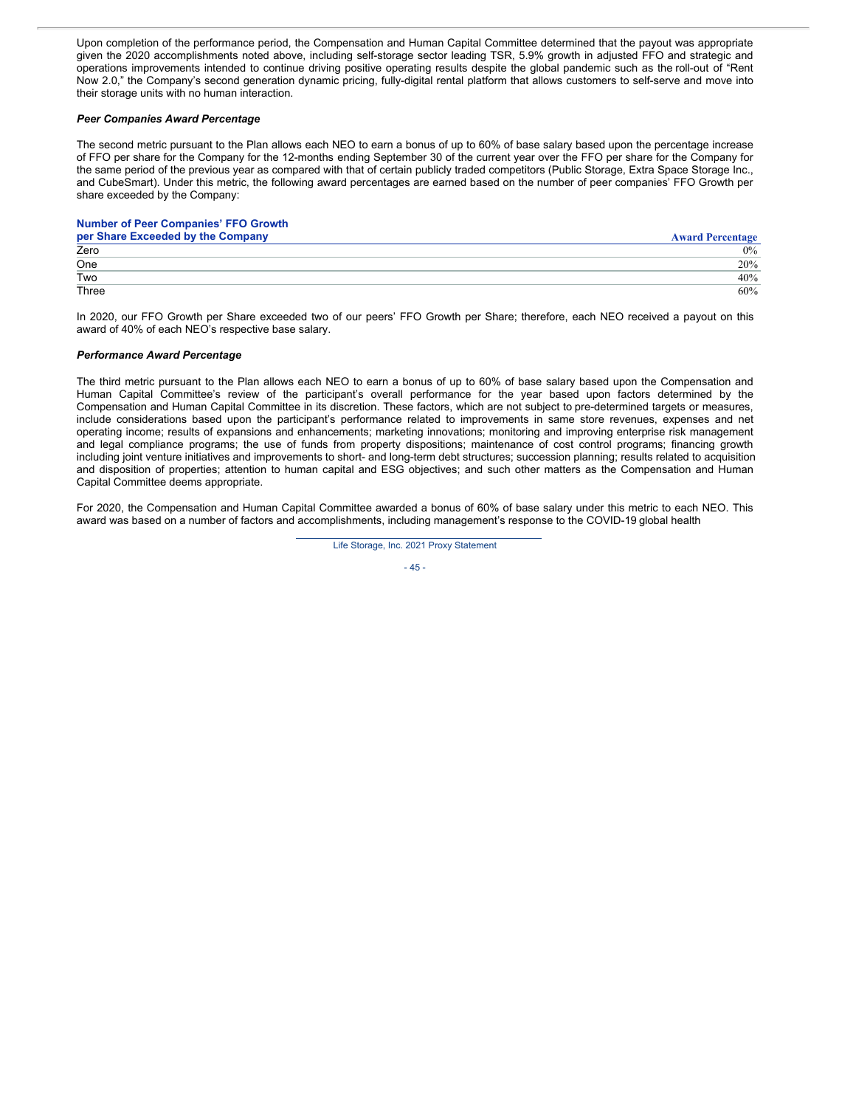Upon completion of the performance period, the Compensation and Human Capital Committee determined that the payout was appropriate given the 2020 accomplishments noted above, including self-storage sector leading TSR, 5.9% growth in adjusted FFO and strategic and operations improvements intended to continue driving positive operating results despite the global pandemic such as the roll-out of "Rent Now 2.0," the Company's second generation dynamic pricing, fully-digital rental platform that allows customers to self-serve and move into their storage units with no human interaction.

### *Peer Companies Award Percentage*

The second metric pursuant to the Plan allows each NEO to earn a bonus of up to 60% of base salary based upon the percentage increase of FFO per share for the Company for the 12-months ending September 30 of the current year over the FFO per share for the Company for the same period of the previous year as compared with that of certain publicly traded competitors (Public Storage, Extra Space Storage Inc., and CubeSmart). Under this metric, the following award percentages are earned based on the number of peer companies' FFO Growth per share exceeded by the Company:

### **Number of Peer Companies' FFO Growth**

| per Share Exceeded by the Company | <b>Award Percentage</b> |
|-----------------------------------|-------------------------|
| Zero                              | $0\%$                   |
| One                               | 20%                     |
| Two                               | 40%                     |
| Three                             | 60%                     |

In 2020, our FFO Growth per Share exceeded two of our peers' FFO Growth per Share; therefore, each NEO received a payout on this award of 40% of each NEO's respective base salary.

#### *Performance Award Percentage*

The third metric pursuant to the Plan allows each NEO to earn a bonus of up to 60% of base salary based upon the Compensation and Human Capital Committee's review of the participant's overall performance for the year based upon factors determined by the Compensation and Human Capital Committee in its discretion. These factors, which are not subject to pre-determined targets or measures, include considerations based upon the participant's performance related to improvements in same store revenues, expenses and net operating income; results of expansions and enhancements; marketing innovations; monitoring and improving enterprise risk management and legal compliance programs; the use of funds from property dispositions; maintenance of cost control programs; financing growth including joint venture initiatives and improvements to short- and long-term debt structures; succession planning; results related to acquisition and disposition of properties; attention to human capital and ESG objectives; and such other matters as the Compensation and Human Capital Committee deems appropriate.

For 2020, the Compensation and Human Capital Committee awarded a bonus of 60% of base salary under this metric to each NEO. This award was based on a number of factors and accomplishments, including management's response to the COVID-19 global health

Life Storage, Inc. 2021 Proxy Statement

$$
-45-
$$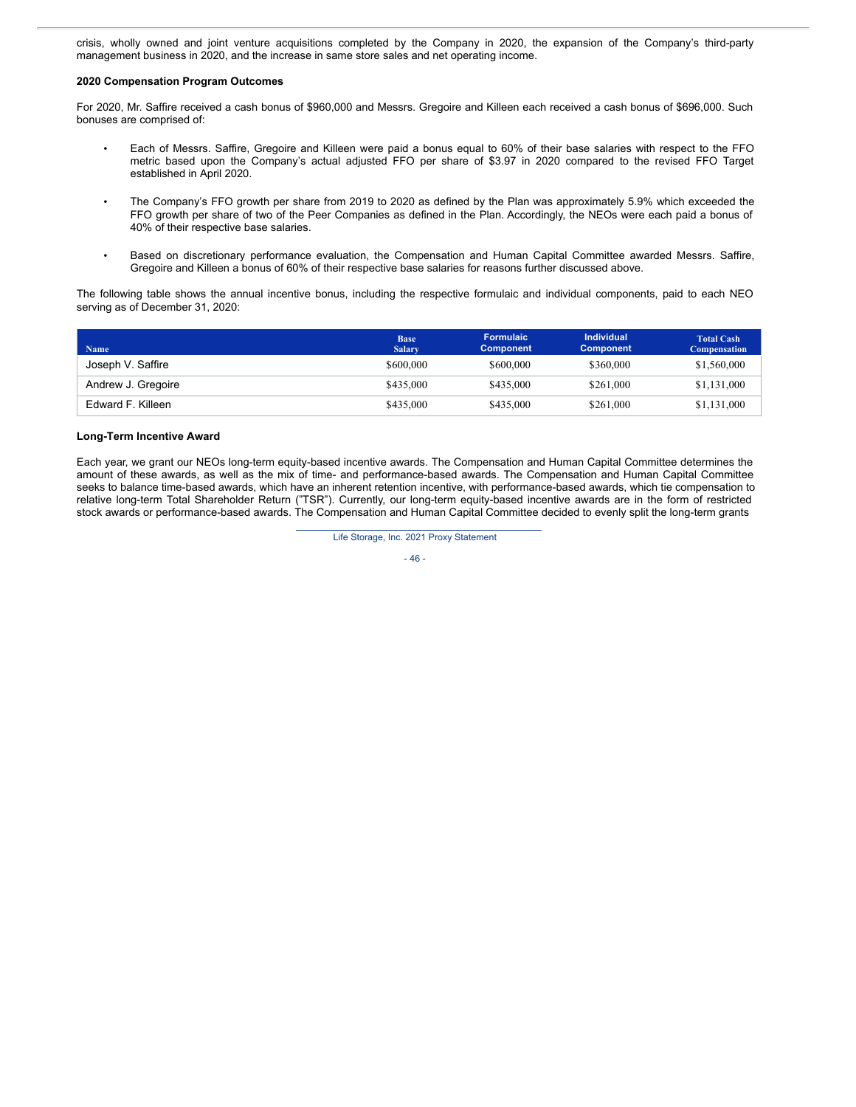crisis, wholly owned and joint venture acquisitions completed by the Company in 2020, the expansion of the Company's third-party management business in 2020, and the increase in same store sales and net operating income.

### **2020 Compensation Program Outcomes**

For 2020, Mr. Saffire received a cash bonus of \$960,000 and Messrs. Gregoire and Killeen each received a cash bonus of \$696,000. Such bonuses are comprised of:

- Each of Messrs. Saffire, Gregoire and Killeen were paid a bonus equal to 60% of their base salaries with respect to the FFO metric based upon the Company's actual adjusted FFO per share of \$3.97 in 2020 compared to the revised FFO Target established in April 2020.
- The Company's FFO growth per share from 2019 to 2020 as defined by the Plan was approximately 5.9% which exceeded the FFO growth per share of two of the Peer Companies as defined in the Plan. Accordingly, the NEOs were each paid a bonus of 40% of their respective base salaries.
- Based on discretionary performance evaluation, the Compensation and Human Capital Committee awarded Messrs. Saffire, Gregoire and Killeen a bonus of 60% of their respective base salaries for reasons further discussed above.

The following table shows the annual incentive bonus, including the respective formulaic and individual components, paid to each NEO serving as of December 31, 2020:

| <b>Name</b>        | <b>Base</b><br>Salary. | <b>Formulaic</b><br><b>Component</b> | <b>Individual</b><br><b>Component</b> | <b>Total Cash</b><br><b>Compensation</b> |
|--------------------|------------------------|--------------------------------------|---------------------------------------|------------------------------------------|
| Joseph V. Saffire  | \$600,000              | \$600,000                            | \$360,000                             | \$1,560,000                              |
| Andrew J. Gregoire | \$435,000              | \$435,000                            | \$261,000                             | \$1,131,000                              |
| Edward F. Killeen  | \$435,000              | \$435,000                            | \$261,000                             | \$1,131,000                              |

## **Long-Term Incentive Award**

Each year, we grant our NEOs long-term equity-based incentive awards. The Compensation and Human Capital Committee determines the amount of these awards, as well as the mix of time- and performance-based awards. The Compensation and Human Capital Committee seeks to balance time-based awards, which have an inherent retention incentive, with performance-based awards, which tie compensation to relative long-term Total Shareholder Return ("TSR"). Currently, our long-term equity-based incentive awards are in the form of restricted stock awards or performance-based awards. The Compensation and Human Capital Committee decided to evenly split the long-term grants

Life Storage, Inc. 2021 Proxy Statement

$$
-46-
$$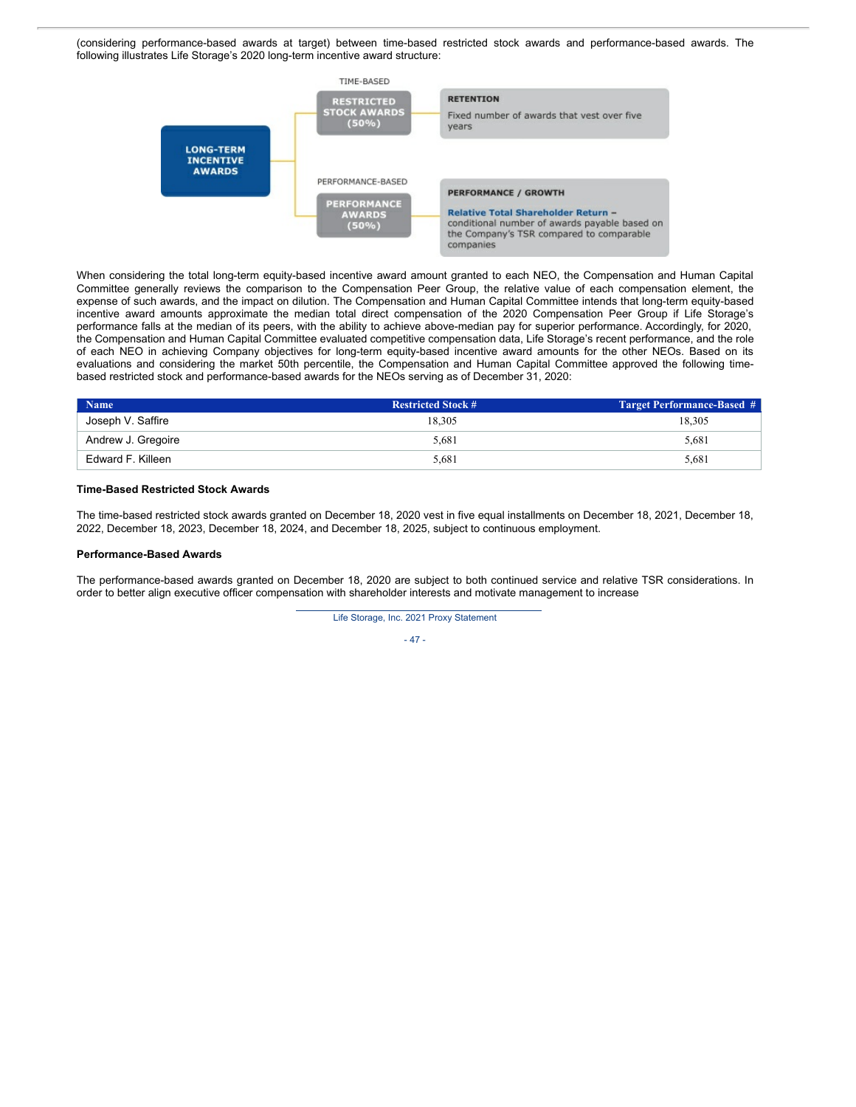(considering performance-based awards at target) between time-based restricted stock awards and performance-based awards. The following illustrates Life Storage's 2020 long-term incentive award structure:



When considering the total long-term equity-based incentive award amount granted to each NEO, the Compensation and Human Capital Committee generally reviews the comparison to the Compensation Peer Group, the relative value of each compensation element, the expense of such awards, and the impact on dilution. The Compensation and Human Capital Committee intends that long-term equity-based incentive award amounts approximate the median total direct compensation of the 2020 Compensation Peer Group if Life Storage's performance falls at the median of its peers, with the ability to achieve above-median pay for superior performance. Accordingly, for 2020, the Compensation and Human Capital Committee evaluated competitive compensation data, Life Storage's recent performance, and the role of each NEO in achieving Company objectives for long-term equity-based incentive award amounts for the other NEOs. Based on its evaluations and considering the market 50th percentile, the Compensation and Human Capital Committee approved the following timebased restricted stock and performance-based awards for the NEOs serving as of December 31, 2020:

| <b>Name</b>        | <b>Restricted Stock #</b> | <b>Target Performance-Based #</b> |
|--------------------|---------------------------|-----------------------------------|
| Joseph V. Saffire  | 18.305                    | 18.305                            |
| Andrew J. Gregoire | 5.681                     | 5,681                             |
| Edward F. Killeen  | 5.681                     | 5,681                             |

#### **Time-Based Restricted Stock Awards**

The time-based restricted stock awards granted on December 18, 2020 vest in five equal installments on December 18, 2021, December 18, 2022, December 18, 2023, December 18, 2024, and December 18, 2025, subject to continuous employment.

### **Performance-Based Awards**

The performance-based awards granted on December 18, 2020 are subject to both continued service and relative TSR considerations. In order to better align executive officer compensation with shareholder interests and motivate management to increase

Life Storage, Inc. 2021 Proxy Statement

- 47 -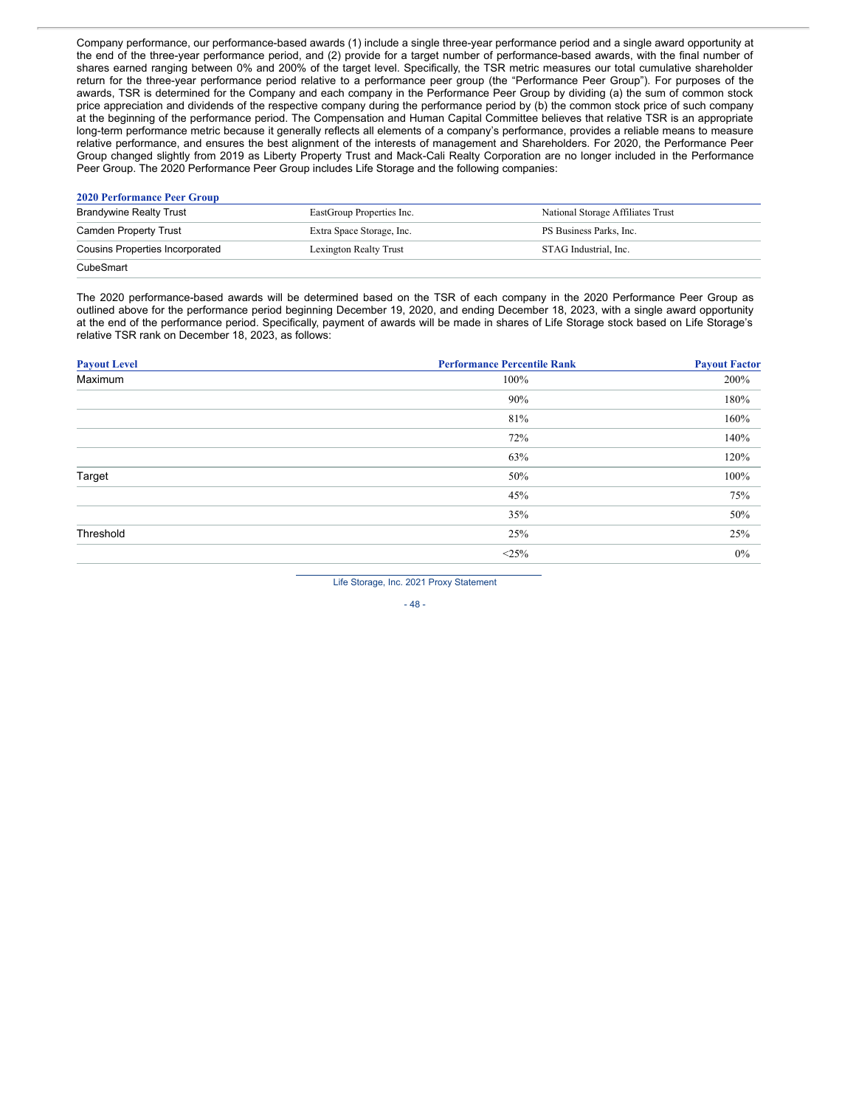Company performance, our performance-based awards (1) include a single three-year performance period and a single award opportunity at the end of the three-year performance period, and (2) provide for a target number of performance-based awards, with the final number of shares earned ranging between 0% and 200% of the target level. Specifically, the TSR metric measures our total cumulative shareholder return for the three-year performance period relative to a performance peer group (the "Performance Peer Group"). For purposes of the awards, TSR is determined for the Company and each company in the Performance Peer Group by dividing (a) the sum of common stock price appreciation and dividends of the respective company during the performance period by (b) the common stock price of such company at the beginning of the performance period. The Compensation and Human Capital Committee believes that relative TSR is an appropriate long-term performance metric because it generally reflects all elements of a company's performance, provides a reliable means to measure relative performance, and ensures the best alignment of the interests of management and Shareholders. For 2020, the Performance Peer Group changed slightly from 2019 as Liberty Property Trust and Mack-Cali Realty Corporation are no longer included in the Performance Peer Group. The 2020 Performance Peer Group includes Life Storage and the following companies:

### **2020 Performance Peer Group**

| <b>Brandywine Realty Trust</b>         | EastGroup Properties Inc. | National Storage Affiliates Trust |
|----------------------------------------|---------------------------|-----------------------------------|
| Camden Property Trust                  | Extra Space Storage, Inc. | PS Business Parks, Inc.           |
| <b>Cousins Properties Incorporated</b> | Lexington Realty Trust    | STAG Industrial. Inc.             |
| CubeSmart                              |                           |                                   |

The 2020 performance-based awards will be determined based on the TSR of each company in the 2020 Performance Peer Group as outlined above for the performance period beginning December 19, 2020, and ending December 18, 2023, with a single award opportunity at the end of the performance period. Specifically, payment of awards will be made in shares of Life Storage stock based on Life Storage's relative TSR rank on December 18, 2023, as follows:

| <b>Payout Level</b> | <b>Performance Percentile Rank</b> | <b>Payout Factor</b> |
|---------------------|------------------------------------|----------------------|
| Maximum             | 100%                               | 200%                 |
|                     | 90%                                | 180%                 |
|                     | 81%                                | 160%                 |
|                     | 72%                                | 140%                 |
|                     | 63%                                | 120%                 |
| Target              | 50%                                | 100%                 |
|                     | 45%                                | 75%                  |
|                     | 35%                                | 50%                  |
| Threshold           | 25%                                | 25%                  |
|                     | <25%                               | $0\%$                |
|                     |                                    |                      |

Life Storage, Inc. 2021 Proxy Statement

- 48 -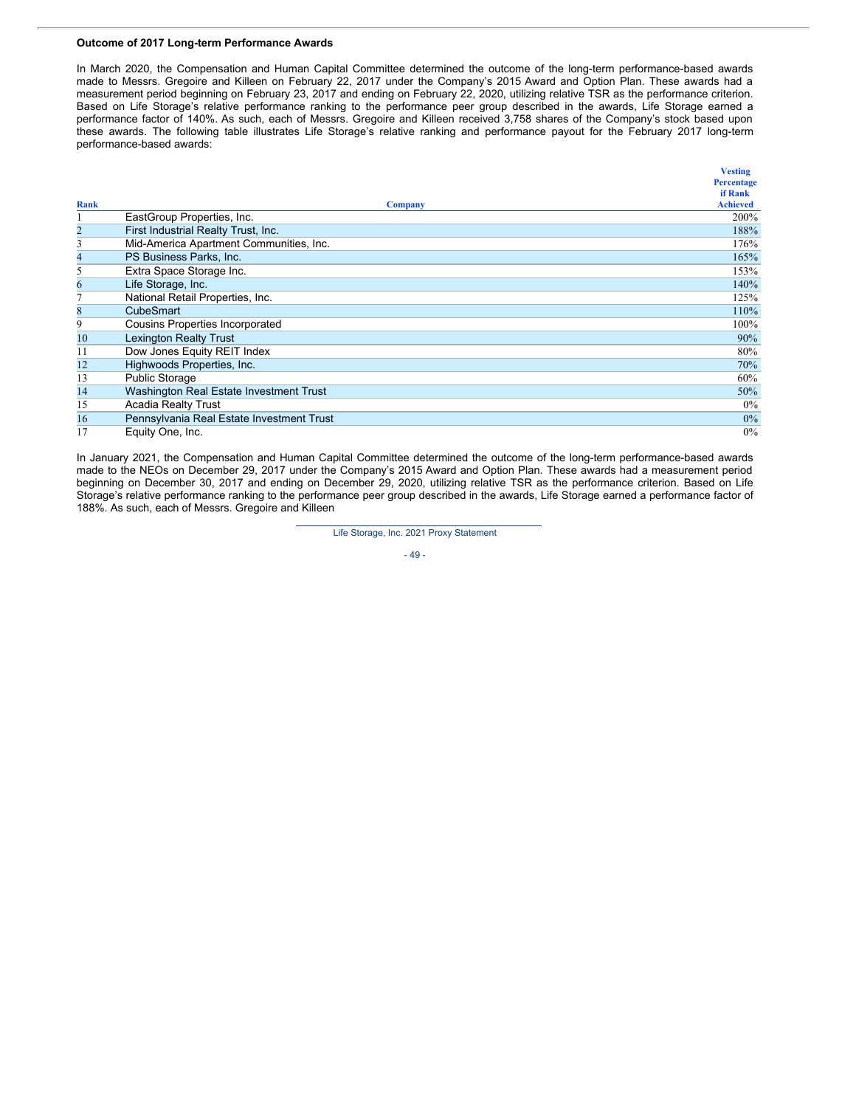### **Outcome of 2017 Long-term Performance Awards**

In March 2020, the Compensation and Human Capital Committee determined the outcome of the long-term performance-based awards made to Messrs. Gregoire and Killeen on February 22, 2017 under the Company's 2015 Award and Option Plan. These awards had a measurement period beginning on February 23, 2017 and ending on February 22, 2020, utilizing relative TSR as the performance criterion. Based on Life Storage's relative performance ranking to the performance peer group described in the awards, Life Storage earned a performance factor of 140%. As such, each of Messrs. Gregoire and Killeen received 3,758 shares of the Company's stock based upon these awards. The following table illustrates Life Storage's relative ranking and performance payout for the February 2017 long-term performance-based awards:

|                |                                           | <b>Vesting</b>  |
|----------------|-------------------------------------------|-----------------|
|                |                                           | Percentage      |
|                |                                           | if Rank         |
| Rank           | <b>Company</b>                            | <b>Achieved</b> |
|                | EastGroup Properties, Inc.                | 200%            |
| 2              | First Industrial Realty Trust, Inc.       | 188%            |
| 3              | Mid-America Apartment Communities, Inc.   | 176%            |
| $\overline{4}$ | PS Business Parks, Inc.                   | 165%            |
| 5              | Extra Space Storage Inc.                  | 153%            |
| 6              | Life Storage, Inc.                        | 140%            |
| 7              | National Retail Properties, Inc.          | 125%            |
| 8              | <b>CubeSmart</b>                          | 110%            |
| 9              | Cousins Properties Incorporated           | 100%            |
| 10             | <b>Lexington Realty Trust</b>             | 90%             |
| 11             | Dow Jones Equity REIT Index               | 80%             |
| 12             | Highwoods Properties, Inc.                | 70%             |
| 13             | <b>Public Storage</b>                     | 60%             |
| 14             | Washington Real Estate Investment Trust   | 50%             |
| 15             | <b>Acadia Realty Trust</b>                | $0\%$           |
| 16             | Pennsylvania Real Estate Investment Trust | $0\%$           |
| 17             | Equity One, Inc.                          | $0\%$           |

In January 2021, the Compensation and Human Capital Committee determined the outcome of the long-term performance-based awards made to the NEOs on December 29, 2017 under the Company's 2015 Award and Option Plan. These awards had a measurement period beginning on December 30, 2017 and ending on December 29, 2020, utilizing relative TSR as the performance criterion. Based on Life Storage's relative performance ranking to the performance peer group described in the awards, Life Storage earned a performance factor of 188%. As such, each of Messrs. Gregoire and Killeen

#### Life Storage, Inc. 2021 Proxy Statement

- 49 -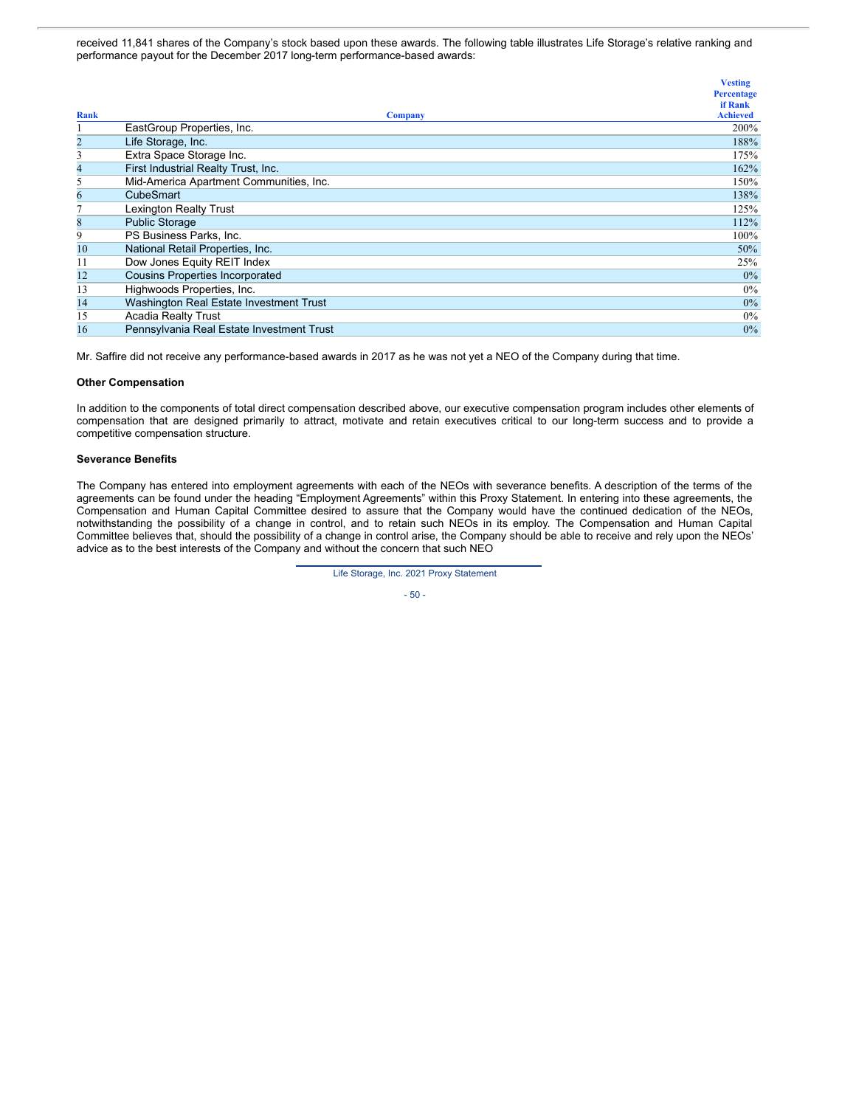received 11,841 shares of the Company's stock based upon these awards. The following table illustrates Life Storage's relative ranking and performance payout for the December 2017 long-term performance-based awards:

|                                           | <b>Vesting</b>  |
|-------------------------------------------|-----------------|
|                                           | Percentage      |
|                                           | if Rank         |
| <b>Company</b>                            | <b>Achieved</b> |
| EastGroup Properties, Inc.                | 200%            |
| Life Storage, Inc.                        | 188%            |
| Extra Space Storage Inc.                  | 175%            |
| First Industrial Realty Trust, Inc.       | 162%            |
| Mid-America Apartment Communities, Inc.   | 150%            |
| <b>CubeSmart</b>                          | 138%            |
| Lexington Realty Trust                    | 125%            |
| <b>Public Storage</b>                     | 112%            |
| PS Business Parks, Inc.                   | 100%            |
| National Retail Properties, Inc.          | 50%             |
| Dow Jones Equity REIT Index               | 25%             |
| <b>Cousins Properties Incorporated</b>    | $0\%$           |
| Highwoods Properties, Inc.                | $0\%$           |
| Washington Real Estate Investment Trust   | $0\%$           |
| <b>Acadia Realty Trust</b>                | $0\%$           |
| Pennsylvania Real Estate Investment Trust | $0\%$           |
|                                           |                 |

Mr. Saffire did not receive any performance-based awards in 2017 as he was not yet a NEO of the Company during that time.

### **Other Compensation**

In addition to the components of total direct compensation described above, our executive compensation program includes other elements of compensation that are designed primarily to attract, motivate and retain executives critical to our long-term success and to provide a competitive compensation structure.

#### **Severance Benefits**

The Company has entered into employment agreements with each of the NEOs with severance benefits. A description of the terms of the agreements can be found under the heading "Employment Agreements" within this Proxy Statement. In entering into these agreements, the Compensation and Human Capital Committee desired to assure that the Company would have the continued dedication of the NEOs, notwithstanding the possibility of a change in control, and to retain such NEOs in its employ. The Compensation and Human Capital Committee believes that, should the possibility of a change in control arise, the Company should be able to receive and rely upon the NEOs' advice as to the best interests of the Company and without the concern that such NEO

Life Storage, Inc. 2021 Proxy Statement

- 50 -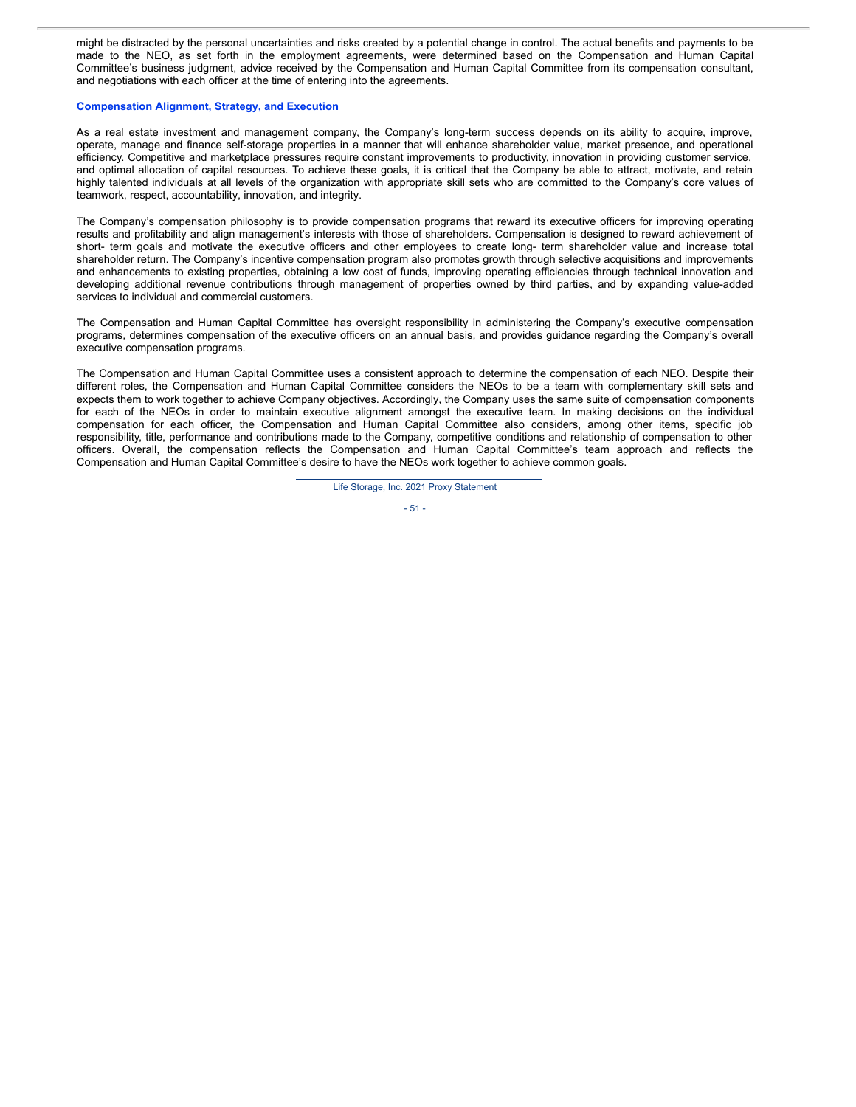might be distracted by the personal uncertainties and risks created by a potential change in control. The actual benefits and payments to be made to the NEO, as set forth in the employment agreements, were determined based on the Compensation and Human Capital Committee's business judgment, advice received by the Compensation and Human Capital Committee from its compensation consultant, and negotiations with each officer at the time of entering into the agreements.

### **Compensation Alignment, Strategy, and Execution**

As a real estate investment and management company, the Company's long-term success depends on its ability to acquire, improve, operate, manage and finance self-storage properties in a manner that will enhance shareholder value, market presence, and operational efficiency. Competitive and marketplace pressures require constant improvements to productivity, innovation in providing customer service, and optimal allocation of capital resources. To achieve these goals, it is critical that the Company be able to attract, motivate, and retain highly talented individuals at all levels of the organization with appropriate skill sets who are committed to the Company's core values of teamwork, respect, accountability, innovation, and integrity.

The Company's compensation philosophy is to provide compensation programs that reward its executive officers for improving operating results and profitability and align management's interests with those of shareholders. Compensation is designed to reward achievement of short- term goals and motivate the executive officers and other employees to create long- term shareholder value and increase total shareholder return. The Company's incentive compensation program also promotes growth through selective acquisitions and improvements and enhancements to existing properties, obtaining a low cost of funds, improving operating efficiencies through technical innovation and developing additional revenue contributions through management of properties owned by third parties, and by expanding value-added services to individual and commercial customers.

The Compensation and Human Capital Committee has oversight responsibility in administering the Company's executive compensation programs, determines compensation of the executive officers on an annual basis, and provides guidance regarding the Company's overall executive compensation programs.

The Compensation and Human Capital Committee uses a consistent approach to determine the compensation of each NEO. Despite their different roles, the Compensation and Human Capital Committee considers the NEOs to be a team with complementary skill sets and expects them to work together to achieve Company objectives. Accordingly, the Company uses the same suite of compensation components for each of the NEOs in order to maintain executive alignment amongst the executive team. In making decisions on the individual compensation for each officer, the Compensation and Human Capital Committee also considers, among other items, specific job responsibility, title, performance and contributions made to the Company, competitive conditions and relationship of compensation to other officers. Overall, the compensation reflects the Compensation and Human Capital Committee's team approach and reflects the Compensation and Human Capital Committee's desire to have the NEOs work together to achieve common goals.

Life Storage, Inc. 2021 Proxy Statement

- 51 -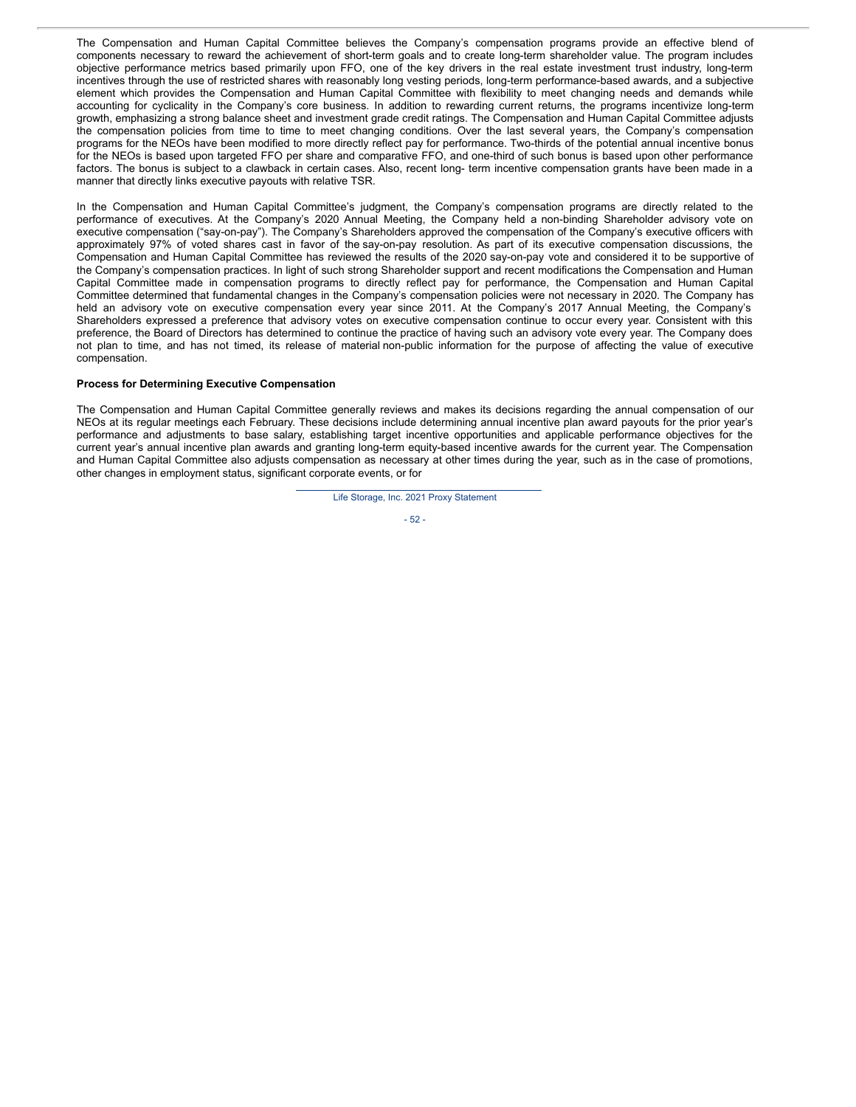The Compensation and Human Capital Committee believes the Company's compensation programs provide an effective blend of components necessary to reward the achievement of short-term goals and to create long-term shareholder value. The program includes objective performance metrics based primarily upon FFO, one of the key drivers in the real estate investment trust industry, long-term incentives through the use of restricted shares with reasonably long vesting periods, long-term performance-based awards, and a subjective element which provides the Compensation and Human Capital Committee with flexibility to meet changing needs and demands while accounting for cyclicality in the Company's core business. In addition to rewarding current returns, the programs incentivize long-term growth, emphasizing a strong balance sheet and investment grade credit ratings. The Compensation and Human Capital Committee adjusts the compensation policies from time to time to meet changing conditions. Over the last several years, the Company's compensation programs for the NEOs have been modified to more directly reflect pay for performance. Two-thirds of the potential annual incentive bonus for the NEOs is based upon targeted FFO per share and comparative FFO, and one-third of such bonus is based upon other performance factors. The bonus is subject to a clawback in certain cases. Also, recent long- term incentive compensation grants have been made in a manner that directly links executive payouts with relative TSR.

In the Compensation and Human Capital Committee's judgment, the Company's compensation programs are directly related to the performance of executives. At the Company's 2020 Annual Meeting, the Company held a non-binding Shareholder advisory vote on executive compensation ("say-on-pay"). The Company's Shareholders approved the compensation of the Company's executive officers with approximately 97% of voted shares cast in favor of the say-on-pay resolution. As part of its executive compensation discussions, the Compensation and Human Capital Committee has reviewed the results of the 2020 say-on-pay vote and considered it to be supportive of the Company's compensation practices. In light of such strong Shareholder support and recent modifications the Compensation and Human Capital Committee made in compensation programs to directly reflect pay for performance, the Compensation and Human Capital Committee determined that fundamental changes in the Company's compensation policies were not necessary in 2020. The Company has held an advisory vote on executive compensation every year since 2011. At the Company's 2017 Annual Meeting, the Company's Shareholders expressed a preference that advisory votes on executive compensation continue to occur every year. Consistent with this preference, the Board of Directors has determined to continue the practice of having such an advisory vote every year. The Company does not plan to time, and has not timed, its release of material non-public information for the purpose of affecting the value of executive compensation.

### **Process for Determining Executive Compensation**

The Compensation and Human Capital Committee generally reviews and makes its decisions regarding the annual compensation of our NEOs at its regular meetings each February. These decisions include determining annual incentive plan award payouts for the prior year's performance and adjustments to base salary, establishing target incentive opportunities and applicable performance objectives for the current year's annual incentive plan awards and granting long-term equity-based incentive awards for the current year. The Compensation and Human Capital Committee also adjusts compensation as necessary at other times during the year, such as in the case of promotions, other changes in employment status, significant corporate events, or for

Life Storage, Inc. 2021 Proxy Statement

$$
-52 -
$$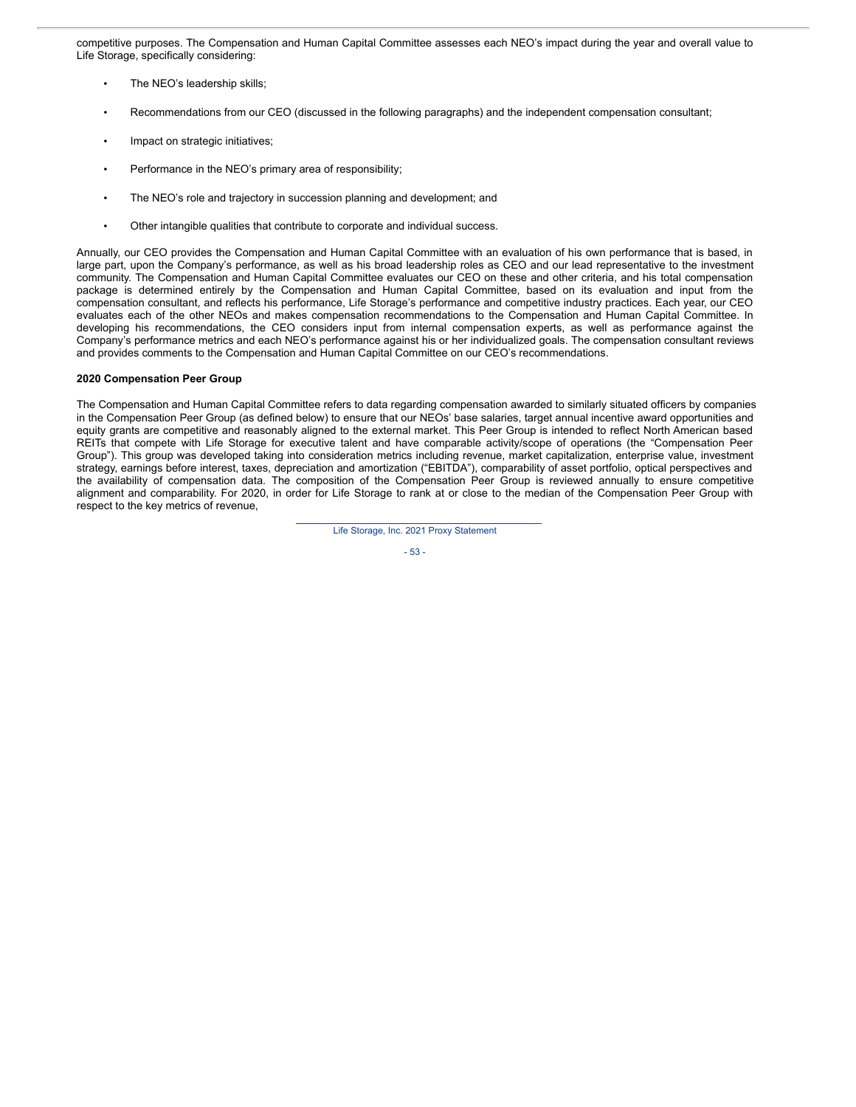competitive purposes. The Compensation and Human Capital Committee assesses each NEO's impact during the year and overall value to Life Storage, specifically considering:

- The NEO's leadership skills;
- Recommendations from our CEO (discussed in the following paragraphs) and the independent compensation consultant;
- Impact on strategic initiatives;
- Performance in the NEO's primary area of responsibility;
- The NEO's role and trajectory in succession planning and development; and
- Other intangible qualities that contribute to corporate and individual success.

Annually, our CEO provides the Compensation and Human Capital Committee with an evaluation of his own performance that is based, in large part, upon the Company's performance, as well as his broad leadership roles as CEO and our lead representative to the investment community. The Compensation and Human Capital Committee evaluates our CEO on these and other criteria, and his total compensation package is determined entirely by the Compensation and Human Capital Committee, based on its evaluation and input from the compensation consultant, and reflects his performance, Life Storage's performance and competitive industry practices. Each year, our CEO evaluates each of the other NEOs and makes compensation recommendations to the Compensation and Human Capital Committee. In developing his recommendations, the CEO considers input from internal compensation experts, as well as performance against the Company's performance metrics and each NEO's performance against his or her individualized goals. The compensation consultant reviews and provides comments to the Compensation and Human Capital Committee on our CEO's recommendations.

### **2020 Compensation Peer Group**

The Compensation and Human Capital Committee refers to data regarding compensation awarded to similarly situated officers by companies in the Compensation Peer Group (as defined below) to ensure that our NEOs' base salaries, target annual incentive award opportunities and equity grants are competitive and reasonably aligned to the external market. This Peer Group is intended to reflect North American based REITs that compete with Life Storage for executive talent and have comparable activity/scope of operations (the "Compensation Peer Group"). This group was developed taking into consideration metrics including revenue, market capitalization, enterprise value, investment strategy, earnings before interest, taxes, depreciation and amortization ("EBITDA"), comparability of asset portfolio, optical perspectives and the availability of compensation data. The composition of the Compensation Peer Group is reviewed annually to ensure competitive alignment and comparability. For 2020, in order for Life Storage to rank at or close to the median of the Compensation Peer Group with respect to the key metrics of revenue,

Life Storage, Inc. 2021 Proxy Statement

- 53 -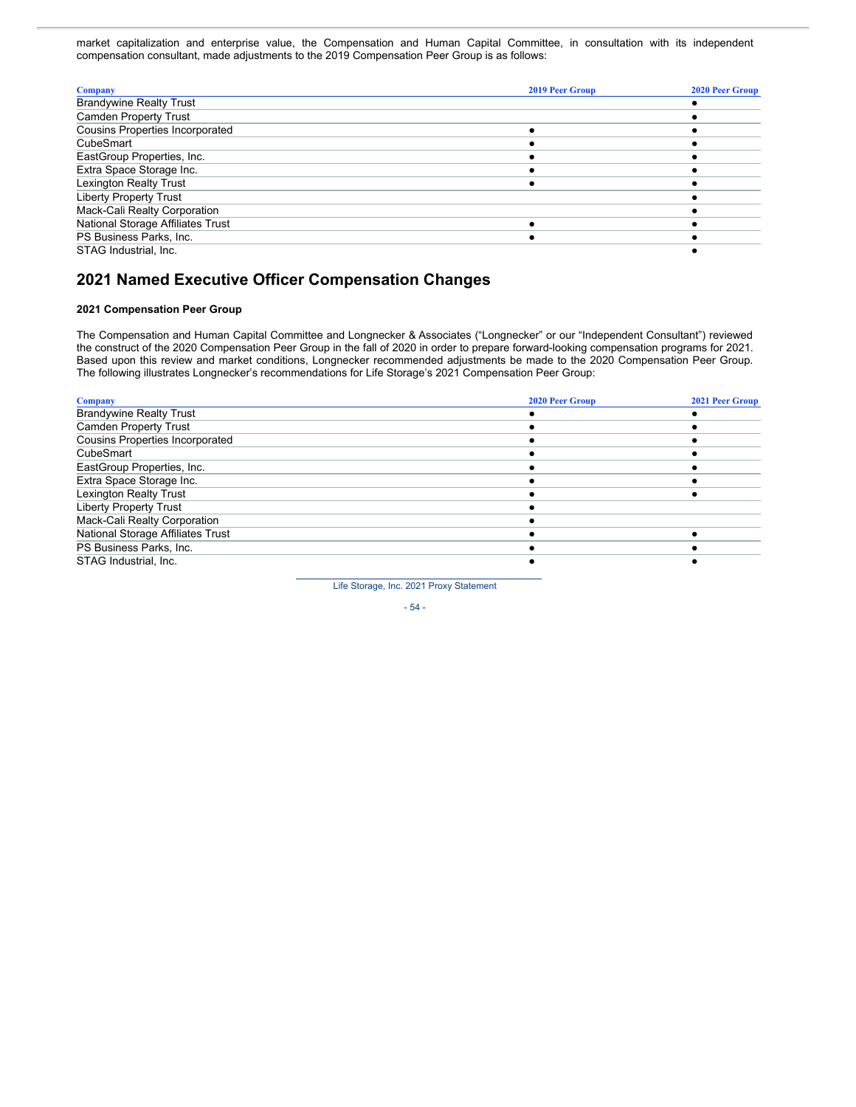market capitalization and enterprise value, the Compensation and Human Capital Committee, in consultation with its independent compensation consultant, made adjustments to the 2019 Compensation Peer Group is as follows:

| <b>Company</b>                         | 2019 Peer Group | <b>2020 Peer Group</b> |
|----------------------------------------|-----------------|------------------------|
| <b>Brandywine Realty Trust</b>         |                 |                        |
| <b>Camden Property Trust</b>           |                 |                        |
| <b>Cousins Properties Incorporated</b> |                 |                        |
| CubeSmart                              |                 |                        |
| EastGroup Properties, Inc.             |                 |                        |
| Extra Space Storage Inc.               |                 |                        |
| <b>Lexington Realty Trust</b>          |                 |                        |
| <b>Liberty Property Trust</b>          |                 |                        |
| Mack-Cali Realty Corporation           |                 |                        |
| National Storage Affiliates Trust      |                 |                        |
| PS Business Parks, Inc.                |                 |                        |
| STAG Industrial, Inc.                  |                 |                        |

# **2021 Named Executive Officer Compensation Changes**

## **2021 Compensation Peer Group**

The Compensation and Human Capital Committee and Longnecker & Associates ("Longnecker" or our "Independent Consultant") reviewed the construct of the 2020 Compensation Peer Group in the fall of 2020 in order to prepare forward-looking compensation programs for 2021. Based upon this review and market conditions, Longnecker recommended adjustments be made to the 2020 Compensation Peer Group. The following illustrates Longnecker's recommendations for Life Storage's 2021 Compensation Peer Group:

| <b>Company</b>                         | <b>2020 Peer Group</b> | <b>2021 Peer Group</b> |
|----------------------------------------|------------------------|------------------------|
| <b>Brandywine Realty Trust</b>         |                        |                        |
| <b>Camden Property Trust</b>           |                        |                        |
| <b>Cousins Properties Incorporated</b> |                        |                        |
| CubeSmart                              |                        |                        |
| EastGroup Properties, Inc.             |                        |                        |
| Extra Space Storage Inc.               |                        |                        |
| <b>Lexington Realty Trust</b>          |                        |                        |
| <b>Liberty Property Trust</b>          |                        |                        |
| Mack-Cali Realty Corporation           |                        |                        |
| National Storage Affiliates Trust      |                        |                        |
| PS Business Parks, Inc.                |                        |                        |
| STAG Industrial, Inc.                  |                        |                        |

Life Storage, Inc. 2021 Proxy Statement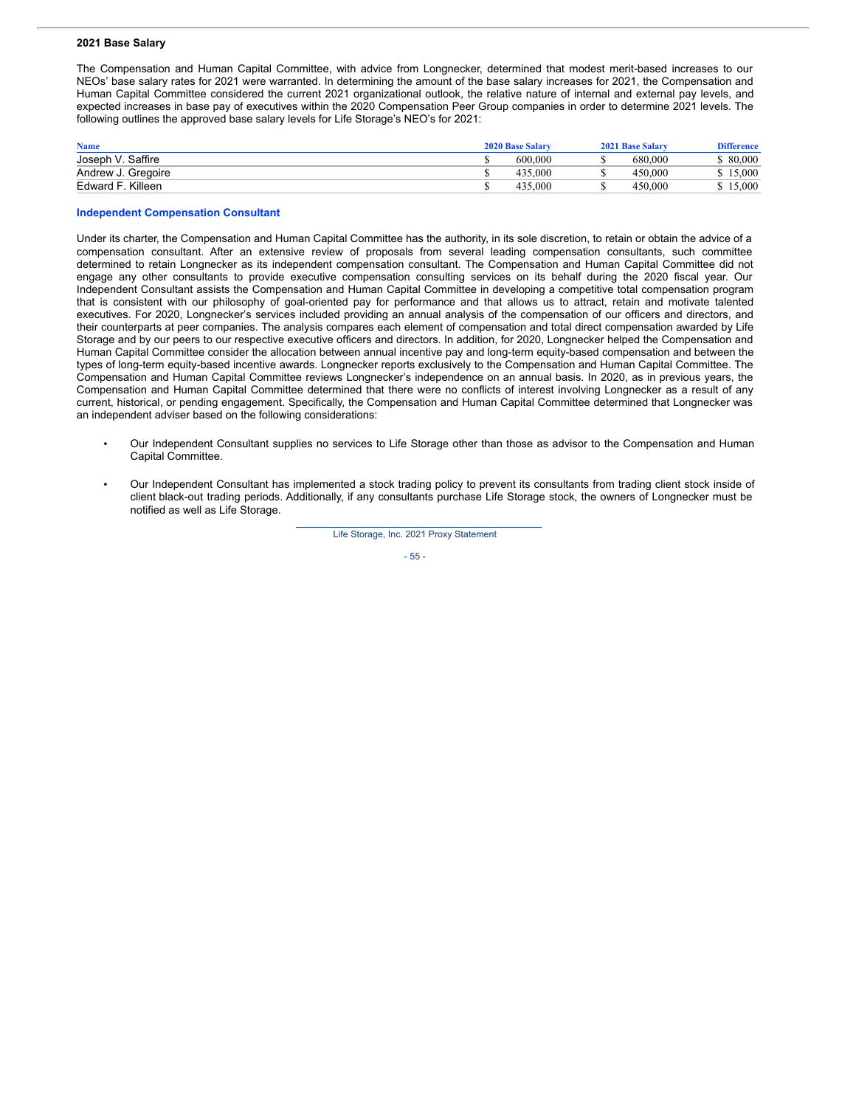#### **2021 Base Salary**

The Compensation and Human Capital Committee, with advice from Longnecker, determined that modest merit-based increases to our NEOs' base salary rates for 2021 were warranted. In determining the amount of the base salary increases for 2021, the Compensation and Human Capital Committee considered the current 2021 organizational outlook, the relative nature of internal and external pay levels, and expected increases in base pay of executives within the 2020 Compensation Peer Group companies in order to determine 2021 levels. The following outlines the approved base salary levels for Life Storage's NEO's for 2021:

| <b>Name</b>        | <b>2020 Base Salary</b> | 2021 Base Salary | <b>Difference</b> |
|--------------------|-------------------------|------------------|-------------------|
| Joseph V. Saffire  | 600.000                 | 680,000          | \$ 80,000         |
| Andrew J. Gregoire | 000.در.                 | 450,000          | 5.000             |
| Edward F. Killeen  | 435,000                 | 450,000          | 5.000             |

#### **Independent Compensation Consultant**

Under its charter, the Compensation and Human Capital Committee has the authority, in its sole discretion, to retain or obtain the advice of a compensation consultant. After an extensive review of proposals from several leading compensation consultants, such committee determined to retain Longnecker as its independent compensation consultant. The Compensation and Human Capital Committee did not engage any other consultants to provide executive compensation consulting services on its behalf during the 2020 fiscal year. Our Independent Consultant assists the Compensation and Human Capital Committee in developing a competitive total compensation program that is consistent with our philosophy of goal-oriented pay for performance and that allows us to attract, retain and motivate talented executives. For 2020, Longnecker's services included providing an annual analysis of the compensation of our officers and directors, and their counterparts at peer companies. The analysis compares each element of compensation and total direct compensation awarded by Life Storage and by our peers to our respective executive officers and directors. In addition, for 2020, Longnecker helped the Compensation and Human Capital Committee consider the allocation between annual incentive pay and long-term equity-based compensation and between the types of long-term equity-based incentive awards. Longnecker reports exclusively to the Compensation and Human Capital Committee. The Compensation and Human Capital Committee reviews Longnecker's independence on an annual basis. In 2020, as in previous years, the Compensation and Human Capital Committee determined that there were no conflicts of interest involving Longnecker as a result of any current, historical, or pending engagement. Specifically, the Compensation and Human Capital Committee determined that Longnecker was an independent adviser based on the following considerations:

- Our Independent Consultant supplies no services to Life Storage other than those as advisor to the Compensation and Human Capital Committee.
- Our Independent Consultant has implemented a stock trading policy to prevent its consultants from trading client stock inside of client black-out trading periods. Additionally, if any consultants purchase Life Storage stock, the owners of Longnecker must be notified as well as Life Storage.

Life Storage, Inc. 2021 Proxy Statement

- 55 -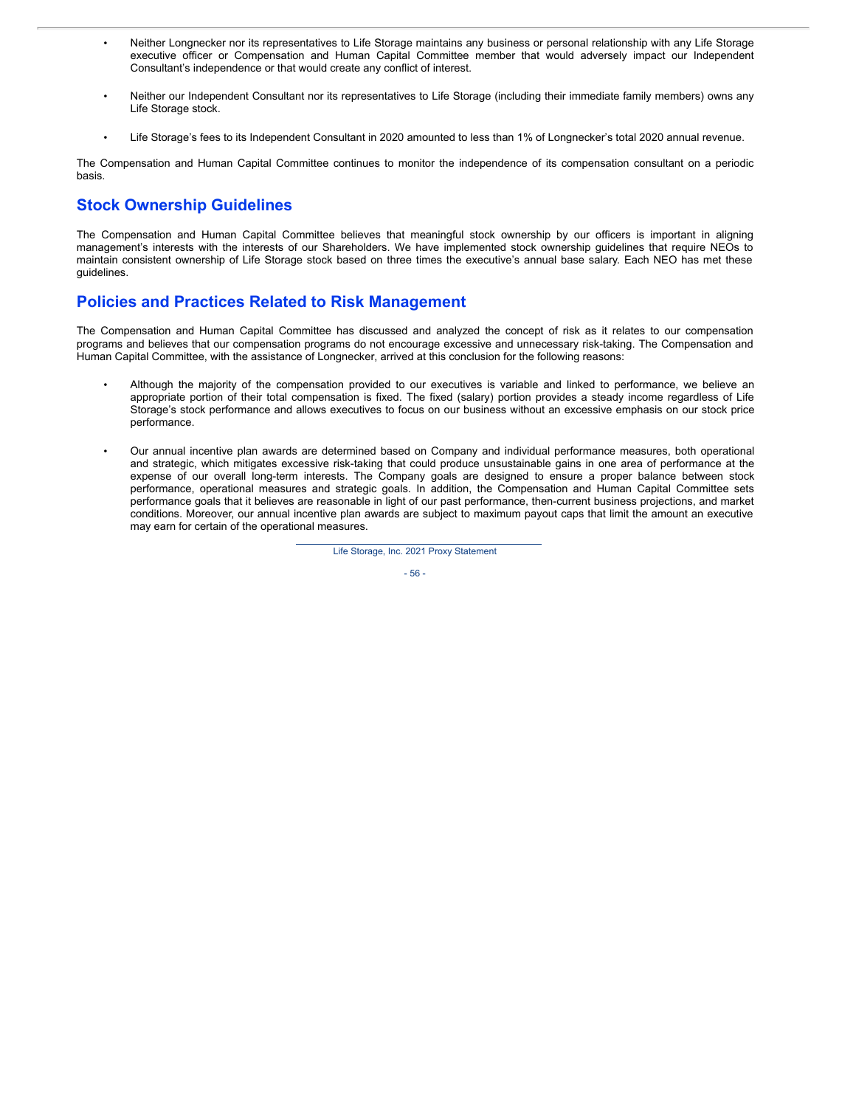- Neither Longnecker nor its representatives to Life Storage maintains any business or personal relationship with any Life Storage executive officer or Compensation and Human Capital Committee member that would adversely impact our Independent Consultant's independence or that would create any conflict of interest.
- Neither our Independent Consultant nor its representatives to Life Storage (including their immediate family members) owns any Life Storage stock.
- Life Storage's fees to its Independent Consultant in 2020 amounted to less than 1% of Longnecker's total 2020 annual revenue.

The Compensation and Human Capital Committee continues to monitor the independence of its compensation consultant on a periodic basis.

# **Stock Ownership Guidelines**

The Compensation and Human Capital Committee believes that meaningful stock ownership by our officers is important in aligning management's interests with the interests of our Shareholders. We have implemented stock ownership guidelines that require NEOs to maintain consistent ownership of Life Storage stock based on three times the executive's annual base salary. Each NEO has met these guidelines.

# **Policies and Practices Related to Risk Management**

The Compensation and Human Capital Committee has discussed and analyzed the concept of risk as it relates to our compensation programs and believes that our compensation programs do not encourage excessive and unnecessary risk-taking. The Compensation and Human Capital Committee, with the assistance of Longnecker, arrived at this conclusion for the following reasons:

- Although the majority of the compensation provided to our executives is variable and linked to performance, we believe an appropriate portion of their total compensation is fixed. The fixed (salary) portion provides a steady income regardless of Life Storage's stock performance and allows executives to focus on our business without an excessive emphasis on our stock price performance.
- Our annual incentive plan awards are determined based on Company and individual performance measures, both operational and strategic, which mitigates excessive risk-taking that could produce unsustainable gains in one area of performance at the expense of our overall long-term interests. The Company goals are designed to ensure a proper balance between stock performance, operational measures and strategic goals. In addition, the Compensation and Human Capital Committee sets performance goals that it believes are reasonable in light of our past performance, then-current business projections, and market conditions. Moreover, our annual incentive plan awards are subject to maximum payout caps that limit the amount an executive may earn for certain of the operational measures.

Life Storage, Inc. 2021 Proxy Statement

- 56 -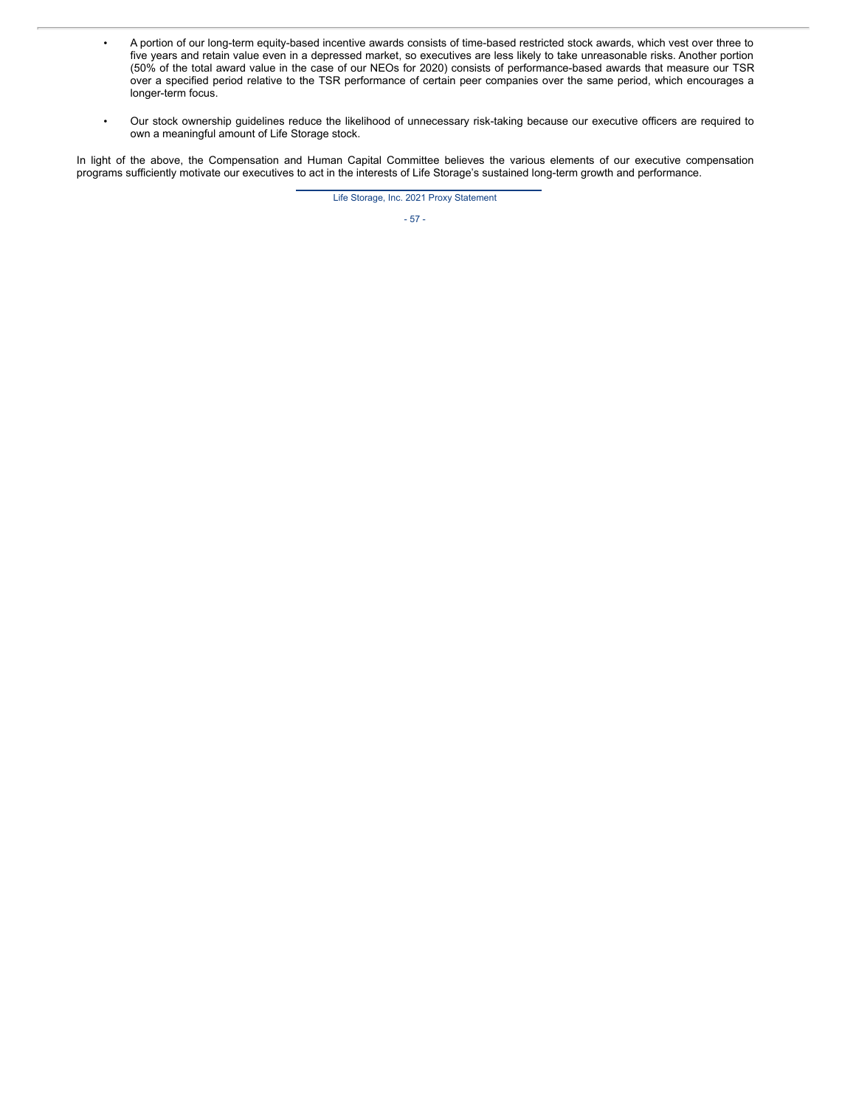- A portion of our long-term equity-based incentive awards consists of time-based restricted stock awards, which vest over three to five years and retain value even in a depressed market, so executives are less likely to take unreasonable risks. Another portion (50% of the total award value in the case of our NEOs for 2020) consists of performance-based awards that measure our TSR over a specified period relative to the TSR performance of certain peer companies over the same period, which encourages a longer-term focus.
- Our stock ownership guidelines reduce the likelihood of unnecessary risk-taking because our executive officers are required to own a meaningful amount of Life Storage stock.

In light of the above, the Compensation and Human Capital Committee believes the various elements of our executive compensation programs sufficiently motivate our executives to act in the interests of Life Storage's sustained long-term growth and performance.

Life Storage, Inc. 2021 Proxy Statement

- 57 -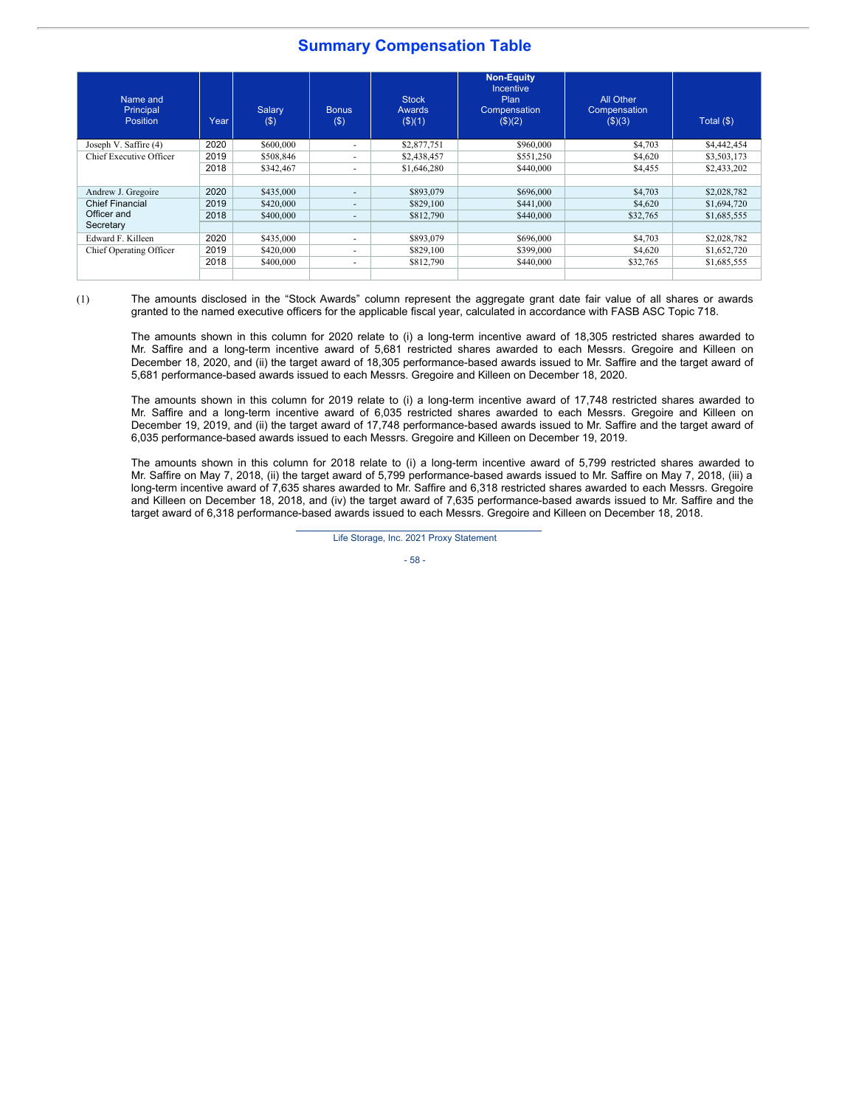# **Summary Compensation Table**

| Name and<br>Principal<br>Position | Year | Salary<br>$($ \$) | <b>Bonus</b><br>$($ \$)  | <b>Stock</b><br>Awards<br>$($ \$ $)(1)$ | <b>Non-Equity</b><br>Incentive<br>Plan<br>Compensation<br>(\$)(2) | All Other<br>Compensation<br>$($ \$)(3) | Total (\$)  |
|-----------------------------------|------|-------------------|--------------------------|-----------------------------------------|-------------------------------------------------------------------|-----------------------------------------|-------------|
| Joseph V. Saffire (4)             | 2020 | \$600,000         | ۰                        | \$2,877,751                             | \$960,000                                                         | \$4,703                                 | \$4,442,454 |
| Chief Executive Officer           | 2019 | \$508,846         | ۰                        | \$2,438,457                             | \$551.250                                                         | \$4,620                                 | \$3,503,173 |
|                                   | 2018 | \$342,467         |                          | \$1,646,280                             | \$440,000                                                         | \$4,455                                 | \$2,433,202 |
|                                   |      |                   |                          |                                         |                                                                   |                                         |             |
| Andrew J. Gregoire                | 2020 | \$435,000         | ٠                        | \$893,079                               | \$696,000                                                         | \$4,703                                 | \$2,028,782 |
| <b>Chief Financial</b>            | 2019 | \$420,000         | $\overline{\phantom{a}}$ | \$829,100                               | \$441,000                                                         | \$4,620                                 | \$1,694,720 |
| Officer and                       | 2018 | \$400,000         | $\sim$                   | \$812,790                               | \$440,000                                                         | \$32,765                                | \$1,685,555 |
| Secretary                         |      |                   |                          |                                         |                                                                   |                                         |             |
| Edward F. Killeen                 | 2020 | \$435,000         | ÷                        | \$893,079                               | \$696,000                                                         | \$4,703                                 | \$2,028,782 |
| Chief Operating Officer           | 2019 | \$420,000         |                          | \$829,100                               | \$399,000                                                         | \$4,620                                 | \$1,652,720 |
|                                   | 2018 | \$400,000         | ۰                        | \$812,790                               | \$440,000                                                         | \$32,765                                | \$1,685,555 |
|                                   |      |                   |                          |                                         |                                                                   |                                         |             |

(1) The amounts disclosed in the "Stock Awards" column represent the aggregate grant date fair value of all shares or awards granted to the named executive officers for the applicable fiscal year, calculated in accordance with FASB ASC Topic 718.

The amounts shown in this column for 2020 relate to (i) a long-term incentive award of 18,305 restricted shares awarded to Mr. Saffire and a long-term incentive award of 5,681 restricted shares awarded to each Messrs. Gregoire and Killeen on December 18, 2020, and (ii) the target award of 18,305 performance-based awards issued to Mr. Saffire and the target award of 5,681 performance-based awards issued to each Messrs. Gregoire and Killeen on December 18, 2020.

The amounts shown in this column for 2019 relate to (i) a long-term incentive award of 17,748 restricted shares awarded to Mr. Saffire and a long-term incentive award of 6,035 restricted shares awarded to each Messrs. Gregoire and Killeen on December 19, 2019, and (ii) the target award of 17,748 performance-based awards issued to Mr. Saffire and the target award of 6,035 performance-based awards issued to each Messrs. Gregoire and Killeen on December 19, 2019.

The amounts shown in this column for 2018 relate to (i) a long-term incentive award of 5,799 restricted shares awarded to Mr. Saffire on May 7, 2018, (ii) the target award of 5,799 performance-based awards issued to Mr. Saffire on May 7, 2018, (iii) a long-term incentive award of 7,635 shares awarded to Mr. Saffire and 6,318 restricted shares awarded to each Messrs. Gregoire and Killeen on December 18, 2018, and (iv) the target award of 7,635 performance-based awards issued to Mr. Saffire and the target award of 6,318 performance-based awards issued to each Messrs. Gregoire and Killeen on December 18, 2018.

Life Storage, Inc. 2021 Proxy Statement

- 58 -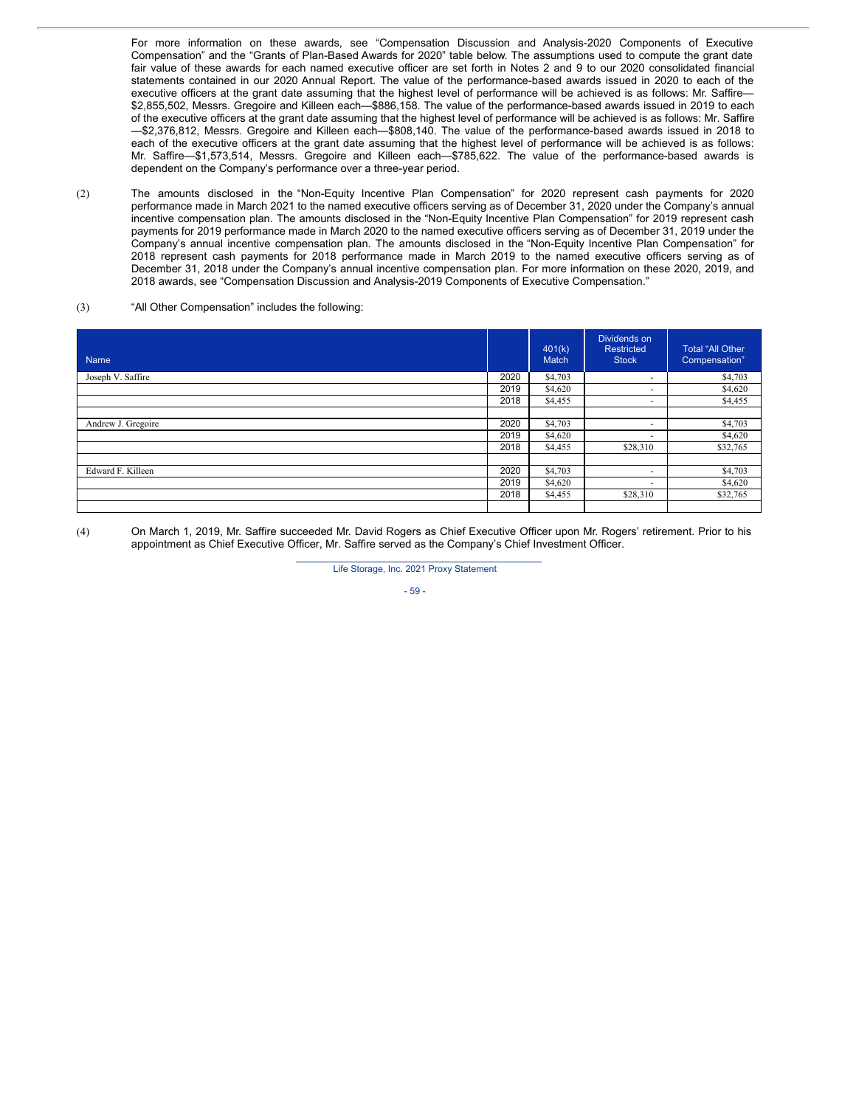For more information on these awards, see "Compensation Discussion and Analysis-2020 Components of Executive Compensation" and the "Grants of Plan-Based Awards for 2020" table below. The assumptions used to compute the grant date fair value of these awards for each named executive officer are set forth in Notes 2 and 9 to our 2020 consolidated financial statements contained in our 2020 Annual Report. The value of the performance-based awards issued in 2020 to each of the executive officers at the grant date assuming that the highest level of performance will be achieved is as follows: Mr. Saffire— \$2,855,502, Messrs. Gregoire and Killeen each—\$886,158. The value of the performance-based awards issued in 2019 to each of the executive officers at the grant date assuming that the highest level of performance will be achieved is as follows: Mr. Saffire —\$2,376,812, Messrs. Gregoire and Killeen each—\$808,140. The value of the performance-based awards issued in 2018 to each of the executive officers at the grant date assuming that the highest level of performance will be achieved is as follows: Mr. Saffire—\$1,573,514, Messrs. Gregoire and Killeen each—\$785,622. The value of the performance-based awards is dependent on the Company's performance over a three-year period.

(2) The amounts disclosed in the "Non-Equity Incentive Plan Compensation" for 2020 represent cash payments for 2020 performance made in March 2021 to the named executive officers serving as of December 31, 2020 under the Company's annual incentive compensation plan. The amounts disclosed in the "Non-Equity Incentive Plan Compensation" for 2019 represent cash payments for 2019 performance made in March 2020 to the named executive officers serving as of December 31, 2019 under the Company's annual incentive compensation plan. The amounts disclosed in the "Non-Equity Incentive Plan Compensation" for 2018 represent cash payments for 2018 performance made in March 2019 to the named executive officers serving as of December 31, 2018 under the Company's annual incentive compensation plan. For more information on these 2020, 2019, and 2018 awards, see "Compensation Discussion and Analysis-2019 Components of Executive Compensation."

### (3) "All Other Compensation" includes the following:

| Name               |      | 401(k)<br>Match | Dividends on<br>Restricted<br><b>Stock</b> | <b>Total "All Other</b><br>Compensation" |
|--------------------|------|-----------------|--------------------------------------------|------------------------------------------|
| Joseph V. Saffire  | 2020 | \$4,703         | <b>COL</b>                                 | \$4,703                                  |
|                    | 2019 | \$4,620         | ۰                                          | \$4,620                                  |
|                    | 2018 | \$4,455         |                                            | \$4,455                                  |
|                    |      |                 |                                            |                                          |
| Andrew J. Gregoire | 2020 | \$4,703         | ۰                                          | \$4,703                                  |
|                    | 2019 | \$4,620         |                                            | \$4,620                                  |
|                    | 2018 | \$4,455         | \$28,310                                   | \$32,765                                 |
|                    |      |                 |                                            |                                          |
| Edward F. Killeen  | 2020 | \$4,703         |                                            | \$4,703                                  |
|                    | 2019 | \$4,620         | ٠                                          | \$4,620                                  |
|                    | 2018 | \$4,455         | \$28,310                                   | \$32,765                                 |
|                    |      |                 |                                            |                                          |

(4) On March 1, 2019, Mr. Saffire succeeded Mr. David Rogers as Chief Executive Officer upon Mr. Rogers' retirement. Prior to his appointment as Chief Executive Officer, Mr. Saffire served as the Company's Chief Investment Officer.

Life Storage, Inc. 2021 Proxy Statement

- 59 -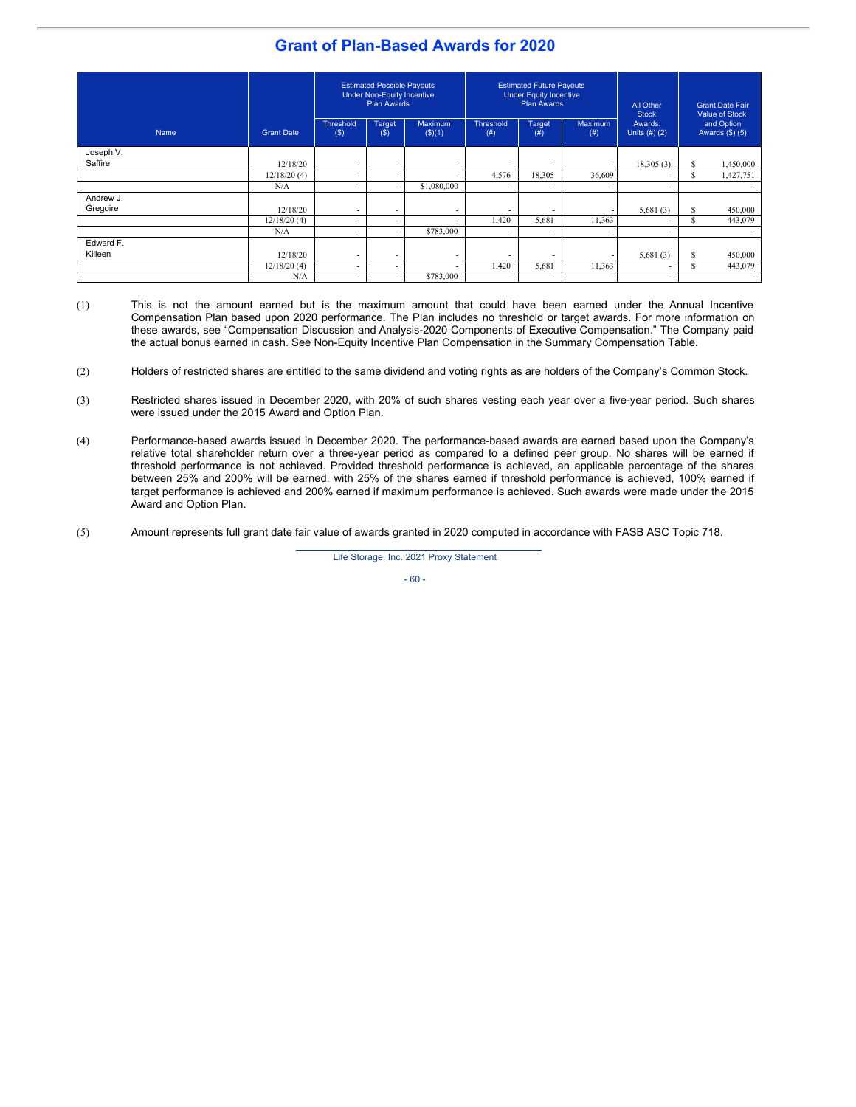# **Grant of Plan-Based Awards for 2020**

|           |                   | <b>Estimated Possible Payouts</b><br><b>Under Non-Equity Incentive</b><br><b>Plan Awards</b> |                          | <b>Estimated Future Payouts</b><br><b>Under Equity Incentive</b><br><b>Plan Awards</b> |                          |                          | All Other<br><b>Stock</b> | <b>Grant Date Fair</b><br><b>Value of Stock</b> |     |                                 |
|-----------|-------------------|----------------------------------------------------------------------------------------------|--------------------------|----------------------------------------------------------------------------------------|--------------------------|--------------------------|---------------------------|-------------------------------------------------|-----|---------------------------------|
| Name      | <b>Grant Date</b> | Threshold<br>(S)                                                                             | Target<br>$($ \$         | Maximum<br>$($ \$)(1)                                                                  | <b>Threshold</b><br>(# ) | Target<br>(# )           | <b>Maximum</b><br>(# )    | Awards:<br>Units $(H)$ $(2)$                    |     | and Option<br>Awards $(\$)$ (5) |
| Joseph V. |                   |                                                                                              |                          |                                                                                        |                          |                          |                           |                                                 |     |                                 |
| Saffire   | 12/18/20          | $\overline{\phantom{0}}$                                                                     | $\overline{\phantom{a}}$ | $\overline{\phantom{0}}$                                                               | $\overline{\phantom{a}}$ | $\overline{\phantom{0}}$ |                           | 18,305(3)                                       | S   | 1,450,000                       |
|           | 12/18/20(4)       | ٠                                                                                            | $\overline{\phantom{0}}$ | $\overline{\phantom{a}}$                                                               | 4,576                    | 18,305                   | 36,609                    | $\overline{\phantom{0}}$                        | S   | 1,427,751                       |
|           | N/A               | $\overline{\phantom{a}}$                                                                     | $\overline{\phantom{a}}$ | \$1,080,000                                                                            | $\overline{\phantom{a}}$ | $\overline{\phantom{a}}$ |                           | $\overline{\phantom{a}}$                        |     |                                 |
| Andrew J. |                   |                                                                                              |                          |                                                                                        |                          |                          |                           |                                                 |     |                                 |
| Gregoire  | 12/18/20          | $\overline{\phantom{a}}$                                                                     | $\overline{\phantom{a}}$ | $\overline{\phantom{a}}$                                                               | $\overline{\phantom{a}}$ | $\overline{\phantom{a}}$ |                           | 5,681(3)                                        | S   | 450,000                         |
|           | 12/18/20(4)       | $\overline{\phantom{a}}$                                                                     | $\overline{\phantom{0}}$ | $\overline{\phantom{a}}$                                                               | 1,420                    | 5,681                    | 11,363                    | $\overline{\phantom{0}}$                        | \$. | 443,079                         |
|           | N/A               | $\overline{\phantom{0}}$                                                                     | $\overline{\phantom{a}}$ | \$783,000                                                                              |                          | $\overline{\phantom{a}}$ |                           | $\overline{\phantom{a}}$                        |     |                                 |
| Edward F. |                   |                                                                                              |                          |                                                                                        |                          |                          |                           |                                                 |     |                                 |
| Killeen   | 12/18/20          | $\overline{\phantom{a}}$                                                                     | $\overline{\phantom{a}}$ | $\overline{\phantom{a}}$                                                               | $\overline{\phantom{a}}$ | $\overline{\phantom{0}}$ |                           | 5,681(3)                                        | S   | 450,000                         |
|           | 12/18/20(4)       | -                                                                                            | $\overline{\phantom{0}}$ | $\overline{\phantom{0}}$                                                               | 1,420                    | 5,681                    | 11,363                    |                                                 | S   | 443,079                         |
|           | N/A               | $\overline{\phantom{a}}$                                                                     | $\overline{\phantom{a}}$ | \$783,000                                                                              |                          | $\overline{\phantom{a}}$ |                           | $\overline{\phantom{0}}$                        |     |                                 |

- (1) This is not the amount earned but is the maximum amount that could have been earned under the Annual Incentive Compensation Plan based upon 2020 performance. The Plan includes no threshold or target awards. For more information on these awards, see "Compensation Discussion and Analysis-2020 Components of Executive Compensation." The Company paid the actual bonus earned in cash. See Non-Equity Incentive Plan Compensation in the Summary Compensation Table.
- (2) Holders of restricted shares are entitled to the same dividend and voting rights as are holders of the Company's Common Stock.
- (3) Restricted shares issued in December 2020, with 20% of such shares vesting each year over a five-year period. Such shares were issued under the 2015 Award and Option Plan.
- (4) Performance-based awards issued in December 2020. The performance-based awards are earned based upon the Company's relative total shareholder return over a three-year period as compared to a defined peer group. No shares will be earned if threshold performance is not achieved. Provided threshold performance is achieved, an applicable percentage of the shares between 25% and 200% will be earned, with 25% of the shares earned if threshold performance is achieved, 100% earned if target performance is achieved and 200% earned if maximum performance is achieved. Such awards were made under the 2015 Award and Option Plan.
- (5) Amount represents full grant date fair value of awards granted in 2020 computed in accordance with FASB ASC Topic 718.

Life Storage, Inc. 2021 Proxy Statement

- 60 -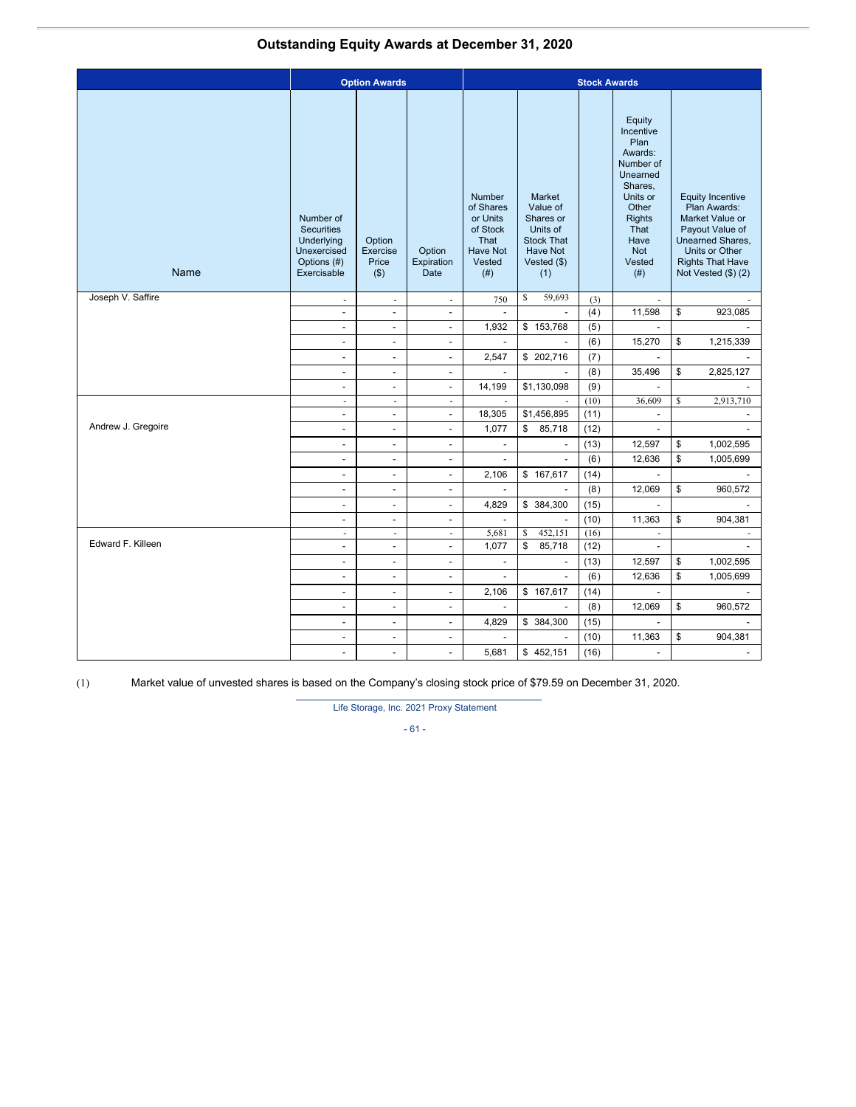# **Outstanding Equity Awards at December 31, 2020**

|                    |                                                                                           | <b>Option Awards</b>                   | <b>Stock Awards</b>          |                                                                                          |                                                                                                             |      |                                                                                                                                                                  |                                                                                                                                                                           |
|--------------------|-------------------------------------------------------------------------------------------|----------------------------------------|------------------------------|------------------------------------------------------------------------------------------|-------------------------------------------------------------------------------------------------------------|------|------------------------------------------------------------------------------------------------------------------------------------------------------------------|---------------------------------------------------------------------------------------------------------------------------------------------------------------------------|
| Name               | Number of<br><b>Securities</b><br>Underlying<br>Unexercised<br>Options (#)<br>Exercisable | Option<br>Exercise<br>Price<br>$($ \$) | Option<br>Expiration<br>Date | <b>Number</b><br>of Shares<br>or Units<br>of Stock<br>That<br>Have Not<br>Vested<br>(# ) | Market<br>Value of<br>Shares or<br>Units of<br><b>Stock That</b><br><b>Have Not</b><br>Vested $(\$)$<br>(1) |      | Equity<br>Incentive<br>Plan<br>Awards:<br>Number of<br>Unearned<br>Shares,<br>Units or<br>Other<br><b>Rights</b><br>That<br>Have<br><b>Not</b><br>Vested<br>(# ) | <b>Equity Incentive</b><br>Plan Awards:<br>Market Value or<br>Payout Value of<br>Unearned Shares,<br>Units or Other<br><b>Rights That Have</b><br>Not Vested $(\$)$ $(2)$ |
| Joseph V. Saffire  | $\overline{\phantom{a}}$                                                                  | $\overline{\phantom{a}}$               | $\overline{\phantom{a}}$     | 750                                                                                      | \$<br>59,693                                                                                                | (3)  | $\mathbf{r}$                                                                                                                                                     | ÷                                                                                                                                                                         |
|                    | $\overline{\phantom{a}}$                                                                  | $\overline{\phantom{a}}$               | $\overline{\phantom{a}}$     | $\overline{\phantom{a}}$                                                                 | $\overline{\phantom{a}}$                                                                                    | (4)  | 11,598                                                                                                                                                           | \$<br>923,085                                                                                                                                                             |
|                    | $\overline{\phantom{a}}$                                                                  | $\overline{\phantom{a}}$               | $\overline{\phantom{a}}$     | 1,932                                                                                    | \$153,768                                                                                                   | (5)  | $\overline{\phantom{a}}$                                                                                                                                         |                                                                                                                                                                           |
|                    | $\overline{\phantom{a}}$                                                                  | $\overline{\phantom{a}}$               | $\overline{\phantom{a}}$     | $\overline{\phantom{a}}$                                                                 |                                                                                                             | (6)  | 15,270                                                                                                                                                           | \$<br>1,215,339                                                                                                                                                           |
|                    | $\blacksquare$                                                                            | $\overline{a}$                         | $\blacksquare$               | 2,547                                                                                    | \$202,716                                                                                                   | (7)  | $\mathbf{r}$                                                                                                                                                     |                                                                                                                                                                           |
|                    | $\blacksquare$                                                                            | $\overline{\phantom{a}}$               | $\overline{\phantom{a}}$     | $\mathcal{L}$                                                                            | $\blacksquare$                                                                                              | (8)  | 35,496                                                                                                                                                           | \$<br>2,825,127                                                                                                                                                           |
|                    | $\overline{\phantom{a}}$                                                                  | $\overline{\phantom{a}}$               | $\overline{\phantom{a}}$     | 14,199                                                                                   | \$1,130,098                                                                                                 | (9)  | $\overline{\phantom{a}}$                                                                                                                                         | $\overline{\phantom{a}}$                                                                                                                                                  |
|                    | $\overline{\phantom{a}}$                                                                  | $\overline{\phantom{a}}$               | $\mathcal{L}_{\mathcal{A}}$  | $\sim$                                                                                   |                                                                                                             | (10) | 36,609                                                                                                                                                           | \$<br>2,913,710                                                                                                                                                           |
|                    | $\blacksquare$                                                                            | $\overline{\phantom{a}}$               | $\overline{\phantom{a}}$     | 18,305                                                                                   | \$1,456,895                                                                                                 | (11) | $\overline{\phantom{a}}$                                                                                                                                         |                                                                                                                                                                           |
| Andrew J. Gregoire | $\overline{\phantom{a}}$                                                                  | $\overline{\phantom{a}}$               | $\overline{\phantom{a}}$     | 1,077                                                                                    | \$<br>85,718                                                                                                | (12) | $\overline{\phantom{a}}$                                                                                                                                         |                                                                                                                                                                           |
|                    | $\blacksquare$                                                                            | $\overline{\phantom{a}}$               | $\overline{\phantom{a}}$     | $\blacksquare$                                                                           | $\blacksquare$                                                                                              | (13) | 12,597                                                                                                                                                           | \$<br>1,002,595                                                                                                                                                           |
|                    | $\overline{\phantom{a}}$                                                                  | $\overline{\phantom{a}}$               | $\overline{\phantom{a}}$     | $\blacksquare$                                                                           | $\blacksquare$                                                                                              | (6)  | 12,636                                                                                                                                                           | \$<br>1,005,699                                                                                                                                                           |
|                    | $\blacksquare$                                                                            | $\overline{\phantom{a}}$               | $\overline{\phantom{a}}$     | 2,106                                                                                    | \$167,617                                                                                                   | (14) | $\overline{\phantom{a}}$                                                                                                                                         | $\overline{a}$                                                                                                                                                            |
|                    | $\overline{\phantom{a}}$                                                                  | $\overline{\phantom{a}}$               | $\overline{\phantom{a}}$     | $\overline{\phantom{a}}$                                                                 |                                                                                                             | (8)  | 12,069                                                                                                                                                           | \$<br>960,572                                                                                                                                                             |
|                    | $\overline{a}$                                                                            | $\overline{\phantom{a}}$               | $\overline{\phantom{a}}$     | 4,829                                                                                    | \$ 384,300                                                                                                  | (15) | $\overline{\phantom{a}}$                                                                                                                                         | $\overline{a}$                                                                                                                                                            |
|                    | $\overline{\phantom{a}}$                                                                  | $\overline{\phantom{a}}$               | $\overline{\phantom{a}}$     | $\mathbf{r}$                                                                             | $\sim$                                                                                                      | (10) | 11,363                                                                                                                                                           | \$<br>904,381                                                                                                                                                             |
|                    | ä,                                                                                        | $\overline{\phantom{a}}$               | ÷,                           | 5,681                                                                                    | \$<br>452,151                                                                                               | (16) | ÷,                                                                                                                                                               |                                                                                                                                                                           |
| Edward F. Killeen  | $\overline{\phantom{a}}$                                                                  | $\overline{\phantom{a}}$               | $\overline{\phantom{a}}$     | 1,077                                                                                    | \$<br>85,718                                                                                                | (12) | $\overline{\phantom{a}}$                                                                                                                                         | $\mathbf{r}$                                                                                                                                                              |
|                    | $\overline{\phantom{a}}$                                                                  | $\overline{\phantom{a}}$               | $\overline{\phantom{a}}$     | $\overline{\phantom{a}}$                                                                 | $\overline{\phantom{a}}$                                                                                    | (13) | 12,597                                                                                                                                                           | \$<br>1,002,595                                                                                                                                                           |
|                    | $\overline{\phantom{a}}$                                                                  | $\overline{\phantom{a}}$               | $\overline{\phantom{a}}$     | $\overline{\phantom{a}}$                                                                 | $\blacksquare$                                                                                              | (6)  | 12,636                                                                                                                                                           | \$<br>1,005,699                                                                                                                                                           |
|                    | $\blacksquare$                                                                            | $\overline{a}$                         | $\overline{\phantom{a}}$     | 2,106                                                                                    | \$167,617                                                                                                   | (14) | $\blacksquare$                                                                                                                                                   | $\blacksquare$                                                                                                                                                            |
|                    | $\overline{\phantom{a}}$                                                                  | $\overline{\phantom{a}}$               | $\blacksquare$               | $\blacksquare$                                                                           | $\blacksquare$                                                                                              | (8)  | 12,069                                                                                                                                                           | \$<br>960,572                                                                                                                                                             |
|                    | $\blacksquare$                                                                            | $\overline{a}$                         | $\blacksquare$               | 4,829                                                                                    | \$ 384,300                                                                                                  | (15) | $\blacksquare$                                                                                                                                                   | $\blacksquare$                                                                                                                                                            |
|                    | $\overline{\phantom{a}}$                                                                  | $\overline{\phantom{a}}$               | $\overline{\phantom{a}}$     |                                                                                          |                                                                                                             | (10) | 11,363                                                                                                                                                           | \$<br>904,381                                                                                                                                                             |
|                    | $\overline{a}$                                                                            | $\blacksquare$                         | $\blacksquare$               | 5,681                                                                                    | \$452,151                                                                                                   | (16) | $\blacksquare$                                                                                                                                                   | $\overline{a}$                                                                                                                                                            |

(1) Market value of unvested shares is based on the Company's closing stock price of \$79.59 on December 31, 2020.

Life Storage, Inc. 2021 Proxy Statement

- 61 -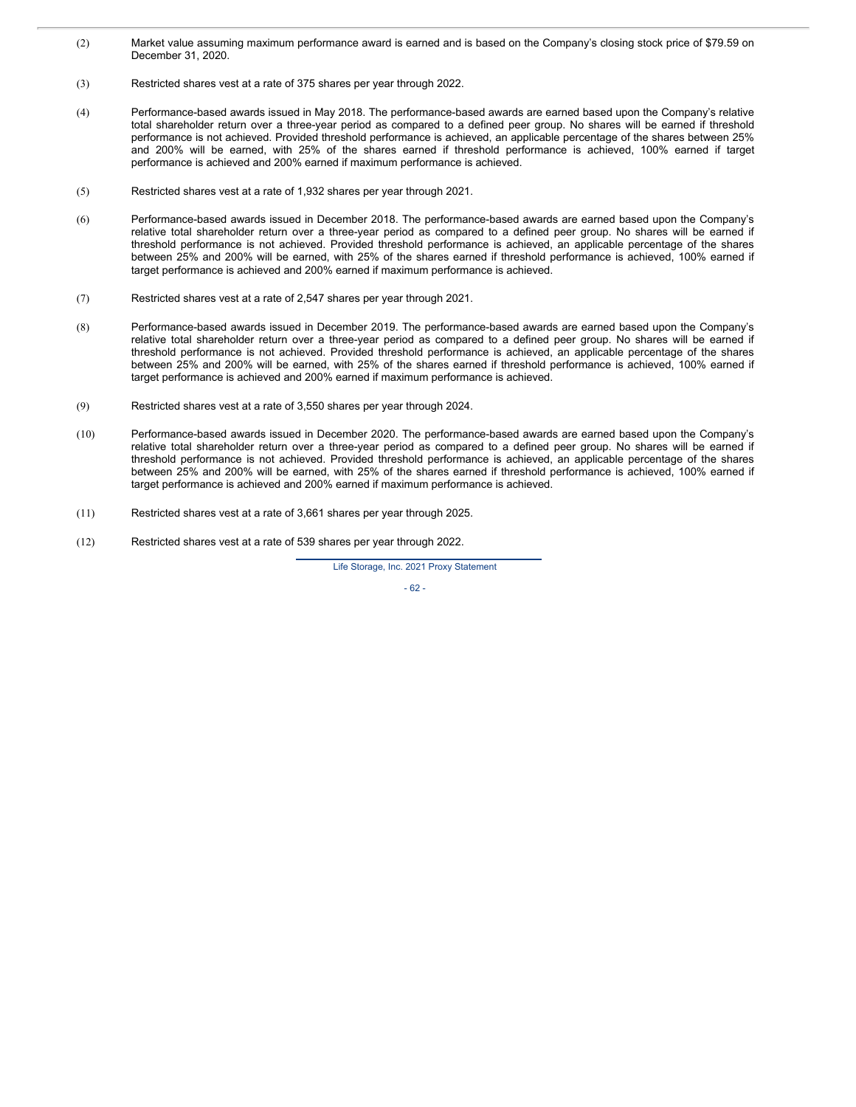- (2) Market value assuming maximum performance award is earned and is based on the Company's closing stock price of \$79.59 on December 31, 2020.
- (3) Restricted shares vest at a rate of 375 shares per year through 2022.
- (4) Performance-based awards issued in May 2018. The performance-based awards are earned based upon the Company's relative total shareholder return over a three-year period as compared to a defined peer group. No shares will be earned if threshold performance is not achieved. Provided threshold performance is achieved, an applicable percentage of the shares between 25% and 200% will be earned, with 25% of the shares earned if threshold performance is achieved, 100% earned if target performance is achieved and 200% earned if maximum performance is achieved.
- (5) Restricted shares vest at a rate of 1,932 shares per year through 2021.
- (6) Performance-based awards issued in December 2018. The performance-based awards are earned based upon the Company's relative total shareholder return over a three-year period as compared to a defined peer group. No shares will be earned if threshold performance is not achieved. Provided threshold performance is achieved, an applicable percentage of the shares between 25% and 200% will be earned, with 25% of the shares earned if threshold performance is achieved, 100% earned if target performance is achieved and 200% earned if maximum performance is achieved.
- (7) Restricted shares vest at a rate of 2,547 shares per year through 2021.
- (8) Performance-based awards issued in December 2019. The performance-based awards are earned based upon the Company's relative total shareholder return over a three-year period as compared to a defined peer group. No shares will be earned if threshold performance is not achieved. Provided threshold performance is achieved, an applicable percentage of the shares between 25% and 200% will be earned, with 25% of the shares earned if threshold performance is achieved, 100% earned if target performance is achieved and 200% earned if maximum performance is achieved.
- (9) Restricted shares vest at a rate of 3,550 shares per year through 2024.
- (10) Performance-based awards issued in December 2020. The performance-based awards are earned based upon the Company's relative total shareholder return over a three-year period as compared to a defined peer group. No shares will be earned if threshold performance is not achieved. Provided threshold performance is achieved, an applicable percentage of the shares between 25% and 200% will be earned, with 25% of the shares earned if threshold performance is achieved, 100% earned if target performance is achieved and 200% earned if maximum performance is achieved.
- (11) Restricted shares vest at a rate of 3,661 shares per year through 2025.
- (12) Restricted shares vest at a rate of 539 shares per year through 2022.

Life Storage, Inc. 2021 Proxy Statement

- 62 -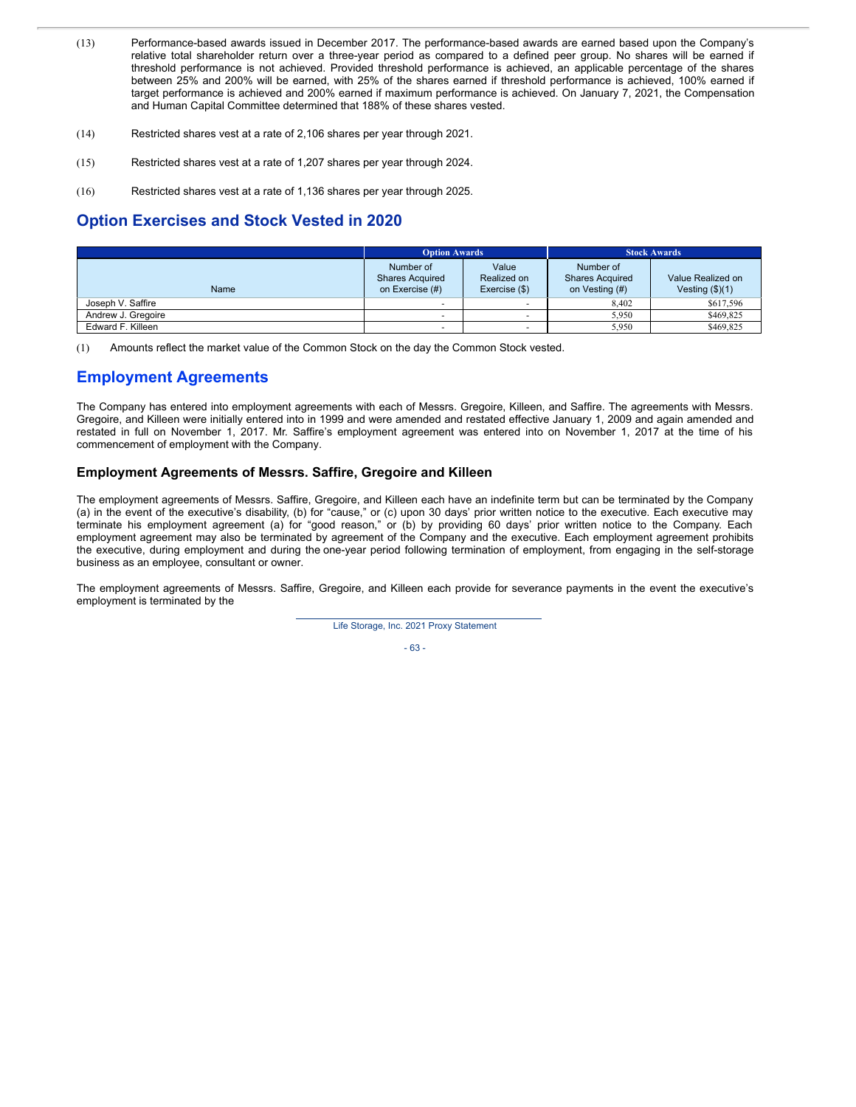- (13) Performance-based awards issued in December 2017. The performance-based awards are earned based upon the Company's relative total shareholder return over a three-year period as compared to a defined peer group. No shares will be earned if threshold performance is not achieved. Provided threshold performance is achieved, an applicable percentage of the shares between 25% and 200% will be earned, with 25% of the shares earned if threshold performance is achieved, 100% earned if target performance is achieved and 200% earned if maximum performance is achieved. On January 7, 2021, the Compensation and Human Capital Committee determined that 188% of these shares vested.
- (14) Restricted shares vest at a rate of 2,106 shares per year through 2021.
- (15) Restricted shares vest at a rate of 1,207 shares per year through 2024.
- (16) Restricted shares vest at a rate of 1,136 shares per year through 2025.

# **Option Exercises and Stock Vested in 2020**

|                    | <b>Option Awards</b>                                   |                                       | <b>Stock Awards</b>                                   |                                        |  |
|--------------------|--------------------------------------------------------|---------------------------------------|-------------------------------------------------------|----------------------------------------|--|
| <b>Name</b>        | Number of<br><b>Shares Acquired</b><br>on Exercise (#) | Value<br>Realized on<br>Exercise (\$) | Number of<br><b>Shares Acquired</b><br>on Vesting (#) | Value Realized on<br>Vesting $(\$)(1)$ |  |
| Joseph V. Saffire  |                                                        |                                       | 8.402                                                 | \$617,596                              |  |
| Andrew J. Gregoire |                                                        |                                       | 5,950                                                 | \$469,825                              |  |
| Edward F. Killeen  |                                                        |                                       | 5.950                                                 | \$469,825                              |  |

(1) Amounts reflect the market value of the Common Stock on the day the Common Stock vested.

# **Employment Agreements**

The Company has entered into employment agreements with each of Messrs. Gregoire, Killeen, and Saffire. The agreements with Messrs. Gregoire, and Killeen were initially entered into in 1999 and were amended and restated effective January 1, 2009 and again amended and restated in full on November 1, 2017. Mr. Saffire's employment agreement was entered into on November 1, 2017 at the time of his commencement of employment with the Company.

## **Employment Agreements of Messrs. Saffire, Gregoire and Killeen**

The employment agreements of Messrs. Saffire, Gregoire, and Killeen each have an indefinite term but can be terminated by the Company (a) in the event of the executive's disability, (b) for "cause," or (c) upon 30 days' prior written notice to the executive. Each executive may terminate his employment agreement (a) for "good reason," or (b) by providing 60 days' prior written notice to the Company. Each employment agreement may also be terminated by agreement of the Company and the executive. Each employment agreement prohibits the executive, during employment and during the one-year period following termination of employment, from engaging in the self-storage business as an employee, consultant or owner.

The employment agreements of Messrs. Saffire, Gregoire, and Killeen each provide for severance payments in the event the executive's employment is terminated by the

Life Storage, Inc. 2021 Proxy Statement

- 63 -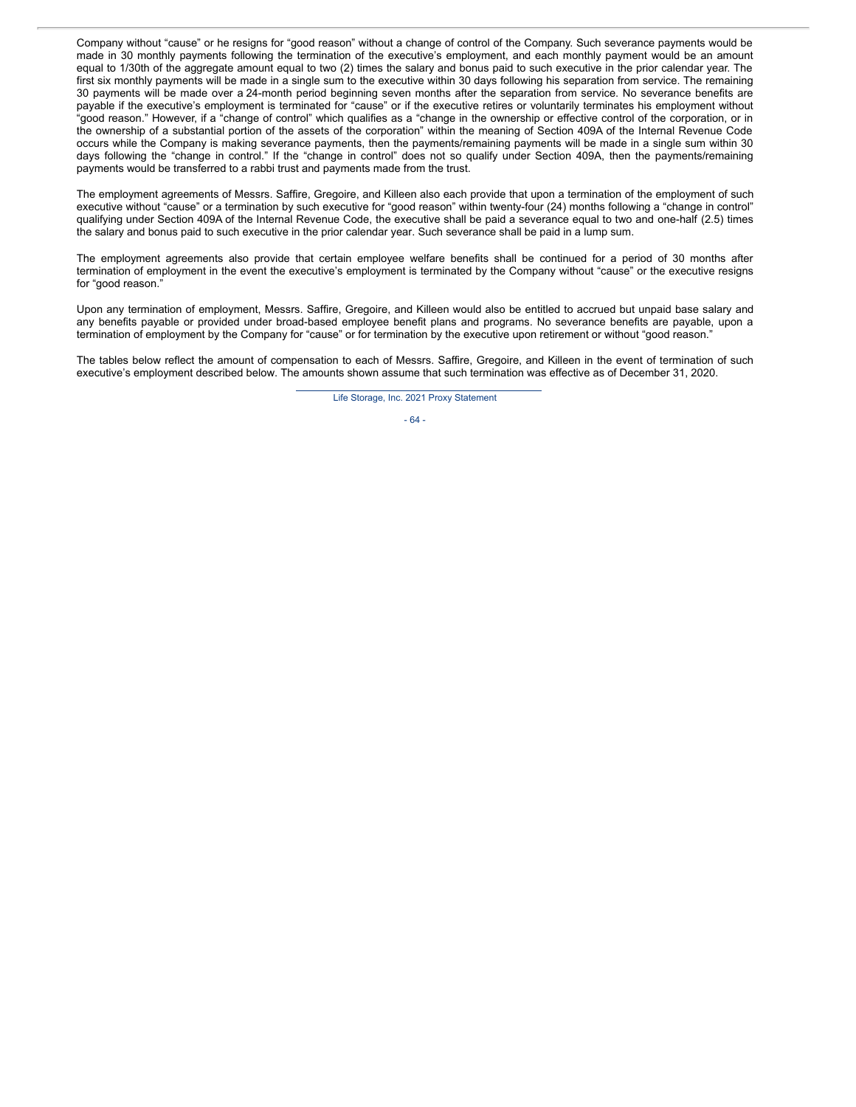Company without "cause" or he resigns for "good reason" without a change of control of the Company. Such severance payments would be made in 30 monthly payments following the termination of the executive's employment, and each monthly payment would be an amount equal to 1/30th of the aggregate amount equal to two (2) times the salary and bonus paid to such executive in the prior calendar year. The first six monthly payments will be made in a single sum to the executive within 30 days following his separation from service. The remaining 30 payments will be made over a 24-month period beginning seven months after the separation from service. No severance benefits are payable if the executive's employment is terminated for "cause" or if the executive retires or voluntarily terminates his employment without "good reason." However, if a "change of control" which qualifies as a "change in the ownership or effective control of the corporation, or in the ownership of a substantial portion of the assets of the corporation" within the meaning of Section 409A of the Internal Revenue Code occurs while the Company is making severance payments, then the payments/remaining payments will be made in a single sum within 30 days following the "change in control." If the "change in control" does not so qualify under Section 409A, then the payments/remaining payments would be transferred to a rabbi trust and payments made from the trust.

The employment agreements of Messrs. Saffire, Gregoire, and Killeen also each provide that upon a termination of the employment of such executive without "cause" or a termination by such executive for "good reason" within twenty-four (24) months following a "change in control" qualifying under Section 409A of the Internal Revenue Code, the executive shall be paid a severance equal to two and one-half (2.5) times the salary and bonus paid to such executive in the prior calendar year. Such severance shall be paid in a lump sum.

The employment agreements also provide that certain employee welfare benefits shall be continued for a period of 30 months after termination of employment in the event the executive's employment is terminated by the Company without "cause" or the executive resigns for "good reason."

Upon any termination of employment, Messrs. Saffire, Gregoire, and Killeen would also be entitled to accrued but unpaid base salary and any benefits payable or provided under broad-based employee benefit plans and programs. No severance benefits are payable, upon a termination of employment by the Company for "cause" or for termination by the executive upon retirement or without "good reason."

The tables below reflect the amount of compensation to each of Messrs. Saffire, Gregoire, and Killeen in the event of termination of such executive's employment described below. The amounts shown assume that such termination was effective as of December 31, 2020.

Life Storage, Inc. 2021 Proxy Statement

- 64 -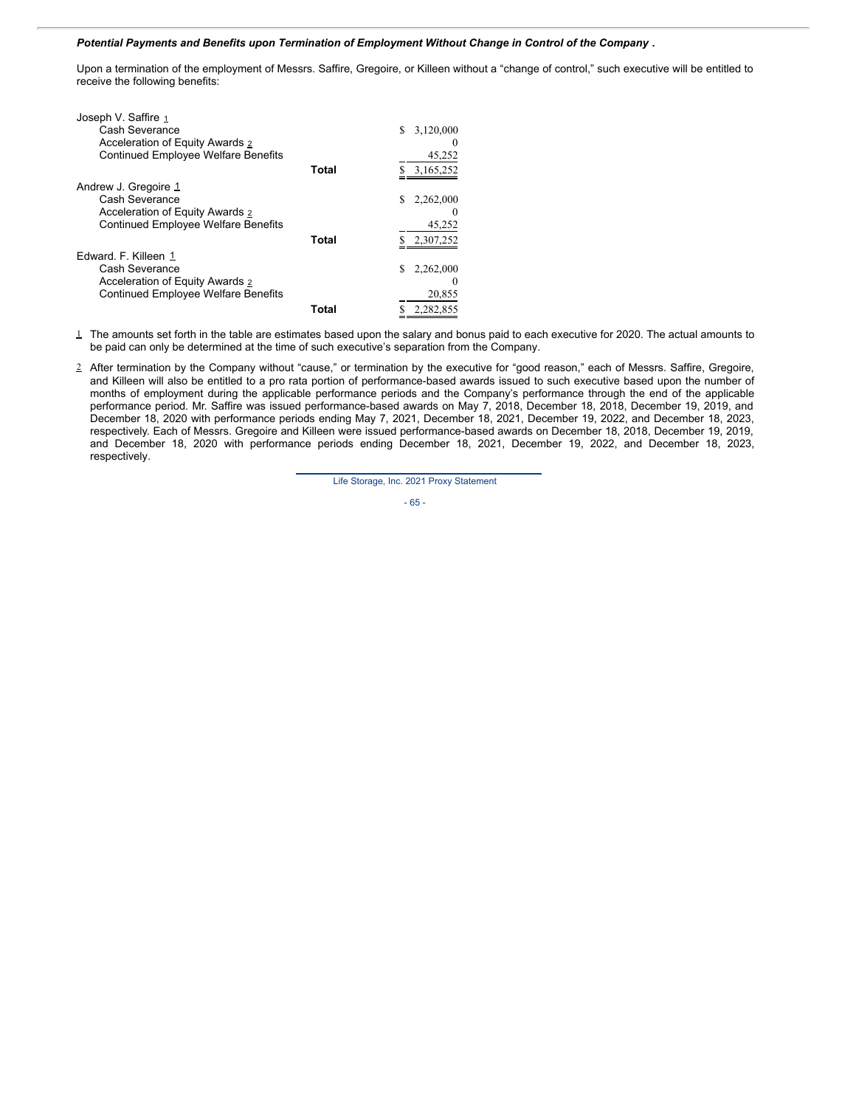### *Potential Payments and Benefits upon Termination of Employment Without Change in Control of the Company* **.**

Upon a termination of the employment of Messrs. Saffire, Gregoire, or Killeen without a "change of control," such executive will be entitled to receive the following benefits:

| Joseph V. Saffire 1                        |       |                |
|--------------------------------------------|-------|----------------|
| Cash Severance                             |       | 3,120,000<br>S |
| Acceleration of Equity Awards 2            |       |                |
| <b>Continued Employee Welfare Benefits</b> |       | 45,252         |
|                                            | Total | 3,165,252      |
| Andrew J. Gregoire 1                       |       |                |
| Cash Severance                             |       | 2,262,000<br>S |
| Acceleration of Equity Awards 2            |       |                |
| <b>Continued Employee Welfare Benefits</b> |       | 45,252         |
|                                            | Total | 2.307.252      |
| Edward, F. Killeen 1                       |       |                |
| Cash Severance                             |       | 2,262,000      |
| Acceleration of Equity Awards 2            |       |                |
| <b>Continued Employee Welfare Benefits</b> |       | 20,855         |
|                                            | Total | 2.282.855      |
|                                            |       |                |

 $\perp$  The amounts set forth in the table are estimates based upon the salary and bonus paid to each executive for 2020. The actual amounts to be paid can only be determined at the time of such executive's separation from the Company.

2 After termination by the Company without "cause," or termination by the executive for "good reason," each of Messrs. Saffire, Gregoire, and Killeen will also be entitled to a pro rata portion of performance-based awards issued to such executive based upon the number of months of employment during the applicable performance periods and the Company's performance through the end of the applicable performance period. Mr. Saffire was issued performance-based awards on May 7, 2018, December 18, 2018, December 19, 2019, and December 18, 2020 with performance periods ending May 7, 2021, December 18, 2021, December 19, 2022, and December 18, 2023, respectively. Each of Messrs. Gregoire and Killeen were issued performance-based awards on December 18, 2018, December 19, 2019, and December 18, 2020 with performance periods ending December 18, 2021, December 19, 2022, and December 18, 2023, respectively.

Life Storage, Inc. 2021 Proxy Statement

- 65 -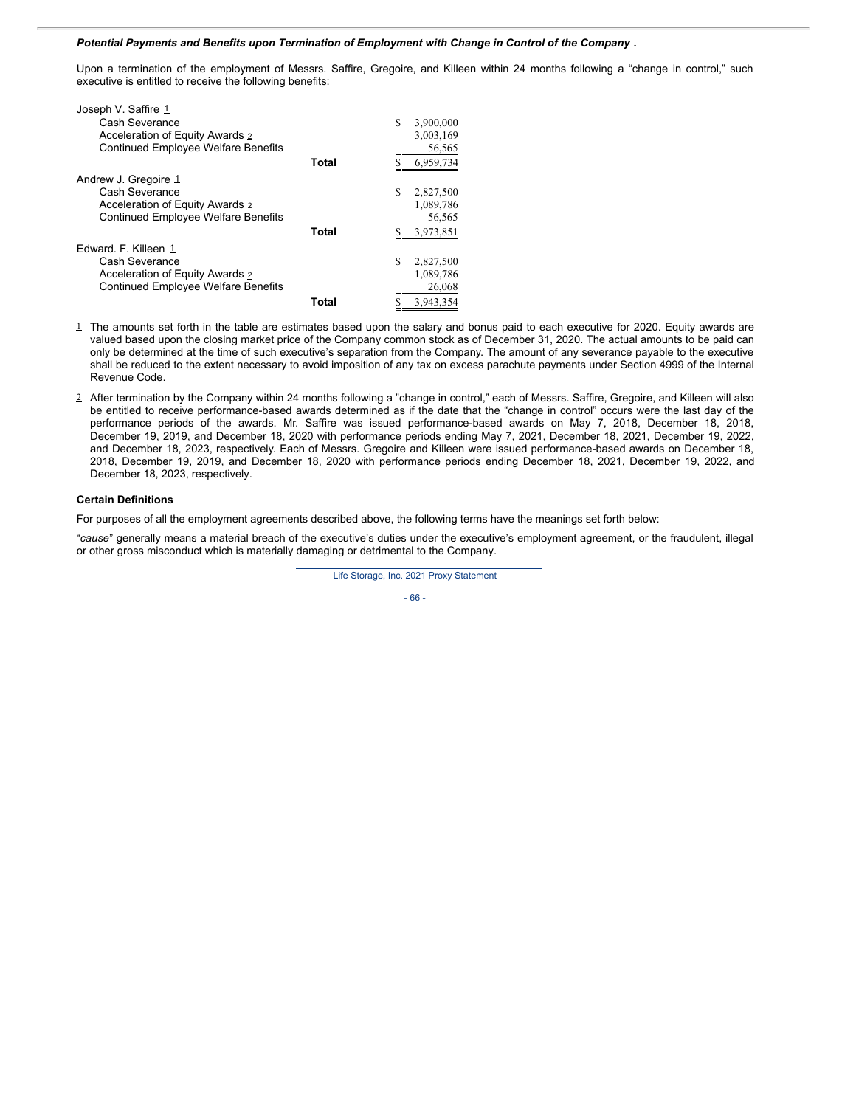## *Potential Payments and Benefits upon Termination of Employment with Change in Control of the Company* **.**

Upon a termination of the employment of Messrs. Saffire, Gregoire, and Killeen within 24 months following a "change in control," such executive is entitled to receive the following benefits:

| Joseph V. Saffire 1                        |       |    |           |
|--------------------------------------------|-------|----|-----------|
| Cash Severance                             |       | S  | 3,900,000 |
| Acceleration of Equity Awards 2            |       |    | 3,003,169 |
| <b>Continued Employee Welfare Benefits</b> |       |    | 56,565    |
|                                            | Total |    | 6,959,734 |
| Andrew J. Gregoire 1                       |       |    |           |
| Cash Severance                             |       | S  | 2,827,500 |
| Acceleration of Equity Awards 2            |       |    | 1,089,786 |
| <b>Continued Employee Welfare Benefits</b> |       |    | 56,565    |
|                                            | Total | \$ | 3,973,851 |
| Edward, F. Killeen 1                       |       |    |           |
| Cash Severance                             |       | S  | 2,827,500 |
| Acceleration of Equity Awards 2            |       |    | 1,089,786 |
| <b>Continued Employee Welfare Benefits</b> |       |    | 26,068    |
|                                            | Total | S  | 3,943,354 |

- 1 The amounts set forth in the table are estimates based upon the salary and bonus paid to each executive for 2020. Equity awards are valued based upon the closing market price of the Company common stock as of December 31, 2020. The actual amounts to be paid can only be determined at the time of such executive's separation from the Company. The amount of any severance payable to the executive shall be reduced to the extent necessary to avoid imposition of any tax on excess parachute payments under Section 4999 of the Internal Revenue Code.
- 2 After termination by the Company within 24 months following a "change in control," each of Messrs. Saffire, Gregoire, and Killeen will also be entitled to receive performance-based awards determined as if the date that the "change in control" occurs were the last day of the performance periods of the awards. Mr. Saffire was issued performance-based awards on May 7, 2018, December 18, 2018, December 19, 2019, and December 18, 2020 with performance periods ending May 7, 2021, December 18, 2021, December 19, 2022, and December 18, 2023, respectively. Each of Messrs. Gregoire and Killeen were issued performance-based awards on December 18, 2018, December 19, 2019, and December 18, 2020 with performance periods ending December 18, 2021, December 19, 2022, and December 18, 2023, respectively.

### **Certain Definitions**

For purposes of all the employment agreements described above, the following terms have the meanings set forth below:

"*cause*" generally means a material breach of the executive's duties under the executive's employment agreement, or the fraudulent, illegal or other gross misconduct which is materially damaging or detrimental to the Company.

Life Storage, Inc. 2021 Proxy Statement

- 66 -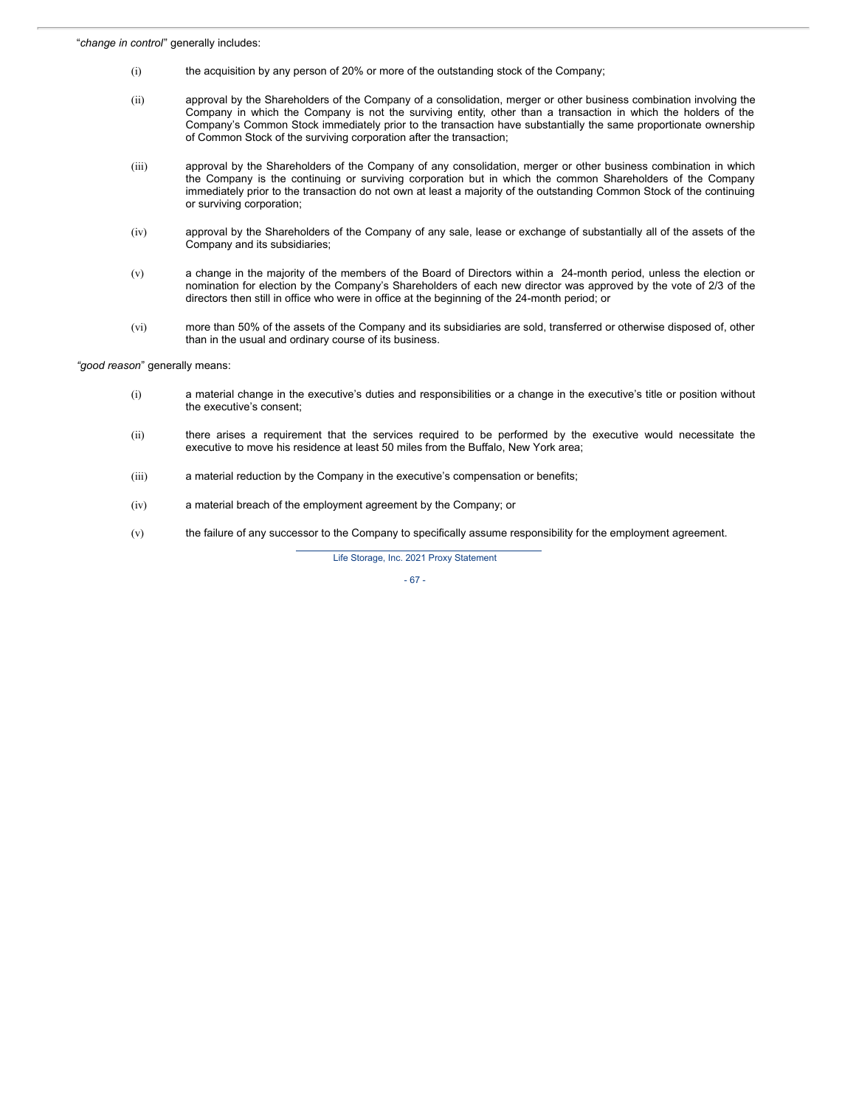- (i) the acquisition by any person of 20% or more of the outstanding stock of the Company;
- (ii) approval by the Shareholders of the Company of a consolidation, merger or other business combination involving the Company in which the Company is not the surviving entity, other than a transaction in which the holders of the Company's Common Stock immediately prior to the transaction have substantially the same proportionate ownership of Common Stock of the surviving corporation after the transaction;
- (iii) approval by the Shareholders of the Company of any consolidation, merger or other business combination in which the Company is the continuing or surviving corporation but in which the common Shareholders of the Company immediately prior to the transaction do not own at least a majority of the outstanding Common Stock of the continuing or surviving corporation;
- (iv) approval by the Shareholders of the Company of any sale, lease or exchange of substantially all of the assets of the Company and its subsidiaries;
- (v) a change in the majority of the members of the Board of Directors within a 24-month period, unless the election or nomination for election by the Company's Shareholders of each new director was approved by the vote of 2/3 of the directors then still in office who were in office at the beginning of the 24-month period; or
- (vi) more than 50% of the assets of the Company and its subsidiaries are sold, transferred or otherwise disposed of, other than in the usual and ordinary course of its business.

*"good reason*" generally means:

- (i) a material change in the executive's duties and responsibilities or a change in the executive's title or position without the executive's consent;
- (ii) there arises a requirement that the services required to be performed by the executive would necessitate the executive to move his residence at least 50 miles from the Buffalo, New York area;
- (iii) a material reduction by the Company in the executive's compensation or benefits;
- (iv) a material breach of the employment agreement by the Company; or
- (v) the failure of any successor to the Company to specifically assume responsibility for the employment agreement.

Life Storage, Inc. 2021 Proxy Statement

- 67 -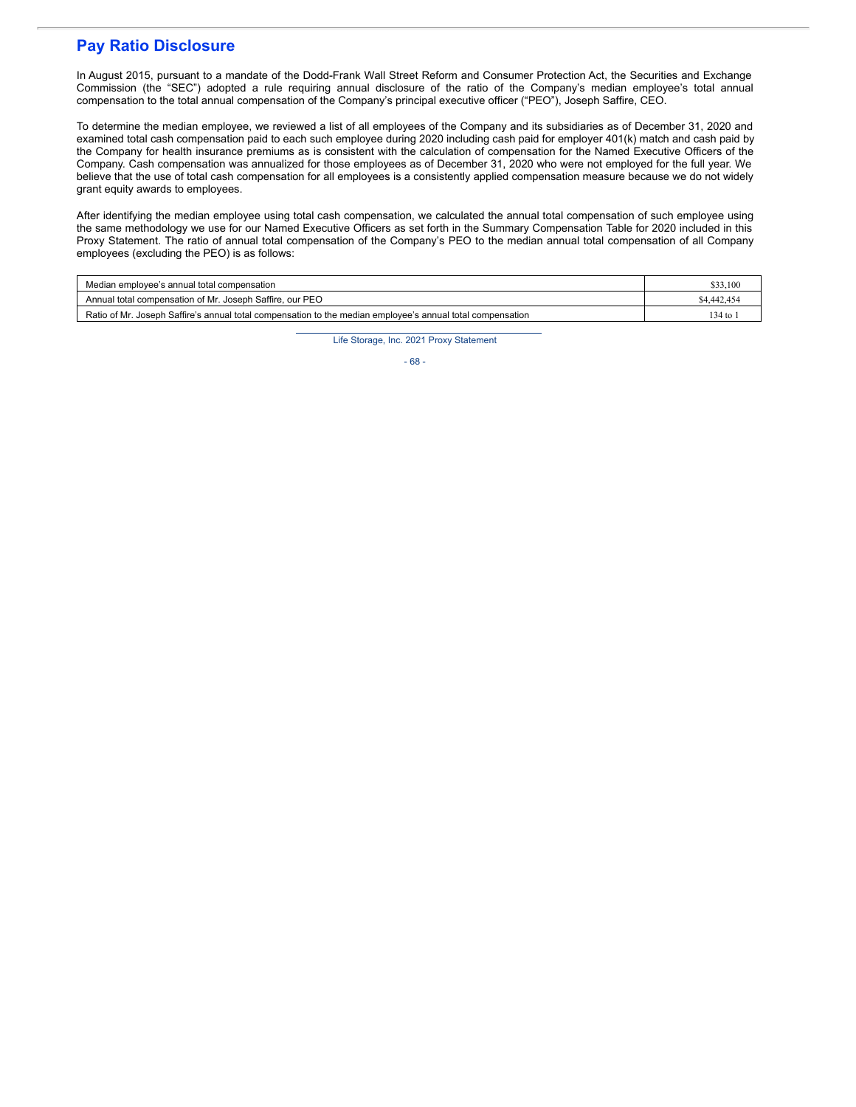# **Pay Ratio Disclosure**

In August 2015, pursuant to a mandate of the Dodd-Frank Wall Street Reform and Consumer Protection Act, the Securities and Exchange Commission (the "SEC") adopted a rule requiring annual disclosure of the ratio of the Company's median employee's total annual compensation to the total annual compensation of the Company's principal executive officer ("PEO"), Joseph Saffire, CEO.

To determine the median employee, we reviewed a list of all employees of the Company and its subsidiaries as of December 31, 2020 and examined total cash compensation paid to each such employee during 2020 including cash paid for employer 401(k) match and cash paid by the Company for health insurance premiums as is consistent with the calculation of compensation for the Named Executive Officers of the Company. Cash compensation was annualized for those employees as of December 31, 2020 who were not employed for the full year. We believe that the use of total cash compensation for all employees is a consistently applied compensation measure because we do not widely grant equity awards to employees.

After identifying the median employee using total cash compensation, we calculated the annual total compensation of such employee using the same methodology we use for our Named Executive Officers as set forth in the Summary Compensation Table for 2020 included in this Proxy Statement. The ratio of annual total compensation of the Company's PEO to the median annual total compensation of all Company employees (excluding the PEO) is as follows:

| Median employee's annual total compensation                                                                | \$33,100    |
|------------------------------------------------------------------------------------------------------------|-------------|
| Annual total compensation of Mr. Joseph Saffire, our PEO                                                   | \$4,442,454 |
| Ratio of Mr. Joseph Saffire's annual total compensation to the median employee's annual total compensation | $134$ to    |

Life Storage, Inc. 2021 Proxy Statement

- 68 -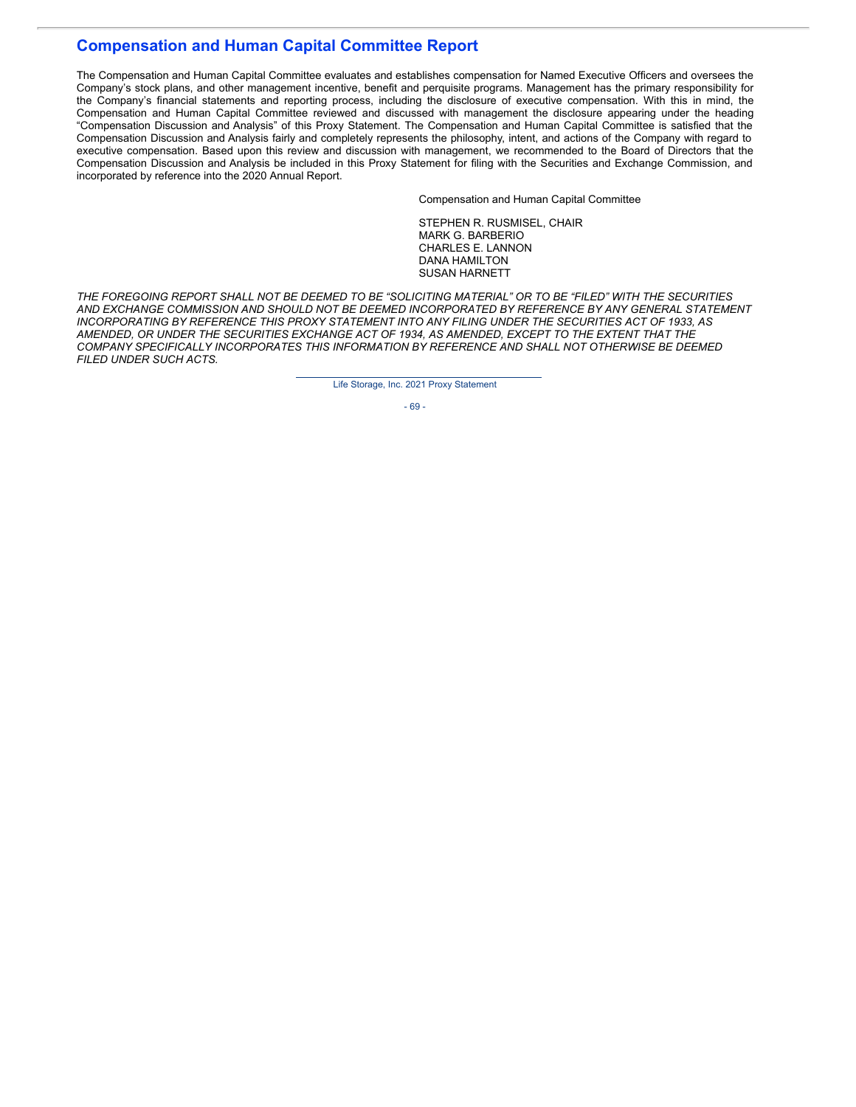# **Compensation and Human Capital Committee Report**

The Compensation and Human Capital Committee evaluates and establishes compensation for Named Executive Officers and oversees the Company's stock plans, and other management incentive, benefit and perquisite programs. Management has the primary responsibility for the Company's financial statements and reporting process, including the disclosure of executive compensation. With this in mind, the Compensation and Human Capital Committee reviewed and discussed with management the disclosure appearing under the heading "Compensation Discussion and Analysis" of this Proxy Statement. The Compensation and Human Capital Committee is satisfied that the Compensation Discussion and Analysis fairly and completely represents the philosophy, intent, and actions of the Company with regard to executive compensation. Based upon this review and discussion with management, we recommended to the Board of Directors that the Compensation Discussion and Analysis be included in this Proxy Statement for filing with the Securities and Exchange Commission, and incorporated by reference into the 2020 Annual Report.

Compensation and Human Capital Committee

STEPHEN R. RUSMISEL, CHAIR MARK G. BARBERIO CHARLES E. LANNON DANA HAMILTON SUSAN HARNETT

THE FOREGOING REPORT SHALL NOT BE DEEMED TO BE "SOLICITING MATERIAL" OR TO BE "FILED" WITH THE SECURITIES *AND EXCHANGE COMMISSION AND SHOULD NOT BE DEEMED INCORPORATED BY REFERENCE BY ANY GENERAL STATEMENT INCORPORATING BY REFERENCE THIS PROXY STATEMENT INTO ANY FILING UNDER THE SECURITIES ACT OF 1933, AS AMENDED, OR UNDER THE SECURITIES EXCHANGE ACT OF 1934, AS AMENDED, EXCEPT TO THE EXTENT THAT THE COMPANY SPECIFICALLY INCORPORATES THIS INFORMATION BY REFERENCE AND SHALL NOT OTHERWISE BE DEEMED FILED UNDER SUCH ACTS.*

Life Storage, Inc. 2021 Proxy Statement

- 69 -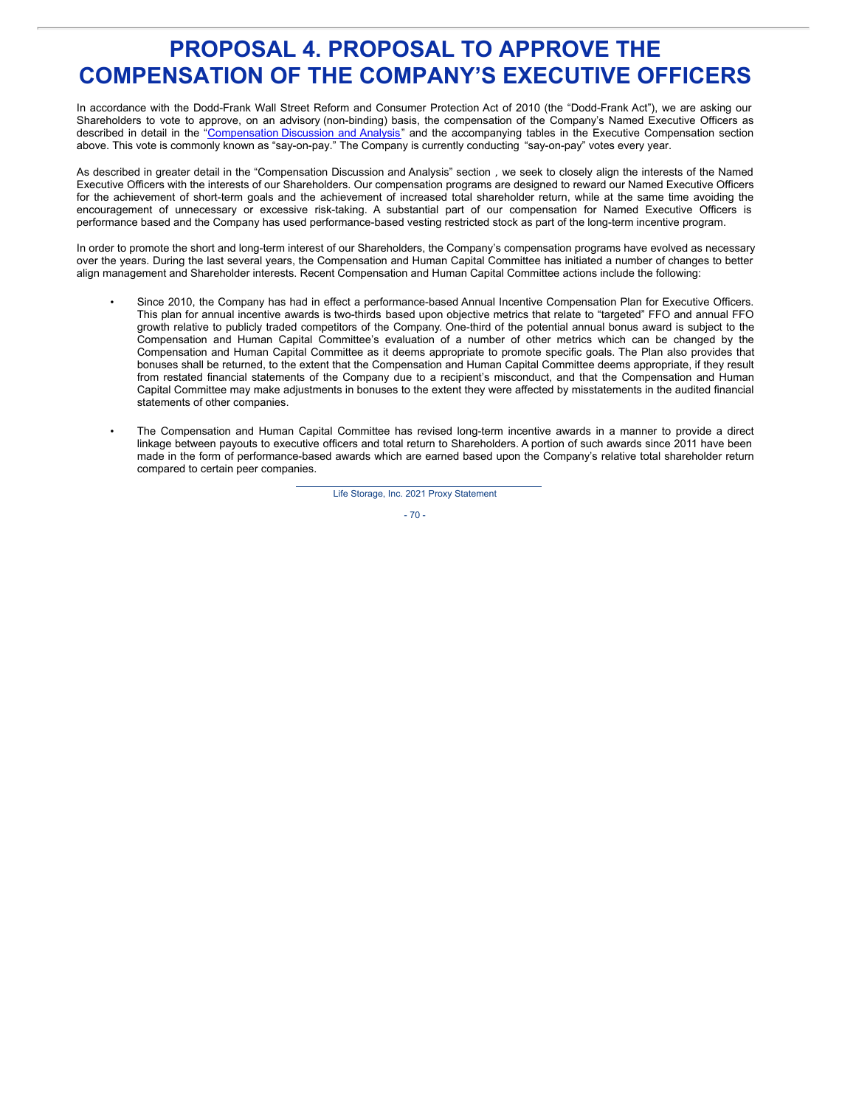# **PROPOSAL 4. PROPOSAL TO APPROVE THE COMPENSATION OF THE COMPANY'S EXECUTIVE OFFICERS**

In accordance with the Dodd-Frank Wall Street Reform and Consumer Protection Act of 2010 (the "Dodd-Frank Act"), we are asking our Shareholders to vote to approve, on an advisory (non-binding) basis, the compensation of the Company's Named Executive Officers as described in detail in the ["Compensation](http://www.sec.gov/Archives/edgar/data/936468/000119312511063609/ddef14a.htm#toc124218_57) Discussion and Analysis" and the accompanying tables in the Executive Compensation section above. This vote is commonly known as "say-on-pay." The Company is currently conducting "say-on-pay" votes every year.

As described in greater detail in the "Compensation Discussion and Analysis" section *,* we seek to closely align the interests of the Named Executive Officers with the interests of our Shareholders. Our compensation programs are designed to reward our Named Executive Officers for the achievement of short-term goals and the achievement of increased total shareholder return, while at the same time avoiding the encouragement of unnecessary or excessive risk-taking. A substantial part of our compensation for Named Executive Officers is performance based and the Company has used performance-based vesting restricted stock as part of the long-term incentive program.

In order to promote the short and long-term interest of our Shareholders, the Company's compensation programs have evolved as necessary over the years. During the last several years, the Compensation and Human Capital Committee has initiated a number of changes to better align management and Shareholder interests. Recent Compensation and Human Capital Committee actions include the following:

- Since 2010, the Company has had in effect a performance-based Annual Incentive Compensation Plan for Executive Officers. This plan for annual incentive awards is two-thirds based upon objective metrics that relate to "targeted" FFO and annual FFO growth relative to publicly traded competitors of the Company. One-third of the potential annual bonus award is subject to the Compensation and Human Capital Committee's evaluation of a number of other metrics which can be changed by the Compensation and Human Capital Committee as it deems appropriate to promote specific goals. The Plan also provides that bonuses shall be returned, to the extent that the Compensation and Human Capital Committee deems appropriate, if they result from restated financial statements of the Company due to a recipient's misconduct, and that the Compensation and Human Capital Committee may make adjustments in bonuses to the extent they were affected by misstatements in the audited financial statements of other companies.
- The Compensation and Human Capital Committee has revised long-term incentive awards in a manner to provide a direct linkage between payouts to executive officers and total return to Shareholders. A portion of such awards since 2011 have been made in the form of performance-based awards which are earned based upon the Company's relative total shareholder return compared to certain peer companies.

Life Storage, Inc. 2021 Proxy Statement

 $-70-$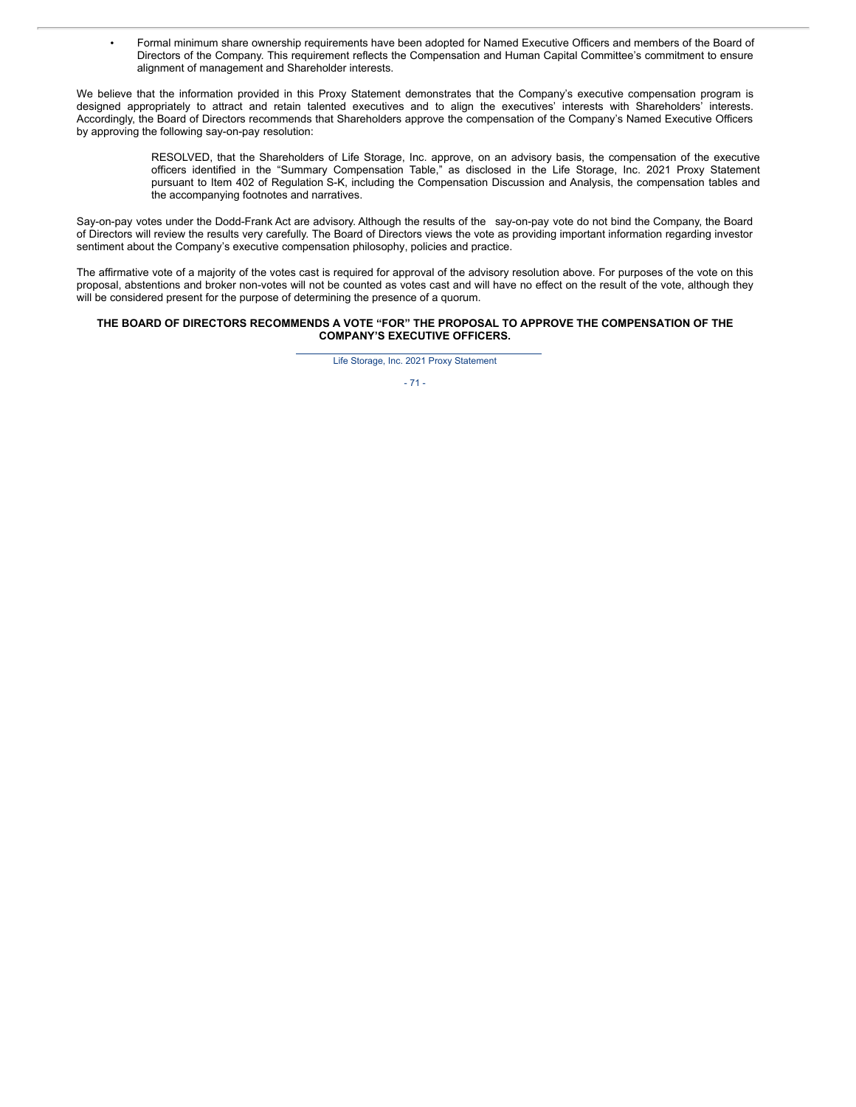• Formal minimum share ownership requirements have been adopted for Named Executive Officers and members of the Board of Directors of the Company. This requirement reflects the Compensation and Human Capital Committee's commitment to ensure alignment of management and Shareholder interests.

We believe that the information provided in this Proxy Statement demonstrates that the Company's executive compensation program is designed appropriately to attract and retain talented executives and to align the executives' interests with Shareholders' interests. Accordingly, the Board of Directors recommends that Shareholders approve the compensation of the Company's Named Executive Officers by approving the following say-on-pay resolution:

> RESOLVED, that the Shareholders of Life Storage, Inc. approve, on an advisory basis, the compensation of the executive officers identified in the "Summary Compensation Table," as disclosed in the Life Storage, Inc. 2021 Proxy Statement pursuant to Item 402 of Regulation S-K, including the Compensation Discussion and Analysis, the compensation tables and the accompanying footnotes and narratives.

Say-on-pay votes under the Dodd-Frank Act are advisory. Although the results of the say-on-pay vote do not bind the Company, the Board of Directors will review the results very carefully. The Board of Directors views the vote as providing important information regarding investor sentiment about the Company's executive compensation philosophy, policies and practice.

The affirmative vote of a majority of the votes cast is required for approval of the advisory resolution above. For purposes of the vote on this proposal, abstentions and broker non-votes will not be counted as votes cast and will have no effect on the result of the vote, although they will be considered present for the purpose of determining the presence of a quorum.

### **THE BOARD OF DIRECTORS RECOMMENDS A VOTE "FOR" THE PROPOSAL TO APPROVE THE COMPENSATION OF THE COMPANY'S EXECUTIVE OFFICERS.**

Life Storage, Inc. 2021 Proxy Statement

 $-71 -$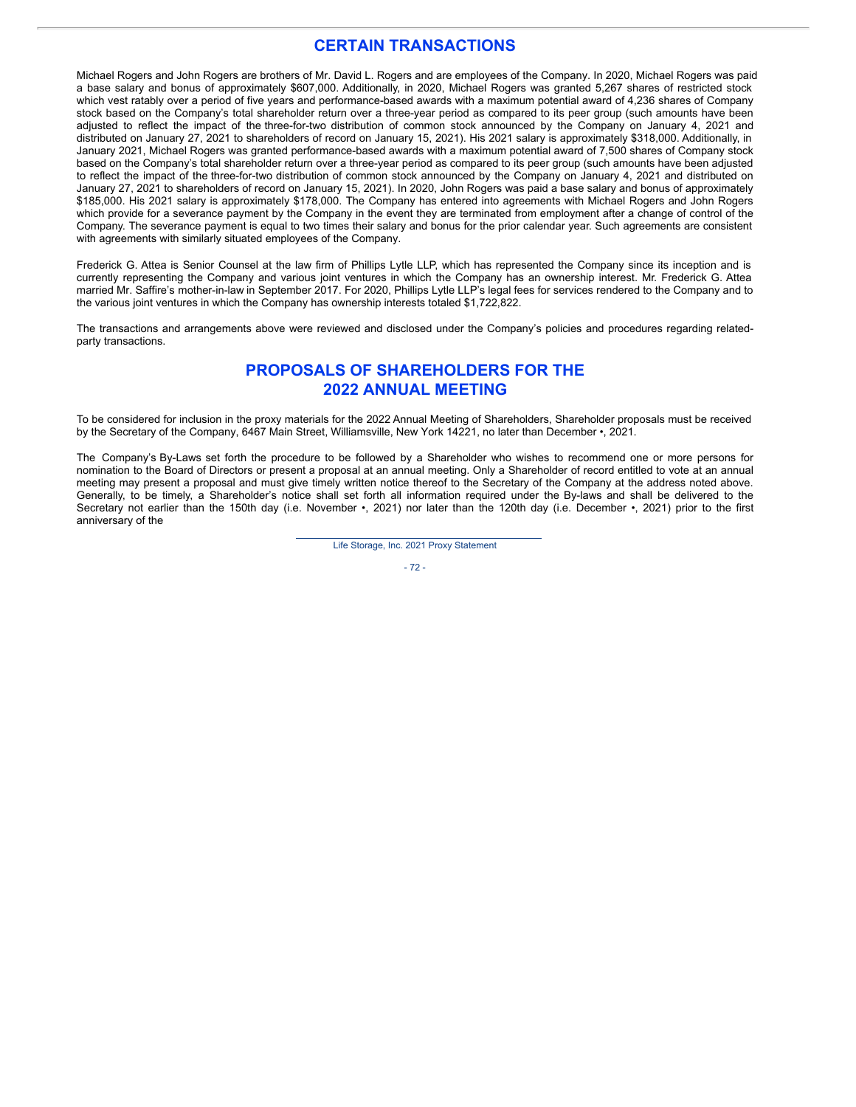### **CERTAIN TRANSACTIONS**

Michael Rogers and John Rogers are brothers of Mr. David L. Rogers and are employees of the Company. In 2020, Michael Rogers was paid a base salary and bonus of approximately \$607,000. Additionally, in 2020, Michael Rogers was granted 5,267 shares of restricted stock which vest ratably over a period of five years and performance-based awards with a maximum potential award of 4,236 shares of Company stock based on the Company's total shareholder return over a three-year period as compared to its peer group (such amounts have been adjusted to reflect the impact of the three-for-two distribution of common stock announced by the Company on January 4, 2021 and distributed on January 27, 2021 to shareholders of record on January 15, 2021). His 2021 salary is approximately \$318,000. Additionally, in January 2021, Michael Rogers was granted performance-based awards with a maximum potential award of 7,500 shares of Company stock based on the Company's total shareholder return over a three-year period as compared to its peer group (such amounts have been adjusted to reflect the impact of the three-for-two distribution of common stock announced by the Company on January 4, 2021 and distributed on January 27, 2021 to shareholders of record on January 15, 2021). In 2020, John Rogers was paid a base salary and bonus of approximately \$185,000. His 2021 salary is approximately \$178,000. The Company has entered into agreements with Michael Rogers and John Rogers which provide for a severance payment by the Company in the event they are terminated from employment after a change of control of the Company. The severance payment is equal to two times their salary and bonus for the prior calendar year. Such agreements are consistent with agreements with similarly situated employees of the Company.

Frederick G. Attea is Senior Counsel at the law firm of Phillips Lytle LLP, which has represented the Company since its inception and is currently representing the Company and various joint ventures in which the Company has an ownership interest. Mr. Frederick G. Attea married Mr. Saffire's mother-in-law in September 2017. For 2020, Phillips Lytle LLP's legal fees for services rendered to the Company and to the various joint ventures in which the Company has ownership interests totaled \$1,722,822.

The transactions and arrangements above were reviewed and disclosed under the Company's policies and procedures regarding relatedparty transactions.

## **PROPOSALS OF SHAREHOLDERS FOR THE 2022 ANNUAL MEETING**

To be considered for inclusion in the proxy materials for the 2022 Annual Meeting of Shareholders, Shareholder proposals must be received by the Secretary of the Company, 6467 Main Street, Williamsville, New York 14221, no later than December •, 2021.

The Company's By-Laws set forth the procedure to be followed by a Shareholder who wishes to recommend one or more persons for nomination to the Board of Directors or present a proposal at an annual meeting. Only a Shareholder of record entitled to vote at an annual meeting may present a proposal and must give timely written notice thereof to the Secretary of the Company at the address noted above. Generally, to be timely, a Shareholder's notice shall set forth all information required under the By-laws and shall be delivered to the Secretary not earlier than the 150th day (i.e. November •, 2021) nor later than the 120th day (i.e. December •, 2021) prior to the first anniversary of the

Life Storage, Inc. 2021 Proxy Statement

 $-72 -$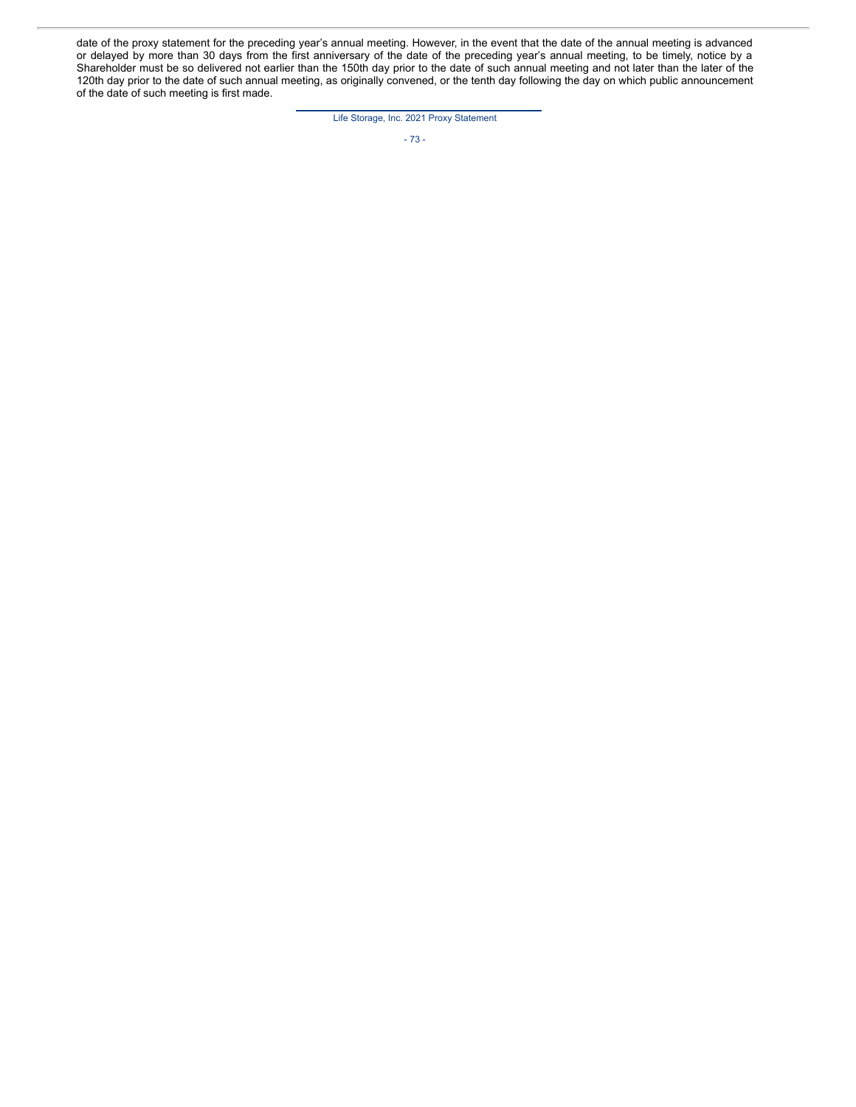date of the proxy statement for the preceding year's annual meeting. However, in the event that the date of the annual meeting is advanced or delayed by more than 30 days from the first anniversary of the date of the preceding year's annual meeting, to be timely, notice by a Shareholder must be so delivered not earlier than the 150th day prior to the date of such annual meeting and not later than the later of the 120th day prior to the date of such annual meeting, as originally convened, or the tenth day following the day on which public announcement of the date of such meeting is first made.

Life Storage, Inc. 2021 Proxy Statement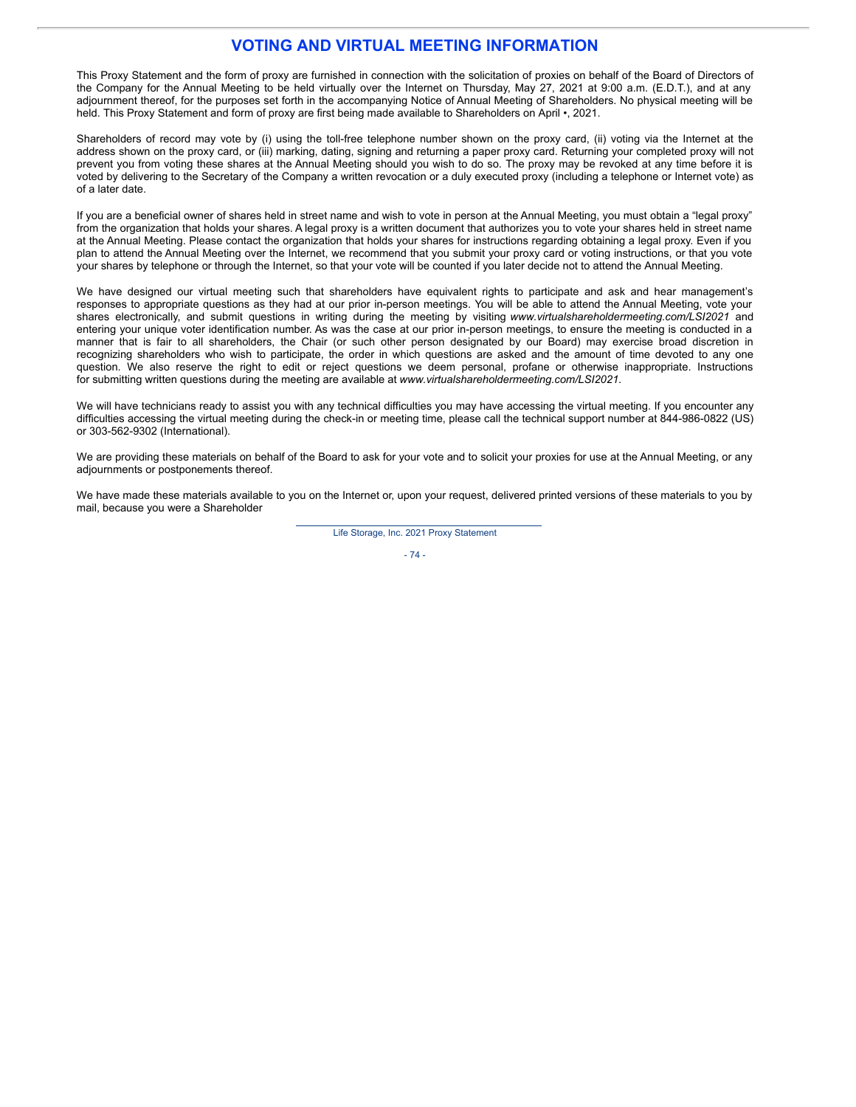### **VOTING AND VIRTUAL MEETING INFORMATION**

This Proxy Statement and the form of proxy are furnished in connection with the solicitation of proxies on behalf of the Board of Directors of the Company for the Annual Meeting to be held virtually over the Internet on Thursday, May 27, 2021 at 9:00 a.m. (E.D.T.), and at any adjournment thereof, for the purposes set forth in the accompanying Notice of Annual Meeting of Shareholders. No physical meeting will be held. This Proxy Statement and form of proxy are first being made available to Shareholders on April •, 2021.

Shareholders of record may vote by (i) using the toll-free telephone number shown on the proxy card, (ii) voting via the Internet at the address shown on the proxy card, or (iii) marking, dating, signing and returning a paper proxy card. Returning your completed proxy will not prevent you from voting these shares at the Annual Meeting should you wish to do so. The proxy may be revoked at any time before it is voted by delivering to the Secretary of the Company a written revocation or a duly executed proxy (including a telephone or Internet vote) as of a later date.

If you are a beneficial owner of shares held in street name and wish to vote in person at the Annual Meeting, you must obtain a "legal proxy" from the organization that holds your shares. A legal proxy is a written document that authorizes you to vote your shares held in street name at the Annual Meeting. Please contact the organization that holds your shares for instructions regarding obtaining a legal proxy. Even if you plan to attend the Annual Meeting over the Internet, we recommend that you submit your proxy card or voting instructions, or that you vote your shares by telephone or through the Internet, so that your vote will be counted if you later decide not to attend the Annual Meeting.

We have designed our virtual meeting such that shareholders have equivalent rights to participate and ask and hear management's responses to appropriate questions as they had at our prior in-person meetings. You will be able to attend the Annual Meeting, vote your shares electronically, and submit questions in writing during the meeting by visiting *www.virtualshareholdermeeting.com/LSI2021* and entering your unique voter identification number. As was the case at our prior in-person meetings, to ensure the meeting is conducted in a manner that is fair to all shareholders, the Chair (or such other person designated by our Board) may exercise broad discretion in recognizing shareholders who wish to participate, the order in which questions are asked and the amount of time devoted to any one question. We also reserve the right to edit or reject questions we deem personal, profane or otherwise inappropriate. Instructions for submitting written questions during the meeting are available at *www.virtualshareholdermeeting.com/LSI2021*.

We will have technicians ready to assist you with any technical difficulties you may have accessing the virtual meeting. If you encounter any difficulties accessing the virtual meeting during the check-in or meeting time, please call the technical support number at 844-986-0822 (US) or 303-562-9302 (International).

We are providing these materials on behalf of the Board to ask for your vote and to solicit your proxies for use at the Annual Meeting, or any adjournments or postponements thereof.

We have made these materials available to you on the Internet or, upon your request, delivered printed versions of these materials to you by mail, because you were a Shareholder

Life Storage, Inc. 2021 Proxy Statement

 $-74-$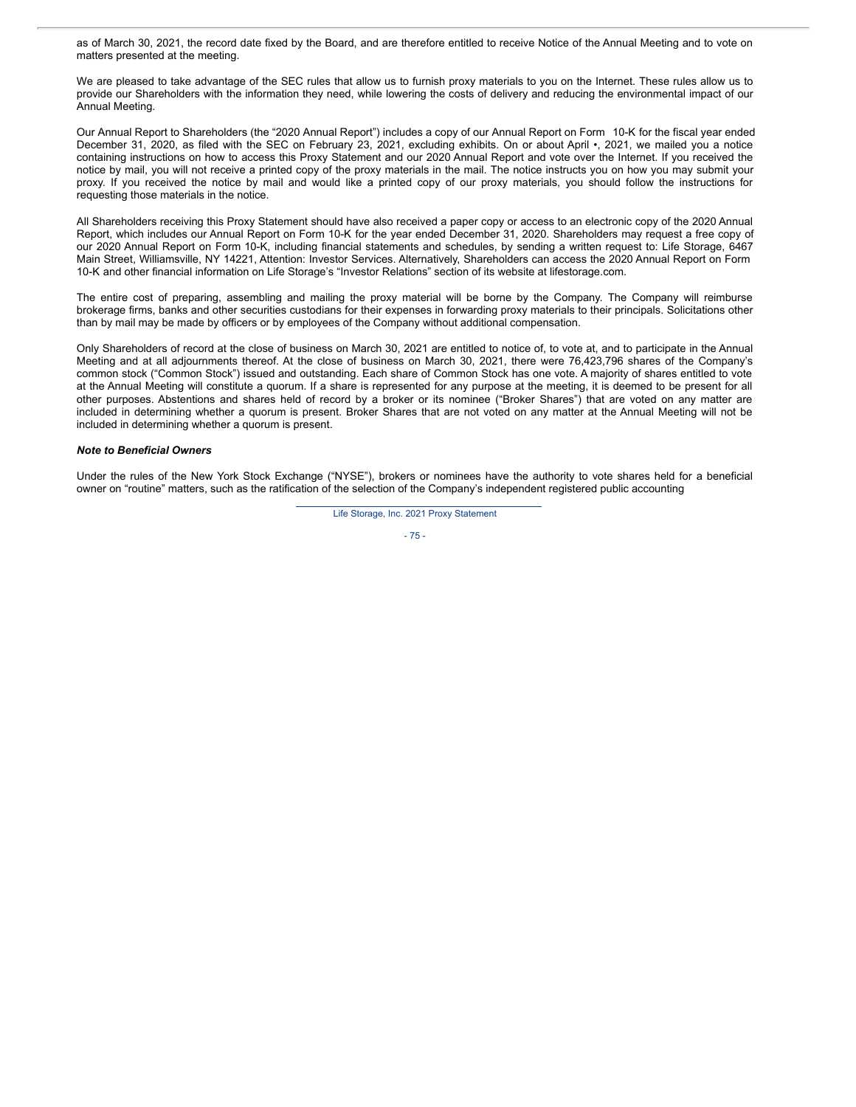as of March 30, 2021, the record date fixed by the Board, and are therefore entitled to receive Notice of the Annual Meeting and to vote on matters presented at the meeting.

We are pleased to take advantage of the SEC rules that allow us to furnish proxy materials to you on the Internet. These rules allow us to provide our Shareholders with the information they need, while lowering the costs of delivery and reducing the environmental impact of our Annual Meeting.

Our Annual Report to Shareholders (the "2020 Annual Report") includes a copy of our Annual Report on Form 10-K for the fiscal year ended December 31, 2020, as filed with the SEC on February 23, 2021, excluding exhibits. On or about April •, 2021, we mailed you a notice containing instructions on how to access this Proxy Statement and our 2020 Annual Report and vote over the Internet. If you received the notice by mail, you will not receive a printed copy of the proxy materials in the mail. The notice instructs you on how you may submit your proxy. If you received the notice by mail and would like a printed copy of our proxy materials, you should follow the instructions for requesting those materials in the notice.

All Shareholders receiving this Proxy Statement should have also received a paper copy or access to an electronic copy of the 2020 Annual Report, which includes our Annual Report on Form 10-K for the year ended December 31, 2020. Shareholders may request a free copy of our 2020 Annual Report on Form 10-K, including financial statements and schedules, by sending a written request to: Life Storage, 6467 Main Street, Williamsville, NY 14221, Attention: Investor Services. Alternatively, Shareholders can access the 2020 Annual Report on Form 10-K and other financial information on Life Storage's "Investor Relations" section of its website at lifestorage.com.

The entire cost of preparing, assembling and mailing the proxy material will be borne by the Company. The Company will reimburse brokerage firms, banks and other securities custodians for their expenses in forwarding proxy materials to their principals. Solicitations other than by mail may be made by officers or by employees of the Company without additional compensation.

Only Shareholders of record at the close of business on March 30, 2021 are entitled to notice of, to vote at, and to participate in the Annual Meeting and at all adjournments thereof. At the close of business on March 30, 2021, there were 76,423,796 shares of the Company's common stock ("Common Stock") issued and outstanding. Each share of Common Stock has one vote. A majority of shares entitled to vote at the Annual Meeting will constitute a quorum. If a share is represented for any purpose at the meeting, it is deemed to be present for all other purposes. Abstentions and shares held of record by a broker or its nominee ("Broker Shares") that are voted on any matter are included in determining whether a quorum is present. Broker Shares that are not voted on any matter at the Annual Meeting will not be included in determining whether a quorum is present.

#### *Note to Beneficial Owners*

Under the rules of the New York Stock Exchange ("NYSE"), brokers or nominees have the authority to vote shares held for a beneficial owner on "routine" matters, such as the ratification of the selection of the Company's independent registered public accounting

Life Storage, Inc. 2021 Proxy Statement

$$
-75-
$$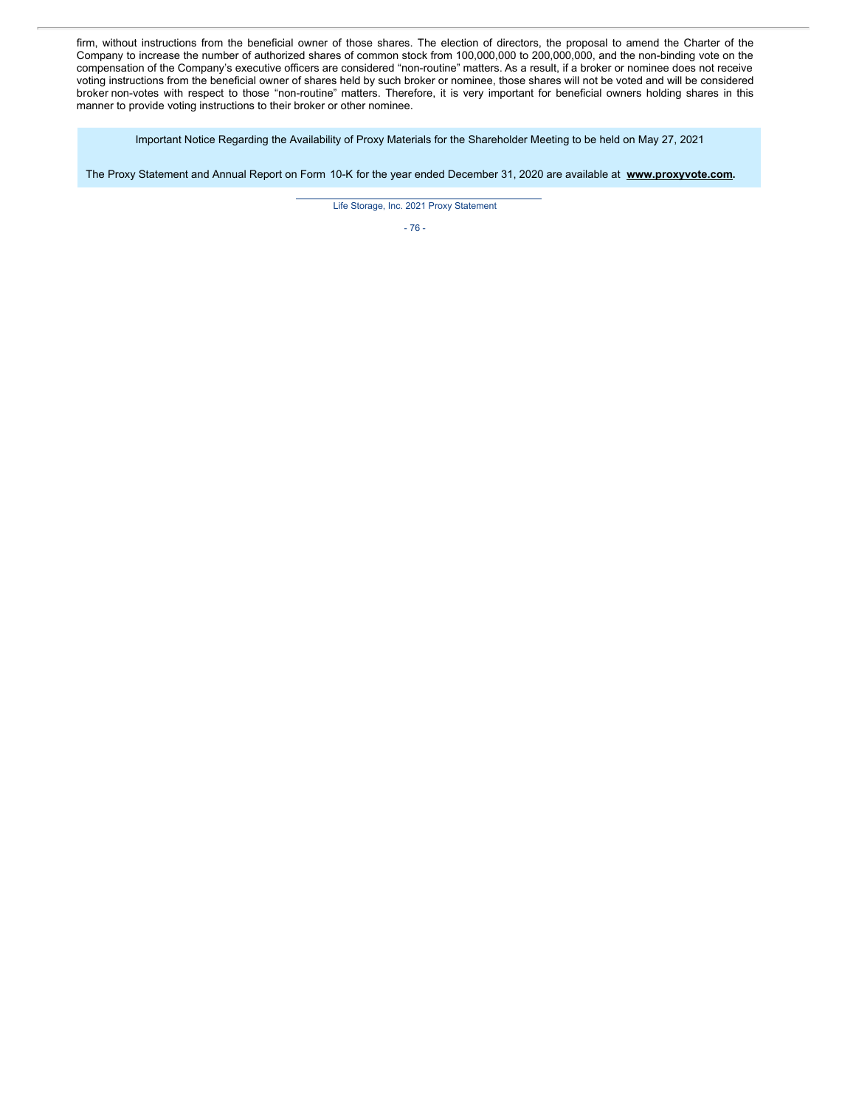firm, without instructions from the beneficial owner of those shares. The election of directors, the proposal to amend the Charter of the Company to increase the number of authorized shares of common stock from 100,000,000 to 200,000,000, and the non-binding vote on the compensation of the Company's executive officers are considered "non-routine" matters. As a result, if a broker or nominee does not receive voting instructions from the beneficial owner of shares held by such broker or nominee, those shares will not be voted and will be considered broker non-votes with respect to those "non-routine" matters. Therefore, it is very important for beneficial owners holding shares in this manner to provide voting instructions to their broker or other nominee.

Important Notice Regarding the Availability of Proxy Materials for the Shareholder Meeting to be held on May 27, 2021

The Proxy Statement and Annual Report on Form 10-K for the year ended December 31, 2020 are available at **www.proxyvote.com.**

Life Storage, Inc. 2021 Proxy Statement

- 76 -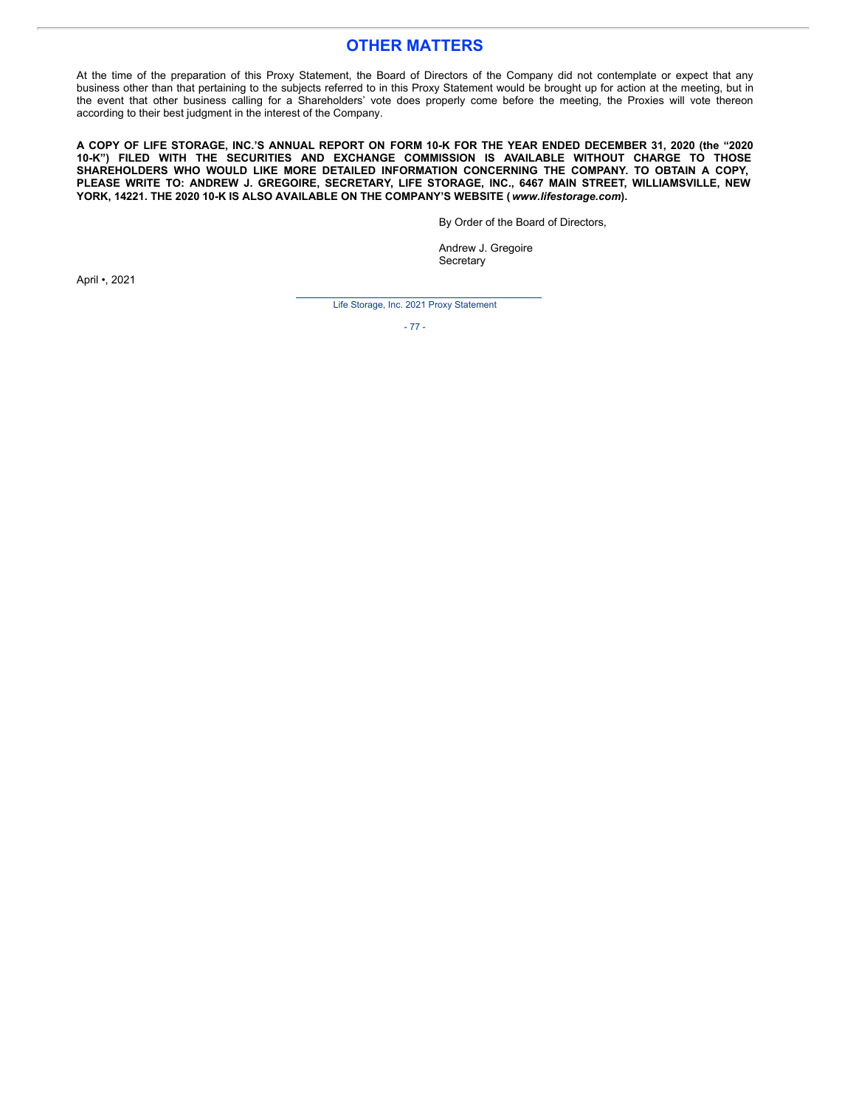### **OTHER MATTERS**

At the time of the preparation of this Proxy Statement, the Board of Directors of the Company did not contemplate or expect that any business other than that pertaining to the subjects referred to in this Proxy Statement would be brought up for action at the meeting, but in the event that other business calling for a Shareholders' vote does properly come before the meeting, the Proxies will vote thereon according to their best judgment in the interest of the Company.

A COPY OF LIFE STORAGE, INC.'S ANNUAL REPORT ON FORM 10-K FOR THE YEAR ENDED DECEMBER 31, 2020 (the "2020 **10-K") FILED WITH THE SECURITIES AND EXCHANGE COMMISSION IS AVAILABLE WITHOUT CHARGE TO THOSE SHAREHOLDERS WHO WOULD LIKE MORE DETAILED INFORMATION CONCERNING THE COMPANY. TO OBTAIN A COPY, PLEASE WRITE TO: ANDREW J. GREGOIRE, SECRETARY, LIFE STORAGE, INC., 6467 MAIN STREET, WILLIAMSVILLE, NEW YORK, 14221. THE 2020 10-K IS ALSO AVAILABLE ON THE COMPANY'S WEBSITE (***www.lifestorage.com***).**

By Order of the Board of Directors,

Andrew J. Gregoire **Secretary** 

April •, 2021

Life Storage, Inc. 2021 Proxy Statement

- 77 -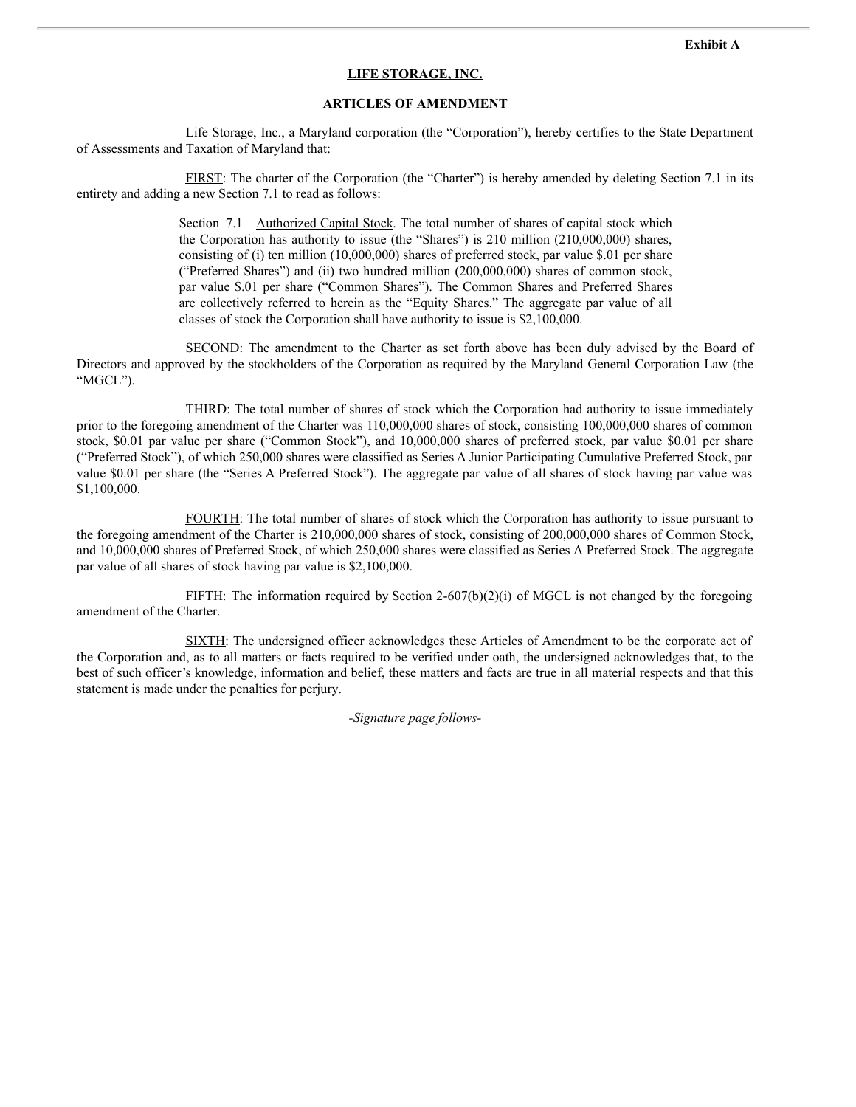### **LIFE STORAGE, INC.**

### **ARTICLES OF AMENDMENT**

Life Storage, Inc., a Maryland corporation (the "Corporation"), hereby certifies to the State Department of Assessments and Taxation of Maryland that:

FIRST: The charter of the Corporation (the "Charter") is hereby amended by deleting Section 7.1 in its entirety and adding a new Section 7.1 to read as follows:

> Section 7.1 Authorized Capital Stock. The total number of shares of capital stock which the Corporation has authority to issue (the "Shares") is 210 million (210,000,000) shares, consisting of (i) ten million (10,000,000) shares of preferred stock, par value \$.01 per share ("Preferred Shares") and (ii) two hundred million (200,000,000) shares of common stock, par value \$.01 per share ("Common Shares"). The Common Shares and Preferred Shares are collectively referred to herein as the "Equity Shares." The aggregate par value of all classes of stock the Corporation shall have authority to issue is \$2,100,000.

SECOND: The amendment to the Charter as set forth above has been duly advised by the Board of Directors and approved by the stockholders of the Corporation as required by the Maryland General Corporation Law (the "MGCL").

THIRD: The total number of shares of stock which the Corporation had authority to issue immediately prior to the foregoing amendment of the Charter was 110,000,000 shares of stock, consisting 100,000,000 shares of common stock, \$0.01 par value per share ("Common Stock"), and 10,000,000 shares of preferred stock, par value \$0.01 per share ("Preferred Stock"), of which 250,000 shares were classified as Series A Junior Participating Cumulative Preferred Stock, par value \$0.01 per share (the "Series A Preferred Stock"). The aggregate par value of all shares of stock having par value was \$1,100,000.

FOURTH: The total number of shares of stock which the Corporation has authority to issue pursuant to the foregoing amendment of the Charter is 210,000,000 shares of stock, consisting of 200,000,000 shares of Common Stock, and 10,000,000 shares of Preferred Stock, of which 250,000 shares were classified as Series A Preferred Stock. The aggregate par value of all shares of stock having par value is \$2,100,000.

FIFTH: The information required by Section 2-607(b)(2)(i) of MGCL is not changed by the foregoing amendment of the Charter.

SIXTH: The undersigned officer acknowledges these Articles of Amendment to be the corporate act of the Corporation and, as to all matters or facts required to be verified under oath, the undersigned acknowledges that, to the best of such officer's knowledge, information and belief, these matters and facts are true in all material respects and that this statement is made under the penalties for perjury.

*-Signature page follows-*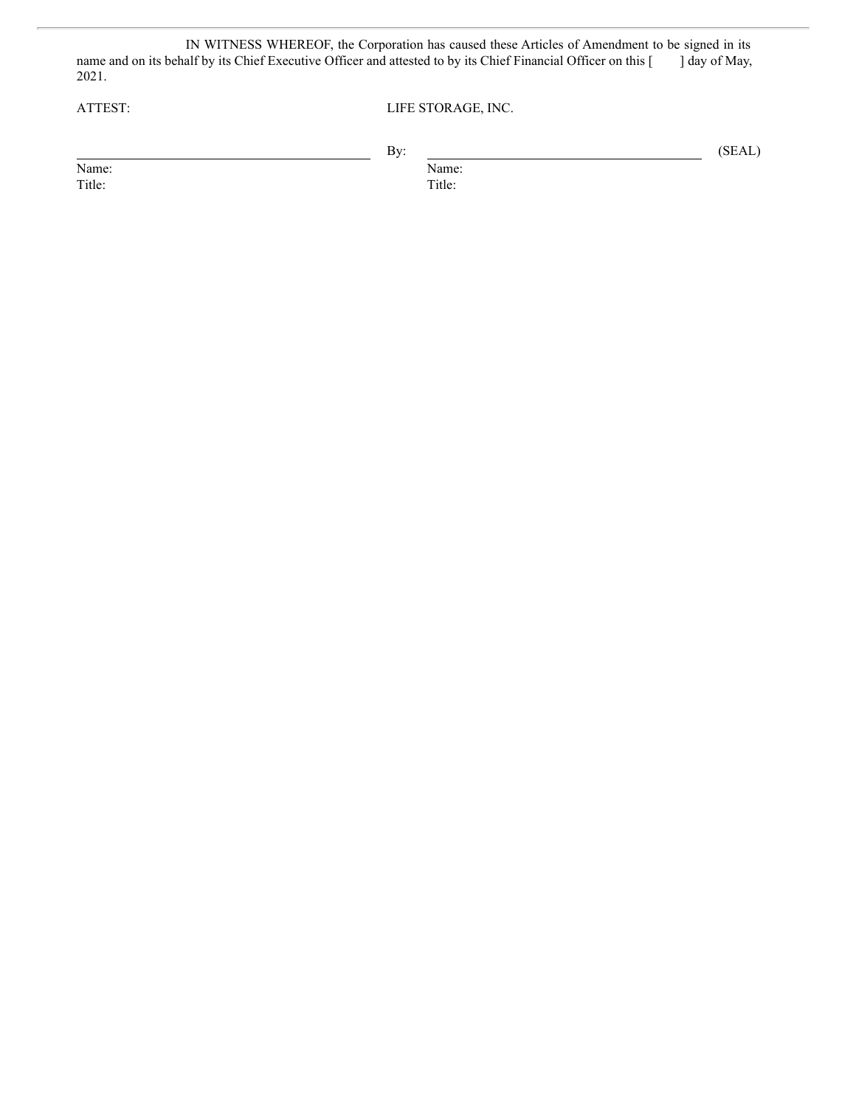IN WITNESS WHEREOF, the Corporation has caused these Articles of Amendment to be signed in its name and on its behalf by its Chief Executive Officer and attested to by its Chief Financial Officer on this [ ] day of May, 2021.

ATTEST: LIFE STORAGE, INC.

|        | By: |        | (SEAL) |
|--------|-----|--------|--------|
| Name:  |     | Name:  |        |
| Title: |     | Title: |        |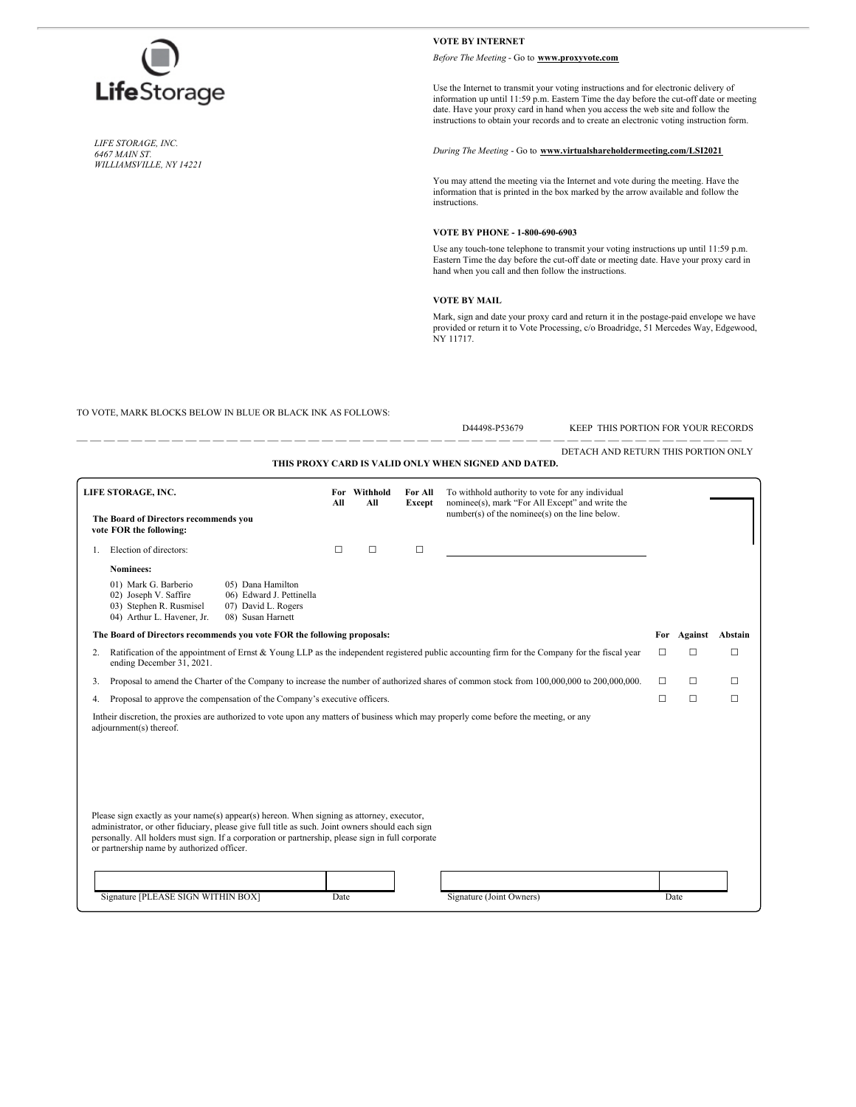

*LIFE STORAGE, INC. 6467 MAIN ST. WILLIAMSVILLE, NY 14221*

#### **VOTE BY INTERNET**

*Before The Meeting* - Go to **www.proxyvote.com**

Use the Internet to transmit your voting instructions and for electronic delivery of information up until 11:59 p.m. Eastern Time the day before the cut-off date or meeting date. Have your proxy card in hand when you access the web site and follow the instructions to obtain your records and to create an electronic voting instruction form.

#### *During The Meeting* - Go to **www.virtualshareholdermeeting.com/LSI2021**

You may attend the meeting via the Internet and vote during the meeting. Have the information that is printed in the box marked by the arrow available and follow the instructions.

#### **VOTE BY PHONE - 1-800-690-6903**

Use any touch-tone telephone to transmit your voting instructions up until 11:59 p.m. Eastern Time the day before the cut-off date or meeting date. Have your proxy card in hand when you call and then follow the instructions.

#### **VOTE BY MAIL**

Mark, sign and date your proxy card and return it in the postage-paid envelope we have provided or return it to Vote Processing, c/o Broadridge, 51 Mercedes Way, Edgewood, NY 11717.

TO VOTE, MARK BLOCKS BELOW IN BLUE OR BLACK INK AS FOLLOWS:

D44498-P53679 KEEP THIS PORTION FOR YOUR RECORDS DETACH AND RETURN THIS PORTION ONLY

|                                                      | DETACH AND RETURN THIS PORTION ONLY |
|------------------------------------------------------|-------------------------------------|
| THIS PROXY CARD IS VALID ONLY WHEN SIGNED AND DATED. |                                     |

| LIFE STORAGE, INC.<br>The Board of Directors recommends you<br>vote FOR the following:                                                                                                                                                                                                                                                                                                                                             |                                                                                                                                                                                  | For<br>All                                                                                | Withhold<br>All | For All<br><b>Except</b> | To withhold authority to vote for any individual<br>nominee(s), mark "For All Except" and write the<br>$number(s)$ of the nomine $e(s)$ on the line below. |                                                                                                                                         |   |        |        |
|------------------------------------------------------------------------------------------------------------------------------------------------------------------------------------------------------------------------------------------------------------------------------------------------------------------------------------------------------------------------------------------------------------------------------------|----------------------------------------------------------------------------------------------------------------------------------------------------------------------------------|-------------------------------------------------------------------------------------------|-----------------|--------------------------|------------------------------------------------------------------------------------------------------------------------------------------------------------|-----------------------------------------------------------------------------------------------------------------------------------------|---|--------|--------|
|                                                                                                                                                                                                                                                                                                                                                                                                                                    |                                                                                                                                                                                  |                                                                                           |                 |                          |                                                                                                                                                            |                                                                                                                                         |   |        |        |
|                                                                                                                                                                                                                                                                                                                                                                                                                                    | Election of directors:                                                                                                                                                           |                                                                                           | $\Box$          | $\Box$                   | $\Box$                                                                                                                                                     |                                                                                                                                         |   |        |        |
|                                                                                                                                                                                                                                                                                                                                                                                                                                    | Nominees:                                                                                                                                                                        |                                                                                           |                 |                          |                                                                                                                                                            |                                                                                                                                         |   |        |        |
|                                                                                                                                                                                                                                                                                                                                                                                                                                    | 01) Mark G. Barberio<br>02) Joseph V. Saffire<br>03) Stephen R. Rusmisel<br>04) Arthur L. Havener, Jr.                                                                           | 05) Dana Hamilton<br>06) Edward J. Pettinella<br>07) David L. Rogers<br>08) Susan Harnett |                 |                          |                                                                                                                                                            |                                                                                                                                         |   |        |        |
|                                                                                                                                                                                                                                                                                                                                                                                                                                    | The Board of Directors recommends you vote FOR the following proposals:                                                                                                          |                                                                                           |                 |                          |                                                                                                                                                            |                                                                                                                                         |   |        |        |
|                                                                                                                                                                                                                                                                                                                                                                                                                                    | Ratification of the appointment of Ernst & Young LLP as the independent registered public accounting firm for the Company for the fiscal year<br>2.<br>ending December 31, 2021. |                                                                                           |                 |                          |                                                                                                                                                            |                                                                                                                                         |   | □      | П      |
| 3.                                                                                                                                                                                                                                                                                                                                                                                                                                 | Proposal to amend the Charter of the Company to increase the number of authorized shares of common stock from 100,000,000 to 200,000,000.                                        |                                                                                           |                 |                          |                                                                                                                                                            |                                                                                                                                         | п | П      | П      |
|                                                                                                                                                                                                                                                                                                                                                                                                                                    | Proposal to approve the compensation of the Company's executive officers.<br>4.                                                                                                  |                                                                                           |                 |                          |                                                                                                                                                            |                                                                                                                                         | П | $\Box$ | $\Box$ |
|                                                                                                                                                                                                                                                                                                                                                                                                                                    | adjournment(s) thereof.                                                                                                                                                          |                                                                                           |                 |                          |                                                                                                                                                            | In their discretion, the proxies are authorized to vote upon any matters of business which may properly come before the meeting, or any |   |        |        |
| Please sign exactly as your name(s) appear(s) hereon. When signing as attorney, executor,<br>administrator, or other fiduciary, please give full title as such. Joint owners should each sign<br>personally. All holders must sign. If a corporation or partnership, please sign in full corporate<br>or partnership name by authorized officer.<br>Signature [PLEASE SIGN WITHIN BOX]<br>Signature (Joint Owners)<br>Date<br>Date |                                                                                                                                                                                  |                                                                                           |                 |                          |                                                                                                                                                            |                                                                                                                                         |   |        |        |